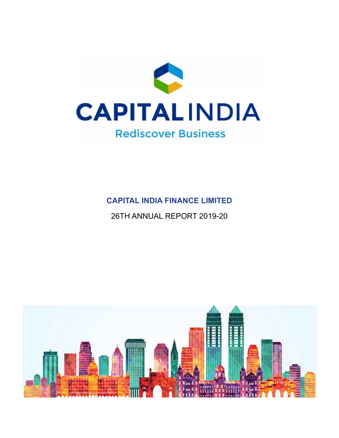

**CAPITAL INDIA FINANCE LIMITED** 

25th ANNUAL REPORT 2018-19 26TH ANNUAL REPORT 2019-20

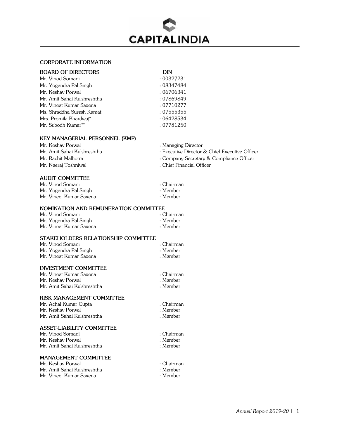

#### **CORPORATE INFORMATION**

| <b>DIN</b> |
|------------|
| : 00327231 |
| : 08347484 |
| :06706341  |
| : 07869849 |
| :07710277  |
| :07555355  |
| : 06428534 |
| : 07781250 |
|            |

## **KEY MANAGERIAL PERSONNEL (KMP)**

| Mr. Keshav Porwal           | : Managing Director                          |
|-----------------------------|----------------------------------------------|
| Mr. Amit Sahai Kulshreshtha | Executive Director & Chief Executive Officer |
| Mr. Rachit Malhotra         | : Company Secretary & Compliance Officer     |
| Mr. Neeraj Toshniwal        | : Chief Financial Officer                    |

## **AUDIT COMMITTEE**

| Mr. Vinod Somani        | : Chairman |
|-------------------------|------------|
| Mr. Yogendra Pal Singh  | : Member   |
| Mr. Vineet Kumar Saxena | : Member   |

#### **NOMINATION AND REMUNERATION COMMITTEE**

| Mr. Vinod Somani        | : Chairman |
|-------------------------|------------|
| Mr. Yogendra Pal Singh  | : Member   |
| Mr. Vineet Kumar Saxena | : Member   |

#### **STAKEHOLDERS RELATIONSHIP COMMITTEE**

| Mr. Vinod Somani        | : Chairman |
|-------------------------|------------|
| Mr. Yogendra Pal Singh  | : Member   |
| Mr. Vineet Kumar Saxena | : Member   |

## **INVESTMENT COMMITTEE**

| Mr. Vineet Kumar Saxena     | : Chairman |
|-----------------------------|------------|
| Mr. Keshav Porwal           | : Member   |
| Mr. Amit Sahai Kulshreshtha | : Member   |

#### **RISK MANAGEMENT COMMITTEE**

| Mr. Achal Kumar Gupta       | : Chairman |
|-----------------------------|------------|
| Mr. Keshav Porwal           | : Member   |
| Mr. Amit Sahai Kulshreshtha | : Member   |

#### **ASSET-LIABILITY COMMITTEE**

| Mr. Vinod Somani            | : Chairman |
|-----------------------------|------------|
| Mr. Keshav Porwal           | : Member   |
| Mr. Amit Sahai Kulshreshtha | : Member   |

## **MANAGEMENT COMMITTEE**

| Mr. Keshav Porwal           |  |
|-----------------------------|--|
| Mr. Amit Sahai Kulshreshtha |  |
| Mr. Vineet Kumar Saxena     |  |

- : Chairman
- : Member
	- : Member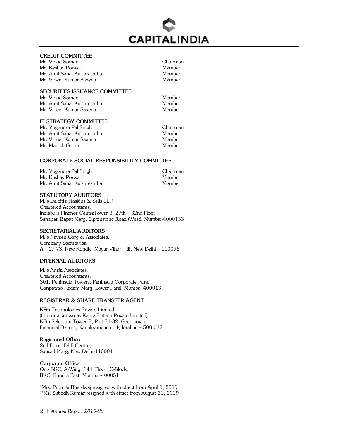

#### **CREDIT COMMITTEE**

| Mr. Vinod Somani            | : Chairman |
|-----------------------------|------------|
| Mr. Keshav Porwal           | : Member   |
| Mr. Amit Sahai Kulshreshtha | : Member   |
| Mr. Vineet Kumar Saxena     | : Member   |
|                             |            |

#### **SECURITIES ISSUANCE COMMITTEE**

| Mr. Vinod Somani            | : Member |
|-----------------------------|----------|
| Mr. Amit Sahai Kulshreshtha | : Member |
| Mr. Vineet Kumar Saxena     | : Member |
|                             |          |

#### **IT STRATEGY COMMITTEE**

| Mr. Yogendra Pal Singh      | : Chairman |
|-----------------------------|------------|
| Mr. Amit Sahai Kulshreshtha | : Member   |
| Mr. Vineet Kumar Saxena     | : Member   |
| Mr. Manish Gupta            | : Member   |
|                             |            |

#### **CORPORATE SOCIAL RESPONSIBILITY COMMITTEE**

| Mr. Yogendra Pal Singh      | : Chairman |
|-----------------------------|------------|
| Mr. Keshav Porwal           | : Member   |
| Mr. Amit Sahai Kulshreshtha | : Member   |

#### **STATUTORY AUDITORS**

M/s Deloitte Haskins & Sells LLP, Chartered Accountants, Indiabulls Finance CentreTower 3, 27th – 32nd Floor Senapati Bapat Marg, Elphinstone Road (West), Mumbai-4000133

#### **SECRETARIAL AUDITORS**

M/s Naveen Garg & Associates, Company Secretaries, A – 2/ 73, New Kondly, Mayur Vihar – III, New Delhi – 110096

#### **INTERNAL AUDITORS**

M/s Aneja Associates, Chartered Accountants, 301, Peninsula Towers, Peninsula Corporate Park, Ganpatrao Kadam Marg, Lower Parel, Mumbai-400013

#### **REGISTRAR & SHARE TRANSFER AGENT**

KFin Technologies Private Limited, (formerly known as Karvy Fintech Private Limited), KFin Selenium Tower B, Plot 31-32, Gachibowli, Financial District, Nanakramguda, Hyderabad – 500 032

#### **Registered Office**

2nd Floor, DLF Centre, Sansad Marg, New Delhi-110001

#### **Corporate Office**

One BKC, A-Wing, 14th Floor, G-Block, BKC, Bandra East, Mumbai-400051

\*Mrs. Promila Bhardwaj resigned with effect from April 1, 2019 \*\*Mr. Subodh Kumar resigned with effect from August 31, 2019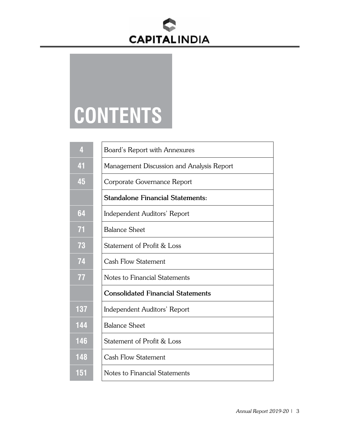

# **CONTENTS**

|     | Board's Report with Annexures             |
|-----|-------------------------------------------|
| 41  | Management Discussion and Analysis Report |
| 45  | Corporate Governance Report               |
|     | <b>Standalone Financial Statements:</b>   |
| 64  | Independent Auditors' Report              |
| 71  | <b>Balance Sheet</b>                      |
| 73  | Statement of Profit & Loss                |
| 74  | Cash Flow Statement                       |
| 77  | Notes to Financial Statements             |
|     | <b>Consolidated Financial Statements</b>  |
| 137 | Independent Auditors' Report              |
| 144 | <b>Balance Sheet</b>                      |
| 146 | Statement of Profit & Loss                |
| 148 | Cash Flow Statement                       |
| 151 | Notes to Financial Statements             |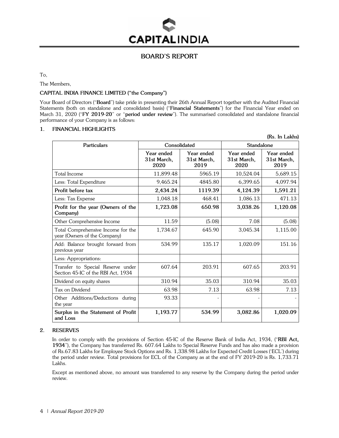

## **BOARD'S REPORT**

To,

The Members,

## **CAPITAL INDIA FINANCE LIMITED ("the Company")**

Your Board of Directors ("**Board**") take pride in presenting their 26th Annual Report together with the Audited Financial Statements (both on standalone and consolidated basis) ("**Financial Statements**") for the Financial Year ended on March 31, 2020 ("**FY 2019-20**" or "**period under review**"). The summarised consolidated and standalone financial performance of your Company is as follows:

#### **1. FINANCIAL HIGHLIGHTS**

|                                                                         |                                   |                                   |                                   | (Rs. In Lakhs)                    |  |
|-------------------------------------------------------------------------|-----------------------------------|-----------------------------------|-----------------------------------|-----------------------------------|--|
| <b>Particulars</b>                                                      | Consolidated                      |                                   | <b>Standalone</b>                 |                                   |  |
|                                                                         | Year ended<br>31st March,<br>2020 | Year ended<br>31st March,<br>2019 | Year ended<br>31st March,<br>2020 | Year ended<br>31st March,<br>2019 |  |
| Total Income                                                            | 11,899.48                         | 5965.19                           | 10,524.04                         | 5,689.15                          |  |
| Less: Total Expenditure                                                 | 9,465.24                          | 4845.80                           | 6,399.65                          | 4,097.94                          |  |
| Profit before tax                                                       | 2,434.24                          | 1119.39                           | 4,124.39                          | 1,591.21                          |  |
| Less: Tax Expense                                                       | 1,048.18                          | 468.41                            | 1,086.13                          | 471.13                            |  |
| Profit for the year (Owners of the<br>Company)                          | 1,723.08                          | 650.98                            | 3,038.26                          | 1,120.08                          |  |
| Other Comprehensive Income                                              | 11.59                             | (5.08)                            | 7.08                              | (5.08)                            |  |
| Total Comprehensive Income for the<br>year (Owners of the Company)      | 1,734.67                          | 645.90                            | 3,045.34                          | 1,115.00                          |  |
| Add: Balance brought forward from<br>previous year                      | 534.99                            | 135.17                            | 1,020.09                          | 151.16                            |  |
| Less: Appropriations:                                                   |                                   |                                   |                                   |                                   |  |
| Transfer to Special Reserve under<br>Section 45-IC of the RBI Act, 1934 | 607.64                            | 203.91                            | 607.65                            | 203.91                            |  |
| Dividend on equity shares                                               | 310.94                            | 35.03                             | 310.94                            | 35.03                             |  |
| Tax on Dividend                                                         | 63.98                             | 7.13                              | 63.98                             | 7.13                              |  |
| Other Additions/Deductions during<br>the year                           | 93.33                             |                                   | $\overline{\phantom{a}}$          |                                   |  |
| Surplus in the Statement of Profit<br>and Loss                          | 1,193.77                          | 534.99                            | 3,082.86                          | 1,020.09                          |  |

#### **2. RESERVES**

In order to comply with the provisions of Section 45-IC of the Reserve Bank of India Act, 1934, ("**RBI Act, 1934**"), the Company has transferred Rs. 607.64 Lakhs to Special Reserve Funds and has also made a provision of Rs.67.83 Lakhs for Employee Stock Options and Rs. 1,338.98 Lakhs for Expected Credit Losses ('ECL') during the period under review. Total provisions for ECL of the Company as at the end of FY 2019-20 is Rs. 1,733.71 Lakhs.

Except as mentioned above, no amount was transferred to any reserve by the Company during the period under review.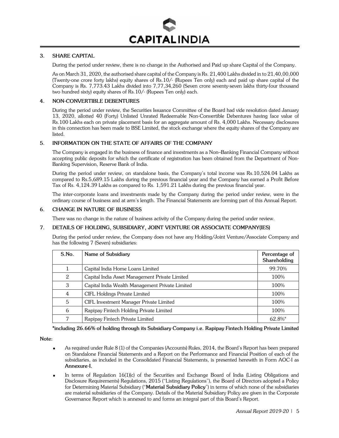

#### **3. SHARE CAPITAL**

During the period under review, there is no change in the Authorised and Paid up share Capital of the Company.

As on March 31, 2020, the authorised share capital of the Company is Rs. 21,400 Lakhs divided in to 21,40,00,000 (Twenty-one crore forty lakhs) equity shares of Rs.10/- (Rupees Ten only) each and paid up share capital of the Company is Rs. 7,773.43 Lakhs divided into 7,77,34,260 (Seven crore seventy-seven lakhs thirty-four thousand two hundred sixty) equity shares of Rs.10/- (Rupees Ten only) each.

#### **4. NON-CONVERTIBLE DEBENTURES**

During the period under review, the Securities Issuance Committee of the Board had vide resolution dated January 13, 2020, allotted 40 (Forty) Unlisted Unrated Redeemable Non-Convertible Debentures having face value of Rs.100 Lakhs each on private placement basis for an aggregate amount of Rs. 4,000 Lakhs. Necessary disclosures in this connection has been made to BSE Limited, the stock exchange where the equity shares of the Company are listed.

#### **5. INFORMATION ON THE STATE OF AFFAIRS OF THE COMPANY**

The Company is engaged in the business of finance and investments as a Non–Banking Financial Company without accepting public deposits for which the certificate of registration has been obtained from the Department of Non-Banking Supervision, Reserve Bank of India.

During the period under review, on standalone basis, the Company's total income was Rs.10,524.04 Lakhs as compared to Rs.5,689.15 Lakhs during the previous financial year and the Company has earned a Profit Before Tax of Rs. 4,124.39 Lakhs as compared to Rs. 1,591.21 Lakhs during the previous financial year.

The inter-corporate loans and investments made by the Company during the period under review, were in the ordinary course of business and at arm's length. The Financial Statements are forming part of this Annual Report.

#### **6. CHANGE IN NATURE OF BUSINESS**

There was no change in the nature of business activity of the Company during the period under review.

#### **7. DETAILS OF HOLDING, SUBSIDIARY, JOINT VENTURE OR ASSOCIATE COMPANY(IES)**

During the period under review, the Company does not have any Holding/Joint Venture/Associate Company and has the following 7 (Seven) subsidiaries:

| S.No.          | Name of Subsidiary                              | Percentage of<br>Shareholding |
|----------------|-------------------------------------------------|-------------------------------|
|                | Capital India Home Loans Limited                | 99.70%                        |
| 2              | Capital India Asset Management Private Limited  | 100%                          |
| 3              | Capital India Wealth Management Private Limited | 100%                          |
| $\overline{4}$ | CIFL Holdings Private Limited                   | 100%                          |
| 5              | CIFL Investment Manager Private Limited         | 100%                          |
| 6              | Rapipay Fintech Holding Private Limited         | 100%                          |
| 7              | Rapipay Fintech Private Limited                 | 62.8%*                        |

**\*including 26.66% of holding through its Subsidiary Company i.e. Rapipay Fintech Holding Private Limited**

**Note:**

- As required under Rule 8 (1) of the Companies (Accounts) Rules, 2014, the Board's Report has been prepared on Standalone Financial Statements and a Report on the Performance and Financial Position of each of the subsidiaries, as included in the Consolidated Financial Statements, is presented herewith in Form AOC-I as **Annexure-I.**
- In terms of Regulation 16(1)(c) of the Securities and Exchange Board of India (Listing Obligations and Disclosure Requirements) Regulations, 2015 ("Listing Regulations"), the Board of Directors adopted a Policy for Determining Material Subsidiary ("**Material Subsidiary Policy**") in terms of which none of the subsidiaries are material subsidiaries of the Company. Details of the Material Subsidiary Policy are given in the Corporate Governance Report which is annexed to and forms an integral part of this Board's Report.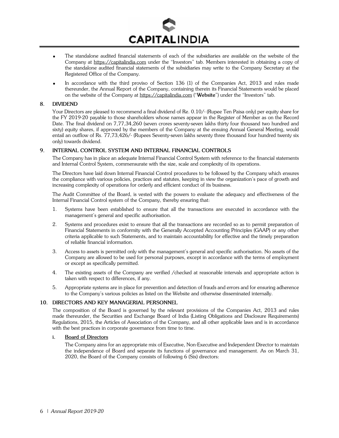

- The standalone audited financial statements of each of the subsidiaries are available on the website of the Company at https://capitalindia.com under the "Investors" tab. Members interested in obtaining a copy of the standalone audited financial statements of the subsidiaries may write to the Company Secretary at the Registered Office of the Company.
- In accordance with the third proviso of Section 136 (1) of the Companies Act, 2013 and rules made thereunder, the Annual Report of the Company, containing therein its Financial Statements would be placed on the website of the Company at https://capitalindia.com ("**Website**") under the "Investors" tab.

#### **8. DIVIDEND**

Your Directors are pleased to recommend a final dividend of Re. 0.10/- (Rupee Ten Paisa only) per equity share for the FY 2019-20 payable to those shareholders whose names appear in the Register of Member as on the Record Date. The final dividend on 7,77,34,260 (seven crores seventy-seven lakhs thirty four thousand two hundred and sixty) equity shares, if approved by the members of the Company at the ensuing Annual General Meeting, would entail an outflow of Rs. 77,73,426/- (Rupees Seventy-seven lakhs seventy three thousand four hundred twenty six only) towards dividend.

#### **9. INTERNAL CONTROL SYSTEM AND INTERNAL FINANCIAL CONTROLS**

The Company has in place an adequate Internal Financial Control System with reference to the financial statements and Internal Control System, commensurate with the size, scale and complexity of its operations.

The Directors have laid down Internal Financial Control procedures to be followed by the Company which ensures the compliance with various policies, practices and statutes, keeping in view the organization's pace of growth and increasing complexity of operations for orderly and efficient conduct of its business.

The Audit Committee of the Board, is vested with the powers to evaluate the adequacy and effectiveness of the Internal Financial Control system of the Company, thereby ensuring that:

- 1. Systems have been established to ensure that all the transactions are executed in accordance with the management's general and specific authorisation.
- 2. Systems and procedures exist to ensure that all the transactions are recorded so as to permit preparation of Financial Statements in conformity with the Generally Accepted Accounting Principles (GAAP) or any other criteria applicable to such Statements, and to maintain accountability for effective and the timely preparation of reliable financial information.
- 3. Access to assets is permitted only with the management's general and specific authorisation. No assets of the Company are allowed to be used for personal purposes, except in accordance with the terms of employment or except as specifically permitted.
- 4. The existing assets of the Company are verified /checked at reasonable intervals and appropriate action is taken with respect to differences, if any.
- 5. Appropriate systems are in place for prevention and detection of frauds and errors and for ensuring adherence to the Company's various policies as listed on the Website and otherwise disseminated internally.

#### **10. DIRECTORS AND KEY MANAGERIAL PERSONNEL**

The composition of the Board is governed by the relevant provisions of the Companies Act, 2013 and rules made thereunder, the Securities and Exchange Board of India (Listing Obligations and Disclosure Requirements) Regulations, 2015, the Articles of Association of the Company, and all other applicable laws and is in accordance with the best practices in corporate governance from time to time.

#### **i. Board of Directors**

The Company aims for an appropriate mix of Executive, Non-Executive and Independent Director to maintain the independence of Board and separate its functions of governance and management. As on March 31, 2020, the Board of the Company consists of following 6 (Six) directors: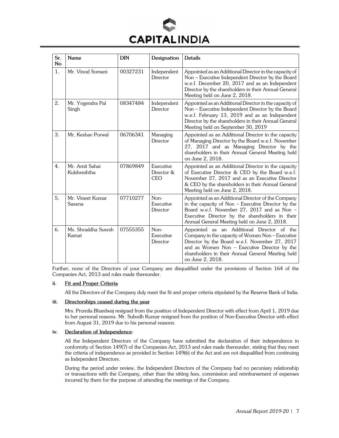

| Sr.<br><b>No</b> | <b>Name</b>                    | <b>DIN</b> | Designation                           | <b>Details</b>                                                                                                                                                                                                                                                            |
|------------------|--------------------------------|------------|---------------------------------------|---------------------------------------------------------------------------------------------------------------------------------------------------------------------------------------------------------------------------------------------------------------------------|
| 1.               | Mr. Vinod Somani               | 00327231   | Independent<br>Director               | Appointed as an Additional Director in the capacity of<br>Non - Executive Independent Director by the Board<br>w.e.f. December 20, 2017 and as an Independent<br>Director by the shareholders in their Annual General<br>Meeting held on June 2, 2018.                    |
| 2.               | Mr. Yogendra Pal<br>Singh      | 08347484   | Independent<br>Director               | Appointed as an Additional Director in the capacity of<br>Non – Executive Independent Director by the Board<br>w.e.f. February 13, 2019 and as an Independent<br>Director by the shareholders in their Annual General<br>Meeting held on September 30, 2019               |
| 3.               | Mr. Keshav Porwal              | 06706341   | Managing<br>Director                  | Appointed as an Additional Director in the capacity<br>of Managing Director by the Board w.e.f. November<br>27, 2017 and as Managing Director by the<br>shareholders in their Annual General Meeting held<br>on June 2, 2018.                                             |
| $\overline{4}$ . | Mr. Amit Sahai<br>Kulshreshtha | 07869849   | Executive<br>Director &<br><b>CEO</b> | Appointed as an Additional Director in the capacity<br>of Executive Director & CEO by the Board w.e.f.<br>November 27, 2017 and as an Executive Director<br>& CEO by the shareholders in their Annual General<br>Meeting held on June 2, 2018.                            |
| 5.               | Mr. Vineet Kumar<br>Saxena     | 07710277   | Non-<br>Executive<br>Director         | Appointed as an Additional Director of the Company<br>in the capacity of Non $-$ Executive Director by the<br>Board w.e.f. November 27, 2017 and as Non -<br>Executive Director by the shareholders in their<br>Annual General Meeting held on June 2, 2018.              |
| 6.               | Ms. Shraddha Suresh<br>Kamat   | 07555355   | Non-<br>Executive<br>Director         | Appointed as an Additional Director of the<br>Company in the capacity of Women Non - Executive<br>Director by the Board w.e.f. November 27, 2017<br>and as Women Non - Executive Director by the<br>shareholders in their Annual General Meeting held<br>on June 2, 2018. |

Further, none of the Directors of your Company are disqualified under the provisions of Section 164 of the Companies Act, 2013 and rules made thereunder.

#### **ii. Fit and Proper Criteria**

All the Directors of the Company duly meet the fit and proper criteria stipulated by the Reserve Bank of India.

#### **iii. Directorships ceased during the year**

 Mrs. Promila Bhardwaj resigned from the position of Independent Director with effect from April 1, 2019 due to her personal reasons. Mr. Subodh Kumar resigned from the position of Non-Executive Director with effect from August 31, 2019 due to his personal reasons.

#### **iv. Declaration of Independence:**

 All the Independent Directors of the Company have submitted the declaration of their independence in conformity of Section 149(7) of the Companies Act, 2013 and rules made thereunder, stating that they meet the criteria of independence as provided in Section 149(6) of the Act and are not disqualified from continuing as Independent Directors.

 During the period under review, the Independent Directors of the Company had no pecuniary relationship or transactions with the Company, other than the sitting fees, commission and reimbursement of expenses incurred by them for the purpose of attending the meetings of the Company.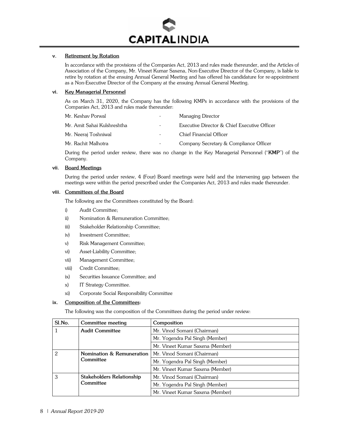

#### **v. Retirement by Rotation**

 In accordance with the provisions of the Companies Act, 2013 and rules made thereunder, and the Articles of Association of the Company, Mr. Vineet Kumar Saxena, Non-Executive Director of the Company, is liable to retire by rotation at the ensuing Annual General Meeting and has offered his candidature for re-appointment as a Non-Executive Director of the Company at the ensuing Annual General Meeting.

#### **vi. Key Managerial Personnel**

As on March 31, 2020, the Company has the following KMPs in accordance with the provisions of the Companies Act, 2013 and rules made thereunder:

| Mr. Keshav Porwal           | Managing Director                            |
|-----------------------------|----------------------------------------------|
| Mr. Amit Sahai Kulshreshtha | Executive Director & Chief Executive Officer |
| Mr. Neeraj Toshniwal        | Chief Financial Officer                      |
| Mr. Rachit Malhotra         | Company Secretary & Compliance Officer       |

 During the period under review, there was no change in the Key Managerial Personnel ("**KMP**") of the Company.

#### **vii. Board Meetings**

 During the period under review, 4 (Four) Board meetings were held and the intervening gap between the meetings were within the period prescribed under the Companies Act, 2013 and rules made thereunder.

#### **viii. Committees of the Board**

The following are the Committees constituted by the Board:

- i) Audit Committee;
- ii) Nomination & Remuneration Committee;
- iii) Stakeholder Relationship Committee;
- iv) Investment Committee;
- v) Risk Management Committee;
- vi) Asset-Liability Committee;
- vii) Management Committee;
- viii) Credit Committee;
- ix) Securities Issuance Committee; and
- x) IT Strategy Committee.
- xi) Corporate Social Responsibility Committee

#### **ix. Composition of the Committees:**

The following was the composition of the Committees during the period under review:

| Sl.No. | Committee meeting                | Composition                      |  |  |
|--------|----------------------------------|----------------------------------|--|--|
|        | <b>Audit Committee</b>           | Mr. Vinod Somani (Chairman)      |  |  |
|        |                                  | Mr. Yogendra Pal Singh (Member)  |  |  |
|        |                                  | Mr. Vineet Kumar Saxena (Member) |  |  |
| 2      | Nomination & Remuneration        | Mr. Vinod Somani (Chairman)      |  |  |
|        | Committee                        | Mr. Yogendra Pal Singh (Member)  |  |  |
|        |                                  | Mr. Vineet Kumar Saxena (Member) |  |  |
| 3      | <b>Stakeholders Relationship</b> | Mr. Vinod Somani (Chairman)      |  |  |
|        | Committee                        | Mr. Yogendra Pal Singh (Member)  |  |  |
|        |                                  | Mr. Vineet Kumar Saxena (Member) |  |  |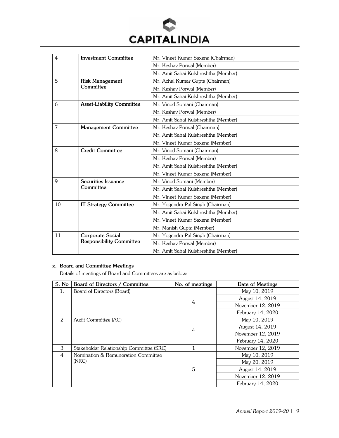

| $\overline{4}$ | <b>Investment Committee</b>      | Mr. Vineet Kumar Saxena (Chairman)   |  |  |  |
|----------------|----------------------------------|--------------------------------------|--|--|--|
|                |                                  | Mr. Keshav Porwal (Member)           |  |  |  |
|                |                                  | Mr. Amit Sahai Kulshreshtha (Member) |  |  |  |
| 5              | <b>Risk Management</b>           | Mr. Achal Kumar Gupta (Chairman)     |  |  |  |
|                | Committee                        | Mr. Keshav Porwal (Member)           |  |  |  |
|                |                                  | Mr. Amit Sahai Kulshreshtha (Member) |  |  |  |
| 6              | <b>Asset-Liability Committee</b> | Mr. Vinod Somani (Chairman)          |  |  |  |
|                |                                  | Mr. Keshav Porwal (Member)           |  |  |  |
|                |                                  | Mr. Amit Sahai Kulshreshtha (Member) |  |  |  |
| 7              | <b>Management Committee</b>      | Mr. Keshav Porwal (Chairman)         |  |  |  |
|                |                                  | Mr. Amit Sahai Kulshreshtha (Member) |  |  |  |
|                |                                  | Mr. Vineet Kumar Saxena (Member)     |  |  |  |
| 8              | <b>Credit Committee</b>          | Mr. Vinod Somani (Chairman)          |  |  |  |
|                |                                  | Mr. Keshav Porwal (Member)           |  |  |  |
|                |                                  | Mr. Amit Sahai Kulshreshtha (Member) |  |  |  |
|                |                                  | Mr. Vineet Kumar Saxena (Member)     |  |  |  |
| 9              | Securities Issuance              | Mr. Vinod Somani (Member)            |  |  |  |
|                | Committee                        | Mr. Amit Sahai Kulshreshtha (Member) |  |  |  |
|                |                                  | Mr. Vineet Kumar Saxena (Member)     |  |  |  |
| 10             | <b>IT Strategy Committee</b>     | Mr. Yogendra Pal Singh (Chairman)    |  |  |  |
|                |                                  | Mr. Amit Sahai Kulshreshtha (Member) |  |  |  |
|                |                                  | Mr. Vineet Kumar Saxena (Member)     |  |  |  |
|                |                                  | Mr. Manish Gupta (Member)            |  |  |  |
| 11             | Corporate Social                 | Mr. Yogendra Pal Singh (Chairman)    |  |  |  |
|                | <b>Responsibility Committee</b>  | Mr. Keshav Porwal (Member)           |  |  |  |
|                |                                  | Mr. Amit Sahai Kulshreshtha (Member) |  |  |  |

## **x. Board and Committee Meetings**

Details of meetings of Board and Committees are as below:

| S. No | Board of Directors / Committee           | No. of meetings | Date of Meetings  |
|-------|------------------------------------------|-----------------|-------------------|
| 1.    | Board of Directors (Board)               |                 | May 10, 2019      |
|       |                                          | 4               | August 14, 2019   |
|       |                                          |                 | November 12, 2019 |
|       |                                          |                 | February 14, 2020 |
| 2     | Audit Committee (AC)                     |                 | May 10, 2019      |
|       |                                          | $\overline{4}$  | August 14, 2019   |
|       |                                          |                 | November 12, 2019 |
|       |                                          |                 | February 14, 2020 |
| 3     | Stakeholder Relationship Committee (SRC) |                 | November 12, 2019 |
| 4     | Nomination & Remuneration Committee      |                 | May 10, 2019      |
|       | (NRC)                                    |                 | May 20, 2019      |
|       |                                          | 5               | August 14, 2019   |
|       |                                          |                 | November 12, 2019 |
|       |                                          |                 | February 14, 2020 |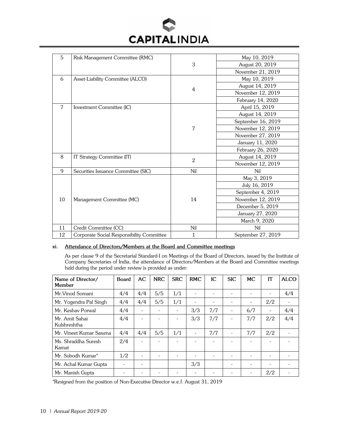

| 5  | Risk Management Committee (RMC)           |                | May 10, 2019       |
|----|-------------------------------------------|----------------|--------------------|
|    |                                           | 3              | August 20, 2019    |
|    |                                           |                | November 21, 2019  |
| 6  | Asset-Liability Committee (ALCO)          |                | May 10, 2019       |
|    |                                           | $\overline{4}$ | August 14, 2019    |
|    |                                           |                | November 12, 2019  |
|    |                                           |                | February 14, 2020  |
| 7  | Investment Committee (IC)                 |                | April 15, 2019     |
|    |                                           |                | August 14, 2019    |
|    |                                           |                | September 16, 2019 |
|    |                                           | 7              | November 12, 2019  |
|    |                                           |                | November 27, 2019  |
|    |                                           |                | January 11, 2020   |
|    |                                           |                | February 26, 2020  |
| 8  | IT Strategy Committee (IT)                | $\mathbf{2}$   | August 14, 2019    |
|    |                                           |                | November 12, 2019  |
| 9  | Securities Issuance Committee (SIC)       | Nil            | Nil                |
|    |                                           |                | May 3, 2019        |
|    |                                           |                | July 16, 2019      |
|    | Management Committee (MC)                 |                | September 4, 2019  |
| 10 |                                           | 14             | November 12, 2019  |
|    |                                           |                | December 5, 2019   |
|    |                                           |                | January 27, 2020   |
|    |                                           |                | March 9, 2020      |
| 11 | Credit Committee (CC)                     | Nil            | Nil                |
| 12 | Corporate Social Responsibility Committee | 1              | September 27, 2019 |

## **xi. Attendance of Directors/Members at the Board and Committee meetings**

As per clause 9 of the Secretarial Standard-I on Meetings of the Board of Directors, issued by the Institute of Company Secretaries of India, the attendance of Directors/Members at the Board and Committee meetings held during the period under review is provided as under:

| Name of Director/<br>Member    | Board | AC                       | <b>NRC</b> | <b>SRC</b> | <b>RMC</b> | IC. | <b>SIC</b>               | <b>MC</b> | IT                       | <b>ALCO</b> |
|--------------------------------|-------|--------------------------|------------|------------|------------|-----|--------------------------|-----------|--------------------------|-------------|
|                                |       |                          |            |            |            |     |                          |           |                          |             |
| Mr. Vinod Somani               | 4/4   | 4/4                      | 5/5        | 1/1        |            |     |                          |           |                          | 4/4         |
| Mr. Yogendra Pal Singh         | 4/4   | 4/4                      | 5/5        | 1/1        |            |     |                          |           | 2/2                      |             |
| Mr. Keshav Porwal              | 4/4   | $\overline{\phantom{0}}$ |            |            | 3/3        | 7/7 | $\overline{\phantom{a}}$ | 6/7       | $\overline{\phantom{a}}$ | 4/4         |
| Mr. Amit Sahai<br>Kulshreshtha | 4/4   | $\overline{\phantom{0}}$ |            |            | 3/3        | 7/7 | $\overline{\phantom{a}}$ | 7/7       | 2/2                      | 4/4         |
| Mr. Vineet Kumar Saxena        | 4/4   | 4/4                      | 5/5        | 1/1        |            | 7/7 |                          | 7/7       | 2/2                      |             |
| Ms. Shraddha Suresh<br>Kamat   | 2/4   |                          |            |            |            |     |                          |           |                          |             |
| Mr. Subodh Kumar*              | 1/2   |                          |            |            |            |     |                          |           |                          |             |
| Mr. Achal Kumar Gupta          |       |                          |            |            | 3/3        |     |                          |           |                          |             |
| Mr. Manish Gupta               |       |                          |            |            |            |     |                          |           | 2/2                      |             |

\*Resigned from the position of Non-Executive Director w.e.f. August 31, 2019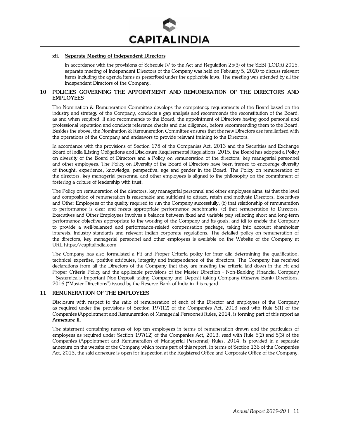

#### **xii. Separate Meeting of Independent Directors**

 In accordance with the provisions of Schedule IV to the Act and Regulation 25(3) of the SEBI (LODR) 2015, separate meeting of Independent Directors of the Company was held on February 5, 2020 to discuss relevant items including the agenda items as prescribed under the applicable laws. The meeting was attended by all the Independent Directors of the Company.

#### **10 POLICIES GOVERNING THE APPOINTMENT AND REMUNERATION OF THE DIRECTORS AND EMPLOYEES**

The Nomination & Remuneration Committee develops the competency requirements of the Board based on the industry and strategy of the Company, conducts a gap analysis and recommends the reconstitution of the Board, as and when required. It also recommends to the Board, the appointment of Directors having good personal and professional reputation and conducts reference checks and due diligence, before recommending them to the Board. Besides the above, the Nomination & Remuneration Committee ensures that the new Directors are familiarized with the operations of the Company and endeavors to provide relevant training to the Directors.

In accordance with the provisions of Section 178 of the Companies Act, 2013 and the Securities and Exchange Board of India (Listing Obligations and Disclosure Requirements) Regulations, 2015, the Board has adopted a Policy on diversity of the Board of Directors and a Policy on remuneration of the directors, key managerial personnel and other employees. The Policy on Diversity of the Board of Directors have been framed to encourage diversity of thought, experience, knowledge, perspective, age and gender in the Board. The Policy on remuneration of the directors, key managerial personnel and other employees is aligned to the philosophy on the commitment of fostering a culture of leadership with trust.

The Policy on remuneration of the directors, key managerial personnel and other employees aims: (a) that the level and composition of remuneration is reasonable and sufficient to attract, retain and motivate Directors, Executives and Other Employees of the quality required to run the Company successfully; (b) that relationship of remuneration to performance is clear and meets appropriate performance benchmarks; (c) that remuneration to Directors, Executives and Other Employees involves a balance between fixed and variable pay reflecting short and long-term performance objectives appropriate to the working of the Company and its goals; and (d) to enable the Company to provide a well-balanced and performance-related compensation package, taking into account shareholder interests, industry standards and relevant Indian corporate regulations. The detailed policy on remuneration of the directors, key managerial personnel and other employees is available on the Website of the Company at URL https://capitalindia.com

The Company has also formulated a Fit and Proper Criteria policy for inter alia determining the qualification, technical expertise, positive attributes, integrity and independence of the directors. The Company has received declarations from all the Directors of the Company that they are meeting the criteria laid down in the Fit and Proper Criteria Policy and the applicable provisions of the Master Direction - Non-Banking Financial Company - Systemically Important Non-Deposit taking Company and Deposit taking Company (Reserve Bank) Directions, 2016 ("Master Directions") issued by the Reserve Bank of India in this regard.

#### **11 REMUNERATION OF THE EMPLOYEES**

Disclosure with respect to the ratio of remuneration of each of the Director and employees of the Company as required under the provisions of Section 197(12) of the Companies Act, 2013 read with Rule 5(1) of the Companies (Appointment and Remuneration of Managerial Personnel) Rules, 2014, is forming part of this report as **Annexure II**.

The statement containing names of top ten employees in terms of remuneration drawn and the particulars of employees as required under Section 197(12) of the Companies Act, 2013, read with Rule 5(2) and 5(3) of the Companies (Appointment and Remuneration of Managerial Personnel) Rules, 2014, is provided in a separate annexure on the website of the Company which forms part of this report. In terms of Section 136 of the Companies Act, 2013, the said annexure is open for inspection at the Registered Office and Corporate Office of the Company.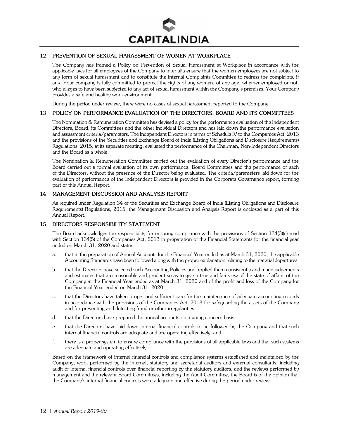

#### **12 PREVENTION OF SEXUAL HARASSMENT OF WOMEN AT WORKPLACE**

The Company has framed a Policy on Prevention of Sexual Harassment at Workplace in accordance with the applicable laws for all employees of the Company to inter alia ensure that the women employees are not subject to any form of sexual harassment and to constitute the Internal Complaints Committee to redress the complaints, if any. Your company is fully committed to protect the rights of any women, of any age, whether employed or not, who alleges to have been subjected to any act of sexual harassment within the Company's premises. Your Company provides a safe and healthy work environment.

During the period under review, there were no cases of sexual harassment reported to the Company.

#### **13 POLICY ON PERFORMANCE EVALUATION OF THE DIRECTORS, BOARD AND ITS COMMITTEES**

The Nomination & Remuneration Committee has devised a policy for the performance evaluation of the Independent Directors, Board, its Committees and the other individual Directors and has laid down the performance evaluation and assessment criteria/parameters. The Independent Directors in terms of Schedule IV to the Companies Act, 2013 and the provisions of the Securities and Exchange Board of India (Listing Obligations and Disclosure Requirements) Regulations, 2015, at its separate meeting, evaluated the performance of the Chairman, Non-Independent Directors and the Board as a whole.

The Nomination & Remuneration Committee carried out the evaluation of every Director's performance and the Board carried out a formal evaluation of its own performance, Board Committees and the performance of each of the Directors, without the presence of the Director being evaluated. The criteria/parameters laid down for the evaluation of performance of the Independent Directors is provided in the Corporate Governance report, forming part of this Annual Report.

#### **14 MANAGEMENT DISCUSSION AND ANALYSIS REPORT**

As required under Regulation 34 of the Securities and Exchange Board of India (Listing Obligations and Disclosure Requirements) Regulations, 2015, the Management Discussion and Analysis Report is enclosed as a part of this Annual Report.

#### **15 DIRECTORS RESPONSIBILITY STATEMENT**

The Board acknowledges the responsibility for ensuring compliance with the provisions of Section 134(3)(c) read with Section 134(5) of the Companies Act, 2013 in preparation of the Financial Statements for the financial year ended on March 31, 2020 and state:

- a. that in the preparation of Annual Accounts for the Financial Year ended as at March 31, 2020, the applicable Accounting Standards have been followed along with the proper explanation relating to the material departures.
- b. that the Directors have selected such Accounting Policies and applied them consistently and made judgements and estimates that are reasonable and prudent so as to give a true and fair view of the state of affairs of the Company at the Financial Year ended as at March 31, 2020 and of the profit and loss of the Company for the Financial Year ended on March 31, 2020.
- c. that the Directors have taken proper and sufficient care for the maintenance of adequate accounting records in accordance with the provisions of the Companies Act, 2013 for safeguarding the assets of the Company and for preventing and detecting fraud or other irregularities.
- d. that the Directors have prepared the annual accounts on a going concern basis.
- e. that the Directors have laid down internal financial controls to be followed by the Company and that such internal financial controls are adequate and are operating effectively; and
- f. there is a proper system to ensure compliance with the provisions of all applicable laws and that such systems are adequate and operating effectively.

Based on the framework of internal financial controls and compliance systems established and maintained by the Company, work performed by the internal, statutory and secretarial auditors and external consultants, including audit of internal financial controls over financial reporting by the statutory auditors, and the reviews performed by management and the relevant Board Committees, including the Audit Committee, the Board is of the opinion that the Company's internal financial controls were adequate and effective during the period under review.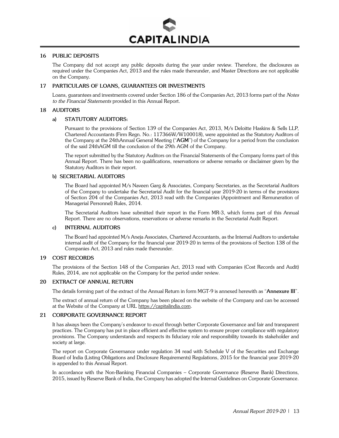

#### **16 PUBLIC DEPOSITS**

The Company did not accept any public deposits during the year under review. Therefore, the disclosures as required under the Companies Act, 2013 and the rules made thereunder, and Master Directions are not applicable on the Company.

#### **17 PARTICULARS OF LOANS, GUARANTEES OR INVESTMENTS**

Loans, guarantees and investments covered under Section 186 of the Companies Act, 2013 forms part of the Notes to the Financial Statements provided in this Annual Report.

## **18 AUDITORS**

#### **a) STATUTORY AUDITORS:**

 Pursuant to the provisions of Section 139 of the Companies Act, 2013, M/s Deloitte Haskins & Sells LLP, Chartered Accountants (Firm Regn. No.: 117366W/W100018), were appointed as the Statutory Auditors of the Company at the 24thAnnual General Meeting ("**AGM**") of the Company for a period from the conclusion of the said 24thAGM till the conclusion of the 29th AGM of the Company.

 The report submitted by the Statutory Auditors on the Financial Statements of the Company forms part of this Annual Report. There has been no qualifications, reservations or adverse remarks or disclaimer given by the Statutory Auditors in their report.

#### **b) SECRETARIAL AUDITORS**

 The Board had appointed M/s Naveen Garg & Associates, Company Secretaries, as the Secretarial Auditors of the Company to undertake the Secretarial Audit for the financial year 2019-20 in terms of the provisions of Section 204 of the Companies Act, 2013 read with the Companies (Appointment and Remuneration of Managerial Personnel) Rules, 2014.

 The Secretarial Auditors have submitted their report in the Form MR-3, which forms part of this Annual Report. There are no observations, reservations or adverse remarks in the Secretarial Audit Report.

#### **c) INTERNAL AUDITORS**

 The Board had appointed M/s Aneja Associates, Chartered Accountants, as the Internal Auditors to undertake internal audit of the Company for the financial year 2019-20 in terms of the provisions of Section 138 of the Companies Act, 2013 and rules made thereunder.

#### **19 COST RECORDS**

The provisions of the Section 148 of the Companies Act, 2013 read with Companies (Cost Records and Audit) Rules, 2014, are not applicable on the Company for the period under review.

#### **20 EXTRACT OF ANNUAL RETURN**

The details forming part of the extract of the Annual Return in form MGT-9 is annexed herewith as "**Annexure III**".

The extract of annual return of the Company has been placed on the website of the Company and can be accessed at the Website of the Company at URL https://capitalindia.com.

#### **21 CORPORATE GOVERNANCE REPORT**

It has always been the Company's endeavor to excel through better Corporate Governance and fair and transparent practices. The Company has put in place efficient and effective system to ensure proper compliance with regulatory provisions. The Company understands and respects its fiduciary role and responsibility towards its stakeholder and society at large.

The report on Corporate Governance under regulation 34 read with Schedule V of the Securities and Exchange Board of India (Listing Obligations and Disclosure Requirements) Regulations, 2015 for the financial year 2019-20 is appended to this Annual Report.

In accordance with the Non-Banking Financial Companies – Corporate Governance (Reserve Bank) Directions, 2015, issued by Reserve Bank of India, the Company has adopted the Internal Guidelines on Corporate Governance.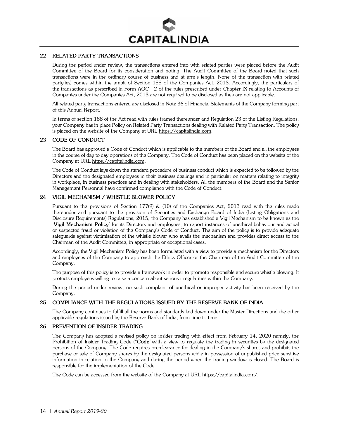

#### **22 RELATED PARTY TRANSACTIONS**

During the period under review, the transactions entered into with related parties were placed before the Audit Committee of the Board for its consideration and noting. The Audit Committee of the Board noted that such transactions were in the ordinary course of business and at arm's length. None of the transaction with related party(ies) comes within the ambit of Section 188 of the Companies Act, 2013. Accordingly, the particulars of the transactions as prescribed in Form AOC - 2 of the rules prescribed under Chapter IX relating to Accounts of Companies under the Companies Act, 2013 are not required to be disclosed as they are not applicable.

All related party transactions entered are disclosed in Note 36 of Financial Statements of the Company forming part of this Annual Report.

In terms of section 188 of the Act read with rules framed thereunder and Regulation 23 of the Listing Regulations, your Company has in place Policy on Related Party Transactions dealing with Related Party Transaction. The policy is placed on the website of the Company at URL https://capitalindia.com.

#### **23 CODE OF CONDUCT**

The Board has approved a Code of Conduct which is applicable to the members of the Board and all the employees in the course of day to day operations of the Company. The Code of Conduct has been placed on the website of the Company at URL https://capitalindia.com.

The Code of Conduct lays down the standard procedure of business conduct which is expected to be followed by the Directors and the designated employees in their business dealings and in particular on matters relating to integrity in workplace, in business practices and in dealing with stakeholders. All the members of the Board and the Senior Management Personnel have confirmed compliance with the Code of Conduct.

#### **24 VIGIL MECHANISM / WHISTLE BLOWER POLICY**

Pursuant to the provisions of Section 177(9) & (10) of the Companies Act, 2013 read with the rules made thereunder and pursuant to the provision of Securities and Exchange Board of India (Listing Obligations and Disclosure Requirements) Regulations, 2015, the Company has established a Vigil Mechanism to be known as the '**Vigil Mechanism Policy**' for its Directors and employees, to report instances of unethical behaviour and actual or suspected fraud or violation of the Company's Code of Conduct. The aim of the policy is to provide adequate safeguards against victimisation of the whistle blower who avails the mechanism and provides direct access to the Chairman of the Audit Committee, in appropriate or exceptional cases.

Accordingly, the Vigil Mechanism Policy has been formulated with a view to provide a mechanism for the Directors and employees of the Company to approach the Ethics Officer or the Chairman of the Audit Committee of the Company.

The purpose of this policy is to provide a framework in order to promote responsible and secure whistle blowing. It protects employees willing to raise a concern about serious irregularities within the Company.

During the period under review, no such complaint of unethical or improper activity has been received by the Company.

#### **25 COMPLIANCE WITH THE REGULATIONS ISSUED BY THE RESERVE BANK OF INDIA**

The Company continues to fulfill all the norms and standards laid down under the Master Directions and the other applicable regulations issued by the Reserve Bank of India, from time to time.

#### **26 PREVENTION OF INSIDER TRADING**

The Company has adopted a revised policy on insider trading with effect from February 14, 2020 namely, the Prohibition of Insider Trading Code ("**Code**")with a view to regulate the trading in securities by the designated persons of the Company. The Code requires pre-clearance for dealing in the Company's shares and prohibits the purchase or sale of Company shares by the designated persons while in possession of unpublished price sensitive information in relation to the Company and during the period when the trading window is closed. The Board is responsible for the implementation of the Code.

The Code can be accessed from the website of the Company at URL https://capitalindia.com/.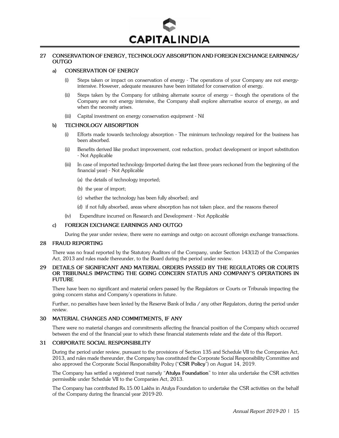

#### **27 CONSERVATION OF ENERGY, TECHNOLOGY ABSORPTION AND FOREIGN EXCHANGE EARNINGS/ OUTGO**

#### **a) CONSERVATION OF ENERGY**

- (i) Steps taken or impact on conservation of energy The operations of your Company are not energyintensive. However, adequate measures have been initiated for conservation of energy.
- (ii) Steps taken by the Company for utilising alternate source of energy though the operations of the Company are not energy intensive, the Company shall explore alternative source of energy, as and when the necessity arises.
- (iii) Capital investment on energy conservation equipment Nil

#### **b) TECHNOLOGY ABSORPTION**

- (i) Efforts made towards technology absorption The minimum technology required for the business has been absorbed.
- (ii) Benefits derived like product improvement, cost reduction, product development or import substitution - Not Applicable
- (iii) In case of imported technology (imported during the last three years reckoned from the beginning of the financial year) - Not Applicable
	- (a) the details of technology imported;
	- (b) the year of import;
	- (c) whether the technology has been fully absorbed; and
	- (d) if not fully absorbed, areas where absorption has not taken place, and the reasons thereof
- (iv) Expenditure incurred on Research and Development Not Applicable

#### **c) FOREIGN EXCHANGE EARNINGS AND OUTGO**

During the year under review, there were no earnings and outgo on account offoreign exchange transactions.

#### **28 FRAUD REPORTING**

There was no fraud reported by the Statutory Auditors of the Company, under Section 143(12) of the Companies Act, 2013 and rules made thereunder, to the Board during the period under review.

#### **29 DETAILS OF SIGNIFICANT AND MATERIAL ORDERS PASSED BY THE REGULATORS OR COURTS OR TRIBUNALS IMPACTING THE GOING CONCERN STATUS AND COMPANY'S OPERATIONS IN FUTURE**

There have been no significant and material orders passed by the Regulators or Courts or Tribunals impacting the going concern status and Company's operations in future.

Further, no penalties have been levied by the Reserve Bank of India / any other Regulators, during the period under review.

#### **30 MATERIAL CHANGES AND COMMITMENTS, IF ANY**

There were no material changes and commitments affecting the financial position of the Company which occurred between the end of the financial year to which these financial statements relate and the date of this Report.

#### **31 CORPORATE SOCIAL RESPONSIBILITY**

During the period under review, pursuant to the provisions of Section 135 and Schedule VII to the Companies Act, 2013, and rules made thereunder, the Company has constituted the Corporate Social Responsibility Committee and also approved the Corporate Social Responsibility Policy ("**CSR Policy**") on August 14, 2019.

The Company has settled a registered trust namely "**Atulya Foundation**" to inter alia undertake the CSR activities permissible under Schedule VII to the Companies Act, 2013.

The Company has contributed Rs.15.00 Lakhs in Atulya Foundation to undertake the CSR activities on the behalf of the Company during the financial year 2019-20.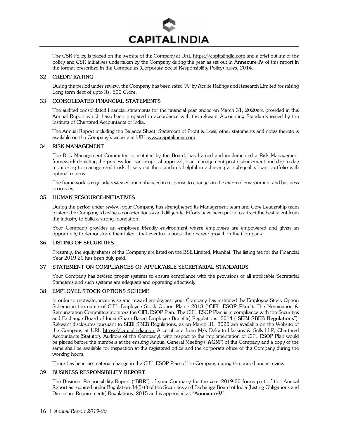

The CSR Policy is placed on the website of the Company at URL https://capitalindia.com and a brief outline of the policy and CSR initiatives undertaken by the Company during the year as set out in **Annexure-IV** of this report in the format prescribed in the Companies (Corporate Social Responsibility Policy) Rules, 2014.

#### **32 CREDIT RATING**

During the period under review, the Company has been rated 'A-'by Acuite Ratings and Research Limited for raising Long term debt of upto Rs. 500 Crore.

#### **33 CONSOLIDATED FINANCIAL STATEMENTS**

The audited consolidated financial statements for the financial year ended on March 31, 2020are provided in this Annual Report which have been prepared in accordance with the relevant Accounting Standards issued by the Institute of Chartered Accountants of India.

The Annual Report including the Balance Sheet, Statement of Profit & Loss, other statements and notes thereto is available on the Company's website at URL www.capitalindia.com.

#### **34 RISK MANAGEMENT**

The Risk Management Committee constituted by the Board, has framed and implemented a Risk Management framework depicting the process for loan proposal approval, loan management post disbursement and day to day monitoring to manage credit risk. It sets out the standards helpful in achieving a high-quality loan portfolio with optimal returns.

The framework is regularly reviewed and enhanced in response to changes in the external environment and business processes.

#### **35 HUMAN RESOURCE-INITIATIVES**

During the period under review, your Company has strengthened its Management team and Core Leadership team to steer the Company's business conscientiously and diligently. Efforts have been put in to attract the best talent from the industry to build a strong foundation.

Your Company provides an employee friendly environment where employees are empowered and given an opportunity to demonstrate their talent, that eventually boost their career growth in the Company.

#### **36 LISTING OF SECURITIES**

Presently, the equity shares of the Company are listed on the BSE Limited, Mumbai. The listing fee for the Financial Year 2019-20 has been duly paid.

#### **37 STATEMENT ON COMPLIANCES OF APPLICABLE SECRETARIAL STANDARDS**

Your Company has devised proper systems to ensure compliance with the provisions of all applicable Secretarial Standards and such systems are adequate and operating effectively.

#### **38 EMPLOYEE STOCK OPTIONS SCHEME**

In order to motivate, incentivize and reward employees, your Company has instituted the Employee Stock Option Scheme in the name of CIFL Employee Stock Option Plan - 2018 ("**CIFL ESOP Plan**"). The Nomination & Remuneration Committee monitors the CIFL ESOP Plan. The CIFL ESOP Plan is in compliance with the Securities and Exchange Board of India (Share Based Employee Benefits) Regulations, 2014 ("**SEBI SBEB Regulations**"). Relevant disclosures pursuant to SEBI SBEB Regulations, as on March 31, 2020 are available on the Website of the Company at URL https://capitalindia.com.A certificate from M/s Deloitte Haskins & Sells LLP, Chartered Accountants (Statutory Auditors of the Company), with respect to the implementation of CIFL ESOP Plan would be placed before the members at the ensuing Annual General Meeting ("**AGM**") of the Company and a copy of the same shall be available for inspection at the registered office and the corporate office of the Company during the working hours.

There has been no material change in the CIFL ESOP Plan of the Company during the period under review.

#### **39 BUSINESS RESPONSIBILITY REPORT**

The Business Responsibility Report ("**BRR**") of your Company for the year 2019-20 forms part of this Annual Report as required under Regulation 34(2) (f) of the Securities and Exchange Board of India (Listing Obligations and Disclosure Requirements) Regulations, 2015 and is appended as "**Annexure-V**".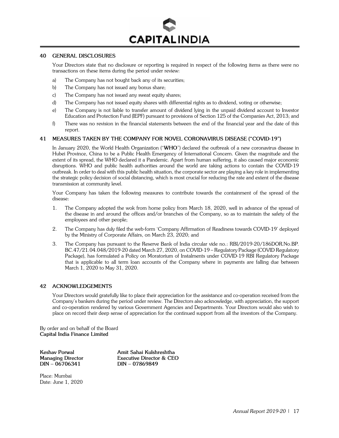

#### **40 GENERAL DISCLOSURES**

Your Directors state that no disclosure or reporting is required in respect of the following items as there were no transactions on these items during the period under review:

- a) The Company has not bought back any of its securities;
- b) The Company has not issued any bonus share;
- c) The Company has not issued any sweat equity shares;
- d) The Company has not issued equity shares with differential rights as to dividend, voting or otherwise;
- e) The Company is not liable to transfer amount of dividend lying in the unpaid dividend account to Investor Education and Protection Fund (IEPF) pursuant to provisions of Section 125 of the Companies Act, 2013; and
- f) There was no revision in the financial statements between the end of the financial year and the date of this report.

#### **41 MEASURES TAKEN BY THE COMPANY FOR NOVEL CORONAVIRUS DISEASE ("COVID-19")**

In January 2020, the World Health Organization ("**WHO**") declared the outbreak of a new coronavirus disease in Hubei Province, China to be a Public Health Emergency of International Concern. Given the magnitude and the extent of its spread, the WHO declared it a Pandemic. Apart from human suffering, it also caused major economic disruptions. WHO and public health authorities around the world are taking actions to contain the COVID-19 outbreak. In order to deal with this public health situation, the corporate sector are playing a key role in implementing the strategic policy decision of social distancing, which is most crucial for reducing the rate and extent of the disease transmission at community level.

Your Company has taken the following measures to contribute towards the containment of the spread of the disease:

- 1. The Company adopted the wok from home policy from March 18, 2020, well in advance of the spread of the disease in and around the offices and/or branches of the Company, so as to maintain the safety of the employees and other people;
- 2. The Company has duly filed the web-form 'Company Affirmation of Readiness towards COVID-19' deployed by the Ministry of Corporate Affairs, on March 23, 2020; and
- 3. The Company has pursuant to the Reserve Bank of India circular vide no.: RBI/2019-20/186DOR.No.BP. BC.47/21.04.048/2019-20 dated March 27, 2020, on COVID-19 – Regulatory Package (COVID Regulatory Package), has formulated a Policy on Moratorium of Instalments under COVID-19 RBI Regulatory Package that is applicable to all term loan accounts of the Company where in payments are falling due between March 1, 2020 to May 31, 2020.

#### **42 ACKNOWLEDGEMENTS**

Your Directors would gratefully like to place their appreciation for the assistance and co-operation received from the Company's bankers during the period under review. The Directors also acknowledge, with appreciation, the support and co-operation rendered by various Government Agencies and Departments. Your Directors would also wish to place on record their deep sense of appreciation for the continued support from all the investors of the Company.

By order and on behalf of the Board **Capital India Finance Limited**

**DIN – 06706341 DIN – 07869849**

**Keshav Porwal Amit Sahai Kulshreshtha Managing Director Executive Director & CEO** 

Place: Mumbai Date: June 1, 2020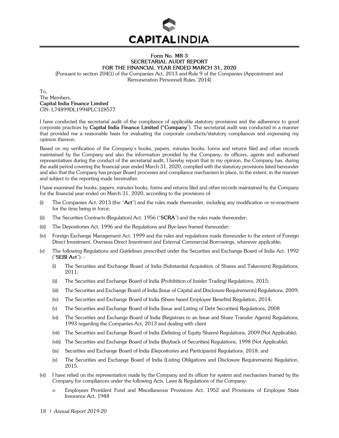

#### **Form No. MR-3 SECRETARIAL AUDIT REPORT FOR THE FINANCIAL YEAR ENDED MARCH 31, 2020**

[Pursuant to section 204(1) of the Companies Act, 2013 and Rule 9 of the Companies (Appointment and Remuneration Personnel) Rules, 2014]

To, The Members, **Capital India Finance Limited** CIN: L74899DL1994PLC128577

I have conducted the secretarial audit of the compliance of applicable statutory provisions and the adherence to good corporate practices by **Capital India Finance Limited ("Company**"). The secretarial audit was conducted in a manner that provided me a reasonable basis for evaluating the corporate conducts/statutory compliances and expressing my opinion thereon.

Based on my verification of the Company's books, papers, minutes books, forms and returns filed and other records maintained by the Company and also the information provided by the Company, its officers, agents and authorised representatives during the conduct of the secretarial audit, I hereby report that in my opinion, the Company has, during the audit period covering the financial year ended March 31, 2020, complied with the statutory provisions listed hereunder and also that the Company has proper Board processes and compliance mechanism in place, to the extent, in the manner and subject to the reporting made hereinafter.

I have examined the books, papers, minutes books, forms and returns filed and other records maintained by the Company for the financial year ended on March 31, 2020, according to the provisions of:

- (i) The Companies Act, 2013 (the "**Act**") and the rules made thereunder, including any modification or re-enactment for the time being in force;
- (ii) The Securities Contracts (Regulation) Act, 1956 ("**SCRA**") and the rules made thereunder;
- (iii) The Depositories Act, 1996 and the Regulations and Bye-laws framed thereunder;
- (iv) Foreign Exchange Management Act, 1999 and the rules and regulations made thereunder to the extent of Foreign Direct Investment, Overseas Direct Investment and External Commercial Borrowings, wherever applicable;
- (v) The following Regulations and Guidelines prescribed under the Securities and Exchange Board of India Act, 1992 ("**SEBI Act**"): -
	- (i) The Securities and Exchange Board of India (Substantial Acquisition of Shares and Takeovers) Regulations, 2011;
	- (ii) The Securities and Exchange Board of India (Prohibition of Insider Trading) Regulations, 2015;
	- (iii) The Securities and Exchange Board of India (Issue of Capital and Disclosure Requirements) Regulations, 2009;
	- (iv) The Securities and Exchange Board of India (Share based Employee Benefits) Regulation, 2014;
	- (v) The Securities and Exchange Board of India (Issue and Listing of Debt Securities) Regulations, 2008
	- (vi) The Securities and Exchange Board of India (Registrars to an Issue and Share Transfer Agents) Regulations, 1993 regarding the Companies Act, 2013 and dealing with client
	- (vii) The Securities and Exchange Board of India (Delisting of Equity Shares) Regulations, 2009 (Not Applicable);
	- (viii) The Securities and Exchange Board of India (Buyback of Securities) Regulations, 1998 (Not Applicable);
	- (ix) Securities and Exchange Board of India (Depositories and Participants) Regulations, 2018; and
	- (x) The Securities and Exchange Board of India (Listing Obligations and Disclosure Requirements) Regulation, 2015.
- (vi) I have relied on the representation made by the Company and its officer for system and mechanism framed by the Company for compliances under the following Acts, Laws & Regulations of the Company:
	- o Employees Provident Fund and Miscellaneous Provisions Act, 1952 and Provisions of Employee State Insurance Act, 1948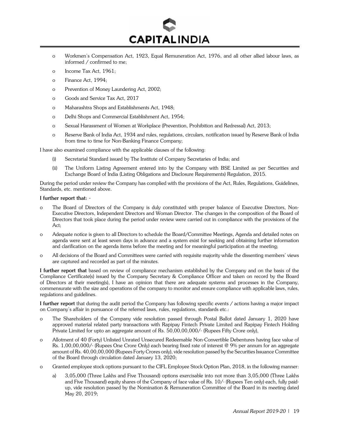

- o Workmen's Compensation Act, 1923, Equal Remuneration Act, 1976, and all other allied labour laws, as informed / confirmed to me;
- o Income Tax Act, 1961;
- o Finance Act, 1994;
- o Prevention of Money Laundering Act, 2002;
- o Goods and Service Tax Act, 2017
- o Maharashtra Shops and Establishments Act, 1948;
- o Delhi Shops and Commercial Establishment Act, 1954;
- o Sexual Harassment of Women at Workplace (Prevention, Prohibition and Redressal) Act, 2013;
- o Reserve Bank of India Act, 1934 and rules, regulations, circulars, notification issued by Reserve Bank of India from time to time for Non-Banking Finance Company;

I have also examined compliance with the applicable clauses of the following:

- (i) Secretarial Standard issued by The Institute of Company Secretaries of India; and
- (ii) The Uniform Listing Agreement entered into by the Company with BSE Limited as per Securities and Exchange Board of India (Listing Obligations and Disclosure Requirements) Regulation, 2015.

During the period under review the Company has complied with the provisions of the Act, Rules, Regulations, Guidelines, Standards, etc. mentioned above.

#### **I further report that: -**

- o The Board of Directors of the Company is duly constituted with proper balance of Executive Directors, Non-Executive Directors, Independent Directors and Woman Director. The changes in the composition of the Board of Directors that took place during the period under review were carried out in compliance with the provisions of the Act;
- o Adequate notice is given to all Directors to schedule the Board/Committee Meetings, Agenda and detailed notes on agenda were sent at least seven days in advance and a system exist for seeking and obtaining further information and clarification on the agenda items before the meeting and for meaningful participation at the meeting;
- o All decisions of the Board and Committees were carried with requisite majority while the dissenting members' views are captured and recorded as part of the minutes.

**I further report that** based on review of compliance mechanism established by the Company and on the basis of the Compliance Certificate(s) issued by the Company Secretary & Compliance Officer and taken on record by the Board of Directors at their meeting(s), I have an opinion that there are adequate systems and processes in the Company, commensurate with the size and operations of the company to monitor and ensure compliance with applicable laws, rules, regulations and guidelines.

**I further report** that during the audit period the Company has following specific events / actions having a major impact on Company's affair in pursuance of the referred laws, rules, regulations, standards etc.:

- o The Shareholders of the Company vide resolution passed through Postal Ballot dated January 1, 2020 have approved material related party transactions with Rapipay Fintech Private Limited and Rapipay Fintech Holding Private Limited for upto an aggregate amount of Rs. 50,00,00,000/- (Rupees Fifty Crore only),
- o Allotment of 40 (Forty) Unlisted Unrated Unsecured Redeemable Non-Convertible Debentures having face value of Rs. 1,00,00,000/- (Rupees One Crore Only) each bearing fixed rate of interest @ 9% per annum for an aggregate amount of Rs. 40,00,00,000 (Rupees Forty Crores only), vide resolution passed by the Securities Issuance Committee of the Board through circulation dated January 13, 2020;
- o Granted employee stock options pursuant to the CIFL Employee Stock Option Plan, 2018, in the following manner:
	- a) 3,05,000 (Three Lakhs and Five Thousand) options exercisable into not more than 3,05,000 (Three Lakhs and Five Thousand) equity shares of the Company of face value of Rs. 10/- (Rupees Ten only) each, fully paidup, vide resolution passed by the Nomination & Remuneration Committee of the Board in its meeting dated May 20, 2019;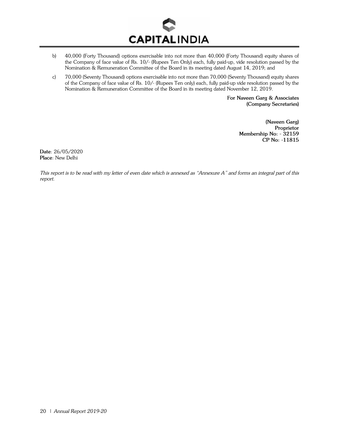

- b) 40,000 (Forty Thousand) options exercisable into not more than 40,000 (Forty Thousand) equity shares of the Company of face value of Rs. 10/- (Rupees Ten Only) each, fully paid-up, vide resolution passed by the Nomination & Remuneration Committee of the Board in its meeting dated August 14, 2019; and
- c) 70,000 (Seventy Thousand) options exercisable into not more than 70,000 (Seventy Thousand) equity shares of the Company of face value of Rs. 10/- (Rupees Ten only) each, fully paid-up vide resolution passed by the Nomination & Remuneration Committee of the Board in its meeting dated November 12, 2019.

**For Naveen Garg & Associates (Company Secretaries)**

> **(Naveen Garg) Proprietor Membership No: - 32159 CP No: -11815**

**Date**: 26/05/2020 **Place**: New Delhi

This report is to be read with my letter of even date which is annexed as "Annexure A" and forms an integral part of this report.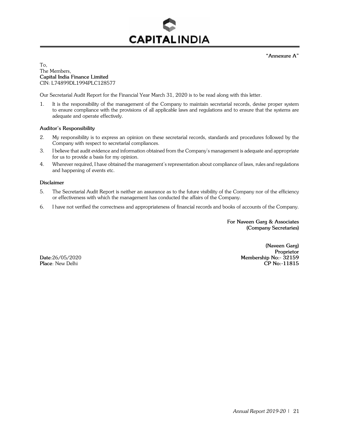

**"Annexure A"**

To, The Members, **Capital India Finance Limited** CIN: L74899DL1994PLC128577

Our Secretarial Audit Report for the Financial Year March 31, 2020 is to be read along with this letter.

1. It is the responsibility of the management of the Company to maintain secretarial records, devise proper system to ensure compliance with the provisions of all applicable laws and regulations and to ensure that the systems are adequate and operate effectively.

#### **Auditor's Responsibility**

- 2. My responsibility is to express an opinion on these secretarial records, standards and procedures followed by the Company with respect to secretarial compliances.
- 3. I believe that audit evidence and information obtained from the Company's management is adequate and appropriate for us to provide a basis for my opinion.
- 4. Wherever required, I have obtained the management's representation about compliance of laws, rules and regulations and happening of events etc.

#### **Disclaimer**

- 5. The Secretarial Audit Report is neither an assurance as to the future visibility of the Company nor of the efficiency or effectiveness with which the management has conducted the affairs of the Company.
- 6. I have not verified the correctness and appropriateness of financial records and books of accounts of the Company.

**For Naveen Garg & Associates (Company Secretaries)**

**(Naveen Garg) Proprietor Date**:26/05/2020 **Membership No:- 32159 Place**: New Delhi **CP No:-11815**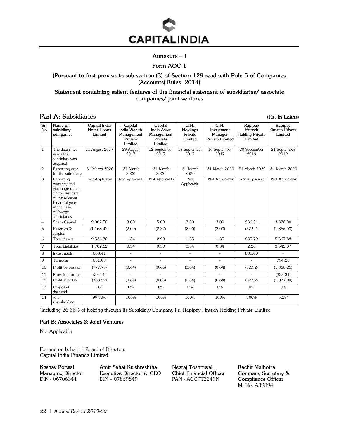

## **Annexure – I**

## **Form AOC-1**

## **(Pursuant to first proviso to sub-section (3) of Section 129 read with Rule 5 of Companies (Accounts) Rules, 2014)**

## **Statement containing salient features of the financial statement of subsidiaries/ associate companies/ joint ventures**

## **Part-A: Subsidiaries (Rs. In Lakhs)**

| Sr.<br>No.     | Name of<br>subsidiary<br>companies                                                                                                                   | Capital India<br>Home Loans<br>Limited | Capital<br>India Wealth<br>Management<br>Private<br>Limited | Capital<br><b>India Asset</b><br>Management<br>Private<br>Limited | CIFI.<br>Holdings<br>Private<br>Limited | CIFI.<br>Investment<br>Manager<br><b>Private Limited</b> | Rapipay<br>Fintech<br><b>Holding Private</b><br>Limited | Rapipay<br><b>Fintech Private</b><br>Limited |
|----------------|------------------------------------------------------------------------------------------------------------------------------------------------------|----------------------------------------|-------------------------------------------------------------|-------------------------------------------------------------------|-----------------------------------------|----------------------------------------------------------|---------------------------------------------------------|----------------------------------------------|
| $\mathbf{1}$   | The date since<br>when the<br>subsidiary was<br>acquired                                                                                             | 11 August 2017                         | 29 August<br>2017                                           | 12 September<br>2017                                              | 18 September<br>2017                    | 14 September<br>2017                                     | 20 September<br>2019                                    | 21 September<br>2019                         |
| 2              | Reporting year<br>for the subsidiary                                                                                                                 | 31 March 2020                          | 31 March<br>2020                                            | 31 March<br>2020                                                  | 31 March<br>2020                        | 31 March 2020                                            | 31 March 2020                                           | 31 March 2020                                |
| 3              | Reporting<br>currency and<br>exchange rate as<br>on the last date<br>of the relevant<br>Financial year<br>in the case<br>of foreign<br>subsidiaries. | Not Applicable                         | Not Applicable                                              | Not Applicable                                                    | Not<br>Applicable                       | Not Applicable                                           | Not Applicable                                          | Not Applicable                               |
| $\overline{4}$ | Share Capital                                                                                                                                        | 9.002.50                               | 3.00                                                        | 5.00                                                              | 3.00                                    | 3.00                                                     | 936.51                                                  | 3,320.00                                     |
| 5              | Reserves &<br>surplus                                                                                                                                | (1, 168.42)                            | (2.00)                                                      | (2.37)                                                            | (2.00)                                  | (2.00)                                                   | (52.92)                                                 | (1,856.03)                                   |
| 6              | <b>Total Assets</b>                                                                                                                                  | 9.536.70                               | 1.34                                                        | 2.93                                                              | 1.35                                    | 1.35                                                     | 885.79                                                  | 5,567.88                                     |
| $\overline{7}$ | <b>Total Liabilities</b>                                                                                                                             | 1,702.62                               | 0.34                                                        | 0.30                                                              | 0.34                                    | 0.34                                                     | 2.20                                                    | 3,642.07                                     |
| 8              | Investments                                                                                                                                          | 863.41                                 | ÷,                                                          | $\sim$                                                            | ù.                                      | ÷.                                                       | 885.00                                                  |                                              |
| 9              | Turnover                                                                                                                                             | 801.08                                 |                                                             | ÷                                                                 | ÷.                                      |                                                          |                                                         | 794.28                                       |
| 10             | Profit before tax                                                                                                                                    | (777.73)                               | (0.64)                                                      | (0.66)                                                            | (0.64)                                  | (0.64)                                                   | (52.92)                                                 | (1,366.25)                                   |
| 11             | Provision for tax                                                                                                                                    | (39.14)                                |                                                             |                                                                   | ÷.                                      |                                                          |                                                         | (338.31)                                     |
| 12             | Profit after tax                                                                                                                                     | (738.59)                               | (0.64)                                                      | (0.66)                                                            | (0.64)                                  | (0.64)                                                   | (52.92)                                                 | (1,027.94)                                   |
| 13             | Proposed<br>dividend                                                                                                                                 | 0%                                     | 0%                                                          | 0%                                                                | 0%                                      | 0%                                                       | $0\%$                                                   | 0%                                           |
| 14             | $%$ of<br>shareholding                                                                                                                               | 99.70%                                 | 100%                                                        | 100%                                                              | 100%                                    | 100%                                                     | 100%                                                    | $62.8*$                                      |

\*including 26.66% of holding through its Subsidiary Company i.e. Rapipay Fintech Holding Private Limited

#### **Part B: Associates & Joint Ventures**

Not Applicable

For and on behalf of Board of Directors **Capital India Finance Limited**

**Managing Director Executive Director & CEO Chief Financial Officer Company Secretary &**  DIN - 06706341 DIN – 07869849 PAN - ACCPT2249N **Compliance Officer**

**Keshav Porwal Amit Sahai Kulshreshtha Neeraj Toshniwal Rachit Malhotra**

M. No. A39894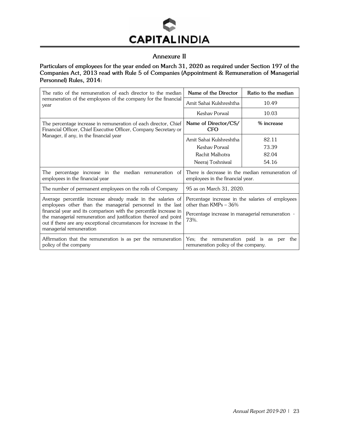

## **Annexure II**

**Particulars of employees for the year ended on March 31, 2020 as required under Section 197 of the Companies Act, 2013 read with Rule 5 of Companies (Appointment & Remuneration of Managerial Personnel) Rules, 2014:** 

| The ratio of the remuneration of each director to the median                                                                                                                                                                          | Name of the Director                                                                | Ratio to the median |  |  |
|---------------------------------------------------------------------------------------------------------------------------------------------------------------------------------------------------------------------------------------|-------------------------------------------------------------------------------------|---------------------|--|--|
| remuneration of the employees of the company for the financial<br>year                                                                                                                                                                | Amit Sahai Kulshreshtha                                                             | 10.49               |  |  |
|                                                                                                                                                                                                                                       | Keshav Porwal                                                                       | 10.03               |  |  |
| The percentage increase in remuneration of each director, Chief<br>Financial Officer, Chief Executive Officer, Company Secretary or                                                                                                   | Name of Director/CS/<br><b>CFO</b>                                                  | % increase          |  |  |
| Manager, if any, in the financial year                                                                                                                                                                                                | Amit Sahai Kulshreshtha                                                             | 82.11               |  |  |
|                                                                                                                                                                                                                                       | Keshay Porwal                                                                       | 73.39               |  |  |
|                                                                                                                                                                                                                                       | Rachit Malhotra                                                                     | 82.04               |  |  |
|                                                                                                                                                                                                                                       | Neeraj Toshniwal                                                                    | 54.16               |  |  |
| The percentage increase in the median remuneration of<br>employees in the financial year                                                                                                                                              | There is decrease in the median remuneration of<br>employees in the financial year. |                     |  |  |
| The number of permanent employees on the rolls of Company                                                                                                                                                                             | 95 as on March 31, 2020.                                                            |                     |  |  |
| Average percentile increase already made in the salaries of<br>employees other than the managerial personnel in the last                                                                                                              | Percentage increase in the salaries of employees<br>other than KMPs - 36%           |                     |  |  |
| financial year and its comparison with the percentile increase in<br>the managerial remuneration and justification thereof and point<br>out if there are any exceptional circumstances for increase in the<br>managerial remuneration | Percentage increase in managerial remuneration -<br>73%.                            |                     |  |  |
| Affirmation that the remuneration is as per the remuneration<br>policy of the company                                                                                                                                                 | Yes; the remuneration paid is as<br>remuneration policy of the company.             | the<br>per          |  |  |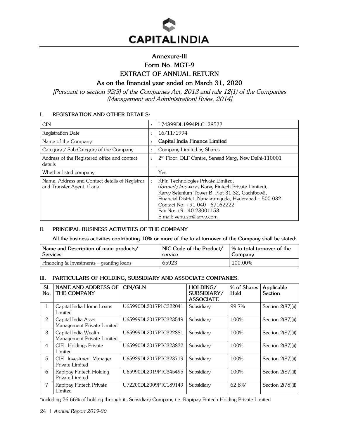

## **Annexure-III**

**Form No. MGT-9**

**EXTRACT OF ANNUAL RETURN**

## **As on the financial year ended on March 31, 2020**

[Pursuant to section 92(3) of the Companies Act, 2013 and rule 12(1) of the Companies (Management and Administration) Rules, 2014]

## **I. REGISTRATION AND OTHER DETAILS:**

| CIN                                                                          | $\ddot{\cdot}$ | L74899DL1994PLC128577                                                                                                                                                                                                                                                                              |
|------------------------------------------------------------------------------|----------------|----------------------------------------------------------------------------------------------------------------------------------------------------------------------------------------------------------------------------------------------------------------------------------------------------|
| Registration Date                                                            | $\ddot{\cdot}$ | 16/11/1994                                                                                                                                                                                                                                                                                         |
| Name of the Company                                                          | $\ddot{\cdot}$ | Capital India Finance Limited                                                                                                                                                                                                                                                                      |
| Category / Sub-Category of the Company                                       | $\ddot{\cdot}$ | Company Limited by Shares                                                                                                                                                                                                                                                                          |
| Address of the Registered office and contact<br>details                      | $\ddot{\cdot}$ | 2 <sup>nd</sup> Floor, DLF Centre, Sansad Marg, New Delhi-110001                                                                                                                                                                                                                                   |
| Whether listed company                                                       |                | Yes                                                                                                                                                                                                                                                                                                |
| Name, Address and Contact details of Registrar<br>and Transfer Agent, if any | $\ddot{\cdot}$ | KFin Technologies Private Limited,<br>(formerly known as Karvy Fintech Private Limited),<br>Karvy Selenium Tower B, Plot 31-32, Gachibowli,<br>Financial District, Nanakramguda, Hyderabad - 500 032<br>Contact No: $+91$ 040 - 67162222<br>Fax No: $+91$ 40 23001153<br>E-mail: venu.sp@karvy.com |

## **II. PRINCIPAL BUSINESS ACTIVITIES OF THE COMPANY**

**All the business activities contributing 10% or more of the total turnover of the Company shall be stated:**

| Name and Description of main products/   | NIC Code of the Product/ | % to total turnover of the |  |
|------------------------------------------|--------------------------|----------------------------|--|
| Services                                 | service                  | Company                    |  |
| Financing & Investments – granting loans | 65923                    | 100.00%                    |  |

## **III. PARTICULARS OF HOLDING, SUBSIDIARY AND ASSOCIATE COMPANIES:**

| SI.<br>No. | <b>NAME AND ADDRESS OF</b><br>THE COMPANY          | CIN/GLN               | HOLDING/<br>SUBSIDIARY/<br><b>ASSOCIATE</b> | % of Shares<br>Held | Applicable<br><b>Section</b> |
|------------|----------------------------------------------------|-----------------------|---------------------------------------------|---------------------|------------------------------|
| 1          | Capital India Home Loans<br>Limited                | U65990DL2017PLC322041 | Subsidiary                                  | 99.7%               | Section 2(87)(ii)            |
| 2          | Capital India Asset<br>Management Private Limited  | U65999DL2017PTC323549 | Subsidiary                                  | 100%                | Section 2(87)(ii)            |
| 3          | Capital India Wealth<br>Management Private Limited | U65999DL2017PTC322881 | Subsidiary                                  | 100%                | Section 2(87)(ii)            |
| 4          | CIFL Holdings Private<br>Limited                   | U65990DL2017PTC323832 | Subsidiary                                  | 100%                | Section 2(87)(ii)            |
| 5          | CIFL Investment Manager<br>Private Limited         | U65929DL2017PTC323719 | Subsidiary                                  | 100%                | Section 2(87)(ii)            |
| 6          | Rapipay Fintech Holding<br>Private Limited         | U65990DL2019PTC345495 | Subsidiary                                  | 100%                | Section 2(87)(ii)            |
| 7          | Rapipay Fintech Private<br>Limited                 | U72200DL2009PTC189149 | Subsidiary                                  | 62.8%*              | Section 2(78)(ii)            |

\*including 26.66% of holding through its Subsidiary Company i.e. Rapipay Fintech Holding Private Limited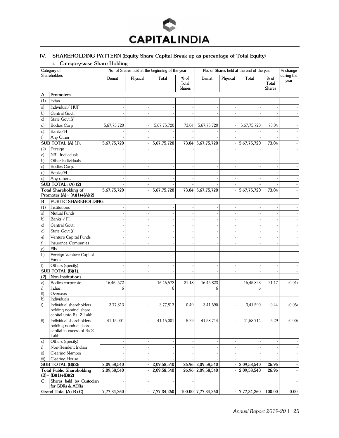

## **IV. SHAREHOLDING PATTERN (Equity Share Capital Break up as percentage of Total Equity)**

## **i. Category-wise Share Holding**

|              | Category of                                                                   | No. of Shares held at the beginning of the year<br>No. of Shares held at the end of the year |          |             | % change                         |                    |          |             |                                  |                    |
|--------------|-------------------------------------------------------------------------------|----------------------------------------------------------------------------------------------|----------|-------------|----------------------------------|--------------------|----------|-------------|----------------------------------|--------------------|
|              | Shareholders                                                                  | Demat                                                                                        | Physical | Total       | $%$ of<br>Total<br><b>Shares</b> | Demat              | Physical | Total       | $%$ of<br>Total<br><b>Shares</b> | during the<br>year |
| A.           | Promoters                                                                     |                                                                                              |          |             |                                  |                    |          |             |                                  |                    |
| (1)          | Indian                                                                        |                                                                                              |          |             |                                  |                    |          |             |                                  |                    |
| a)           | Individual/HUF                                                                |                                                                                              |          |             |                                  |                    |          |             |                                  |                    |
| b)           | Central Govt.                                                                 |                                                                                              |          |             |                                  |                    |          |             |                                  |                    |
| c)           | State Govt.(s)                                                                |                                                                                              |          |             |                                  |                    |          |             |                                  |                    |
| d)           | <b>Bodies Corp</b>                                                            | 5,67,75,720                                                                                  |          | 5,67,75,720 | 73.04                            | 5,67,75,720        |          | 5,67,75,720 | 73.04                            |                    |
| e)           | Banks/FI                                                                      |                                                                                              |          |             |                                  |                    |          |             |                                  |                    |
| f)           | Any Other                                                                     |                                                                                              |          |             |                                  |                    |          |             |                                  |                    |
|              | SUB TOTAL (A) (1):                                                            | 5,67,75,720                                                                                  |          | 5,67,75,720 |                                  | 73.04 5,67,75,720  |          | 5,67,75,720 | 73.04                            |                    |
| (2)          | Foreign                                                                       |                                                                                              |          |             |                                  |                    |          |             |                                  |                    |
| a)           | NRI- Individuals                                                              |                                                                                              |          |             |                                  |                    |          |             |                                  |                    |
| b)           | Other Individuals                                                             |                                                                                              |          |             |                                  |                    |          |             |                                  |                    |
| c)           | Bodies Corp.                                                                  |                                                                                              |          |             |                                  |                    |          |             |                                  |                    |
| d)           | Banks/FI                                                                      |                                                                                              |          |             |                                  |                    |          |             |                                  |                    |
| e)           | Any other                                                                     |                                                                                              |          |             |                                  |                    |          |             |                                  |                    |
|              | SUB TOTAL: (A) (2)                                                            |                                                                                              |          |             |                                  |                    |          |             |                                  |                    |
|              | Total Shareholding of<br>Promoter $(A) = (A)(1)+(A)(2)$                       | 5,67,75,720                                                                                  |          | 5,67,75,720 |                                  | 73.04 5,67,75,720  |          | 5,67,75,720 | 73.04                            |                    |
| B.           | PUBLIC SHAREHOLDING                                                           |                                                                                              |          |             |                                  |                    |          |             |                                  |                    |
| (1)          | Institutions                                                                  |                                                                                              |          |             |                                  |                    |          |             |                                  |                    |
| a)           | Mutual Funds                                                                  |                                                                                              |          |             |                                  |                    |          |             |                                  |                    |
| b)           | Banks / FI                                                                    |                                                                                              |          |             |                                  |                    |          |             |                                  |                    |
| c)           | Central Govt.                                                                 |                                                                                              |          |             |                                  |                    |          |             |                                  |                    |
| d)           | State Govt.(s)                                                                |                                                                                              |          |             |                                  |                    |          |             |                                  |                    |
| e)           | Venture Capital Funds                                                         |                                                                                              |          |             |                                  |                    |          |             |                                  |                    |
| f)           | Insurance Companies                                                           |                                                                                              |          |             |                                  |                    |          |             |                                  |                    |
| g)           | FIIs                                                                          |                                                                                              |          |             |                                  |                    |          |             |                                  |                    |
| h)           | Foreign Venture Capital<br>Funds                                              |                                                                                              |          |             |                                  |                    |          |             |                                  |                    |
| i)           | Others (specify)                                                              |                                                                                              |          |             |                                  |                    |          |             |                                  |                    |
|              | SUB TOTAL (B)(1):                                                             |                                                                                              |          |             |                                  |                    |          |             |                                  |                    |
| (2)          | Non Institutions                                                              |                                                                                              |          |             |                                  |                    |          |             |                                  |                    |
| a)           | Bodies corporate                                                              | 16,46,,572                                                                                   |          | 16,46,572   | 21.18                            | 16,45,823          |          | 16,45,823   | 21.17                            | (0.01)             |
| i)           | Indian                                                                        | 6                                                                                            |          | 6           |                                  | 6                  |          | 6           |                                  |                    |
| ii)          | Overseas                                                                      |                                                                                              |          |             |                                  |                    |          |             |                                  |                    |
| b)           | Individuals                                                                   |                                                                                              |          |             |                                  |                    |          |             |                                  |                    |
| i)           | Individual shareholders<br>holding nominal share<br>capital upto Rs. 2 Lakh   | 3,77,813                                                                                     |          | 3,77,813    | 0.49                             | 3,41,590           |          | 3,41,590    | 0.44                             | (0.05)             |
| ii)          | Individual shareholders<br>holding nominal share<br>capital in excess of Rs 2 | 41,15,001                                                                                    |          | 41,15,001   | 5.29                             | 41,58,714          |          | 41,58,714   | 5.29                             | (0.00)             |
|              | Lakh                                                                          |                                                                                              |          |             |                                  |                    |          |             |                                  |                    |
| c)           | Others (specify)                                                              |                                                                                              |          |             |                                  |                    |          |             |                                  |                    |
| $\mathbf{i}$ | Non-Resident Indian                                                           |                                                                                              |          |             |                                  |                    |          |             |                                  |                    |
| ii)          | Clearing Member                                                               |                                                                                              |          |             |                                  |                    |          |             |                                  |                    |
| iii)         | Clearing House                                                                |                                                                                              |          |             |                                  |                    |          |             |                                  |                    |
|              | SUB TOTAL (B)(2):                                                             | 2,09,58,540                                                                                  |          | 2,09,58,540 |                                  | 26.96 2,09,58,540  |          | 2,09,58,540 | 26.96                            |                    |
|              | <b>Total Public Shareholding</b><br>$(B)=(B)(1)+(B)(2)$                       | 2,09,58,540                                                                                  |          | 2,09,58,540 |                                  | 26.96 2,09,58,540  |          | 2,09,58,540 | 26.96                            |                    |
| C.           | Shares held by Custodian<br>for GDRs & ADRs                                   |                                                                                              |          |             |                                  |                    |          |             |                                  |                    |
|              | Grand Total (A+B+C)                                                           | 7,77,34,260                                                                                  |          | 7,77,34,260 |                                  | 100.00 7,77,34,260 |          | 7,77,34,260 | 100.00                           | 0.00               |
|              |                                                                               |                                                                                              |          |             |                                  |                    |          |             |                                  |                    |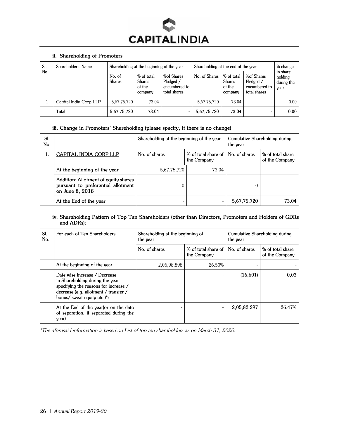#### **ii. Shareholding of Promoters**

| SI.<br>No. | Shareholder's Name     | Shareholding at the beginning of the year |                                           | Shareholding at the end of the year                             | % change      |                                                  |                                                                 |                                           |
|------------|------------------------|-------------------------------------------|-------------------------------------------|-----------------------------------------------------------------|---------------|--------------------------------------------------|-----------------------------------------------------------------|-------------------------------------------|
|            |                        | No. of<br><b>Shares</b>                   | % of total<br>Shares<br>of the<br>company | <b>%of Shares</b><br>Pledged /<br>encumbered to<br>total shares | No. of Shares | % of total<br><b>Shares</b><br>of the<br>company | <b>%of Shares</b><br>Pledged /<br>encumbered to<br>total shares | in share<br>holding<br>during the<br>year |
|            | Capital India Corp LLP | 5.67.75.720                               | 73.04                                     |                                                                 | 5,67,75,720   | 73.04                                            |                                                                 | 0.00                                      |
|            | Total                  | 5,67,75,720                               | 73.04                                     |                                                                 | 5,67,75,720   | 73.04                                            |                                                                 | 0.00                                      |

## **iii. Change in Promoters' Shareholding (please specify, If there is no change)**

| SI.<br>No. |                                                                                               | Shareholding at the beginning of the year |                                                  | Cumulative Shareholding during<br>the year |                                    |  |
|------------|-----------------------------------------------------------------------------------------------|-------------------------------------------|--------------------------------------------------|--------------------------------------------|------------------------------------|--|
|            | CAPITAL INDIA CORP LLP                                                                        | No. of shares                             | $%$ of total share of $\parallel$<br>the Company | No. of shares                              | % of total share<br>of the Company |  |
|            | At the beginning of the year                                                                  | 5,67,75,720                               | 73.04                                            |                                            |                                    |  |
|            | Addition: Allotment of equity shares<br>pursuant to preferential allotment<br>on June 8, 2018 |                                           |                                                  |                                            |                                    |  |
|            | At the End of the year                                                                        |                                           | $\overline{\phantom{0}}$                         | 5,67,75,720                                | 73.04                              |  |

#### **iv. Shareholding Pattern of Top Ten Shareholders (other than Directors, Promoters and Holders of GDRs and ADRs):**

| SI.<br>No. | For each of Ten Shareholders                                                                                                                                                                   | Shareholding at the beginning of<br>the year |                                    | Cumulative Shareholding during<br>the year |                                    |  |
|------------|------------------------------------------------------------------------------------------------------------------------------------------------------------------------------------------------|----------------------------------------------|------------------------------------|--------------------------------------------|------------------------------------|--|
|            |                                                                                                                                                                                                | No. of shares                                | % of total share of<br>the Company | No. of shares                              | % of total share<br>of the Company |  |
|            | At the beginning of the year                                                                                                                                                                   | 2,05,98,898                                  | 26.50%                             |                                            |                                    |  |
|            | Date wise Increase / Decrease<br>in Shareholding during the year<br>specifying the reasons for increase /<br>decrease (e.g. allotment / transfer /<br>bonus/ sweat equity etc.) <sup>*</sup> : |                                              |                                    | (16,601)                                   | 0.03                               |  |
|            | At the End of the year (or on the date<br>of separation, if separated during the<br>year)                                                                                                      |                                              |                                    | 2,05,82,297                                | 26.47%                             |  |

\*The aforesaid information is based on List of top ten shareholders as on March 31, 2020.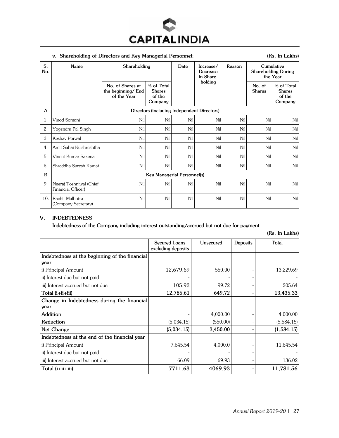

## **v. Shareholding of Directors and Key Managerial Personnel: (Rs. In Lakhs)**

| S.<br>No. | Name                                          | Shareholding                                          |                                                  | Date | Increase/<br>Decrease<br>in Share- | Reason |                         | Cumulative<br><b>Shareholding During</b><br>the Year |
|-----------|-----------------------------------------------|-------------------------------------------------------|--------------------------------------------------|------|------------------------------------|--------|-------------------------|------------------------------------------------------|
|           |                                               | No. of Shares at<br>the beginning/ End<br>of the Year | % of Total<br><b>Shares</b><br>of the<br>Company |      | holding                            |        | No. of<br><b>Shares</b> | % of Total<br><b>Shares</b><br>of the<br>Company     |
| A         |                                               |                                                       | Directors (including Independent Directors)      |      |                                    |        |                         |                                                      |
| 1.        | Vinod Somani                                  | Nil                                                   | Nil                                              | Nil  | Nil                                | Nil    | Nil                     | Nil                                                  |
| 2.        | Yogendra Pal Singh                            | Nil                                                   | Nil                                              | Nil  | Nil                                | Nil    | Nil                     | Nil                                                  |
| 3.        | Keshav Porwal                                 | Nil                                                   | Nil                                              | Nil  | Nil                                | Nil    | Nil                     | Nil                                                  |
| 4.        | Amit Sahai Kulshreshtha                       | Nil                                                   | Nil                                              | Nil  | Nil                                | Nil    | Nil                     | Nil                                                  |
| 5.        | Vineet Kumar Saxena                           | Nil                                                   | Nil                                              | Nil  | Nil                                | Nil    | Nil                     | Nil                                                  |
| 6.        | Shraddha Suresh Kamat                         | Nil                                                   | Nil                                              | Nil  | Nil                                | Nil    | Nil                     | Nil                                                  |
| B         |                                               |                                                       | Key Managerial Personnel(s)                      |      |                                    |        |                         |                                                      |
| 9.        | Neeraj Toshniwal (Chief<br>Financial Officer) | Nil                                                   | Nil                                              | Nil  | Nil                                | Nil    | Nil                     | Nil                                                  |
| 10.       | Rachit Malhotra<br>(Company Secretary)        | Nil                                                   | Nil                                              | Nil  | Nil                                | Nil    | Nil                     | Nil                                                  |

#### **V. INDEBTEDNESS**

**Indebtedness of the Company including interest outstanding/accrued but not due for payment** 

|  | (Rs. In Lakhs) |
|--|----------------|
|  |                |

|                                                | Secured Loans<br>excluding deposits | Unsecured | Deposits | Total      |
|------------------------------------------------|-------------------------------------|-----------|----------|------------|
| Indebtedness at the beginning of the financial |                                     |           |          |            |
| year                                           |                                     |           |          |            |
| i) Principal Amount                            | 12,679.69                           | 550.00    |          | 13,229.69  |
| ii) Interest due but not paid                  |                                     |           |          |            |
| iii) Interest accrued but not due              | 105.92                              | 99.72     |          | 205.64     |
| Total (i+ii+iii)                               | 12,785.61                           | 649.72    |          | 13,435.33  |
| Change in Indebtedness during the financial    |                                     |           |          |            |
| year                                           |                                     |           |          |            |
| <b>Addition</b>                                |                                     | 4,000.00  |          | 4,000.00   |
| Reduction                                      | (5,034.15)                          | (550.00)  |          | (5,584.15) |
| Net Change                                     | (5,034.15)                          | 3,450.00  |          | (1,584.15) |
| Indebtedness at the end of the financial year  |                                     |           |          |            |
| i) Principal Amount                            | 7,645.54                            | 4,000.0   |          | 11,645.54  |
| ii) Interest due but not paid                  |                                     |           |          |            |
| iii) Interest accrued but not due              | 66.09                               | 69.93     |          | 136.02     |
| Total (i+ii+iii)                               | 7711.63                             | 4069.93   |          | 11,781.56  |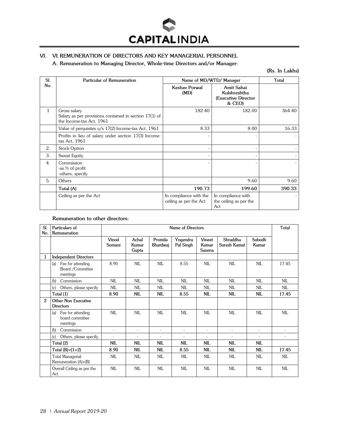

## **VI. VI.REMUNERATION OF DIRECTORS AND KEY MANAGERIAL PERSONNEL**

**A. Remuneration to Managing Director, Whole-time Directors and/or Manager:**

**(Rs. In Lakhs)**

| SI.              | Particular of Remuneration                                                                         |                                                  | Name of MD/WTD/ Manager                                     |        |  |  |
|------------------|----------------------------------------------------------------------------------------------------|--------------------------------------------------|-------------------------------------------------------------|--------|--|--|
| No.              |                                                                                                    | Keshav Porwal<br>(MD)                            | Amit Sahai<br>Kulshreshtha<br>(Executive Director<br>& CEO) |        |  |  |
| $\mathbf{1}$     | Gross salary<br>Salary as per provisions contained in section 17(1) of<br>the Income-tax Act, 1961 | 182.40                                           | 182.00                                                      | 364.40 |  |  |
|                  | Value of perquisites u/s 17(2) Income-tax Act, 1961                                                | 8.33                                             | 8.00                                                        | 16.33  |  |  |
|                  | Profits in lieu of salary under section 17(3) Income-<br>tax Act, 1961                             |                                                  |                                                             |        |  |  |
| 2.               | <b>Stock Option</b>                                                                                |                                                  |                                                             |        |  |  |
| 3.               | Sweat Equity                                                                                       |                                                  | $\overline{a}$                                              |        |  |  |
| $\overline{4}$ . | Commission<br>-as % of profit<br>-others, specify                                                  |                                                  |                                                             |        |  |  |
| 5.               | Others                                                                                             |                                                  | 9.60                                                        | 9.60   |  |  |
|                  | Total (A)                                                                                          | 190.73                                           | 199.60                                                      | 390.33 |  |  |
|                  | Ceiling as per the Act                                                                             | In compliance with the<br>ceiling as per the Act | In compliance with<br>the ceiling as per the<br>Act         |        |  |  |

#### **Remuneration to other directors:**

| SI.<br>No.     | Particulars of<br>Remuneration                            |                 | Name of Directors        |                            |                       |                           |                          |                 |                          |  |
|----------------|-----------------------------------------------------------|-----------------|--------------------------|----------------------------|-----------------------|---------------------------|--------------------------|-----------------|--------------------------|--|
|                |                                                           | Vinod<br>Somani | Achal<br>Kumar<br>Gupta  | Promila<br><b>Bhardwai</b> | Yogendra<br>Pal Singh | Vineet<br>Kumar<br>Saxena | Shraddha<br>Suresh Kamat | Subodh<br>Kumar |                          |  |
| 1              | <b>Independent Directors</b>                              |                 |                          |                            |                       |                           |                          |                 |                          |  |
|                | Fee for attending<br>(a)<br>Board / Committee<br>meetings | 8.90            | <b>NIL</b>               | NII.                       | 8.55                  | NII.                      | NII.                     | <b>NIL</b>      | 17.45                    |  |
|                | (b)<br>Commission                                         | NII.            | NII.                     | NII.                       | NII.                  | NII.                      | NII.                     | NII.            | NIL.                     |  |
|                | Others, please specify<br>(c)                             | <b>NIL</b>      | <b>NIL</b>               | NII.                       | <b>NIL</b>            | NIL.                      | NII.                     | <b>NIL</b>      | NIL.                     |  |
|                | Total (1)                                                 | 8.90            | NIL.                     | NIL.                       | 8.55                  | NIL.                      | <b>NIL</b>               | <b>NIL</b>      | 17.45                    |  |
| $\mathfrak{D}$ | Other Non Executive<br><b>Directors</b>                   |                 |                          |                            |                       |                           |                          |                 |                          |  |
|                | Fee for attending<br>(a)<br>board committee<br>meetings   | NII.            | NII.                     | NII.                       | NII.                  | NII.                      | NII.                     | NII.            | NII.                     |  |
|                | (b)<br>Commission                                         | ÷,              | $\overline{\phantom{a}}$ | ٠                          | ٠                     | ÷,                        |                          | ٠               | $\overline{\phantom{a}}$ |  |
|                | Others, please specify.<br>(c)                            |                 | $\overline{\phantom{a}}$ | ÷.                         | ٠                     | ÷,                        | ٠                        | $\overline{a}$  | ٠                        |  |
|                | Total (2)                                                 | <b>NIL</b>      | <b>NIL</b>               | <b>NIL</b>                 | <b>NIL</b>            | <b>NIL</b>                | <b>NIL</b>               | <b>NIL</b>      |                          |  |
|                | Total $(B)=(1+2)$                                         | 8.90            | <b>NIL</b>               | <b>NIL</b>                 | 8.55                  | <b>NIL</b>                | <b>NIL</b>               | <b>NIL</b>      | 17.45                    |  |
|                | Total Managerial<br>Remuneration (A)+(B)                  | NII.            | NII.                     | NII.                       | NII.                  | NII.                      | NIL.                     | NII.            | NII.                     |  |
|                | Overall Ceiling as per the<br>Act.                        | NII.            | NII.                     | NII.                       | NII.                  | <b>NIL</b>                | NII.                     | NII.            | NII.                     |  |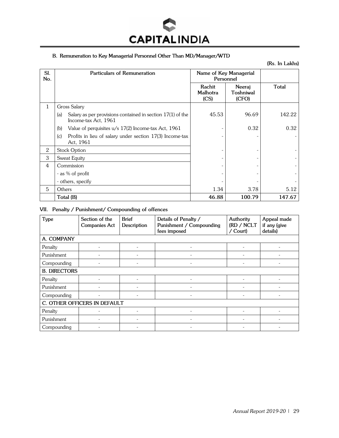

#### **B. Remuneration to Key Managerial Personnel Other Than MD/Manager/WTD**

**(Rs. In Lakhs)**

| SI.<br>No. | Particulars of Remuneration                                                               | Name of Key Managerial<br>Personnel |                              |        |
|------------|-------------------------------------------------------------------------------------------|-------------------------------------|------------------------------|--------|
|            |                                                                                           | Rachit<br>Malhotra<br>(CS)          | Neeraj<br>Toshniwal<br>(CFO) | Total  |
| 1          | Gross Salary                                                                              |                                     |                              |        |
|            | Salary as per provisions contained in section 17(1) of the<br>(a)<br>Income-tax Act, 1961 | 45.53                               | 96.69                        | 142.22 |
|            | Value of perquisites u/s 17(2) Income-tax Act, 1961<br>(b)                                |                                     | 0.32                         | 0.32   |
|            | Profits in lieu of salary under section 17(3) Income-tax<br>(c)<br>Act, 1961              |                                     |                              |        |
| 2          | <b>Stock Option</b>                                                                       |                                     |                              |        |
| 3          | Sweat Equity                                                                              |                                     |                              |        |
| 4          | Commission                                                                                |                                     |                              |        |
|            | - as % of profit                                                                          |                                     |                              |        |
|            | - others, specify                                                                         |                                     |                              |        |
| 5          | Others                                                                                    | 1.34                                | 3.78                         | 5.12   |
|            | Total (B)                                                                                 | 46.88                               | 100.79                       | 147.67 |

## **VII. Penalty / Punishment/ Compounding of offences**

| <b>Type</b>         | Section of the<br><b>Companies Act</b> | <b>Brief</b><br>Description | Details of Penalty /<br>Punishment / Compounding<br>fees imposed | Authority<br>(RD / NCLT<br>$/$ Court) | Appeal made<br>if any (give<br>details) |
|---------------------|----------------------------------------|-----------------------------|------------------------------------------------------------------|---------------------------------------|-----------------------------------------|
| A. COMPANY          |                                        |                             |                                                                  |                                       |                                         |
| Penalty             |                                        |                             |                                                                  |                                       |                                         |
| Punishment          |                                        |                             |                                                                  |                                       |                                         |
| Compounding         |                                        | -                           |                                                                  |                                       |                                         |
| <b>B. DIRECTORS</b> |                                        |                             |                                                                  |                                       |                                         |
| Penalty             |                                        |                             |                                                                  |                                       |                                         |
| Punishment          |                                        | -                           |                                                                  |                                       |                                         |
| Compounding         |                                        |                             |                                                                  |                                       |                                         |
|                     | C. OTHER OFFICERS IN DEFAULT           |                             |                                                                  |                                       |                                         |
| Penalty             |                                        |                             |                                                                  |                                       |                                         |
| Punishment          |                                        |                             |                                                                  |                                       |                                         |
| Compounding         |                                        |                             |                                                                  |                                       |                                         |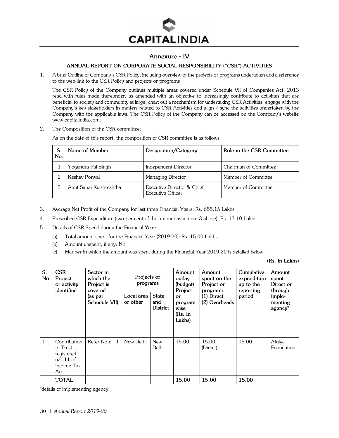## **Annexure - IV**

#### **ANNUAL REPORT ON CORPORATE SOCIAL RESPONSIBILITY ("CSR") ACTIVITIES**

1. A brief Outline of Company's CSR Policy, including overview of the projects or programs undertaken and a reference to the web-link to the CSR Policy and projects or programs

The CSR Policy of the Company outlines multiple areas covered under Schedule VII of Companies Act, 2013 read with rules made thereunder, as amended with an objective to increasingly contribute to activities that are beneficial to society and community at large, chart out a mechanism for undertaking CSR Activities, engage with the Company's key stakeholders in matters related to CSR Activities and align / sync the activities undertaken by the Company with the applicable laws. The CSR Policy of the Company can be accessed on the Company's website www.capitalindia.com.

2. The Composition of the CSR committee:

As on the date of this report, the composition of CSR committee is as follows:

| No. | Name of Member          | Designation/Category                            | Role in the CSR Committee |
|-----|-------------------------|-------------------------------------------------|---------------------------|
|     | Yogendra Pal Singh      | Independent Director                            | Chairman of Committee     |
| 9   | Keshav Porwal           | Managing Director                               | Member of Committee       |
| 3   | Amit Sahai Kulshreshtha | Executive Director & Chief<br>Executive Officer | Member of Committee       |

- 3. Average Net Profit of the Company for last three Financial Years: Rs. 655.15 Lakhs
- 4. Prescribed CSR Expenditure (two per cent of the amount as in item 3 above): Rs. 13.10 Lakhs
- 5. Details of CSR Spend during the Financial Year:
	- (a) Total amount spent for the Financial Year (2019-20): Rs. 15.00 Lakhs
	- (b) Amount unspent, if any: Nil
	- (c) Manner in which the amount was spent during the Financial Year 2019-20 is detailed below:

**(Rs. In Lakhs)**

| S.<br>No.    | <b>CSR</b><br>Project<br>or activity<br>identified                         | Sector in<br>which the<br>Project is<br>covered<br>(as per<br>Schedule VII) | Projects or<br>programs<br>Local area<br>or other | <b>State</b><br>and<br><b>District</b> | Amount<br>outlay<br>(budget)<br>Project<br>or<br>program<br>wise<br>(Rs. In<br>Lakhs) | Amount<br>spent on the<br>Project or<br>program:<br>$(1)$ Direct<br>(2) Overheads | Cumulative<br>expenditure<br>up to the<br>reporting<br>period | Amount<br>spent<br>Direct or<br>through<br>imple-<br>menting<br>agency <sup>*</sup> |
|--------------|----------------------------------------------------------------------------|-----------------------------------------------------------------------------|---------------------------------------------------|----------------------------------------|---------------------------------------------------------------------------------------|-----------------------------------------------------------------------------------|---------------------------------------------------------------|-------------------------------------------------------------------------------------|
| $\mathbf{1}$ | Contribution<br>to Trust<br>registered<br>$u/s$ 11 of<br>Income Tax<br>Act | Refer Note - 1                                                              | New Delhi                                         | <b>New</b><br>Delhi                    | 15.00                                                                                 | 15.00<br>(Direct)                                                                 | 15.00                                                         | Atulya<br>Foundation                                                                |
|              | <b>TOTAL</b>                                                               |                                                                             |                                                   |                                        | 15.00                                                                                 | 15.00                                                                             | 15.00                                                         |                                                                                     |

\*details of implementing agency.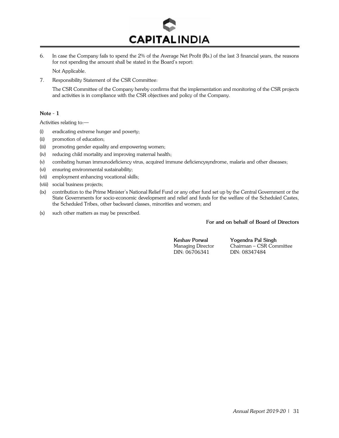

6. In case the Company fails to spend the 2% of the Average Net Profit (Rs.) of the last 3 financial years, the reasons for not spending the amount shall be stated in the Board's report:

Not Applicable.

7. Responsibility Statement of the CSR Committee:

The CSR Committee of the Company hereby confirms that the implementation and monitoring of the CSR projects and activities is in compliance with the CSR objectives and policy of the Company.

#### **Note - 1**

Activities relating to:—

- (i) eradicating extreme hunger and poverty;
- (ii) promotion of education;
- (iii) promoting gender equality and empowering women;
- (iv) reducing child mortality and improving maternal health;
- (v) combating human immunodeficiency virus, acquired immune deficiencysyndrome, malaria and other diseases;
- (vi) ensuring environmental sustainability;
- (vii) employment enhancing vocational skills;
- (viii) social business projects;
- (ix) contribution to the Prime Minister's National Relief Fund or any other fund set up by the Central Government or the State Governments for socio-economic development and relief and funds for the welfare of the Scheduled Castes, the Scheduled Tribes, other backward classes, minorities and women; and
- (x) such other matters as may be prescribed.

**For and on behalf of Board of Directors** 

**Keshav Porwal Yogendra Pal Singh** DIN: 06706341 DIN: 08347484

Managing Director Chairman – CSR Committee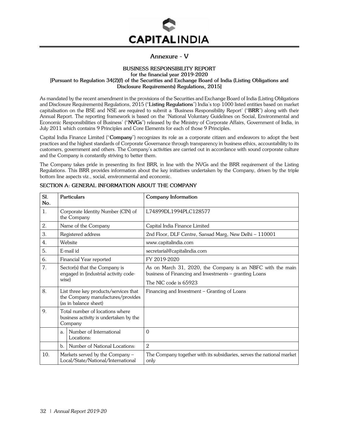

## **Annexure - V**

#### **BUSINESS RESPONSIBILITY REPORT for the financial year 2019-2020 [Pursuant to Regulation 34(2)(f) of the Securities and Exchange Board of India (Listing Obligations and Disclosure Requirements) Regulations, 2015]**

As mandated by the recent amendment in the provisions of the Securities and Exchange Board of India (Listing Obligations and Disclosure Requirements) Regulations, 2015 ("**Listing Regulations**") India's top 1000 listed entities based on market capitalisation on the BSE and NSE are required to submit a 'Business Responsibility Report' ("**BRR**") along with their Annual Report. The reporting framework is based on the 'National Voluntary Guidelines on Social, Environmental and Economic Responsibilities of Business' ("**NVGs**") released by the Ministry of Corporate Affairs, Government of India, in July 2011 which contains 9 Principles and Core Elements for each of those 9 Principles.

Capital India Finance Limited ("**Company**") recognizes its role as a corporate citizen and endeavors to adopt the best practices and the highest standards of Corporate Governance through transparency in business ethics, accountability to its customers, government and others. The Company's activities are carried out in accordance with sound corporate culture and the Company is constantly striving to better them.

The Company takes pride in presenting its first BRR, in line with the NVGs and the BRR requirement of the Listing Regulations. This BRR provides information about the key initiatives undertaken by the Company, driven by the triple bottom line aspects viz., social, environmental and economic.

| SI.<br>No.       | <b>Particulars</b>                                                                                  | Company Information                                                                                                  |  |  |  |  |
|------------------|-----------------------------------------------------------------------------------------------------|----------------------------------------------------------------------------------------------------------------------|--|--|--|--|
| $\mathbf{1}$ .   | Corporate Identity Number (CIN) of<br>the Company                                                   | L74899DL1994PLC128577                                                                                                |  |  |  |  |
| 2.               | Name of the Company                                                                                 | Capital India Finance Limited                                                                                        |  |  |  |  |
| 3.               | Registered address                                                                                  | 2nd Floor, DLF Centre, Sansad Marg, New Delhi - 110001                                                               |  |  |  |  |
| $\overline{4}$ . | Website                                                                                             | www.capitalindia.com                                                                                                 |  |  |  |  |
| 5.               | E-mail id                                                                                           | secretarial@capitalindia.com                                                                                         |  |  |  |  |
| 6.               | Financial Year reported                                                                             | FY 2019-2020                                                                                                         |  |  |  |  |
| 7.               | Sector(s) that the Company is<br>engaged in (industrial activity code-                              | As on March 31, 2020, the Company is an NBFC with the main<br>business of Financing and Investments - granting Loans |  |  |  |  |
|                  | wise)                                                                                               | The NIC code is 65923                                                                                                |  |  |  |  |
| 8.               | List three key products/services that<br>the Company manufactures/provides<br>(as in balance sheet) | Financing and Investment – Granting of Loans                                                                         |  |  |  |  |
| 9.               | Total number of locations where<br>business activity is undertaken by the<br>Company                |                                                                                                                      |  |  |  |  |
|                  | Number of International<br>$\mathbf{a}$ .<br>Locations:                                             | $\Omega$                                                                                                             |  |  |  |  |
|                  | Number of National Locations:<br>b.                                                                 | $\overline{2}$                                                                                                       |  |  |  |  |
| 10.              | Markets served by the Company -<br>Local/State/National/International                               | The Company together with its subsidiaries, serves the national market<br>only                                       |  |  |  |  |

## **SECTION A: GENERAL INFORMATION ABOUT THE COMPANY**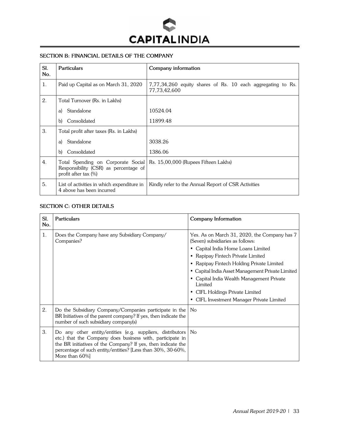

## **SECTION B: FINANCIAL DETAILS OF THE COMPANY**

| SI.<br>No.       | <b>Particulars</b>                                                                                                                       | Company information                                                         |
|------------------|------------------------------------------------------------------------------------------------------------------------------------------|-----------------------------------------------------------------------------|
| 1.               | Paid up Capital as on March 31, 2020                                                                                                     | 7,77,34,260 equity shares of Rs. 10 each aggregating to Rs.<br>77,73,42,600 |
| 2.               | Total Turnover (Rs. in Lakhs)                                                                                                            |                                                                             |
|                  | Standalone<br>a)                                                                                                                         | 10524.04                                                                    |
|                  | Consolidated<br>b)                                                                                                                       | 11899.48                                                                    |
| 3.               | Total profit after taxes (Rs. in Lakhs)                                                                                                  |                                                                             |
|                  | Standalone<br>a)                                                                                                                         | 3038.26                                                                     |
|                  | b)<br>Consolidated                                                                                                                       | 1386.06                                                                     |
| $\overline{4}$ . | Total Spending on Corporate Social Rs. 15,00,000 (Rupees Fifteen Lakhs)<br>Responsibility (CSR) as percentage of<br>profit after tax (%) |                                                                             |
| 5.               | List of activities in which expenditure in<br>4 above has been incurred                                                                  | Kindly refer to the Annual Report of CSR Activities                         |

## **SECTION C: OTHER DETAILS**

| SI.<br>No. | <b>Particulars</b>                                                                                                                                                                                                                                                       | Company Information                                                              |
|------------|--------------------------------------------------------------------------------------------------------------------------------------------------------------------------------------------------------------------------------------------------------------------------|----------------------------------------------------------------------------------|
| 1.         | Does the Company have any Subsidiary Company/<br>Companies?                                                                                                                                                                                                              | Yes. As on March 31, 2020, the Company has 7<br>(Seven) subsidiaries as follows: |
|            |                                                                                                                                                                                                                                                                          | • Capital India Home Loans Limited                                               |
|            |                                                                                                                                                                                                                                                                          | • Rapipay Fintech Private Limited                                                |
|            |                                                                                                                                                                                                                                                                          | Rapipay Fintech Holding Private Limited                                          |
|            |                                                                                                                                                                                                                                                                          | • Capital India Asset Management Private Limited                                 |
|            |                                                                                                                                                                                                                                                                          | Capital India Wealth Management Private<br>I imited                              |
|            |                                                                                                                                                                                                                                                                          | CIFL Holdings Private Limited<br>٠                                               |
|            |                                                                                                                                                                                                                                                                          | • CIFL Investment Manager Private Limited                                        |
| 2.         | Do the Subsidiary Company/Companies participate in the<br>BR Initiatives of the parent company? If yes, then indicate the<br>number of such subsidiary company(s)                                                                                                        | No                                                                               |
| 3.         | Do any other entity/entities (e.g. suppliers, distributors<br>etc.) that the Company does business with, participate in<br>the BR initiatives of the Company? If yes, then indicate the<br>percentage of such entity/entities? [Less than 30%, 30-60%,<br>More than 60%] | No                                                                               |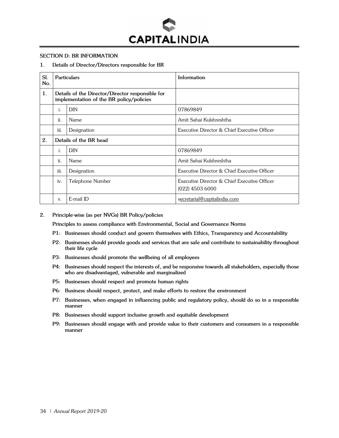

#### **SECTION D: BR INFORMATION**

#### **1. Details of Director/Directors responsible for BR**

| SI.<br>No. |      | <b>Particulars</b>                                                                           | Information                                                       |
|------------|------|----------------------------------------------------------------------------------------------|-------------------------------------------------------------------|
| 1.         |      | Details of the Director/Director responsible for<br>implementation of the BR policy/policies |                                                                   |
|            | i.   | DIN                                                                                          | 07869849                                                          |
|            | ii.  | Name                                                                                         | Amit Sahai Kulshreshtha                                           |
|            | iii. | Designation                                                                                  | Executive Director & Chief Executive Officer                      |
| 2.         |      | Details of the BR head                                                                       |                                                                   |
|            | i.   | <b>DIN</b>                                                                                   | 07869849                                                          |
|            | ii.  | <b>Name</b>                                                                                  | Amit Sahai Kulshreshtha                                           |
|            | iii. | Designation                                                                                  | Executive Director & Chief Executive Officer                      |
|            | iv.  | Telephone Number                                                                             | Executive Director & Chief Executive Officer<br>$(022)$ 4503 6000 |
|            | V.   | E-mail ID                                                                                    | secretarial@capitalindia.com                                      |

#### **2. Principle-wise (as per NVGs) BR Policy/policies**

**Principles to assess compliance with Environmental, Social and Governance Norms**

- **P1: Businesses should conduct and govern themselves with Ethics, Transparency and Accountability**
- **P2: Businesses should provide goods and services that are safe and contribute to sustainability throughout their life cycle**
- **P3: Businesses should promote the wellbeing of all employees**
- **P4: Businesses should respect the interests of, and be responsive towards all stakeholders, especially those who are disadvantaged, vulnerable and marginalized**
- **P5: Businesses should respect and promote human rights**
- **P6: Business should respect, protect, and make efforts to restore the environment**
- **P7: Businesses, when engaged in influencing public and regulatory policy, should do so in a responsible manner**
- **P8: Businesses should support inclusive growth and equitable development**
- **P9: Businesses should engage with and provide value to their customers and consumers in a responsible manner**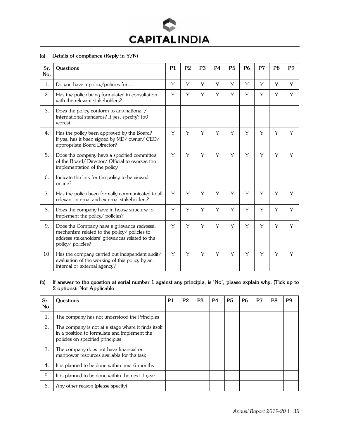

## **(a) Details of compliance (Reply in Y/N)**

| Sr.<br>No. | <b>Questions</b>                                                                                                                                                   | P <sub>1</sub> | P <sub>2</sub> | P <sub>3</sub> | <b>P4</b> | P <sub>5</sub> | <b>P6</b> | P7 | P <sub>8</sub> | P <sub>9</sub> |
|------------|--------------------------------------------------------------------------------------------------------------------------------------------------------------------|----------------|----------------|----------------|-----------|----------------|-----------|----|----------------|----------------|
| 1.         | Do you have a policy/policies for                                                                                                                                  | Y              | Y              | Y              | Y         | Y              | Y         | Y  | Y              | Y              |
| 2.         | Has the policy being formulated in consultation<br>with the relevant stakeholders?                                                                                 | Y              | Y              | Y              | Y         | Y              | Y         | Y  | Y              | Y              |
| 3.         | Does the policy conform to any national /<br>international standards? If yes, specify? (50<br>words)                                                               |                |                |                |           |                |           |    |                |                |
| 4.         | Has the policy been approved by the Board?<br>If yes, has it been signed by MD/ owner/ CEO/<br>appropriate Board Director?                                         | Y              | Y              | Y              | Y         | Y              | Y         | Y  | Y              | Y              |
| 5.         | Does the company have a specified committee<br>of the Board/Director/Official to oversee the<br>implementation of the policy                                       | Y              | Y              | Y              | Y         | Y              | Y         | Y  | Y              | Y              |
| 6.         | Indicate the link for the policy to be viewed<br>online?                                                                                                           |                |                |                |           |                |           |    |                |                |
| 7.         | Has the policy been formally communicated to all<br>relevant internal and external stakeholders?                                                                   | Y              | Y              | Y              | Y         | Y              | Y         | Y  | Y              | Y              |
| 8.         | Does the company have in-house structure to<br>implement the policy/ policies?                                                                                     | Y              | Y              | Y              | Y         | Y              | Y         | Y  | Y              | Y              |
| 9.         | Does the Company have a grievance redressal<br>mechanism related to the policy/ policies to<br>address stakeholders' grievances related to the<br>policy/policies? | Y              | Y              | Y              | Y         | Y              | Y         | Y  | Y              | Y              |
| 10.        | Has the company carried out independent audit/<br>evaluation of the working of this policy by an<br>internal or external agency?                                   | Y              | Y              | Y              | Y         | Y              | Y         | Y  | Y              | Y              |

#### **(b) If answer to the question at serial number 1 against any principle, is 'No', please explain why: (Tick up to 2 options): Not Applicable**

| Sr.<br>No. | <b>Questions</b>                                                                                                                        | P <sub>1</sub> | P <sub>2</sub> | P <sub>3</sub> | <b>P4</b> | <b>P5</b> | P6 | P7 | P8 | P <sub>9</sub> |
|------------|-----------------------------------------------------------------------------------------------------------------------------------------|----------------|----------------|----------------|-----------|-----------|----|----|----|----------------|
| 1.         | The company has not understood the Principles                                                                                           |                |                |                |           |           |    |    |    |                |
| 2.         | The company is not at a stage where it finds itself<br>in a position to formulate and implement the<br>policies on specified principles |                |                |                |           |           |    |    |    |                |
| 3.         | The company does not have financial or<br>manpower resources available for the task                                                     |                |                |                |           |           |    |    |    |                |
| 4.         | It is planned to be done within next 6 months                                                                                           |                |                |                |           |           |    |    |    |                |
| 5.         | It is planned to be done within the next 1 year                                                                                         |                |                |                |           |           |    |    |    |                |
| 6.         | Any other reason (please specify)                                                                                                       |                |                |                |           |           |    |    |    |                |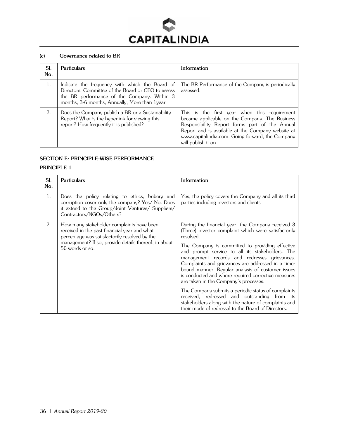

# **(c) Governance related to BR**

| SI.<br>No.     | <b>Particulars</b>                                                                                                                                                                                   | Information                                                                                                                                                                                                                                                                     |
|----------------|------------------------------------------------------------------------------------------------------------------------------------------------------------------------------------------------------|---------------------------------------------------------------------------------------------------------------------------------------------------------------------------------------------------------------------------------------------------------------------------------|
| 1 <sub>1</sub> | Indicate the frequency with which the Board of<br>Directors, Committee of the Board or CEO to assess<br>the BR performance of the Company. Within 3<br>months, 3-6 months, Annually, More than 1year | The BR Performance of the Company is periodically<br>assessed.                                                                                                                                                                                                                  |
| 2.             | Does the Company publish a BR or a Sustainability<br>Report? What is the hyperlink for viewing this<br>report? How frequently it is published?                                                       | This is the first year when this requirement<br>became applicable on the Company. The Business<br>Responsibility Report forms part of the Annual<br>Report and is available at the Company website at<br>www.capitalindia.com. Going forward, the Company<br>will publish it on |

# **SECTION E: PRINCIPLE-WISE PERFORMANCE**

| SI.<br>No. | <b>Particulars</b>                                                                                                                                                                                                    | Information                                                                                                                                                                                                                                                                                                                                                                                                                                                                                                                                                                                                                                                                                                  |
|------------|-----------------------------------------------------------------------------------------------------------------------------------------------------------------------------------------------------------------------|--------------------------------------------------------------------------------------------------------------------------------------------------------------------------------------------------------------------------------------------------------------------------------------------------------------------------------------------------------------------------------------------------------------------------------------------------------------------------------------------------------------------------------------------------------------------------------------------------------------------------------------------------------------------------------------------------------------|
| 1.         | Does the policy relating to ethics, bribery and<br>corruption cover only the company? Yes/ No. Does<br>it extend to the Group/Joint Ventures/ Suppliers/<br>Contractors/NGOs/Others?                                  | Yes, the policy covers the Company and all its third<br>parties including investors and clients                                                                                                                                                                                                                                                                                                                                                                                                                                                                                                                                                                                                              |
| 2.         | How many stakeholder complaints have been<br>received in the past financial year and what<br>percentage was satisfactorily resolved by the<br>management? If so, provide details thereof, in about<br>50 words or so. | During the financial year, the Company received 3<br>(Three) investor complaint which were satisfactorily<br>resolved.<br>The Company is committed to providing effective<br>and prompt service to all its stakeholders. The<br>management records and redresses grievances.<br>Complaints and grievances are addressed in a time-<br>bound manner. Regular analysis of customer issues<br>is conducted and where required corrective measures<br>are taken in the Company's processes.<br>The Company submits a periodic status of complaints<br>received, redressed and outstanding from its<br>stakeholders along with the nature of complaints and<br>their mode of redressal to the Board of Directors. |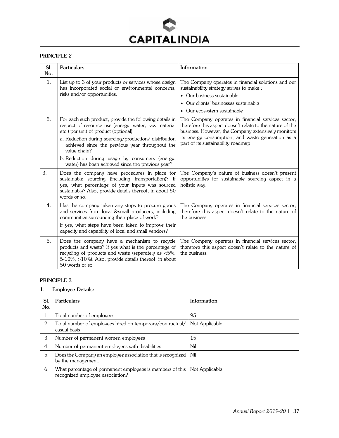

# **PRINCIPLE 2**

| SI.<br>No. | <b>Particulars</b>                                                                                                                                                                                                                                                                                                                                                                           | Information                                                                                                                                                                                                                                                        |
|------------|----------------------------------------------------------------------------------------------------------------------------------------------------------------------------------------------------------------------------------------------------------------------------------------------------------------------------------------------------------------------------------------------|--------------------------------------------------------------------------------------------------------------------------------------------------------------------------------------------------------------------------------------------------------------------|
| 1.         | List up to 3 of your products or services whose design<br>has incorporated social or environmental concerns,<br>risks and/or opportunities.                                                                                                                                                                                                                                                  | The Company operates in financial solutions and our<br>sustainability strategy strives to make :<br>• Our business sustainable<br>• Our clients' businesses sustainable<br>• Our ecosystem sustainable                                                             |
| 2.         | For each such product, provide the following details in<br>respect of resource use (energy, water, raw material<br>etc.) per unit of product (optional):<br>a. Reduction during sourcing/production/ distribution<br>achieved since the previous year throughout the<br>value chain?<br>b. Reduction during usage by consumers (energy,<br>water) has been achieved since the previous year? | The Company operates in financial services sector,<br>therefore this aspect doesn't relate to the nature of the<br>business. However, the Company extensively monitors<br>its energy consumption, and waste generation as a<br>part of its sustainability roadmap. |
| 3.         | Does the company have procedures in place for<br>sustainable sourcing (including transportation)? If<br>yes, what percentage of your inputs was sourced<br>sustainably? Also, provide details thereof, in about 50<br>words or so.                                                                                                                                                           | The Company's nature of business doesn't present<br>opportunities for sustainable sourcing aspect in a<br>holistic way.                                                                                                                                            |
| 4.         | Has the company taken any steps to procure goods<br>and services from local &small producers, including<br>communities surrounding their place of work?<br>If yes, what steps have been taken to improve their<br>capacity and capability of local and small vendors?                                                                                                                        | The Company operates in financial services sector,<br>therefore this aspect doesn't relate to the nature of<br>the business.                                                                                                                                       |
| 5.         | Does the company have a mechanism to recycle<br>products and waste? If yes what is the percentage of<br>recycling of products and waste (separately as <5%,<br>5-10%, >10%). Also, provide details thereof, in about<br>50 words or so                                                                                                                                                       | The Company operates in financial services sector,<br>therefore this aspect doesn't relate to the nature of<br>the business.                                                                                                                                       |

# **PRINCIPLE 3**

# **1. Employee Details:**

| SI. | <b>Particulars</b>                                                                            | Information    |
|-----|-----------------------------------------------------------------------------------------------|----------------|
| No. |                                                                                               |                |
|     | Total number of employees                                                                     | 95             |
| 2.  | Total number of employees hired on temporary/contractual/<br>casual basis                     | Not Applicable |
| 3.  | Number of permanent women employees                                                           | 15             |
| 4.  | Number of permanent employees with disabilities                                               | Nil            |
| 5.  | Does the Company an employee association that is recognized<br>by the management.             | Nil            |
| 6.  | What percentage of permanent employees is members of this<br>recognized employee association? | Not Applicable |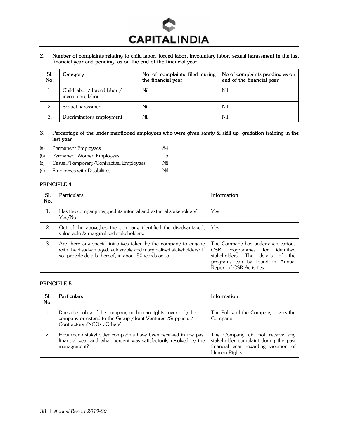

**2. Number of complaints relating to child labor, forced labor, involuntary labor, sexual harassment in the last financial year and pending, as on the end of the financial year.**

| SI.<br>No. | Category                                          | No of complaints filed during<br>the financial year | No of complaints pending as on<br>end of the financial year |
|------------|---------------------------------------------------|-----------------------------------------------------|-------------------------------------------------------------|
|            | Child labor / forced labor /<br>involuntary labor | Nil                                                 | Nil                                                         |
|            | Sexual harassment                                 | Nil                                                 | Nil                                                         |
| 3.         | Discriminatory employment                         | Nil                                                 | Nil                                                         |

# **3. Percentage of the under mentioned employees who were given safety & skill up- gradation training in the last year**

| (a) | Permanent Employees                    | : 84  |
|-----|----------------------------------------|-------|
| (b) | Permanent Women Employees              | : 15  |
| (c) | Casual/Temporary/Contractual Employees | : Nil |
| (d) | Employees with Disabilities            | : Nil |
|     |                                        |       |

# **PRINCIPLE 4**

| SI.<br>No. | <b>Particulars</b>                                                                                                                                                                                | Information                                                                                                                                                                               |
|------------|---------------------------------------------------------------------------------------------------------------------------------------------------------------------------------------------------|-------------------------------------------------------------------------------------------------------------------------------------------------------------------------------------------|
| 1.         | Has the company mapped its internal and external stakeholders?<br>Yes/No                                                                                                                          | Yes                                                                                                                                                                                       |
| 2.         | Out of the above, has the company identified the disadvantaged,<br>vulnerable & marginalized stakeholders.                                                                                        | Yes                                                                                                                                                                                       |
| 3.         | Are there any special initiatives taken by the company to engage<br>with the disadvantaged, vulnerable and marginalized stakeholders? If<br>so, provide details thereof, in about 50 words or so. | The Company has undertaken various<br>Programmes for identified<br>CSR <sub>1</sub><br>stakeholders. The details<br>of the<br>programs can be found in Annual<br>Report of CSR Activities |

| SI.<br>No. | <b>Particulars</b>                                                                                                                                         | Information                                                                                                                       |
|------------|------------------------------------------------------------------------------------------------------------------------------------------------------------|-----------------------------------------------------------------------------------------------------------------------------------|
|            | Does the policy of the company on human rights cover only the<br>company or extend to the Group /Joint Ventures /Suppliers /<br>Contractors /NGOs /Others? | The Policy of the Company covers the<br>Company                                                                                   |
| 2.         | How many stakeholder complaints have been received in the past<br>financial year and what percent was satisfactorily resolved by the<br>management?        | The Company did not receive any<br>stakeholder complaint during the past<br>financial year regarding violation of<br>Human Rights |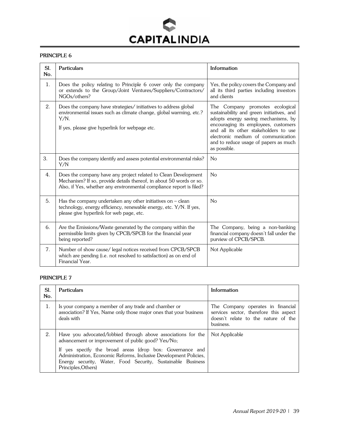

# **PRINCIPLE 6**

| SI.<br>No. | <b>Particulars</b>                                                                                                                                                                                           | Information                                                                                                                                                                                                                                                                                         |
|------------|--------------------------------------------------------------------------------------------------------------------------------------------------------------------------------------------------------------|-----------------------------------------------------------------------------------------------------------------------------------------------------------------------------------------------------------------------------------------------------------------------------------------------------|
| 1.         | Does the policy relating to Principle 6 cover only the company<br>or extends to the Group/Joint Ventures/Suppliers/Contractors/<br>NGOs/others?                                                              | Yes, the policy covers the Company and<br>all its third parties including investors<br>and clients                                                                                                                                                                                                  |
| 2.         | Does the company have strategies/initiatives to address global<br>environmental issues such as climate change, global warming, etc.?<br>Y/N.<br>If yes, please give hyperlink for webpage etc.               | The Company promotes ecological<br>sustainability and green initiatives, and<br>adopts energy saving mechanisms, by<br>encouraging its employees, customers<br>and all its other stakeholders to use<br>electronic medium of communication<br>and to reduce usage of papers as much<br>as possible. |
| 3.         | Does the company identify and assess potential environmental risks?<br>Y/N                                                                                                                                   | No                                                                                                                                                                                                                                                                                                  |
| 4.         | Does the company have any project related to Clean Development<br>Mechanism? If so, provide details thereof, in about 50 words or so.<br>Also, if Yes, whether any environmental compliance report is filed? | No                                                                                                                                                                                                                                                                                                  |
| 5.         | Has the company undertaken any other initiatives on $-$ clean<br>technology, energy efficiency, renewable energy, etc. Y/N. If yes,<br>please give hyperlink for web page, etc.                              | No                                                                                                                                                                                                                                                                                                  |
| 6.         | Are the Emissions/Waste generated by the company within the<br>permissible limits given by CPCB/SPCB for the financial year<br>being reported?                                                               | The Company, being a non-banking<br>financial company doesn't fall under the<br>purview of CPCB/SPCB.                                                                                                                                                                                               |
| 7.         | Number of show cause/ legal notices received from CPCB/SPCB<br>which are pending (i.e. not resolved to satisfaction) as on end of<br>Financial Year.                                                         | Not Applicable                                                                                                                                                                                                                                                                                      |

| SI.<br>No. | <b>Particulars</b>                                                                                                                                                                                                  | Information                                                                                                                     |
|------------|---------------------------------------------------------------------------------------------------------------------------------------------------------------------------------------------------------------------|---------------------------------------------------------------------------------------------------------------------------------|
| 1.         | Is your company a member of any trade and chamber or<br>association? If Yes, Name only those major ones that your business<br>deals with                                                                            | The Company operates in financial<br>services sector, therefore this aspect<br>doesn't relate to the nature of the<br>business. |
| 2.         | Have you advocated/lobbied through above associations for the<br>advancement or improvement of public good? Yes/No;                                                                                                 | Not Applicable                                                                                                                  |
|            | If yes specify the broad areas (drop box: Governance and<br>Administration, Economic Reforms, Inclusive Development Policies,<br>Energy security, Water, Food Security, Sustainable Business<br>Principles, Others) |                                                                                                                                 |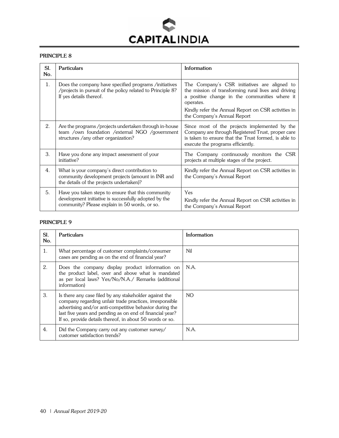

# **PRINCIPLE 8**

| SI.<br>No.       | <b>Particulars</b>                                                                                                                                           | Information                                                                                                                                                                                                                                             |
|------------------|--------------------------------------------------------------------------------------------------------------------------------------------------------------|---------------------------------------------------------------------------------------------------------------------------------------------------------------------------------------------------------------------------------------------------------|
| 1.               | Does the company have specified programs /initiatives<br>/projects in pursuit of the policy related to Principle 8?<br>If yes details thereof.               | The Company's CSR initiatives are aligned to<br>the mission of transforming rural lives and driving<br>a positive change in the communities where it<br>operates.<br>Kindly refer the Annual Report on CSR activities in<br>the Company's Annual Report |
| 2.               | Are the programs / projects undertaken through in-house<br>team /own foundation /external NGO /government<br>structures /any other organization?             | Since most of the projects implemented by the<br>Company are through Registered Trust, proper care<br>is taken to ensure that the Trust formed, is able to<br>execute the programs efficiently.                                                         |
| 3.               | Have you done any impact assessment of your<br>initiative?                                                                                                   | The Company continuously monitors the CSR<br>projects at multiple stages of the project.                                                                                                                                                                |
| $\overline{4}$ . | What is your company's direct contribution to<br>community development projects (amount in INR and<br>the details of the projects undertaken)?               | Kindly refer the Annual Report on CSR activities in<br>the Company's Annual Report                                                                                                                                                                      |
| 5.               | Have you taken steps to ensure that this community<br>development initiative is successfully adopted by the<br>community? Please explain in 50 words, or so. | Yes<br>Kindly refer the Annual Report on CSR activities in<br>the Company's Annual Report                                                                                                                                                               |

| SI.<br>No. | <b>Particulars</b>                                                                                                                                                                                                                                                                                   | Information |
|------------|------------------------------------------------------------------------------------------------------------------------------------------------------------------------------------------------------------------------------------------------------------------------------------------------------|-------------|
| 1.         | What percentage of customer complaints/consumer<br>cases are pending as on the end of financial year?                                                                                                                                                                                                | Nil         |
| 2.         | Does the company display product information on<br>the product label, over and above what is mandated<br>as per local laws? Yes/No/N.A./ Remarks (additional<br>information)                                                                                                                         | N.A.        |
| 3.         | Is there any case filed by any stakeholder against the<br>company regarding unfair trade practices, irresponsible<br>advertising and/or anti-competitive behavior during the<br>last five years and pending as on end of financial year?<br>If so, provide details thereof, in about 50 words or so. | NO.         |
| 4.         | Did the Company carry out any customer survey/<br>customer satisfaction trends?                                                                                                                                                                                                                      | N.A.        |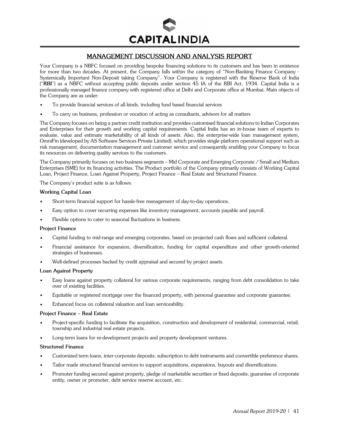

# **MANAGEMENT DISCUSSION AND ANALYSIS REPORT**

Your Company is a NBFC focused on providing bespoke financing solutions to its customers and has been in existence for more than two decades. At present, the Company falls within the category of "Non-Banking Finance Company - Systemically Important Non-Deposit taking Company". Your Company is registered with the Reserve Bank of India ("**RBI**") as a NBFC without accepting public deposits under section 45 IA of the RBI Act, 1934. Capital India is a professionally managed finance company with registered office at Delhi and Corporate office at Mumbai. Main objects of the Company are as under:

- To provide financial services of all kinds, including fund based financial services
- To carry on business, profession or vocation of acting as consultants, advisors for all matters

The Company focuses on being a partner credit institution and provides customised financial solutions to Indian Corporates and Enterprises for their growth and working capital requirements. Capital India has an in-house team of experts to evaluate, value and estimate marketability of all kinds of assets. Also, the enterprise-wide loan management system, OmniFin (developed by AS Software Services Private Limited), which provides single platform operational support such as risk management, documentation management and customer service and consequently enabling your Company to focus its resources on delivering quality services to the customers.

The Company primarily focuses on two business segments – Mid Corporate and Emerging Corporate / Small and Medium Enterprises (SME) for its financing activities. The Product portfolio of the Company primarily consists of Working Capital Loan, Project Finance, Loan Against Property, Project Finance – Real Estate and Structured Finance.

The Company's product suite is as follows:

# **Working Capital Loan**

- Short-term financial support for hassle-free management of day-to-day operations.
- Easy option to cover recurring expenses like inventory management, accounts payable and payroll.
- Flexible options to cater to seasonal fluctuations in business.

# **Project Finance**

- Capital funding to mid-range and emerging corporates, based on projected cash flows and sufficient collateral.
- Financial assistance for expansion, diversification, funding for capital expenditure and other growth-oriented strategies of businesses.
- Well-defined processes backed by credit appraisal and secured by project assets.

# **Loan Against Property**

- Easy loans against property collateral for various corporate requirements, ranging from debt consolidation to take over of existing facilities.
- Equitable or registered mortgage over the financed property, with personal guarantee and corporate guarantee.
- Enhanced focus on collateral valuation and loan serviceability.

# **Project Finance – Real Estate**

- Project-specific funding to facilitate the acquisition, construction and development of residential, commercial, retail, township and industrial real estate projects.
- Long-term loans for re-development projects and property development ventures.

# **Structured Finance**

- Customized term loans, inter-corporate deposits, subscription to debt instruments and convertible preference shares.
- Tailor made structured financial services to support acquisitions, expansions, buyouts and diversifications.
- Promoter funding secured against property, pledge of marketable securities or fixed deposits, guarantee of corporate entity, owner or promoter, debt service reserve account, etc.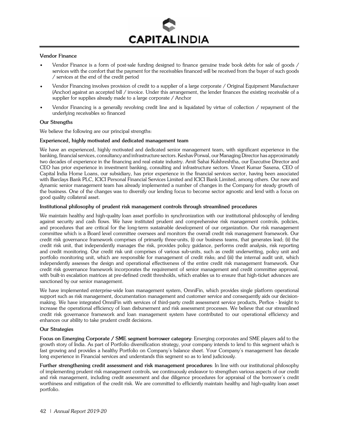

### **Vendor Finance**

- Vendor Finance is a form of post-sale funding designed to finance genuine trade book debts for sale of goods / services with the comfort that the payment for the receivables financed will be received from the buyer of such goods / services at the end of the credit period
- Vendor Financing involves provision of credit to a supplier of a large corporate / Original Equipment Manufacturer (Anchor) against an accepted bill / invoice. Under this arrangement, the lender finances the existing receivable of a supplier for supplies already made to a large corporate / Anchor
- Vendor Financing is a generally revolving credit line and is liquidated by virtue of collection / repayment of the underlying receivables so financed

# **Our Strengths**

We believe the following are our principal strengths:

### **Experienced, highly motivated and dedicated management team**

We have an experienced, highly motivated and dedicated senior management team, with significant experience in the banking, financial services, consultancy and infrastructure sectors. Keshav Porwal, our Managing Director has approximately two decades of experience in the financing and real estate industry. Amit Sahai Kulshreshtha, our Executive Director and CEO has prior experience in investment banking, consulting and infrastructure sectors. Vineet Kumar Saxena, CEO of Capital India Home Loans, our subsidiary, has prior experience in the financial services sector, having been associated with Barclays Bank PLC, ICICI Personal Financial Services Limited and ICICI Bank Limited, among others. Our new and dynamic senior management team has already implemented a number of changes in the Company for steady growth of the business. One of the changes was to diversify our lending focus to become sector agnostic and lend with a focus on good quality collateral asset.

### **Institutional philosophy of prudent risk management controls through streamlined procedures**

We maintain healthy and high-quality loan asset portfolio in synchronization with our institutional philosophy of lending against security and cash flows. We have instituted prudent and comprehensive risk management controls, policies, and procedures that are critical for the long-term sustainable development of our organization. Our risk management committee which is a Board level committee oversees and monitors the overall credit risk management framework. Our credit risk governance framework comprises of primarily three-units, (i) our business teams, that generates lead; (ii) the credit risk unit, that independently manages the risk, provides policy guidance, performs credit analysis, risk reporting and credit monitoring. Our credit risk unit comprises of various sub-units, such as credit underwriting, policy unit and portfolio monitoring unit, which are responsible for management of credit risks; and (iii) the internal audit unit, which independently assesses the design and operational effectiveness of the entire credit risk management framework. Our credit risk governance framework incorporates the requirement of senior management and credit committee approval, with built-in escalation matrices at pre-defined credit thresholds, which enables us to ensure that high-ticket advances are sanctioned by our senior management.

We have implemented enterprise-wide loan management system, OmniFin, which provides single platform operational support such as risk management, documentation management and customer service and consequently aids our decisionmaking. We have integrated OmniFin with services of third-party credit assessment service products, Perfios - Insight to increase the operational efficiency of loan disbursement and risk assessment processes. We believe that our streamlined credit risk governance framework and loan management system have contributed to our operational efficiency and enhances our ability to take prudent credit decisions.

#### **Our Strategies**

**Focus on Emerging Corporate / SME segment borrower category**: Emerging corporates and SME players add to the growth story of India. As part of Portfolio diversification strategy, your company intends to lend to this segment which is fast growing and provides a healthy Portfolio on Company's balance sheet. Your Company's management has decade long experience in Financial services and understands this segment so as to lend judiciously.

**Further strengthening credit assessment and risk management procedures**: In line with our institutional philosophy of implementing prudent risk management controls, we continuously endeavor to strengthen various aspects of our credit and risk management, including credit assessment and due diligence procedures for appraisal of the borrower's credit worthiness and mitigation of the credit risk. We are committed to efficiently maintain healthy and high-quality loan asset portfolio.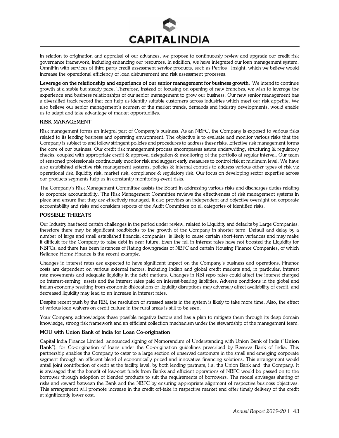

In relation to origination and appraisal of our advances, we propose to continuously review and upgrade our credit risk governance framework, including enhancing our resources. In addition, we have integrated our loan management system, OmniFin with services of third party credit assessment service products, such as Perfios - Insight, which we believe would increase the operational efficiency of loan disbursement and risk assessment processes.

**Leverage on the relationship and experience of our senior management for business growth**: We intend to continue growth at a stable but steady pace. Therefore, instead of focusing on opening of new branches, we wish to leverage the experience and business relationships of our senior management to grow our business. Our new senior management has a diversified track record that can help us identify suitable customers across industries which meet our risk appetite. We also believe our senior management's acumen of the market trends, demands and industry developments, would enable us to adapt and take advantage of market opportunities.

# **RISK MANAGEMENT**

Risk management forms an integral part of Company's business. As an NBFC, the Company is exposed to various risks related to its lending business and operating environment. The objective is to evaluate and monitor various risks that the Company is subject to and follow stringent policies and procedures to address these risks. Effective risk management forms the core of our business. Our credit risk management process encompasses astute underwriting, structuring & regulatory checks, coupled with appropriate credit & approval delegation & monitoring of the portfolio at regular interval. Our team of seasoned professionals continuously monitor risk and suggest early measures to control risk at minimum level. We have also established effective risk management systems, policies & internal controls to address various other types of risk viz operational risk, liquidity risk, market risk, compliance & regulatory risk. Our focus on developing sector expertise across our products segments help us in constantly monitoring event risks.

The Company's Risk Management Committee assists the Board in addressing various risks and discharges duties relating to corporate accountability. The Risk Management Committee reviews the effectiveness of risk management systems in place and ensure that they are effectively managed. It also provides an independent and objective oversight on corporate accountability and risks and considers reports of the Audit Committee on all categories of identified risks.

# **POSSIBLE THREATS**

Our Industry has faced certain challenges in the period under review, related to Liquidity and defaults by Large Companies, therefore there may be significant roadblocks to the growth of the Company in shorter term. Default and delay by a number of large and small established financial companies is likely to cause certain short-term variances and may make it difficult for the Company to raise debt in near future. Even the fall in Interest rates have not boosted the Liquidity for NBFCs, and there has been instances of Rating downgrades of NBFC and certain Housing Finance Companies, of which Reliance Home Finance is the recent example.

Changes in interest rates are expected to have significant impact on the Company's business and operations. Finance costs are dependent on various external factors, including Indian and global credit markets and, in particular, interest rate movements and adequate liquidity in the debt markets. Changes in RBI repo rates could affect the interest charged on interest-earning assets and the interest rates paid on interest-bearing liabilities. Adverse conditions in the global and Indian economy resulting from economic dislocations or liquidity disruptions may adversely affect availability of credit, and decreased liquidity may lead to an increase in interest rates.

Despite recent push by the RBI, the resolution of stressed assets in the system is likely to take more time. Also, the effect of various loan waivers on credit culture in the rural areas is still to be seen.

Your Company acknowledges these possible negative factors and has a plan to mitigate them through its deep domain knowledge, strong risk framework and an efficient collection mechanism under the stewardship of the management team.

#### **MOU with Union Bank of India for Loan Co-origination**

Capital India Finance Limited, announced signing of Memorandum of Understanding with Union Bank of India ("**Union Bank**"), for Co-origination of loans under the Co-origination guidelines prescribed by Reserve Bank of India. This partnership enables the Company to cater to a large section of unserved customers in the small and emerging corporate segment through an efficient blend of economically priced and innovative financing solutions. This arrangement would entail joint contribution of credit at the facility level, by both lending partners, i.e. the Union Bank and the Company. It is envisaged that the benefit of low-cost funds from Banks and efficient operations of NBFC would be passed on to the borrower through adoption of blended products to suit the requirements of borrowers. The model envisages sharing of risks and reward between the Bank and the NBFC by ensuring appropriate alignment of respective business objectives. This arrangement will promote increase in the credit off-take in respective market and offer timely delivery of the credit at significantly lower cost.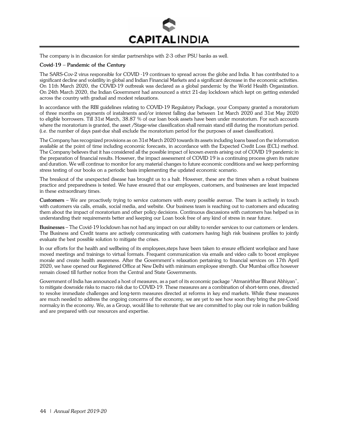

The company is in discussion for similar partnerships with 2-3 other PSU banks as well.

# **Covid-19 – Pandemic of the Century**

The SARS-Cov-2 virus responsible for COVID -19 continues to spread across the globe and India. It has contributed to a significant decline and volatility in global and Indian Financial Markets and a significant decrease in the economic activities. On 11th March 2020, the COVID-19 outbreak was declared as a global pandemic by the World Health Organization. On 24th March 2020, the Indian Government had announced a strict 21-day lockdown which kept on getting extended across the country with gradual and modest relaxations.

In accordance with the RBI guidelines relating to COVID-19 Regulatory Package, your Company granted a moratorium of three months on payments of instalments and/or interest falling due between 1st March 2020 and 31st May 2020 to eligible borrowers. Till 31st March, 38.87 % of our loan book assets have been under moratorium. For such accounts where the moratorium is granted, the asset /Stage-wise classification shall remain stand still during the moratorium period. (i.e. the number of days past-due shall exclude the moratorium period for the purposes of asset classification).

The Company has recognized provisions as on 31st March 2020 towards its assets including loans based on the information available at the point of time including economic forecasts, in accordance with the Expected Credit Loss (ECL) method. The Company believes that it has considered all the possible impact of known events arising out of COVID 19 pandemic in the preparation of financial results. However, the impact assessment of COVID 19 is a continuing process given its nature and duration. We will continue to monitor for any material changes to future economic conditions and we keep performing stress testing of our books on a periodic basis implementing the updated economic scenario.

The breakout of the unexpected disease has brought us to a halt. However, these are the times when a robust business practice and preparedness is tested. We have ensured that our employees, customers, and businesses are least impacted in these extraordinary times.

**Customers** – We are proactively trying to service customers with every possible avenue. The team is actively in touch with customers via calls, emails, social media, and website. Our business team is reaching out to customers and educating them about the impact of moratorium and other policy decisions. Continuous discussions with customers has helped us in understanding their requirements better and keeping our Loan book free of any kind of stress in near future.

**Businesses** – The Covid-19 lockdown has not had any impact on our ability to render services to our customers or lenders. The Business and Credit teams are actively communicating with customers having high risk business profiles to jointly evaluate the best possible solution to mitigate the crises.

In our efforts for the health and wellbeing of its employees,steps have been taken to ensure efficient workplace and have moved meetings and trainings to virtual formats. Frequent communication via emails and video calls to boost employee morale and create health awareness. After the Government's relaxation pertaining to financial services on 17th April 2020, we have opened our Registered Office at New Delhi with minimum employee strength. Our Mumbai office however remain closed till further notice from the Central and State Governments.

Government of India has announced a host of measures, as a part of its economic package "Atmanirbhar Bharat Abhiyan", to mitigate downside risks to macro risk due to COVID-19. These measures are a combination of short-term ones, directed to resolve immediate challenges and long-term measures directed at reforms in key end markets. While these measures are much needed to address the ongoing concerns of the economy, we are yet to see how soon they bring the pre-Covid normalcy in the economy. We, as a Group, would like to reiterate that we are committed to play our role in nation building and are prepared with our resources and expertise.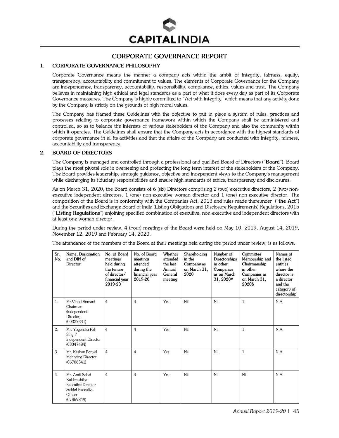

# **CORPORATE GOVERNANCE REPORT**

# **1. CORPORATE GOVERNANCE PHILOSOPHY**

Corporate Governance means the manner a company acts within the ambit of integrity, fairness, equity, transparency, accountability and commitment to values. The elements of Corporate Governance for the Company are independence, transparency, accountability, responsibility, compliance, ethics, values and trust. The Company believes in maintaining high ethical and legal standards as a part of what it does every day as part of its Corporate Governance measures. The Company is highly committed to "Act with Integrity" which means that any activity done by the Company is strictly on the grounds of high moral values.

The Company has framed these Guidelines with the objective to put in place a system of rules, practices and processes relating to corporate governance framework within which the Company shall be administered and controlled, so as to balance the interests of various stakeholders of the Company and also the community within which it operates. The Guidelines shall ensure that the Company acts in accordance with the highest standards of corporate governance in all its activities and that the affairs of the Company are conducted with integrity, fairness, accountability and transparency.

# **2. BOARD OF DIRECTORS**

The Company is managed and controlled through a professional and qualified Board of Directors ("**Board**"). Board plays the most pivotal role in overseeing and protecting the long term interest of the stakeholders of the Company. The Board provides leadership, strategic guidance, objective and independent views to the Company's management while discharging its fiduciary responsibilities and ensure high standards of ethics, transparency and disclosures.

As on March 31, 2020, the Board consists of 6 (six) Directors comprising 2 (two) executive directors, 2 (two) nonexecutive independent directors, 1 (one) non-executive woman director and 1 (one) non-executive director. The composition of the Board is in conformity with the Companies Act, 2013 and rules made thereunder ("**the Act**") and the Securities and Exchange Board of India (Listing Obligations and Disclosure Requirements) Regulations, 2015 ("**Listing Regulations**") enjoining specified combination of executive, non-executive and independent directors with at least one woman director.

During the period under review, 4 (Four) meetings of the Board were held on May 10, 2019, August 14, 2019, November 12, 2019 and February 14, 2020.

The attendance of the members of the Board at their meetings held during the period under review, is as follows:

| Sr.<br>No. | Name, Designation<br>and DIN of<br>Director                                                       | No. of Board<br>meetings<br>held during<br>the tenure<br>of director/<br>financial year<br>2019-20 | No. of Board<br>meetings<br>attended<br>during the<br>financial year<br>2019-20 | Whether<br>attended<br>the last<br>Annual<br>General<br>meeting | Shareholding<br>in the<br>Company as<br>on March 31,<br>2020 | Number of<br>Directorships<br>in other<br>Companies<br>as on March<br>31, 2020# | Committee<br>Membership and<br>Chairmanship<br>in other<br>Companies as<br>on March 31,<br>2020\$ | Names of<br>the listed<br>entities<br>where the<br>director is<br>a director<br>and the<br>category of<br>directorship |
|------------|---------------------------------------------------------------------------------------------------|----------------------------------------------------------------------------------------------------|---------------------------------------------------------------------------------|-----------------------------------------------------------------|--------------------------------------------------------------|---------------------------------------------------------------------------------|---------------------------------------------------------------------------------------------------|------------------------------------------------------------------------------------------------------------------------|
| 1.         | Mr. Vinod Somani<br>Chairman<br>(Independent<br>Director)<br>(00327231)                           | $\overline{4}$                                                                                     | 4                                                                               | Yes                                                             | Nil                                                          | Nil                                                                             | $\mathbf{1}$                                                                                      | N.A.                                                                                                                   |
| 2.         | Mr. Yogendra Pal<br>Singh*<br><b>Independent Director</b><br>(08347484)                           | 4                                                                                                  | 4                                                                               | Yes                                                             | Nil                                                          | Nil                                                                             | $\mathbf{1}$                                                                                      | N.A.                                                                                                                   |
| 3.         | Mr. Keshav Porwal<br>Managing Director<br>(06706341)                                              | $\overline{4}$                                                                                     | 4                                                                               | Yes                                                             | Nil                                                          | Nil                                                                             | $\mathbf{1}$                                                                                      | N.A.                                                                                                                   |
| 4.         | Mr. Amit Sahai<br>Kulshreshtha<br>Executive Director<br>&chief Executive<br>Officer<br>(07869849) | $\overline{4}$                                                                                     | 4                                                                               | Yes                                                             | Nil                                                          | Nil                                                                             | Nil                                                                                               | N.A.                                                                                                                   |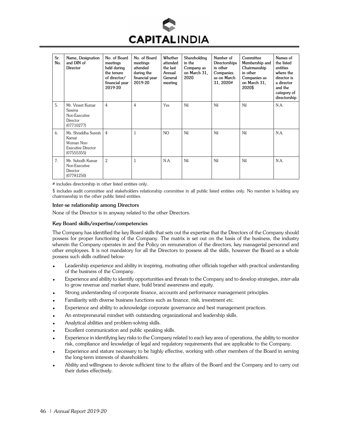

| Sr.<br>No. | Name, Designation<br>and DIN of<br>Director                                    | No. of Board<br>meetings<br>held during<br>the tenure<br>of director/<br>financial year<br>2019-20 | No. of Board<br>meetings<br>attended<br>during the<br>financial year<br>2019-20 | Whether<br>attended<br>the last<br>Annual<br>General<br>meeting | Shareholding<br>in the<br>Company as<br>on March 31,<br>2020 | Number of<br>Directorships<br>in other<br>Companies<br>as on March<br>31, 2020# | Committee<br>Membership and<br>Chairmanship<br>in other<br>Companies as<br>on March 31,<br>2020\$ | Names of<br>the listed<br>entities<br>where the<br>director is<br>a director<br>and the<br>category of<br>directorship |
|------------|--------------------------------------------------------------------------------|----------------------------------------------------------------------------------------------------|---------------------------------------------------------------------------------|-----------------------------------------------------------------|--------------------------------------------------------------|---------------------------------------------------------------------------------|---------------------------------------------------------------------------------------------------|------------------------------------------------------------------------------------------------------------------------|
| 5.         | Mr. Vineet Kumar<br>Saxena<br>Non-Executive<br>Director<br>(07710277)          | $\overline{4}$                                                                                     | $\overline{4}$                                                                  | Yes                                                             | Nil                                                          | Nil                                                                             | Nil                                                                                               | N.A.                                                                                                                   |
| 6.         | Ms. Shraddha Suresh<br>Kamat<br>Woman Non-<br>Executive Director<br>(07555355) | $\overline{4}$                                                                                     | 1                                                                               | N <sub>O</sub>                                                  | Nil                                                          | Nil                                                                             | Nil                                                                                               | N.A.                                                                                                                   |
| 7.         | Mr. Subodh Kumar<br>Non-Executive<br>Director<br>(07781250)                    | $\overline{2}$                                                                                     |                                                                                 | N.A                                                             | Nil                                                          | Nil                                                                             | Nil                                                                                               | N.A.                                                                                                                   |

# includes directorship in other listed entities only.

\$ includes audit committee and stakeholders relationship committee in all public listed entities only. No member is holding any chairmanship in the other public listed entities.

#### **Inter-se relationship among Directors**

None of the Director is in anyway related to the other Directors.

#### **Key Board skills/expertise/competencies**

The Company has identified the key Board skills that sets out the expertise that the Directors of the Company should possess for proper functioning of the Company. The matrix is set out on the basis of the business, the industry wherein the Company operates in and the Policy on remuneration of the directors, key managerial personnel and other employees. It is not mandatory for all the Directors to possess all the skills, however the Board as a whole possess such skills outlined below:

- Leadership experience and ability in inspiring, motivating other officials together with practical understanding of the business of the Company.
- Experience and ability to identify opportunities and threats to the Company and to develop strategies, *inter-alia* to grow revenue and market share, build brand awareness and equity.
- Strong understanding of corporate finance, accounts and performance management principles.
- Familiarity with diverse business functions such as finance, risk, investment etc.
- Experience and ability to acknowledge corporate governance and best management practices.
- An entrepreneurial mindset with outstanding organizational and leadership skills.
- Analytical abilities and problem-solving skills.
- Excellent communication and public speaking skills.
- Experience in identifying key risks to the Company related to each key area of operations, the ability to monitor risk, compliance and knowledge of legal and regulatory requirements that are applicable to the Company.
- Experience and stature necessary to be highly effective, working with other members of the Board in serving the long-term interests of shareholders.
- Ability and willingness to devote sufficient time to the affairs of the Board and the Company and to carry out their duties effectively.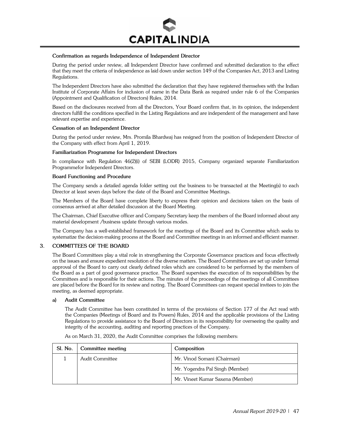

### **Confirmation as regards Independence of Independent Director**

During the period under review, all Independent Director have confirmed and submitted declaration to the effect that they meet the criteria of independence as laid down under section 149 of the Companies Act, 2013 and Listing Regulations.

The Independent Directors have also submitted the declaration that they have registered themselves with the Indian Institute of Corporate Affairs for inclusion of name in the Data Bank as required under rule 6 of the Companies (Appointment and Qualification of Directors) Rules, 2014.

Based on the disclosures received from all the Directors, Your Board confirm that, in its opinion, the independent directors fulfill the conditions specified in the Listing Regulations and are independent of the management and have relevant expertise and experience.

#### **Cessation of an Independent Director**

During the period under review, Mrs. Promila Bhardwaj has resigned from the position of Independent Director of the Company with effect from April 1, 2019.

### **Familiarization Programme for Independent Directors**

In compliance with Regulation 46(2)(i) of SEBI (LODR) 2015, Company organized separate Familiarization Programmefor Independent Directors.

#### **Board Functioning and Procedure**

The Company sends a detailed agenda folder setting out the business to be transacted at the Meeting(s) to each Director at least seven days before the date of the Board and Committee Meetings.

The Members of the Board have complete liberty to express their opinion and decisions taken on the basis of consensus arrived at after detailed discussion at the Board Meeting.

The Chairman, Chief Executive officer and Company Secretary keep the members of the Board informed about any material development /business update through various modes.

The Company has a well-established framework for the meetings of the Board and its Committee which seeks to systematize the decision-making process at the Board and Committee meetings in an informed and efficient manner.

# **3. COMMITTEES OF THE BOARD**

The Board Committees play a vital role in strengthening the Corporate Governance practices and focus effectively on the issues and ensure expedient resolution of the diverse matters. The Board Committees are set up under formal approval of the Board to carry out clearly defined roles which are considered to be performed by the members of the Board as a part of good governance practice. The Board supervises the execution of its responsibilities by the Committees and is responsible for their actions. The minutes of the proceedings of the meetings of all Committees are placed before the Board for its review and noting. The Board Committees can request special invitees to join the meeting, as deemed appropriate.

### **a) Audit Committee**

 The Audit Committee has been constituted in terms of the provisions of Section 177 of the Act read with the Companies (Meetings of Board and its Powers) Rules, 2014 and the applicable provisions of the Listing Regulations to provide assistance to the Board of Directors in its responsibility for overseeing the quality and integrity of the accounting, auditing and reporting practices of the Company.

| SI. No. | Committee meeting | Composition                      |
|---------|-------------------|----------------------------------|
|         | Audit Committee   | Mr. Vinod Somani (Chairman)      |
|         |                   | Mr. Yogendra Pal Singh (Member)  |
|         |                   | Mr. Vineet Kumar Saxena (Member) |

As on March 31, 2020, the Audit Committee comprises the following members: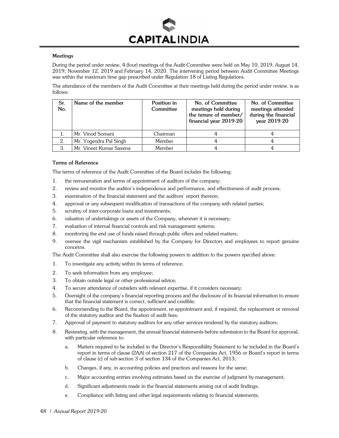

### **Meetings**

During the period under review, 4 (four) meetings of the Audit Committee were held on May 10, 2019, August 14, 2019, November 12, 2019 and February 14, 2020. The intervening period between Audit Committee Meetings was within the maximum time gap prescribed under Regulation 18 of Listing Regulations.

The attendance of the members of the Audit Committee at their meetings held during the period under review, is as follows:

| Sr.<br>No. | Name of the member      | Position in<br>Committee | No. of Committee<br>meetings held during<br>the tenure of member/<br>financial year 2019-20 | No. of Committee<br>meetings attended<br>during the financial<br>year 2019-20 |
|------------|-------------------------|--------------------------|---------------------------------------------------------------------------------------------|-------------------------------------------------------------------------------|
|            | Mr. Vinod Somani        | Chairman                 |                                                                                             |                                                                               |
| 2.         | Mr. Yogendra Pal Singh  | Member                   |                                                                                             |                                                                               |
| 3.         | Mr. Vineet Kumar Saxena | Member                   |                                                                                             |                                                                               |

# **Terms of Reference**

The terms of reference of the Audit Committee of the Board includes the following:

- 1. the remuneration and terms of appointment of auditors of the company;
- 2. review and monitor the auditor's independence and performance, and effectiveness of audit process;
- 3. examination of the financial statement and the auditors' report thereon;
- 4. approval or any subsequent modification of transactions of the company with related parties;
- 5. scrutiny of inter-corporate loans and investments;
- 6. valuation of undertakings or assets of the Company, wherever it is necessary;
- 7. evaluation of internal financial controls and risk management systems;
- 8. monitoring the end use of funds raised through public offers and related matters;
- 9. oversee the vigil mechanism established by the Company for Directors and employees to report genuine concerns.

The Audit Committee shall also exercise the following powers in addition to the powers specified above:

- 1. To investigate any activity within its terms of reference;
- 2. To seek information from any employee;
- 3. To obtain outside legal or other professional advice;
- 4. To secure attendance of outsiders with relevant expertise, if it considers necessary;
- 5. Oversight of the company's financial reporting process and the disclosure of its financial information to ensure that the financial statement is correct, sufficient and credible;
- 6. Recommending to the Board, the appointment, re-appointment and, if required, the replacement or removal of the statutory auditor and the fixation of audit fees;
- 7. Approval of payment to statutory auditors for any other services rendered by the statutory auditors;
- 8. Reviewing, with the management, the annual financial statements before submission to the Board for approval, with particular reference to:
	- a. Matters required to be included in the Director's Responsibility Statement to be included in the Board's report in terms of clause (2AA) of section 217 of the Companies Act, 1956 or Board's report in terms of clause (c) of sub-section 3 of section 134 of the Companies Act, 2013;
	- b. Changes, if any, in accounting policies and practices and reasons for the same;
	- c. Major accounting entries involving estimates based on the exercise of judgment by management;
	- d. Significant adjustments made in the financial statements arising out of audit findings;
	- e. Compliance with listing and other legal requirements relating to financial statements;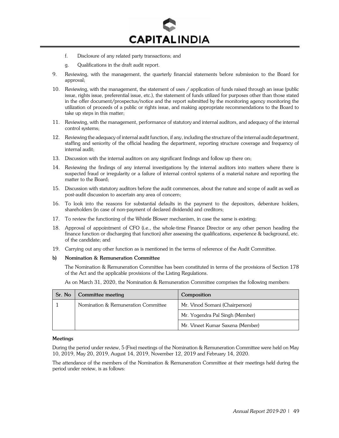

- f. Disclosure of any related party transactions; and
- g. Qualifications in the draft audit report.
- 9. Reviewing, with the management, the quarterly financial statements before submission to the Board for approval;
- 10. Reviewing, with the management, the statement of uses / application of funds raised through an issue (public issue, rights issue, preferential issue, etc.), the statement of funds utilized for purposes other than those stated in the offer document/prospectus/notice and the report submitted by the monitoring agency monitoring the utilization of proceeds of a public or rights issue, and making appropriate recommendations to the Board to take up steps in this matter;
- 11. Reviewing, with the management, performance of statutory and internal auditors, and adequacy of the internal control systems;
- 12. Reviewing the adequacy of internal audit function, if any, including the structure of the internal audit department, staffing and seniority of the official heading the department, reporting structure coverage and frequency of internal audit;
- 13. Discussion with the internal auditors on any significant findings and follow up there on;
- 14. Reviewing the findings of any internal investigations by the internal auditors into matters where there is suspected fraud or irregularity or a failure of internal control systems of a material nature and reporting the matter to the Board;
- 15. Discussion with statutory auditors before the audit commences, about the nature and scope of audit as well as post-audit discussion to ascertain any area of concern;
- 16. To look into the reasons for substantial defaults in the payment to the depositors, debenture holders, shareholders (in case of non-payment of declared dividends) and creditors;
- 17. To review the functioning of the Whistle Blower mechanism, in case the same is existing;
- 18. Approval of appointment of CFO (i.e., the whole-time Finance Director or any other person heading the finance function or discharging that function) after assessing the qualifications, experience & background, etc. of the candidate; and
- 19. Carrying out any other function as is mentioned in the terms of reference of the Audit Committee.

#### **b) Nomination & Remuneration Committee**

 The Nomination & Remuneration Committee has been constituted in terms of the provisions of Section 178 of the Act and the applicable provisions of the Listing Regulations.

As on March 31, 2020, the Nomination & Remuneration Committee comprises the following members:

| Sr. No | Committee meeting                   | Composition                      |
|--------|-------------------------------------|----------------------------------|
|        | Nomination & Remuneration Committee | Mr. Vinod Somani (Chairperson)   |
|        |                                     | Mr. Yogendra Pal Singh (Member)  |
|        |                                     | Mr. Vineet Kumar Saxena (Member) |

#### **Meetings**

During the period under review, 5 (Five) meetings of the Nomination & Remuneration Committee were held on May 10, 2019, May 20, 2019, August 14, 2019, November 12, 2019 and February 14, 2020.

The attendance of the members of the Nomination & Remuneration Committee at their meetings held during the period under review, is as follows: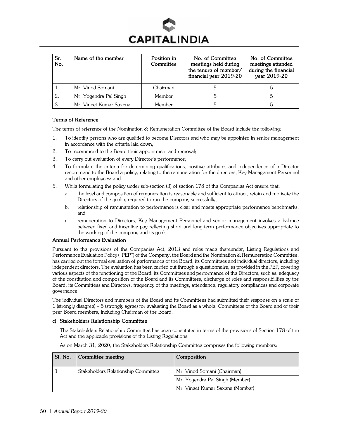

| Sr.<br>No. | Name of the member      | Position in<br>Committee | No. of Committee<br>meetings held during<br>the tenure of member/<br>financial year 2019-20 | No. of Committee<br>meetings attended<br>during the financial<br>year 2019-20 |
|------------|-------------------------|--------------------------|---------------------------------------------------------------------------------------------|-------------------------------------------------------------------------------|
|            | Mr. Vinod Somani        | Chairman                 |                                                                                             |                                                                               |
| 2.         | Mr. Yogendra Pal Singh  | Member                   |                                                                                             |                                                                               |
| 3.         | Mr. Vineet Kumar Saxena | Member                   |                                                                                             |                                                                               |

# **Terms of Reference**

The terms of reference of the Nomination & Remuneration Committee of the Board include the following:

- 1. To identify persons who are qualified to become Directors and who may be appointed in senior management in accordance with the criteria laid down;
- 2. To recommend to the Board their appointment and removal;
- 3. To carry out evaluation of every Director's performance;
- 4. To formulate the criteria for determining qualifications, positive attributes and independence of a Director recommend to the Board a policy, relating to the remuneration for the directors, Key Management Personnel and other employees; and
- 5. While formulating the policy under sub-section (3) of section 178 of the Companies Act ensure that:
	- a. the level and composition of remuneration is reasonable and sufficient to attract, retain and motivate the Directors of the quality required to run the company successfully;
	- b. relationship of remuneration to performance is clear and meets appropriate performance benchmarks; and
	- c. remuneration to Directors, Key Management Personnel and senior management involves a balance between fixed and incentive pay reflecting short and long-term performance objectives appropriate to the working of the company and its goals.

# **Annual Performance Evaluation**

Pursuant to the provisions of the Companies Act, 2013 and rules made thereunder, Listing Regulations and Performance Evaluation Policy ("PEP") of the Company, the Board and the Nomination & Remuneration Committee, has carried out the formal evaluation of performance of the Board, its Committees and individual directors, including independent directors. The evaluation has been carried out through a questionnaire, as provided in the PEP, covering various aspects of the functioning of the Board, its Committees and performance of the Directors, such as, adequacy of the constitution and composition of the Board and its Committees, discharge of roles and responsibilities by the Board, its Committees and Directors, frequency of the meetings, attendance, regulatory compliances and corporate governance.

The individual Directors and members of the Board and its Committees had submitted their response on a scale of 1 (strongly disagree) – 5 (strongly agree) for evaluating the Board as a whole, Committees of the Board and of their peer Board members, including Chairman of the Board.

#### **c) Stakeholders Relationship Committee**

 The Stakeholders Relationship Committee has been constituted in terms of the provisions of Section 178 of the Act and the applicable provisions of the Listing Regulations.

As on March 31, 2020, the Stakeholders Relationship Committee comprises the following members:

| Sl. No. | Committee meeting                   | Composition                      |
|---------|-------------------------------------|----------------------------------|
|         | Stakeholders Relationship Committee | Mr. Vinod Somani (Chairman)      |
|         |                                     | Mr. Yogendra Pal Singh (Member)  |
|         |                                     | Mr. Vineet Kumar Saxena (Member) |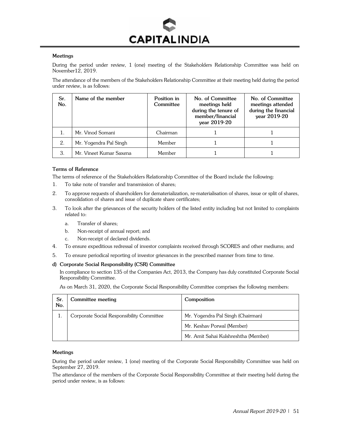

### **Meetings**

During the period under review, 1 (one) meeting of the Stakeholders Relationship Committee was held on November12, 2019.

The attendance of the members of the Stakeholders Relationship Committee at their meeting held during the period under review, is as follows:

| Sr.<br>No. | Name of the member      | Position in<br>Committee | No. of Committee<br>meetings held<br>during the tenure of<br>member/financial<br>year 2019-20 | No. of Committee<br>meetings attended<br>during the financial<br>year 2019-20 |
|------------|-------------------------|--------------------------|-----------------------------------------------------------------------------------------------|-------------------------------------------------------------------------------|
|            | Mr. Vinod Somani        | Chairman                 |                                                                                               |                                                                               |
| 2.         | Mr. Yogendra Pal Singh  | Member                   |                                                                                               |                                                                               |
| 3.         | Mr. Vineet Kumar Saxena | Member                   |                                                                                               |                                                                               |

# **Terms of Reference**

The terms of reference of the Stakeholders Relationship Committee of the Board include the following:

- 1. To take note of transfer and transmission of shares;
- 2. To approve requests of shareholders for dematerialization, re-materialisation of shares, issue or split of shares, consolidation of shares and issue of duplicate share certificates;
- 3. To look after the grievances of the security holders of the listed entity including but not limited to complaints related to:
	- a. Transfer of shares;
	- b. Non-receipt of annual report; and
	- c. Non-receipt of declared dividends.
- 4. To ensure expeditious redressal of investor complaints received through SCORES and other mediums; and
- 5. To ensure periodical reporting of investor grievances in the prescribed manner from time to time.

# **d) Corporate Social Responsibility (CSR) Committee**

 In compliance to section 135 of the Companies Act, 2013, the Company has duly constituted Corporate Social Responsibility Committee.

As on March 31, 2020, the Corporate Social Responsibility Committee comprises the following members:

| Sr.<br>No. | Committee meeting                         | Composition                          |
|------------|-------------------------------------------|--------------------------------------|
|            | Corporate Social Responsibility Committee | Mr. Yogendra Pal Singh (Chairman)    |
|            |                                           | Mr. Keshav Porwal (Member)           |
|            |                                           | Mr. Amit Sahai Kulshreshtha (Member) |

# **Meetings**

During the period under review, 1 (one) meeting of the Corporate Social Responsibility Committee was held on September 27, 2019.

The attendance of the members of the Corporate Social Responsibility Committee at their meeting held during the period under review, is as follows: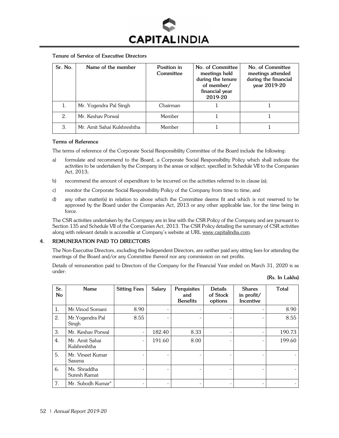

#### **Tenure of Service of Executive Directors**

| Sr. No. | Name of the member          | Position in<br>Committee | No. of Committee<br>meetings held<br>during the tenure<br>of member/<br>financial year<br>2019-20 | No. of Committee<br>meetings attended<br>during the financial<br>year 2019-20 |
|---------|-----------------------------|--------------------------|---------------------------------------------------------------------------------------------------|-------------------------------------------------------------------------------|
|         | Mr. Yogendra Pal Singh      | Chairman                 |                                                                                                   |                                                                               |
| 2.      | Mr. Keshav Porwal           | Member                   |                                                                                                   |                                                                               |
| 3.      | Mr. Amit Sahai Kulshreshtha | Member                   |                                                                                                   |                                                                               |

#### **Terms of Reference**

The terms of reference of the Corporate Social Responsibility Committee of the Board include the following:

- a) formulate and recommend to the Board, a Corporate Social Responsibility Policy which shall indicate the activities to be undertaken by the Company in the areas or subject, specified in Schedule VII to the Companies Act, 2013;
- b) recommend the amount of expenditure to be incurred on the activities referred to in clause (a);
- c) monitor the Corporate Social Responsibility Policy of the Company from time to time; and
- d) any other matter(s) in relation to above which the Committee deems fit and which is not reserved to be approved by the Board under the Companies Act, 2013 or any other applicable law, for the time being in force.

The CSR activities undertaken by the Company are in line with the CSR Policy of the Company and are pursuant to Section 135 and Schedule VII of the Companies Act, 2013. The CSR Policy detailing the summary of CSR activities along with relevant details is accessible at Company's website at URL www.capitalindia.com.

# **4. REMUNERATION PAID TO DIRECTORS**

The Non-Executive Directors, excluding the Independent Directors, are neither paid any sitting fees for attending the meetings of the Board and/or any Committee thereof nor any commission on net profits.

Details of remuneration paid to Directors of the Company for the Financial Year ended on March 31, 2020 is as under:

|  |  | (Rs. In Lakhs) |
|--|--|----------------|
|--|--|----------------|

| Sr.<br>No | <b>Name</b>                    | <b>Sitting Fees</b>      | Salary | Perquisites<br>and<br><b>Benefits</b> | <b>Details</b><br>of Stock<br>options | <b>Shares</b><br>in profit/<br>Incentive | Total  |
|-----------|--------------------------------|--------------------------|--------|---------------------------------------|---------------------------------------|------------------------------------------|--------|
| 1.        | Mr. Vinod Somani               | 8.90                     |        |                                       |                                       |                                          | 8.90   |
| 2.        | Mr. Yogendra Pal<br>Singh      | 8.55                     |        |                                       |                                       |                                          | 8.55   |
| 3.        | Mr. Keshav Porwal              |                          | 182.40 | 8.33                                  | -                                     |                                          | 190.73 |
| 4.        | Mr. Amit Sahai<br>Kulshreshtha | $\overline{\phantom{a}}$ | 191.60 | 8.00                                  |                                       |                                          | 199.60 |
| 5.        | Mr. Vineet Kumar<br>Saxena     |                          |        |                                       |                                       |                                          |        |
| 6.        | Ms. Shraddha<br>Suresh Kamat   |                          |        |                                       |                                       |                                          |        |
| 7.        | Mr. Subodh Kumar*              |                          |        |                                       |                                       |                                          |        |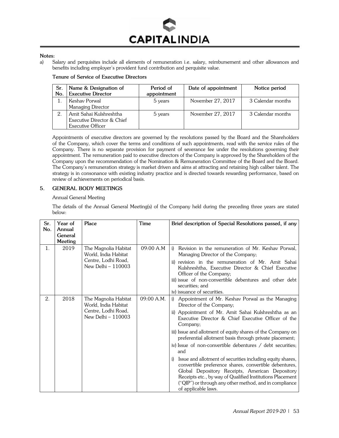

#### **Notes:**

a) Salary and perquisites include all elements of remuneration i.e. salary, reimbursement and other allowances and benefits including employer's provident fund contribution and perquisite value.

| Sr. | Name & Designation of                                                      | Period of   | Date of appointment | Notice period     |
|-----|----------------------------------------------------------------------------|-------------|---------------------|-------------------|
| No. | <b>Executive Director</b>                                                  | appointment |                     |                   |
|     | Keshav Porwal                                                              | 5 years     | November 27, 2017   | 3 Calendar months |
|     | Managing Director                                                          |             |                     |                   |
| 2   | Amit Sahai Kulshreshtha<br>Executive Director & Chief<br>Executive Officer | 5 years     | November 27, 2017   | 3 Calendar months |

**Tenure of Service of Executive Directors**

Appointments of executive directors are governed by the resolutions passed by the Board and the Shareholders of the Company, which cover the terms and conditions of such appointments, read with the service rules of the Company. There is no separate provision for payment of severance fee under the resolutions governing their appointment. The remuneration paid to executive directors of the Company is approved by the Shareholders of the Company upon the recommendation of the Nomination & Remuneration Committee of the Board and the Board. The Company's remuneration strategy is market driven and aims at attracting and retaining high caliber talent. The strategy is in consonance with existing industry practice and is directed towards rewarding performance, based on review of achievements on periodical basis.

# **5. GENERAL BODY MEETINGS**

#### Annual General Meeting

The details of the Annual General Meeting(s) of the Company held during the preceding three years are stated below:

| Sr.<br>No.     | Year of<br>Annual<br>General<br>Meeting | Place                                                                                     | Time       | Brief description of Special Resolutions passed, if any                                                                                                                                                                                                                                                                                                                                                                                                                                                                                                                                                                                                                                                                                        |
|----------------|-----------------------------------------|-------------------------------------------------------------------------------------------|------------|------------------------------------------------------------------------------------------------------------------------------------------------------------------------------------------------------------------------------------------------------------------------------------------------------------------------------------------------------------------------------------------------------------------------------------------------------------------------------------------------------------------------------------------------------------------------------------------------------------------------------------------------------------------------------------------------------------------------------------------------|
| $\mathbf{1}$ . | 2019                                    | The Magnolia Habitat<br>World, India Habitat<br>Centre, Lodhi Road,<br>New Delhi - 110003 | 09:00 A.M  | Revision in the remuneration of Mr. Keshav Porwal,<br>i)<br>Managing Director of the Company;<br>revision in the remuneration of Mr. Amit Sahai<br>ii)<br>Kulshreshtha, Executive Director & Chief Executive<br>Officer of the Company;<br>iii) issue of non-convertible debentures and other debt<br>securities; and<br>iv) issuance of securities.                                                                                                                                                                                                                                                                                                                                                                                           |
| 2.             | 2018                                    | The Magnolia Habitat<br>World, India Habitat<br>Centre, Lodhi Road,<br>New Delhi - 110003 | 09:00 A.M. | i)<br>Appointment of Mr. Keshav Porwal as the Managing<br>Director of the Company;<br>Appointment of Mr. Amit Sahai Kulshreshtha as an<br>ii)<br>Executive Director & Chief Executive Officer of the<br>Company;<br>iii) Issue and allotment of equity shares of the Company on<br>preferential allotment basis through private placement;<br>iv) Issue of non-convertible debentures / debt securities;<br>and<br>Issue and allotment of securities including equity shares,<br>i)<br>convertible preference shares, convertible debentures,<br>Global Depository Receipts, American Depository<br>Receipts etc., by way of Qualified Institutions Placement<br>("QIP") or through any other method, and in compliance<br>of applicable laws. |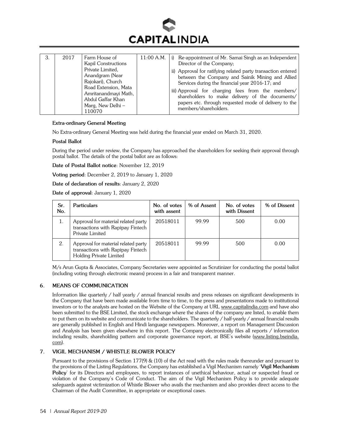

| 2017 | Farm House of<br>Kapil Constructions                                                                                                                         |  | 11:00 A.M. $\vert i \rangle$ Re-appointment of Mr. Samai Singh as an Independent<br>Director of the Company:                                                                                                                                                                                                                                                  |
|------|--------------------------------------------------------------------------------------------------------------------------------------------------------------|--|---------------------------------------------------------------------------------------------------------------------------------------------------------------------------------------------------------------------------------------------------------------------------------------------------------------------------------------------------------------|
|      | Private Limited,<br>Anandgram (Near<br>Rajokari), Church<br>Road Extension, Mata<br>Amritanandmayi Math,<br>Abdul Gaffar Khan<br>Marg, New Delhi -<br>110070 |  | ii) Approval for ratifying related party transaction entered<br>between the Company and Sainik Mining and Allied<br>Services during the financial year 2016-17; and<br>iii) Approval for charging fees from the members/<br>shareholders to make delivery of the documents/<br>papers etc. through requested mode of delivery to the<br>members/shareholders. |

# **Extra-ordinary General Meeting**

No Extra-ordinary General Meeting was held during the financial year ended on March 31, 2020.

### **Postal Ballot**

During the period under review, the Company has approached the shareholders for seeking their approval through postal ballot. The details of the postal ballot are as follows:

**Date of Postal Ballot notice**: November 12, 2019

**Voting period**: December 2, 2019 to January 1, 2020

**Date of declaration of results**: January 2, 2020

**Date of approval**: January 1, 2020

| Sr.<br>No. | <b>Particulars</b>                                                                                  | No. of votes<br>with assent | % of Assent | No. of votes<br>with Dissent | % of Dissent |
|------------|-----------------------------------------------------------------------------------------------------|-----------------------------|-------------|------------------------------|--------------|
| 1.         | Approval for material related party<br>transactions with Rapipay Fintech<br>Private Limited         | 20518011                    | 99.99       | 500                          | 0.00         |
| 2.         | Approval for material related party<br>transactions with Rapipay Fintech<br>Holding Private Limited | 20518011                    | 99.99       | 500                          | 0.00         |

M/s Arun Gupta & Associates, Company Secretaries were appointed as Scrutinizer for conducting the postal ballot (including voting through electronic means) process in a fair and transparent manner.

# **6. MEANS OF COMMUNICATION**

Information like quarterly / half yearly / annual financial results and press releases on significant developments in the Company that have been made available from time to time, to the press and presentations made to institutional investors or to the analysts are hosted on the Website of the Company at URL www.capitalindia.com and have also been submitted to the BSE Limited, the stock exchange where the shares of the company are listed, to enable them to put them on its website and communicate to the shareholders. The quarterly / half-yearly / annual financial results are generally published in English and Hindi language newspapers. Moreover, a report on Management Discussion and Analysis has been given elsewhere in this report. The Company electronically files all reports / information including results, shareholding pattern and corporate governance report, at BSE's website (www.listing.bseindia. com).

# **7. VIGIL MECHANISM / WHISTLE BLOWER POLICY**

Pursuant to the provisions of Section 177(9) & (10) of the Act read with the rules made thereunder and pursuant to the provisions of the Listing Regulations, the Company has established a Vigil Mechanism namely '**Vigil Mechanism Policy**' for its Directors and employees, to report instances of unethical behaviour, actual or suspected fraud or violation of the Company's Code of Conduct. The aim of the Vigil Mechanism Policy is to provide adequate safeguards against victimization of Whistle Blower who avails the mechanism and also provides direct access to the Chairman of the Audit Committee, in appropriate or exceptional cases.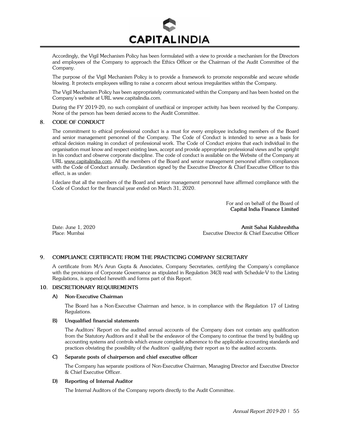

Accordingly, the Vigil Mechanism Policy has been formulated with a view to provide a mechanism for the Directors and employees of the Company to approach the Ethics Officer or the Chairman of the Audit Committee of the Company.

The purpose of the Vigil Mechanism Policy is to provide a framework to promote responsible and secure whistle blowing. It protects employees willing to raise a concern about serious irregularities within the Company.

The Vigil Mechanism Policy has been appropriately communicated within the Company and has been hosted on the Company's website at URL www.capitalindia.com.

During the FY 2019-20, no such complaint of unethical or improper activity has been received by the Company. None of the person has been denied access to the Audit Committee.

### **8. CODE OF CONDUCT**

The commitment to ethical professional conduct is a must for every employee including members of the Board and senior management personnel of the Company. The Code of Conduct is intended to serve as a basis for ethical decision making in conduct of professional work. The Code of Conduct enjoins that each individual in the organisation must know and respect existing laws, accept and provide appropriate professional views and be upright in his conduct and observe corporate discipline. The code of conduct is available on the Website of the Company at URL www.capitalindia.com. All the members of the Board and senior management personnel affirm compliances with the Code of Conduct annually. Declaration signed by the Executive Director & Chief Executive Officer to this effect, is as under:

I declare that all the members of the Board and senior management personnel have affirmed compliance with the Code of Conduct for the financial year ended on March 31, 2020.

> For and on behalf of the Board of **Capital India Finance Limited**

Date: June 1, 2020 **Amit Sahai Kulshreshtha** Place: Mumbai Executive Director & Chief Executive Officer

# **9. COMPLIANCE CERTIFICATE FROM THE PRACTICING COMPANY SECRETARY**

A certificate from M/s Arun Gupta & Associates, Company Secretaries, certifying the Company's compliance with the provisions of Corporate Governance as stipulated in Regulation 34(3) read with Schedule-V to the Listing Regulations, is appended herewith and forms part of this Report.

### **10. DISCRETIONARY REQUIREMENTS**

#### **A) Non-Executive Chairman**

 The Board has a Non-Executive Chairman and hence, is in compliance with the Regulation 17 of Listing Regulations.

#### **B) Unqualified financial statements**

 The Auditors' Report on the audited annual accounts of the Company does not contain any qualification from the Statutory Auditors and it shall be the endeavor of the Company to continue the trend by building up accounting systems and controls which ensure complete adherence to the applicable accounting standards and practices obviating the possibility of the Auditors' qualifying their report as to the audited accounts.

#### **C) Separate posts of chairperson and chief executive officer**

 The Company has separate positions of Non-Executive Chairman, Managing Director and Executive Director & Chief Executive Officer.

### **D) Reporting of Internal Auditor**

The Internal Auditors of the Company reports directly to the Audit Committee.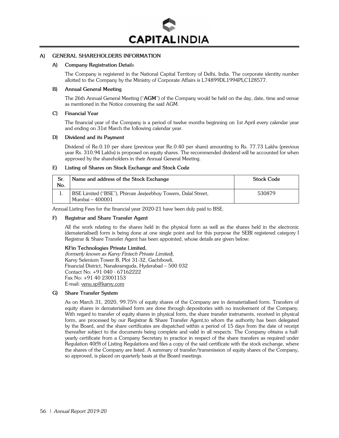

### **A) GENERAL SHAREHOLDERS INFORMATION**

### **A) Company Registration Detai**ls

 The Company is registered in the National Capital Territory of Delhi, India. The corporate identity number allotted to the Company by the Ministry of Corporate Affairs is L74899DL1994PLC128577.

### **B) Annual General Meeting**

 The 26th Annual General Meeting ("**AGM**") of the Company would be held on the day, date, time and venue as mentioned in the Notice convening the said AGM.

### **C) Financial Year**

 The financial year of the Company is a period of twelve months beginning on 1st April every calendar year and ending on 31st March the following calendar year.

# **D) Dividend and its Payment**

 Dividend of Re.0.10 per share (previous year Re.0.40 per share) amounting to Rs. 77.73 Lakhs (previous year Rs. 310.94 Lakhs) is proposed on equity shares. The recommended dividend will be accounted for when approved by the shareholders in their Annual General Meeting.

### **E) Listing of Shares on Stock Exchange and Stock Code**

| No. | Name and address of the Stock Exchange                                             | <b>Stock Code</b> |
|-----|------------------------------------------------------------------------------------|-------------------|
|     | BSE Limited ("BSE"), Phiroze Jeejeebhoy Towers, Dalal Street,<br>' Mumbai – 400001 | 530879            |

Annual Listing Fees for the financial year 2020-21 have been duly paid to BSE.

### **F) Registrar and Share Transfer Agent**

 All the work relating to the shares held in the physical form as well as the shares held in the electronic (dematerialised) form is being done at one single point and for this purpose the SEBI registered category I Registrar & Share Transfer Agent has been appointed, whose details are given below:

# **KFin Technologies Private Limited**,

 (formerly known as Karvy Fintech Private Limited), Karvy Selenium Tower B, Plot 31-32, Gachibowli, Financial District, Nanakramguda, Hyderabad – 500 032 Contact No: +91 040 - 67162222 Fax No: +91 40 23001153 E-mail: venu.sp@karvy.com

# **G) Share Transfer System**

 As on March 31, 2020, 99.75% of equity shares of the Company are in dematerialised form. Transfers of equity shares in dematerialised form are done through depositories with no involvement of the Company. With regard to transfer of equity shares in physical form, the share transfer instruments, received in physical form, are processed by our Registrar & Share Transfer Agent,to whom the authority has been delegated by the Board, and the share certificates are dispatched within a period of 15 days from the date of receipt thereafter subject to the documents being complete and valid in all respects. The Company obtains a halfyearly certificate from a Company Secretary in practice in respect of the share transfers as required under Regulation 40(9) of Listing Regulations and files a copy of the said certificate with the stock exchange, where the shares of the Company are listed. A summary of transfer/transmission of equity shares of the Company, so approved, is placed on quarterly basis at the Board meetings.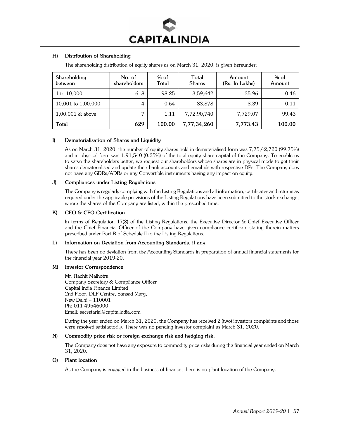

# **H) Distribution of Shareholding**

The shareholding distribution of equity shares as on March 31, 2020, is given hereunder:

| Shareholding<br>between | No. of<br>shareholders | $%$ of<br>Total | <b>Total</b><br><b>Shares</b> | Amount<br>(Rs. In Lakhs) | $%$ of<br>Amount |
|-------------------------|------------------------|-----------------|-------------------------------|--------------------------|------------------|
| 1 to 10,000             | 618                    | 98.25           | 3,59,642                      | 35.96                    | 0.46             |
| 10,001 to 1,00,000      | 4                      | 0.64            | 83,878                        | 8.39                     | 0.11             |
| $1,00,001$ & above      | 7                      | 1.11            | 7,72,90,740                   | 7,729.07                 | 99.43            |
| <b>Total</b>            | 629                    | 100.00          | 7,77,34,260                   | 7,773.43                 | 100.00           |

# **I) Dematerialisation of Shares and Liquidity**

 As on March 31, 2020, the number of equity shares held in dematerialised form was 7,75,42,720 (99.75%) and in physical form was 1,91,540 (0.25%) of the total equity share capital of the Company. To enable us to serve the shareholders better, we request our shareholders whose shares are in physical mode to get their shares dematerialised and update their bank accounts and email ids with respective DPs. The Company does not have any GDRs/ADRs or any Convertible instruments having any impact on equity.

# **J) Compliances under Listing Regulations**

 The Company is regularly complying with the Listing Regulations and all information, certificates and returns as required under the applicable provisions of the Listing Regulations have been submitted to the stock exchange, where the shares of the Company are listed, within the prescribed time.

# **K) CEO & CFO Certification**

In terms of Regulation 17(8) of the Listing Regulations, the Executive Director & Chief Executive Officer and the Chief Financial Officer of the Company have given compliance certificate stating therein matters prescribed under Part B of Schedule II to the Listing Regulations.

# **L) Information on Deviation from Accounting Standards, if any.**

 There has been no deviation from the Accounting Standards in preparation of annual financial statements for the financial year 2019-20.

# **M) Investor Correspondence**

 Mr. Rachit Malhotra Company Secretary & Compliance Officer Capital India Finance Limited 2nd Floor, DLF Centre, Sansad Marg, New Delhi – 110001 Ph: 011-49546000 Email: secretarial@capitalindia.com

 During the year ended on March 31, 2020, the Company has received 2 (two) investors complaints and those were resolved satisfactorily. There was no pending investor complaint as March 31, 2020.

# **N) Commodity price risk or foreign exchange risk and hedging risk.**

 The Company does not have any exposure to commodity price risks during the financial year ended on March 31, 2020.

# **O) Plant location**

As the Company is engaged in the business of finance, there is no plant location of the Company.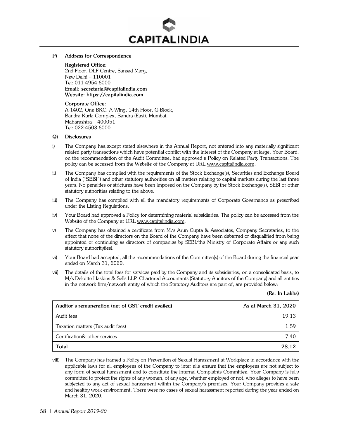

**P) Address for Correspondence**

# **Registered Office:**

 2nd Floor, DLF Centre, Sansad Marg, New Delhi – 110001 Tel: 011-4954 6000  **Email: secretarial@capitalindia.com Website: https://capitalindia.com**

### **Corporate Office:**

A-1402, One BKC, A-Wing, 14th Floor, G-Block, Bandra Kurla Complex, Bandra (East), Mumbai, Maharashtra – 400051 Tel: 022-4503 6000

#### **Q) Disclosures**

- i) The Company has,except stated elsewhere in the Annual Report, not entered into any materially significant related party transactions which have potential conflict with the interest of the Company at large. Your Board, on the recommendation of the Audit Committee, had approved a Policy on Related Party Transactions. The policy can be accessed from the Website of the Company at URL www.capitalindia.com.
- ii) The Company has complied with the requirements of the Stock Exchange(s), Securities and Exchange Board of India ("**SEBI**") and other statutory authorities on all matters relating to capital markets during the last three years. No penalties or strictures have been imposed on the Company by the Stock Exchange(s), SEBI or other statutory authorities relating to the above.
- iii) The Company has complied with all the mandatory requirements of Corporate Governance as prescribed under the Listing Regulations.
- iv) Your Board had approved a Policy for determining material subsidiaries. The policy can be accessed from the Website of the Company at URL www.capitalindia.com.
- v) The Company has obtained a certificate from M/s Arun Gupta & Associates, Company Secretaries, to the effect that none of the directors on the Board of the Company have been debarred or disqualified from being appointed or continuing as directors of companies by SEBI/the Ministry of Corporate Affairs or any such statutory authority(ies).
- vi) Your Board had accepted, all the recommendations of the Committee(s) of the Board during the financial year ended on March 31, 2020.
- vii) The details of the total fees for services paid by the Company and its subsidiaries, on a consolidated basis, to M/s Deloitte Haskins & Sells LLP, Chartered Accountants (Statutory Auditors of the Company) and all entities in the network firm/network entity of which the Statutory Auditors are part of, are provided below:

**(Rs. In Lakhs)**

| Auditor's remuneration (net of GST credit availed) | As at March 31, 2020 |
|----------------------------------------------------|----------------------|
| Audit fees                                         | 19.13                |
| Taxation matters (Tax audit fees)                  | 1.59                 |
| Certification& other services                      | 7.40                 |
| <b>Total</b>                                       | 28.12                |

viii) The Company has framed a Policy on Prevention of Sexual Harassment at Workplace in accordance with the applicable laws for all employees of the Company to inter alia ensure that the employees are not subject to any form of sexual harassment and to constitute the Internal Complaints Committee. Your Company is fully committed to protect the rights of any women, of any age, whether employed or not, who alleges to have been subjected to any act of sexual harassment within the Company's premises. Your Company provides a safe and healthy work environment. There were no cases of sexual harassment reported during the year ended on March 31, 2020.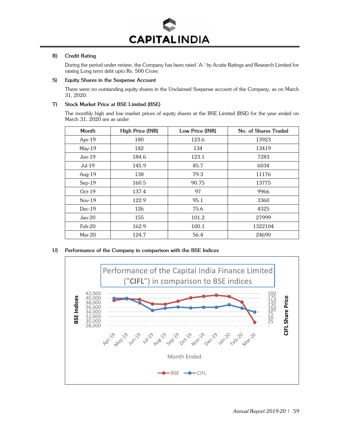

# **R) Credit Rating**

 During the period under review, the Company has been rated 'A-' by Acuite Ratings and Research Limited for raising Long term debt upto Rs. 500 Crore.

# **S) Equity Shares in the Suspense Account**

 There were no outstanding equity shares in the Unclaimed Suspense account of the Company, as on March 31, 2020.

# **T) Stock Market Price at BSE Limited (BSE)**

 The monthly high and low market prices of equity shares at the BSE Limited (BSE) for the year ended on March 31, 2020 are as under

| Month     | High Price (INR) | Low Price (INR) | No. of Shares Traded |
|-----------|------------------|-----------------|----------------------|
| Apr- $19$ | 180              | 123.6           | 13923                |
| $May-19$  | 182              | 134             | 13419                |
| $Jun-19$  | 184.6            | 123.1           | 7283                 |
| $Jul-19$  | 145.9            | 85.7            | 6034                 |
| Aug- $19$ | 138              | 79.3            | 11176                |
| $Sep-19$  | 160.5            | 90.75           | 13775                |
| $Oct-19$  | 137.4            | 97              | 9966                 |
| $Nov-19$  | 122.9            | 95.1            | 3360                 |
| $Dec-19$  | 126              | 75.6            | 4325                 |
| $Jan-20$  | 155              | 101.2           | 27999                |
| $Feb-20$  | 162.9            | 100.1           | 1322104              |
| $Mar-20$  | 124.7            | 56.4            | 24690                |

# **U) Performance of the Company in comparison with the BSE Indices**

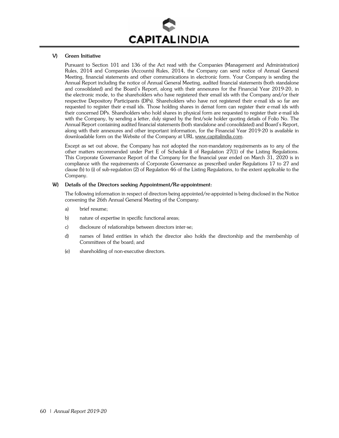

# **V) Green Initiative**

Pursuant to Section 101 and 136 of the Act read with the Companies (Management and Administration) Rules, 2014 and Companies (Accounts) Rules, 2014, the Company can send notice of Annual General Meeting, financial statements and other communications in electronic form. Your Company is sending the Annual Report including the notice of Annual General Meeting, audited financial statements (both standalone and consolidated) and the Board's Report, along with their annexures for the Financial Year 2019-20, in the electronic mode, to the shareholders who have registered their email ids with the Company and/or their respective Depository Participants (DPs). Shareholders who have not registered their e-mail ids so far are requested to register their e-mail ids. Those holding shares in demat form can register their e-mail ids with their concerned DPs. Shareholders who hold shares in physical form are requested to register their e-mail ids with the Company, by sending a letter, duly signed by the first/sole holder quoting details of Folio No. The Annual Report containing audited financial statements (both standalone and consolidated) and Board's Report, along with their annexures and other important information, for the Financial Year 2019-20 is available in downloadable form on the Website of the Company at URL www.capitalindia.com.

 Except as set out above, the Company has not adopted the non-mandatory requirements as to any of the other matters recommended under Part E of Schedule II of Regulation 27(1) of the Listing Regulations. This Corporate Governance Report of the Company for the financial year ended on March 31, 2020 is in compliance with the requirements of Corporate Governance as prescribed under Regulations 17 to 27 and clause (b) to (i) of sub-regulation (2) of Regulation 46 of the Listing Regulations, to the extent applicable to the Company.

# **W) Details of the Directors seeking Appointment/Re-appointment:**

 The following information in respect of directors being appointed/re-appointed is being disclosed in the Notice convening the 26th Annual General Meeting of the Company:

- a) brief resume;
- b) nature of expertise in specific functional areas;
- c) disclosure of relationships between directors inter-se;
- d) names of listed entities in which the director also holds the directorship and the membership of Committees of the board; and
- (e) shareholding of non-executive directors.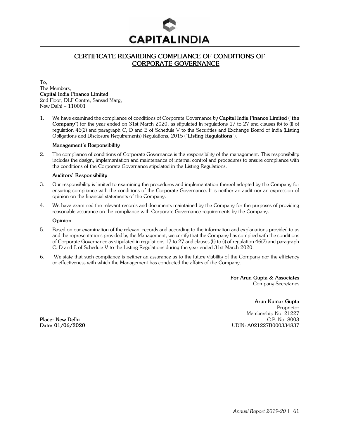

# **CERTIFICATE REGARDING COMPLIANCE OF CONDITIONS OF CORPORATE GOVERNANCE**

To, The Members, **Capital India Finance Limited** 2nd Floor, DLF Centre, Sansad Marg, New Delhi – 110001

1. We have examined the compliance of conditions of Corporate Governance by **Capital India Finance Limited** ("**the Company**") for the year ended on 31st March 2020, as stipulated in regulations 17 to 27 and clauses (b) to (i) of regulation 46(2) and paragraph C, D and E of Schedule V to the Securities and Exchange Board of India (Listing Obligations and Disclosure Requirements) Regulations, 2015 ("**Listing Regulations**").

### **Management's Responsibility**

2. The compliance of conditions of Corporate Governance is the responsibility of the management. This responsibility includes the design, implementation and maintenance of internal control and procedures to ensure compliance with the conditions of the Corporate Governance stipulated in the Listing Regulations.

### **Auditors' Responsibility**

- 3. Our responsibility is limited to examining the procedures and implementation thereof adopted by the Company for ensuring compliance with the conditions of the Corporate Governance. It is neither an audit nor an expression of opinion on the financial statements of the Company.
- 4. We have examined the relevant records and documents maintained by the Company for the purposes of providing reasonable assurance on the compliance with Corporate Governance requirements by the Company.

### **Opinion**

- 5. Based on our examination of the relevant records and according to the information and explanations provided to us and the representations provided by the Management, we certify that the Company has complied with the conditions of Corporate Governance as stipulated in regulations 17 to 27 and clauses (b) to (i) of regulation 46(2) and paragraph C, D and E of Schedule V to the Listing Regulations during the year ended 31st March 2020.
- 6. We state that such compliance is neither an assurance as to the future viability of the Company nor the efficiency or effectiveness with which the Management has conducted the affairs of the Company.

 **For Arun Gupta & Associates** Company Secretaries

 **Arun Kumar Gupta** Proprietor Membership No. 21227 **Place: New Delhi** C.P. No. 8003 **Date: 01/06/2020** UDIN: A021227B000334837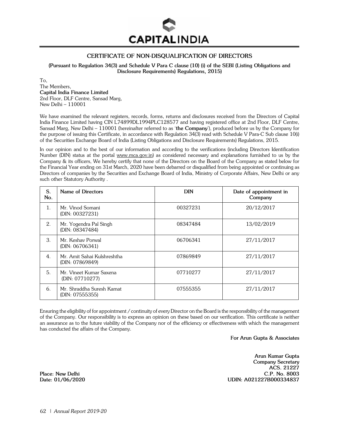

# **CERTIFICATE OF NON-DISQUALIFICATION OF DIRECTORS**

# **(Pursuant to Regulation 34(3) and Schedule V Para C clause (10) (i) of the SEBI (Listing Obligations and Disclosure Requirements) Regulations, 2015)**

To, The Members, **Capital India Finance Limited** 2nd Floor, DLF Centre, Sansad Marg, New Delhi – 110001

We have examined the relevant registers, records, forms, returns and disclosures received from the Directors of Capital India Finance Limited having CIN L74899DL1994PLC128577 and having registered office at 2nd Floor, DLF Centre, Sansad Marg, New Delhi – 110001 (hereinafter referred to as '**the Company**'), produced before us by the Company for the purpose of issuing this Certificate, in accordance with Regulation 34(3) read with Schedule V Para-C Sub clause 10(i) of the Securities Exchange Board of India (Listing Obligations and Disclosure Requirements) Regulations, 2015.

In our opinion and to the best of our information and according to the verifications (including Directors Identification Number (DIN) status at the portal www.mca.gov.in) as considered necessary and explanations furnished to us by the Company & its officers, We hereby certify that none of the Directors on the Board of the Company as stated below for the Financial Year ending on 31st March, 2020 have been debarred or disqualified from being appointed or continuing as Directors of companies by the Securities and Exchange Board of India, Ministry of Corporate Affairs, New Delhi or any such other Statutory Authority .

| S.<br>No.        | Name of Directors                              | <b>DIN</b> | Date of appointment in<br>Company |
|------------------|------------------------------------------------|------------|-----------------------------------|
| 1.               | Mr. Vinod Somani<br>(DIN: 00327231)            | 00327231   | 20/12/2017                        |
| 2.               | Mr. Yogendra Pal Singh<br>(DIN: 08347484)      | 08347484   | 13/02/2019                        |
| 3.               | Mr. Keshav Porwal<br>(DIN: 06706341)           | 06706341   | 27/11/2017                        |
| $\overline{4}$ . | Mr. Amit Sahai Kulshreshtha<br>(DIN: 07869849) | 07869849   | 27/11/2017                        |
| 5.               | Mr. Vineet Kumar Saxena<br>(DIN: 07710277)     | 07710277   | 27/11/2017                        |
| 6.               | Mr. Shraddha Suresh Kamat<br>(DIN: 07555355)   | 07555355   | 27/11/2017                        |

Ensuring the eligibility of for appointment / continuity of every Director on the Board is the responsibility of the management of the Company. Our responsibility is to express an opinion on these based on our verification. This certificate is neither an assurance as to the future viability of the Company nor of the efficiency or effectiveness with which the management has conducted the affairs of the Company.

 **For Arun Gupta & Associates**

 **Arun Kumar Gupta Company Secretary ACS. 21227 Place: New Delhi C.P. No. 8003 Date: 01/06/2020 UDIN: A021227B000334837**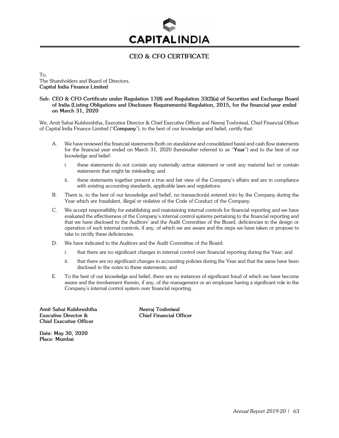

# **CEO & CFO CERTIFICATE**

To, The Shareholders and Board of Directors, **Capital India Finance Limited**

# **Sub: CEO & CFO Certificate under Regulation 17(8) and Regulation 33(2)(a) of Securities and Exchange Board of India (Listing Obligations and Disclosure Requirements) Regulation, 2015, for the financial year ended on March 31, 2020**

We, Amit Sahai Kulshreshtha, Executive Director & Chief Executive Officer and Neeraj Toshniwal, Chief Financial Officer of Capital India Finance Limited ("**Company**"), to the best of our knowledge and belief, certify that:

- A. We have reviewed the financial statements (both on standalone and consolidated basis) and cash flow statements for the financial year ended on March 31, 2020 (hereinafter referred to as "**Year**") and to the best of our knowledge and belief:
	- i. these statements do not contain any materially untrue statement or omit any material fact or contain statements that might be misleading; and
	- ii. these statements together present a true and fair view of the Company's affairs and are in compliance with existing accounting standards, applicable laws and regulations.
- B. There is, to the best of our knowledge and belief, no transaction(s) entered into by the Company during the Year which are fraudulent, illegal or violative of the Code of Conduct of the Company.
- C. We accept responsibility for establishing and maintaining internal controls for financial reporting and we have evaluated the effectiveness of the Company's internal control systems pertaining to the financial reporting and that we have disclosed to the Auditors' and the Audit Committee of the Board, deficiencies in the design or operation of such internal controls, if any, of which we are aware and the steps we have taken or propose to take to rectify these deficiencies.
- D. We have indicated to the Auditors and the Audit Committee of the Board:
	- i. that there are no significant changes in internal control over financial reporting during the Year; and
	- ii. that there are no significant changes in accounting policies during the Year and that the same have been disclosed in the notes to these statements; and
- E. To the best of our knowledge and belief, there are no instances of significant fraud of which we have become aware and the involvement therein, if any, of the management or an employee having a significant role in the Company's internal control system over financial reporting.

**Amit Sahai Kulshreshtha Neeraj Toshniwal Executive Director & Chief Financial Officer Chief Executive Officer** 

**Date: May 30, 2020 Place: Mumbai**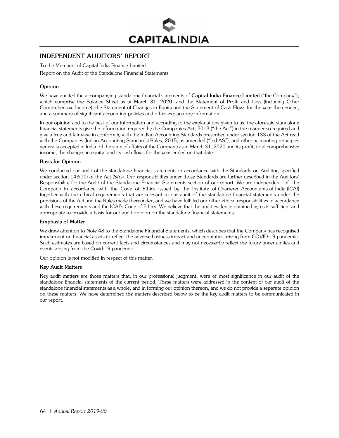

# **INDEPENDENT AUDITORS' REPORT**

To the Members of Capital India Finance Limited Report on the Audit of the Standalone Financial Statements

# **Opinion**

We have audited the accompanying standalone financial statements of **Capital India Finance Limited** ("the Company"), which comprise the Balance Sheet as at March 31, 2020, and the Statement of Profit and Loss (including Other Comprehensive Income), the Statement of Changes in Equity and the Statement of Cash Flows for the year then ended, and a summary of significant accounting policies and other explanatory information.

In our opinion and to the best of our information and according to the explanations given to us, the aforesaid standalone financial statements give the information required by the Companies Act, 2013 ("the Act") in the manner so required and give a true and fair view in conformity with the Indian Accounting Standards prescribed under section 133 of the Act read with the Companies (Indian Accounting Standards) Rules, 2015, as amended ("Ind AS"), and other accounting principles generally accepted in India, of the state of affairs of the Company as at March 31, 2020 and its profit, total comprehensive income, the changes in equity and its cash flows for the year ended on that date.

# **Basis for Opinion**

We conducted our audit of the standalone financial statements in accordance with the Standards on Auditing specified under section 143(10) of the Act (SAs). Our responsibilities under those Standards are further described in the Auditors' Responsibility for the Audit of the Standalone Financial Statements section of our report. We are independent of the Company in accordance with the Code of Ethics issued by the Institute of Chartered Accountants of India (ICAI) together with the ethical requirements that are relevant to our audit of the standalone financial statements under the provisions of the Act and the Rules made thereunder, and we have fulfilled our other ethical responsibilities in accordance with these requirements and the ICAI's Code of Ethics. We believe that the audit evidence obtained by us is sufficient and appropriate to provide a basis for our audit opinion on the standalone financial statements.

# **Emphasis of Matter**

We draw attention to Note 48 to the Standalone Financial Statements, which describes that the Company has recognised impairment on financial assets to reflect the adverse business impact and uncertainties arising from COVID-19 pandemic. Such estimates are based on current facts and circumstances and may not necessarily reflect the future uncertainties and events arising from the Covid-19 pandemic.

Our opinion is not modified in respect of this matter.

# **Key Audit Matters**

Key audit matters are those matters that, in our professional judgment, were of most significance in our audit of the standalone financial statements of the current period. These matters were addressed in the context of our audit of the standalone financial statements as a whole, and in forming our opinion thereon, and we do not provide a separate opinion on these matters. We have determined the matters described below to be the key audit matters to be communicated in our report.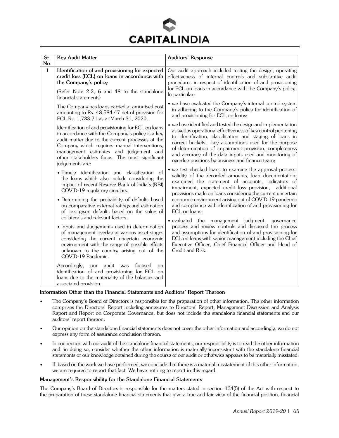

| Sr.<br>No.   | <b>Key Audit Matter</b>                                                                                                                                                                                                                                                                                                    | <b>Auditors' Response</b>                                                                                                                                                                                                                                                                                                                                                                                                    |
|--------------|----------------------------------------------------------------------------------------------------------------------------------------------------------------------------------------------------------------------------------------------------------------------------------------------------------------------------|------------------------------------------------------------------------------------------------------------------------------------------------------------------------------------------------------------------------------------------------------------------------------------------------------------------------------------------------------------------------------------------------------------------------------|
| $\mathbf{1}$ | Identification of and provisioning for expected<br>credit loss (ECL) on loans in accordance with<br>the Company's policy<br>(Refer Note 2.2, 6 and 48 to the standalone<br>financial statements)                                                                                                                           | Our audit approach included testing the design, operating<br>effectiveness of internal controls and substantive audit<br>procedures in respect of identification of and provisioning<br>for ECL on loans in accordance with the Company's policy.<br>In particular:                                                                                                                                                          |
|              | The Company has loans carried at amortised cost<br>amounting to Rs. 48,584.47 net of provision for<br>ECL Rs. 1,733.71 as at March 31, 2020.                                                                                                                                                                               | • we have evaluated the Company's internal control system<br>in adhering to the Company's policy for identification of<br>and provisioning for ECL on loans;                                                                                                                                                                                                                                                                 |
|              | Identification of and provisioning for ECL on loans<br>in accordance with the Company's policy is a key<br>audit matter due to the current processes at the<br>Company which requires manual interventions,<br>management estimates and judgement and<br>other stakeholders focus. The most significant<br>judgements are: | • we have identified and tested the design and implementation<br>as well as operational effectiveness of key control pertaining<br>to identification, classification and staging of loans in<br>correct buckets, key assumptions used for the purpose<br>of determination of impairment provision, completeness<br>and accuracy of the data inputs used and monitoring of<br>overdue positions by business and finance team; |
|              | · Timely identification and classification of<br>the loans which also include considering the<br>impact of recent Reserve Bank of India's (RBI)<br>COVID-19 regulatory circulars.                                                                                                                                          | • we test checked loans to examine the approval process,<br>validity of the recorded amounts, loan documentation,<br>examined the statement of accounts, indicators of<br>impairment, expected credit loss provision,<br>additional<br>provisions made on loans considering the current uncertain                                                                                                                            |
|              | • Determining the probability of defaults based<br>on comparative external ratings and estimation<br>of loss given defaults based on the value of<br>collaterals and relevant factors.                                                                                                                                     | economic environment arising out of COVID 19 pandemic<br>and compliance with identification of and provisioning for<br>ECL on loans;<br>• evaluated the management judgment,<br>governance                                                                                                                                                                                                                                   |
|              | • Inputs and Judgements used in determination<br>of management overlay at various asset stages<br>considering the current uncertain economic<br>environment with the range of possible effects<br>unknown to the country arising out of the<br>COVID-19 Pandemic.                                                          | process and review controls and discussed the process<br>and assumptions for identification of and provisioning for<br>ECL on loans with senior management including the Chief<br>Executive Officer, Chief Financial Officer and Head of<br>Credit and Risk.                                                                                                                                                                 |
|              | Accordingly,<br>audit<br>focused<br>our<br>was<br>on<br>identification of and provisioning for ECL on<br>loans due to the materiality of the balances and<br>associated provision.                                                                                                                                         |                                                                                                                                                                                                                                                                                                                                                                                                                              |

# **Information Other than the Financial Statements and Auditors' Report Thereon**

- The Company's Board of Directors is responsible for the preparation of other information. The other information comprises the Directors' Report including annexures to Directors' Report, Management Discussion and Analysis Report and Report on Corporate Governance, but does not include the standalone financial statements and our auditors' report thereon.
- Our opinion on the standalone financial statements does not cover the other information and accordingly, we do not express any form of assurance conclusion thereon.
- In connection with our audit of the standalone financial statements, our responsibility is to read the other information and, in doing so, consider whether the other information is materially inconsistent with the standalone financial statements or our knowledge obtained during the course of our audit or otherwise appears to be materially misstated.
- If, based on the work we have performed, we conclude that there is a material misstatement of this other information, we are required to report that fact. We have nothing to report in this regard.

#### **Management's Responsibility for the Standalone Financial Statements**

The Company's Board of Directors is responsible for the matters stated in section 134(5) of the Act with respect to the preparation of these standalone financial statements that give a true and fair view of the financial position, financial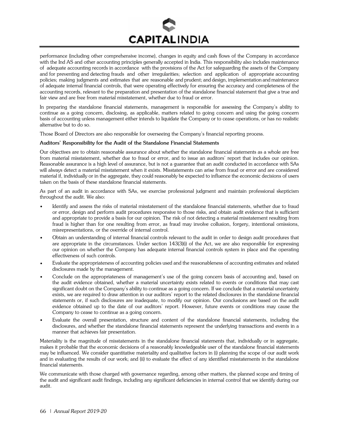

performance (including other comprehensive income), changes in equity and cash flows of the Company in accordance with the Ind AS and other accounting principles generally accepted in India. This responsibility also includes maintenance of adequate accounting records in accordance with the provisions of the Act for safeguarding the assets of the Company and for preventing and detecting frauds and other irregularities; selection and application of appropriate accounting policies; making judgments and estimates that are reasonable and prudent; and design, implementation and maintenance of adequate internal financial controls, that were operating effectively for ensuring the accuracy and completeness of the accounting records, relevant to the preparation and presentation of the standalone financial statement that give a true and fair view and are free from material misstatement, whether due to fraud or error.

In preparing the standalone financial statements, management is responsible for assessing the Company's ability to continue as a going concern, disclosing, as applicable, matters related to going concern and using the going concern basis of accounting unless management either intends to liquidate the Company or to cease operations, or has no realistic alternative but to do so.

Those Board of Directors are also responsible for overseeing the Company's financial reporting process.

# **Auditors' Responsibility for the Audit of the Standalone Financial Statements**

Our objectives are to obtain reasonable assurance about whether the standalone financial statements as a whole are free from material misstatement, whether due to fraud or error, and to issue an auditors' report that includes our opinion. Reasonable assurance is a high level of assurance, but is not a guarantee that an audit conducted in accordance with SAs will always detect a material misstatement when it exists. Misstatements can arise from fraud or error and are considered material if, individually or in the aggregate, they could reasonably be expected to influence the economic decisions of users taken on the basis of these standalone financial statements.

As part of an audit in accordance with SAs, we exercise professional judgment and maintain professional skepticism throughout the audit. We also:

- Identify and assess the risks of material misstatement of the standalone financial statements, whether due to fraud or error, design and perform audit procedures responsive to those risks, and obtain audit evidence that is sufficient and appropriate to provide a basis for our opinion. The risk of not detecting a material misstatement resulting from fraud is higher than for one resulting from error, as fraud may involve collusion, forgery, intentional omissions, misrepresentations, or the override of internal control.
- Obtain an understanding of internal financial controls relevant to the audit in order to design audit procedures that are appropriate in the circumstances. Under section 143(3)(i) of the Act, we are also responsible for expressing our opinion on whether the Company has adequate internal financial controls system in place and the operating effectiveness of such controls.
- Evaluate the appropriateness of accounting policies used and the reasonableness of accounting estimates and related disclosures made by the management.
- Conclude on the appropriateness of management's use of the going concern basis of accounting and, based on the audit evidence obtained, whether a material uncertainty exists related to events or conditions that may cast significant doubt on the Company's ability to continue as a going concern. If we conclude that a material uncertainty exists, we are required to draw attention in our auditors' report to the related disclosures in the standalone financial statements or, if such disclosures are inadequate, to modify our opinion. Our conclusions are based on the audit evidence obtained up to the date of our auditors' report. However, future events or conditions may cause the Company to cease to continue as a going concern.
- Evaluate the overall presentation, structure and content of the standalone financial statements, including the disclosures, and whether the standalone financial statements represent the underlying transactions and events in a manner that achieves fair presentation.

Materiality is the magnitude of misstatements in the standalone financial statements that, individually or in aggregate, makes it probable that the economic decisions of a reasonably knowledgeable user of the standalone financial statements may be influenced. We consider quantitative materiality and qualitative factors in (i) planning the scope of our audit work and in evaluating the results of our work; and (ii) to evaluate the effect of any identified misstatements in the standalone financial statements.

We communicate with those charged with governance regarding, among other matters, the planned scope and timing of the audit and significant audit findings, including any significant deficiencies in internal control that we identify during our audit.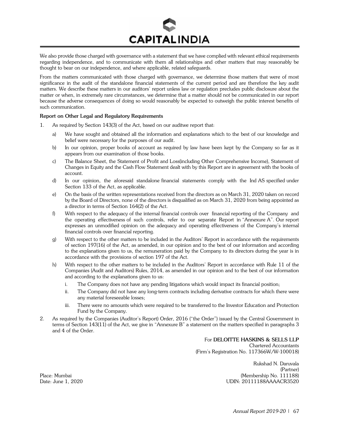

We also provide those charged with governance with a statement that we have complied with relevant ethical requirements regarding independence, and to communicate with them all relationships and other matters that may reasonably be thought to bear on our independence, and where applicable, related safeguards.

From the matters communicated with those charged with governance, we determine those matters that were of most significance in the audit of the standalone financial statements of the current period and are therefore the key audit matters. We describe these matters in our auditors' report unless law or regulation precludes public disclosure about the matter or when, in extremely rare circumstances, we determine that a matter should not be communicated in our report because the adverse consequences of doing so would reasonably be expected to outweigh the public interest benefits of such communication.

### **Report on Other Legal and Regulatory Requirements**

- 1. As required by Section 143(3) of the Act, based on our auditwe report that:
	- a) We have sought and obtained all the information and explanations which to the best of our knowledge and belief were necessary for the purposes of our audit.
	- b) In our opinion, proper books of account as required by law have been kept by the Company so far as it appears from our examination of those books.
	- c) The Balance Sheet, the Statement of Profit and Loss(including Other Comprehensive Income), Statement of Changes in Equity and the Cash Flow Statement dealt with by this Report are in agreement with the books of account.
	- d) In our opinion, the aforesaid standalone financial statements comply with the Ind AS specified under Section 133 of the Act, as applicable.
	- e) On the basis of the written representations received from the directors as on March 31, 2020 taken on record by the Board of Directors, none of the directors is disqualified as on March 31, 2020 from being appointed as a director in terms of Section 164(2) of the Act.
	- f) With respect to the adequacy of the internal financial controls over financial reporting of the Company and the operating effectiveness of such controls, refer to our separate Report in "Annexure A". Our report expresses an unmodified opinion on the adequacy and operating effectiveness of the Company's internal financial controls over financial reporting.
	- g) With respect to the other matters to be included in the Auditors' Report in accordance with the requirements of section 197(16) of the Act, as amended, in our opinion and to the best of our information and according to the explanations given to us, the remuneration paid by the Company to its directors during the year is in accordance with the provisions of section 197 of the Act.
	- h) With respect to the other matters to be included in the Auditors' Report in accordance with Rule 11 of the Companies (Audit and Auditors) Rules, 2014, as amended in our opinion and to the best of our information and according to the explanations given to us:
		- i. The Company does not have any pending litigations which would impact its financial position;
		- ii. The Company did not have any long-term contracts including derivative contracts for which there were any material foreseeable losses;
		- iii. There were no amounts which were required to be transferred to the Investor Education and Protection Fund by the Company.
- 2. As required by the Companies (Auditor's Report) Order, 2016 ("the Order") issued by the Central Government in terms of Section 143(11) of the Act, we give in "Annexure B" a statement on the matters specified in paragraphs 3 and 4 of the Order.

For **DELOITTE HASKINS & SELLS LLP** Chartered Accountants (Firm's Registration No. 117366W/W-100018)

Rukshad N. Daruvala (Partner) Place: Mumbai (Membership No. 111188) Date: June 1, 2020 UDIN: 20111188AAAACR3520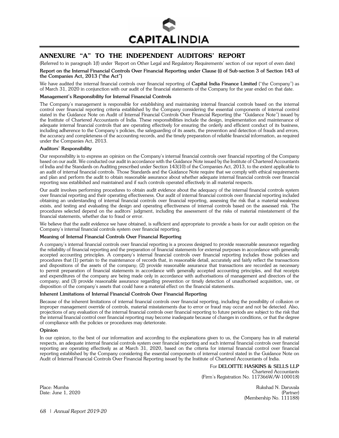

# *ANNEXURE "A" TO THE INDEPENDENT AUDITORS' REPORT*

(Referred to in paragraph 1(f) under 'Report on Other Legal and Regulatory Requirements' section of our report of even date)

**Report on the Internal Financial Controls Over Financial Reporting under Clause (i) of Sub-section 3 of Section 143 of the Companies Act, 2013 ("the Act")**

We have audited the internal financial controls over financial reporting of **Capital India Finance Limited** ("the Company") as of March 31, 2020 in conjunction with our audit of the financial statements of the Company for the year ended on that date.

#### **Management's Responsibility for Internal Financial Controls**

The Company's management is responsible for establishing and maintaining internal financial controls based on the internal control over financial reporting criteria established by the Company considering the essential components of internal control stated in the Guidance Note on Audit of Internal Financial Controls Over Financial Reporting (the "Guidance Note") issued by the Institute of Chartered Accountants of India. These responsibilities include the design, implementation and maintenance of adequate internal financial controls that are operating effectively for ensuring the orderly and efficient conduct of its business, including adherence to the Company's policies, the safeguarding of its assets, the prevention and detection of frauds and errors, the accuracy and completeness of the accounting records, and the timely preparation of reliable financial information, as required under the Companies Act, 2013.

#### **Auditors' Responsibility**

Our responsibility is to express an opinion on the Company's internal financial controls over financial reporting of the Company based on our audit. We conducted our audit in accordance with the Guidance Note issued by the Institute of Chartered Accountants of India and the Standards on Auditing prescribed under Section 143(10) of the Companies Act, 2013, to the extent applicable to an audit of internal financial controls. Those Standards and the Guidance Note require that we comply with ethical requirements and plan and perform the audit to obtain reasonable assurance about whether adequate internal financial controls over financial reporting was established and maintained and if such controls operated effectively in all material respects.

Our audit involves performing procedures to obtain audit evidence about the adequacy of the internal financial controls system over financial reporting and their operating effectiveness. Our audit of internal financial controls over financial reporting included obtaining an understanding of internal financial controls over financial reporting, assessing the risk that a material weakness exists, and testing and evaluating the design and operating effectiveness of internal controls based on the assessed risk. The procedures selected depend on the auditors' judgment, including the assessment of the risks of material misstatement of the financial statements, whether due to fraud or error.

We believe that the audit evidence we have obtained, is sufficient and appropriate to provide a basis for our audit opinion on the Company's internal financial controls system over financial reporting.

#### **Meaning of Internal Financial Controls Over Financial Reporting**

A company's internal financial controls over financial reporting is a process designed to provide reasonable assurance regarding the reliability of financial reporting and the preparation of financial statements for external purposes in accordance with generally accepted accounting principles. A company's internal financial controls over financial reporting includes those policies and procedures that (1) pertain to the maintenance of records that, in reasonable detail, accurately and fairly reflect the transactions and dispositions of the assets of the company; (2) provide reasonable assurance that transactions are recorded as necessary to permit preparation of financial statements in accordance with generally accepted accounting principles, and that receipts and expenditures of the company are being made only in accordance with authorisations of management and directors of the company; and (3) provide reasonable assurance regarding prevention or timely detection of unauthorised acquisition, use, or disposition of the company's assets that could have a material effect on the financial statements.

#### **Inherent Limitations of Internal Financial Controls Over Financial Reporting**

Because of the inherent limitations of internal financial controls over financial reporting, including the possibility of collusion or improper management override of controls, material misstatements due to error or fraud may occur and not be detected. Also, projections of any evaluation of the internal financial controls over financial reporting to future periods are subject to the risk that the internal financial control over financial reporting may become inadequate because of changes in conditions, or that the degree of compliance with the policies or procedures may deteriorate.

#### **Opinion**

In our opinion, to the best of our information and according to the explanations given to us, the Company has in all material respects, an adequate internal financial controls system over financial reporting and such internal financial controls over financial reporting are operating effectively as at March 31, 2020, based on the criteria for internal financial control over financial reporting established by the Company considering the essential components of internal control stated in the Guidance Note on Audit of Internal Financial Controls Over Financial Reporting issued by the Institute of Chartered Accountants of India.

> For **DELOITTE HASKINS & SELLS LLP** Chartered Accountants (Firm's Registration No. 117366W/W-100018)

Place: Mumba Rukshad N. Daruvala Date: June 1, 2020 (Partner) (Membership No. 111188)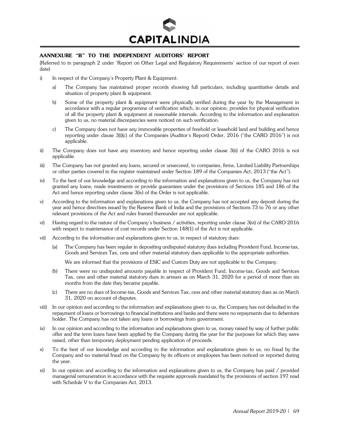

# *AANNEXURE "B" TO THE INDEPENDENT AUDITORS' REPORT*

(Referred to in paragraph 2 under 'Report on Other Legal and Regulatory Requirements' section of our report of even date)

- i) In respect of the Company's Property Plant & Equipment:
	- a) The Company has maintained proper records showing full particulars, including quantitative details and situation of property plant & equipment.
	- b) Some of the property plant & equipment were physically verified during the year by the Management in accordance with a regular programme of verification which, in our opinion, provides for physical verification of all the property plant & equipment at reasonable intervals. According to the information and explanation given to us, no material discrepancies were noticed on such verification.
	- c) The Company does not have any immovable properties of freehold or leasehold land and building and hence reporting under clause 3(i)(c) of the Companies (Auditor's Report) Order, 2016 ("the CARO 2016") is not applicable.
- ii) The Company does not have any inventory and hence reporting under clause 3(ii) of the CARO 2016 is not applicable.
- iii) The Company has not granted any loans, secured or unsecured, to companies, firms, Limited Liability Partnerships or other parties covered in the register maintained under Section 189 of the Companies Act, 2013 ("the Act").
- iv) To the best of our knowledge and according to the information and explanations given to us, the Company has not granted any loans, made investments or provide guarantees under the provisions of Sections 185 and 186 of the Act and hence reporting under clause 3(iv) of the Order is not applicable.
- v) According to the information and explanations given to us, the Company has not accepted any deposit during the year and hence directives issued by the Reserve Bank of India and the provisions of Sections 73 to 76 or any other relevant provisions of the Act and rules framed thereunder are not applicable.
- vi) Having regard to the nature of the Company's business / activities, reporting under clause 3(vi) of the CARO 2016 with respect to maintenance of cost records under Section 148(1) of the Act is not applicable.
- vii) According to the information and explanations given to us, in respect of statutory dues:
	- (a) The Company has been regular in depositing undisputed statutory dues including Provident Fund, Income-tax, Goods and Services Tax, cess and other material statutory dues applicable to the appropriate authorities.

We are informed that the provisions of ESIC and Custom Duty are not applicable to the Company.

- (b) There were no undisputed amounts payable in respect of Provident Fund, Income-tax, Goods and Services Tax, cess and other material statutory dues in arrears as on March 31, 2020 for a period of more than six months from the date they became payable.
- (c) There are no dues of Income-tax, Goods and Services Tax, cess and other material statutory dues as on March 31, 2020 on account of disputes.
- viii) In our opinion and according to the information and explanations given to us, the Company has not defaulted in the repayment of loans or borrowings to financial institutions and banks and there were no repayments due to debenture holder. The Company has not taken any loans or borrowings from government.
- ix) In our opinion and according to the information and explanations given to us, money raised by way of further public offer and the term loans have been applied by the Company during the year for the purposes for which they were raised, other than temporary deployment pending application of proceeds.
- x) To the best of our knowledge and according to the information and explanations given to us, no fraud by the Company and no material fraud on the Company by its officers or employees has been noticed or reported during the year.
- xi) In our opinion and according to the information and explanations given to us, the Company has paid / provided managerial remuneration in accordance with the requisite approvals mandated by the provisions of section 197 read with Schedule V to the Companies Act, 2013.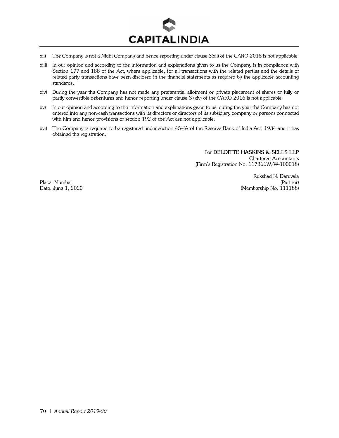

- xii) The Company is not a Nidhi Company and hence reporting under clause 3(xii) of the CARO 2016 is not applicable.
- xiii) In our opinion and according to the information and explanations given to us the Company is in compliance with Section 177 and 188 of the Act, where applicable, for all transactions with the related parties and the details of related party transactions have been disclosed in the financial statements as required by the applicable accounting standards.
- xiv) During the year the Company has not made any preferential allotment or private placement of shares or fully or partly convertible debentures and hence reporting under clause 3 (xiv) of the CARO 2016 is not applicable
- xv) In our opinion and according to the information and explanations given to us, during the year the Company has not entered into any non-cash transactions with its directors or directors of its subsidiary company or persons connected with him and hence provisions of section 192 of the Act are not applicable.
- xvi) The Company is required to be registered under section 45–IA of the Reserve Bank of India Act, 1934 and it has obtained the registration.

For **DELOITTE HASKINS & SELLS LLP** Chartered Accountants (Firm's Registration No. 117366W/W-100018)

Rukshad N. Daruvala Place: Mumbai (Partner) Date: June 1, 2020 (Membership No. 111188)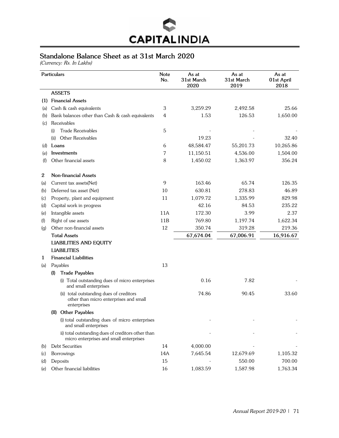

# **Standalone Balance Sheet as at 31st March 2020**

(Currency: Rs. In Lakhs)

|     | <b>Particulars</b>  |                                                                                                   | <b>Note</b><br>No. | As at<br>31st March<br>2020 | As at<br>31st March<br>2019 | As at<br>01st April<br>2018 |
|-----|---------------------|---------------------------------------------------------------------------------------------------|--------------------|-----------------------------|-----------------------------|-----------------------------|
|     | <b>ASSETS</b>       |                                                                                                   |                    |                             |                             |                             |
| (1) |                     | <b>Financial Assets</b>                                                                           |                    |                             |                             |                             |
| (a) |                     | Cash & cash equivalents                                                                           | 3                  | 3,259.29                    | 2,492.58                    | 25.66                       |
| (b) |                     | Bank balances other than Cash & cash equivalents                                                  | 4                  | 1.53                        | 126.53                      | 1,650.00                    |
| (c) | Receivables         |                                                                                                   |                    |                             |                             |                             |
|     | (i)                 | <b>Trade Receivables</b>                                                                          | 5                  |                             |                             |                             |
|     | (ii)                | Other Receivables                                                                                 |                    | 19.23                       |                             | 32.40                       |
| (d) | Loans               |                                                                                                   | 6                  | 48,584.47                   | 55,201.73                   | 10,265.86                   |
| (e) | Investments         |                                                                                                   | 7                  | 11,150.51                   | 4,536.00                    | 1,504.00                    |
| (f) |                     | Other financial assets                                                                            | 8                  | 1,450.02                    | 1,363.97                    | 356.24                      |
| 2   |                     | <b>Non-financial Assets</b>                                                                       |                    |                             |                             |                             |
| (a) |                     | Current tax assets(Net)                                                                           | 9                  | 163.46                      | 65.74                       | 126.35                      |
| (b) |                     | Deferred tax asset (Net)                                                                          | 10                 | 630.81                      | 278.83                      | 46.89                       |
| (c) |                     | Property, plant and equipment                                                                     | 11                 | 1,079.72                    | 1,335.99                    | 829.98                      |
| (d) |                     | Capital work in progress                                                                          |                    | 42.16                       | 84.53                       | 235.22                      |
| (e) |                     | Intangible assets                                                                                 | 11A                | 172.30                      | 3.99                        | 2.37                        |
| (f) |                     | Right of use assets                                                                               | 11B                | 769.80                      | 1,197.74                    | 1,622.34                    |
| (q) |                     | Other non-financial assets                                                                        | 12                 | 350.74                      | 319.28                      | 219.36                      |
|     | <b>Total Assets</b> |                                                                                                   |                    | 67,674.04                   | 67,006.91                   | 16,916.67                   |
|     |                     | <b>LIABILITIES AND EQUITY</b>                                                                     |                    |                             |                             |                             |
|     | <b>LIABILITIES</b>  |                                                                                                   |                    |                             |                             |                             |
| 1   |                     | <b>Financial Liabilities</b>                                                                      |                    |                             |                             |                             |
| (a) | Payables            |                                                                                                   | 13                 |                             |                             |                             |
|     | $($ I               | <b>Trade Payables</b>                                                                             |                    |                             |                             |                             |
|     |                     | (i) Total outstanding dues of micro enterprises<br>and small enterprises                          |                    | 0.16                        | 7.82                        |                             |
|     |                     | (ii) total outstanding dues of creditors<br>other than micro enterprises and small<br>enterprises |                    | 74.86                       | 90.45                       | 33.60                       |
|     | (II)                | <b>Other Payables</b>                                                                             |                    |                             |                             |                             |
|     |                     | (i) total outstanding dues of micro enterprises<br>and small enterprises                          |                    |                             |                             |                             |
|     |                     | ii) total outstanding dues of creditors other than<br>micro enterprises and small enterprises     |                    |                             |                             |                             |
| (b) |                     | <b>Debt Securities</b>                                                                            | 14                 | 4,000.00                    |                             |                             |
| (c) | Borrowings          |                                                                                                   | 14A                | 7,645.54                    | 12,679.69                   | 1,105.32                    |
| (d) | Deposits            |                                                                                                   | 15                 |                             | 550.00                      | 700.00                      |
| (e) |                     | Other financial liabilities                                                                       | 16                 | 1,083.59                    | 1,587.98                    | 1,763.34                    |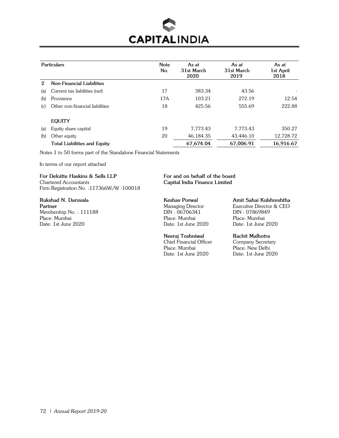

| <b>Particulars</b> |                                     | <b>Note</b><br>No. | As at<br>31st March<br>2020 |           | As at<br>1st April<br>2018 |
|--------------------|-------------------------------------|--------------------|-----------------------------|-----------|----------------------------|
| 2                  | Non-Financial Liabilities           |                    |                             |           |                            |
| (a)                | Current tax liabilities (net)       | 17                 | 383.34                      | 43.56     |                            |
| (b)                | Provisions                          | 17A                | 103.21                      | 272.19    | 12.54                      |
| (c)                | Other non-financial liabilities     | 18                 | 425.56                      | 555.69    | 222.88                     |
|                    | <b>EQUITY</b>                       |                    |                             |           |                            |
| (a)                | Equity share capital                | 19                 | 7,773.43                    | 7,773.43  | 350.27                     |
| (b)                | Other equity                        | 20                 | 46,184.35                   | 43,446.10 | 12,728.72                  |
|                    | <b>Total Liabilities and Equity</b> |                    | 67,674.04                   | 67,006.91 | 16,916.67                  |

Notes 1 to 50 forms part of the Standalone Financial Statements

In terms of our report attached

#### **For Deloitte Haskins & Sells LLP For and on behalf of the board**

Chartered Accountants **Capital India Finance Limited** Firm Registration No. :117366W/W -100018

Membership No. : 111188 DIN : 06706341 DIN : 07869849 Place: Mumbai Place: Mumbai Place: Mumbai Date: 1st June 2020 Date: 1st June 2020 Date: 1st June 2020

# **Neeraj Toshniwal Rachit Malhotra** Chief Financial Officer Company Secretary Place: Mumbai Place: New Delhi

### **Rukshad N. Daruvala Keshav Porwal Amit Sahai Kulshreshtha**

**Partner** Managing Director Executive Director Executive Director & CEO

Date: 1st June 2020 Date: 1st June 2020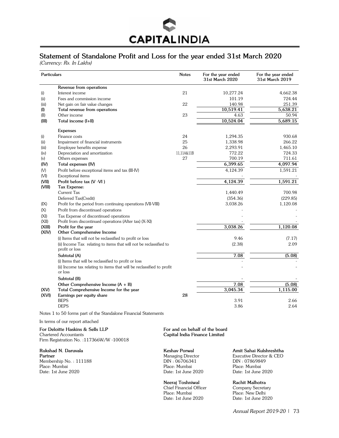

# **Statement of Standalone Profit and Loss for the year ended 31st March 2020**

(Currency: Rs. In Lakhs)

| <b>Particulars</b> |                                                                                      | <b>Notes</b> | For the year ended<br>31st March 2020 | For the year ended<br>31st March 2019 |
|--------------------|--------------------------------------------------------------------------------------|--------------|---------------------------------------|---------------------------------------|
|                    | Revenue from operations                                                              |              |                                       |                                       |
| (i)                | Interest income                                                                      | 21           | 10,277.24                             | 4,662.38                              |
| (ii)               | Fees and commission income                                                           |              | 101.19                                | 724.44                                |
| (iii)              | Net gain on fair value changes                                                       | 22           | 140.98                                | 251.39                                |
| (I)                | Total revenue from operations                                                        |              | 10,519.41                             | 5,638.21                              |
| (II)               | Other income                                                                         | 23           | 4.63                                  | 50.94                                 |
| (III)              | Total income (I+II)                                                                  |              | 10,524.04                             | 5,689.15                              |
|                    | <b>Expenses</b>                                                                      |              |                                       |                                       |
| (i)                | Finance costs                                                                        | 24           | 1,294.35                              | 930.68                                |
| (ii)               | Impairment of financial instruments                                                  | 25           | 1,338.98                              | 266.22                                |
| (iii)              | Employee benefits expense                                                            | 26           | 2,293.91                              | 1,465.10                              |
| (iv)               | Depreciation and amortization                                                        | 11.11A&11B   | 772.22                                | 724.33                                |
| (v)                | Others expenses                                                                      | 27           | 700.19                                | 711.61                                |
| (IV)               | Total expenses (IV)                                                                  |              | 6,399.65                              | 4,097.94                              |
| (V)<br>(VI)        | Profit before exceptional items and tax (III-IV)<br>Exceptional items                |              | 4,124.39                              | 1,591.21                              |
| (VII)              | Profit before tax (V -VI)                                                            |              | 4,124.39                              | 1,591.21                              |
| (VIII)             | Tax Expense:                                                                         |              |                                       |                                       |
|                    | Current Tax                                                                          |              | 1,440.49                              | 700.98                                |
|                    | Deferred Tax(Credit)                                                                 |              | (354.36)                              | (229.85)                              |
| (IX)               | Profit for the period from continuing operations (VII-VIII)                          |              | 3,038.26                              | 1,120.08                              |
| (X)                | Profit from discontinued operations                                                  |              |                                       |                                       |
| (XI)               | Tax Expense of discontinued operations                                               |              |                                       |                                       |
| (XII)              | Profit from discontinued operations (After tax) (X-XI)                               |              |                                       |                                       |
| (XIII)             | Profit for the year                                                                  |              | 3,038.26                              | 1,120.08                              |
| (XIV)              | Other Comprehensive Income                                                           |              |                                       |                                       |
|                    | (i) Items that will not be reclassified to profit or loss                            |              | 9.46                                  | (7.17)                                |
|                    | (ii) Income Tax relating to items that will not be reclassified to<br>profit or loss |              | (2.38)                                | 2.09                                  |
|                    |                                                                                      |              |                                       |                                       |
|                    | Subtotal (A)                                                                         |              | 7.08                                  | (5.08)                                |
|                    | (i) Items that will be reclassified to profit or loss                                |              |                                       |                                       |
|                    | (ii) Income tax relating to items that will be reclassified to profit<br>or loss     |              |                                       |                                       |
|                    | Subtotal (B)                                                                         |              |                                       |                                       |
|                    | Other Comprehensive Income (A + B)                                                   |              | 7.08                                  | (5.08)                                |
| (XV)               | Total Comprehensive Income for the year                                              |              | 3,045.34                              | 1,115.00                              |
| (XVI)              | Earnings per equity share                                                            | 28           |                                       |                                       |
|                    | <b>BEPS</b>                                                                          |              | 3.91                                  | 2.66                                  |
|                    | <b>DEPS</b>                                                                          |              | 3.86                                  | 2.64                                  |
|                    | Notes 1 to 50 forms part of the Standalone Financial Statements                      |              |                                       |                                       |

In terms of our report attached

#### **For Deloitte Haskins & Sells LLP For and on behalf of the board** Chartered Accountants **Capital India Finance Limited**

Firm Registration No. :117366W/W -100018

**Partner Partner Managing Director Executive Director** & CEO Membership No. : 111188 **DIN** : 06706341 **DIN** : 07869849

Place: Mumbai Place: Mumbai Place: Mumbai

**Neeraj Toshniwal Rachit Malhotra** Chief Financial Officer Company Secretary<br>Place: Mumbai Place: New Delhi Place: Mumbai Place: New Delhi<br>
Date: 1st June 2020 Date: 1st June 20

**Rukshad N. Daruvala Keshav Porwal Amit Sahai Kulshreshtha** Date: 1st June 2020

Date: 1st June 2020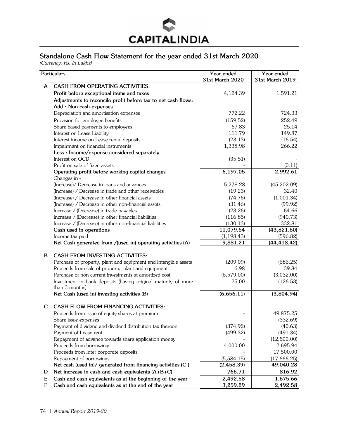

# **Standalone Cash Flow Statement for the year ended 31st March 2020**

(Currency: Rs. In Lakhs)

|   | Particulars                                                                     | Year ended      | Year ended      |
|---|---------------------------------------------------------------------------------|-----------------|-----------------|
|   |                                                                                 | 31st March 2020 | 31st March 2019 |
| A | <b>CASH FROM OPERATING ACTIVITIES:</b>                                          |                 |                 |
|   | Profit before exceptional items and taxes                                       | 4,124.39        | 1,591.21        |
|   | Adjustments to reconcile profit before tax to net cash flows:                   |                 |                 |
|   | Add : Non-cash expenses                                                         |                 |                 |
|   | Depreciation and amortisation expenses                                          | 772.22          | 724.33          |
|   | Provision for employee benefits                                                 | (159.52)        | 252.49          |
|   | Share based payments to employees                                               | 67.83           | 25.14           |
|   | Interest on Lease Liability                                                     | 111.79          | 149.87          |
|   | Interest income on Lease rental deposits                                        | (23.13)         | (16.54)         |
|   | Impairment on financial instruments                                             | 1,338.98        | 266.22          |
|   | Less : Income/expense considered separately                                     |                 |                 |
|   | Interest on OCD                                                                 | (35.51)         |                 |
|   | Profit on sale of fixed assets                                                  |                 | (0.11)          |
|   | Operating profit before working capital changes                                 | 6,197.05        | 2,992.61        |
|   | Changes in -                                                                    |                 |                 |
|   | (Increase)/ Decrease in loans and advances                                      | 5,278.28        | (45, 202.09)    |
|   | (Increase) / Decrease in trade and other receivables                            | (19.23)         | 32.40           |
|   | (Increase) / Decrease in other financial assets                                 | (74.76)         | (1,001.34)      |
|   | (Increase) / Decrease in other non-financial assets                             | (31.46)         | (99.92)         |
|   | Increase / (Decrease) in trade payables                                         | (23.26)         | 64.66           |
|   | Increase / (Decrease) in other financial liabilities                            | (116.85)        | (940.73)        |
|   | Increase / (Decrease) in other non-financial liabilities                        | (130.13)        | 332.81          |
|   | Cash used in operations                                                         | 11,079.64       | (43,821.60)     |
|   | Income tax paid                                                                 | (1, 198.43)     | (596.82)        |
|   | Net Cash generated from /(used in) operating activities (A)                     | 9,881.21        | (44, 418.42)    |
|   |                                                                                 |                 |                 |
| B | <b>CASH FROM INVESTING ACTIVITIES:</b>                                          |                 |                 |
|   | Purchase of property, plant and equipment and Intangible assets                 | (209.09)        | (686.25)        |
|   | Proceeds from sale of property, plant and equipment                             | 6.98            | 39.84           |
|   | Purchase of non current investments at amortized cost                           | (6,579.00)      | (3,032.00)      |
|   | Investment in bank deposits (having original maturity of more<br>than 3 months) | 125.00          | (126.53)        |
|   | Net Cash (used in) investing activities (B)                                     | (6,656.11)      | (3,804.94)      |
|   |                                                                                 |                 |                 |
| C | <b>CASH FLOW FROM FINANCING ACTIVITIES:</b>                                     |                 |                 |
|   | Proceeds from issue of equity shares at premium                                 |                 | 49,875.25       |
|   | Share issue expenses                                                            |                 | (332.69)        |
|   | Payment of dividend and dividend distribution tax thereon                       | (374.92)        | (40.63)         |
|   | Payment of Lease rent                                                           | (499.32)        | (491.34)        |
|   | Repayment of advance towards share application money                            |                 | (12,500.00)     |
|   | Proceeds from borrowings                                                        | 4,000.00        | 12,695.94       |
|   | Proceeds from Inter corporate deposits                                          |                 | 17,500.00       |
|   | Repayment of borrowings                                                         | (5,584.15)      | (17, 666.25)    |
|   | Net cash (used in)/ generated from financing activities (C)                     | (2,458.39)      | 49,040.28       |
| D | Net increase in cash and cash equivalents (A+B+C)                               | 766.71          | 816.92          |
| E | Cash and cash equivalents as at the beginning of the year                       | 2,492.58        | 1,675.66        |
| F | Cash and cash equivalents as at the end of the year                             | 3,259.29        | 2,492.58        |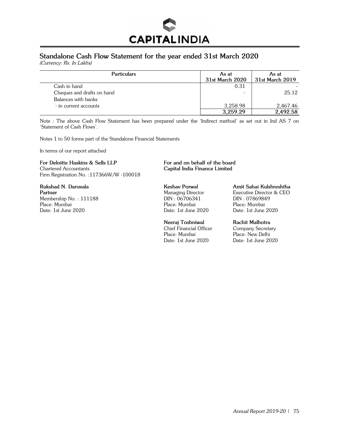

# **Standalone Cash Flow Statement for the year ended 31st March 2020**

(Currency: Rs. In Lakhs)

| <b>Particulars</b>         | As at<br>As at                     |          |
|----------------------------|------------------------------------|----------|
|                            | 31st March 2019<br>31st March 2020 |          |
| Cash in hand               | 0.31                               |          |
| Cheques and drafts on hand |                                    | 25.12    |
| Balances with banks        |                                    |          |
| - in current accounts      | 3,258.98                           | 2.467.46 |
|                            | 3,259.29                           | 2.492.58 |

Note : The above Cash Flow Statement has been prepared under the 'Indirect method' as set out in Ind AS 7 on 'Statement of Cash Flows'.

Notes 1 to 50 forms part of the Standalone Financial Statements

In terms of our report attached

**For Deloitte Haskins & Sells LLP For and on behalf of the board** Chartered Accountants **Capital India Finance Limited** Firm Registration No. :117366W/W -100018

**Partner** Managing Director Executive Director & CEO Membership No. : 111188 DIN : 06706341 DIN : 07869849 Place: Mumbai Place: Mumbai Place: Mumbai Date: 1st June 2020 Date: 1st June 2020 Date: 1st June 2020

**Neeraj Toshniwal Rachit Malhotra** Chief Financial Officer Company Secretary<br>Place: Numbai<br>Place: New Delhi Date: 1st June 2020 Date: 1st June 2020

#### **Rukshad N. Daruvala Keshav Porwal Amit Sahai Kulshreshtha**

Place: New Delhi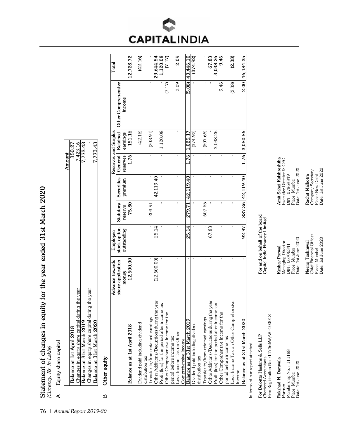**Statement of changes in equity for the year ended 31st March 2020** (Currency: Rs. In Lakhs)

| are capital<br>Equity sh                          |          |
|---------------------------------------------------|----------|
|                                                   | Amount   |
| at 1st April 2018<br>3alance                      | 350.27   |
| in equity share capital during the year           | 7,423.16 |
| at 31st March 2019<br><b>Salance</b>              | 7.773.43 |
| in equity share capital during the year<br>hanges |          |
| at 31st March 2020<br><b>Balance</b>              | 7,773.43 |

| Total                |                              |             | 12,728.72                    | (42.16)                                              |                                    | 29,644.54                                  | $1,120.08$<br>$(7.17)$                        |                                    |                                                       | 2.09 |                      | $(5.08)$ 43.446.10            | (374.92)                         |                  |                                    | 67.83                                      | 3,038.26                                      | 9.46                               |                          | (2.38)                                  |       | 2.00 46,184.35                |
|----------------------|------------------------------|-------------|------------------------------|------------------------------------------------------|------------------------------------|--------------------------------------------|-----------------------------------------------|------------------------------------|-------------------------------------------------------|------|----------------------|-------------------------------|----------------------------------|------------------|------------------------------------|--------------------------------------------|-----------------------------------------------|------------------------------------|--------------------------|-----------------------------------------|-------|-------------------------------|
|                      | Retained Other Comprehensive | income      |                              |                                                      |                                    |                                            |                                               | (7.17)                             |                                                       | 2.09 |                      |                               |                                  |                  |                                    |                                            |                                               | 9.46                               |                          | (2.38)                                  |       |                               |
| Reserves and Surplus |                              | earnings    | 151.16                       | (42.16)                                              | (203.91)                           |                                            | .120.08                                       |                                    |                                                       |      |                      | 1.025.17                      | (374.92)                         |                  | (607.65)                           |                                            | 3,038.26                                      |                                    |                          |                                         |       | 1.76 3,080.86                 |
|                      |                              | reserves    | 1.76                         |                                                      |                                    |                                            |                                               |                                    |                                                       |      |                      | 1.76                          |                                  |                  |                                    |                                            |                                               |                                    |                          |                                         |       |                               |
|                      | Securities   General         | premium     | $\mathbf{I}$                 |                                                      |                                    | 42.119.40                                  | ı                                             |                                    |                                                       | f,   |                      | 42,119.40                     |                                  |                  | f,                                 |                                            |                                               |                                    |                          | ı                                       |       | 887.36 42,119.40              |
|                      | Statutory                    | reserve     | 75.80                        |                                                      | 203.91                             |                                            |                                               |                                    |                                                       |      |                      | 279.71                        |                                  |                  | 607.65                             |                                            |                                               |                                    |                          |                                         |       |                               |
| Employee             | stock option                 | outstanding |                              |                                                      |                                    | 25.14                                      | ï                                             | ï                                  |                                                       | ï    |                      | 25.14                         |                                  |                  |                                    | 67.83                                      |                                               |                                    |                          | I.                                      |       | 92.97                         |
| Advance towards      | share application            | money       | 12,500.00                    |                                                      |                                    | (12,500.00)                                |                                               |                                    |                                                       |      |                      | Ï                             |                                  |                  |                                    |                                            |                                               |                                    |                          |                                         |       |                               |
|                      |                              |             | Balance as at 1st April 2018 | Dividend paid including dividend<br>distribution tax | Transfer to/from retained earnings | Other Additions/Deductions during the year | Profit (loss) for the period after income tax | Other Comprehensive Income for the | period before income tax<br>Less: Income Tax on Other |      | Comprehensive Income | Balance as at 31st March 2019 | Dividend paid including dividend | distribution tax | Transfer to/from retained earnings | Other Additions/Deductions during the year | Profit (loss) for the period after income tax | Other Comprehensive Income for the | period before income tax | Less: Income Tax on Other Comprehensive | ncome | Balance as at 31st March 2020 |

In terms of our report attached In terms of our report attached

**For Deloitte Haskins & Sells LLP For and on behalf of the board** Chartered Accountants **Capital India Finance Limited** Chartered Accountants<br>Firm Registration No. :117366W/W -100018 Firm Registration No. :117366W/W -100018 For Deloitte Haskins & Sells LLP

For and on behalf of the board<br>Capital India Finance Limited

Date: 1st June 2020 Date: 1st June 2020 Date: 1st June 2020 Membership No. : 1111 DIN : 0881 PASS DIN : 0881 DIN : 0881 DIN : 0881 DIN : 0881 DIN : 078649 Place: Mumbai Place: Mumbai Place: Mumbai **Keshav Porwal**<br>Managing Director<br>DIN : 06706341<br>Place: Mumbai<br>Date: 1st June 2020

**Partner**<br>Membership No. : 111188<br>Place: Mumbai<br>Date: 1st June 2020

Rukshad N. Daruvala

Chief Financial Officer Company Secretary Date: 1st June 2020 Date: 1st June 2020 **Neeraj Toshniwal Rachit Malhotra** Place: Mumbai Place: New Delhi **Neeraj Toshniwal**<br>Chief Financial Officer<br>Place: Mumbai<br>Date: 1st June 2020

**Amit Sahai Kulshreshtha**<br>Executive Director & CEO<br>DIN : 07869849<br>Place: Mumbai<br>Date: 1st June 2020 **Rukshad N. Daruvala Keshav Porwal Amit Sahai Kulshreshtha Partner** Managing Director Executive Director & CEO

**Rachit Malhotra**<br>Company Secretary<br>Place: New Delhi<br>Date: 1st June 2020

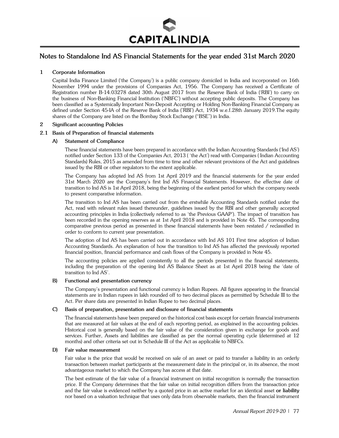

#### **1 Corporate Information**

Capital India Finance Limited ('the Company') is a public company domiciled in India and incorporated on 16th November 1994 under the provisions of Companies Act, 1956. The Company has received a Certificate of Registration number B-14.03278 dated 30th August 2017 from the Reserve Bank of India ('RBI') to carry on the business of Non-Banking Financial Institution ('NBFC') without accepting public deposits. The Company has been classified as a Systemically Important Non-Deposit Accepting or Holding Non-Banking Financial Company as defined under Section 45-IA of the Reserve Bank of India ('RBI') Act, 1934 w.e.f.28th January 2019.The equity shares of the Company are listed on the Bombay Stock Exchange ("BSE") in India.

#### **2 Significant accounting Policies**

#### **2.1 Basis of Preparation of financial statements**

#### **A) Statement of Compliance**

These financial statements have been prepared in accordance with the Indian Accounting Standards ('Ind AS') notified under Section 133 of the Companies Act, 2013 ( 'the Act') read with Companies ( Indian Accounting Standards) Rules, 2015 as amended from time to time and other relevant provisions of the Act and guidelines issued by the RBI or other regulators to the extent applicable.

 The Company has adopted lnd AS from 1st April 2019 and the financial statements for the year ended 31st March 2020 are the Company's first Ind AS Financial Statements. However, the effective date of transition to Ind AS is 1st April 2018, being the beginning of the earliest period for which the company needs to present comparative information.

 The transition to Ind AS has been carried out from the erstwhile Accounting Standards notified under the Act, read with relevant rules issued thereunder, guidelines issued by the RBI and other generally accepted accounting principles in India (collectively referred to as 'the Previous GAAP'). The impact of transition has been recorded in the opening reserves as at 1st April 2018 and is provided in Note 45. The corresponding comparative previous period as presented in these financial statements have been restated / reclassified in order to conform to current year presentation.

 The adoption of Ind AS has been carried out in accordance with Ind AS 101 First time adoption of Indian Accounting Standards. An explanation of how the transition to Ind AS has affected the previously reported financial position, financial performance and cash flows of the Company is provided in Note 45.

 The accounting policies are applied consistently to all the periods presented in the financial statements, including the preparation of the opening Ind AS Balance Sheet as at 1st April 2018 being the 'date of transition to Ind AS'.

#### **B) Functional and presentation currency**

The Company's presentation and functional currency is Indian Rupees. All figures appearing in the financial statements are in Indian rupees in lakh rounded off to two decimal places as permitted by Schedule III to the Act. Per share data are presented in Indian Rupee to two decimal places.

#### **C) Basis of preparation, presentation and disclosure of financial statements**

The financial statements have been prepared on the historical cost basis except for certain financial instruments that are measured at fair values at the end of each reporting period, as explained in the accounting policies. Historical cost is generally based on the fair value of the consideration given in exchange for goods and services. Further, Assets and liabilities are classified as per the normal operating cycle (determined at 12 months) and other criteria set out in Schedule III of the Act as applicable to NBFCs.

#### **D) Fair value measurement**

Fair value is the price that would be received on sale of an asset or paid to transfer a liability in an orderly transaction between market participants at the measurement date in the principal or, in its absence, the most advantageous market to which the Company has access at that date.

 The best estimate of the fair value of a financial instrument on initial recognition is normally the transaction price. If the Company determines that the fair value on initial recognition differs from the transaction price and the fair value is evidenced neither by a quoted price in an active market for an identical asset **or liability**  nor based on a valuation technique that uses only data from observable markets, then the financial instrument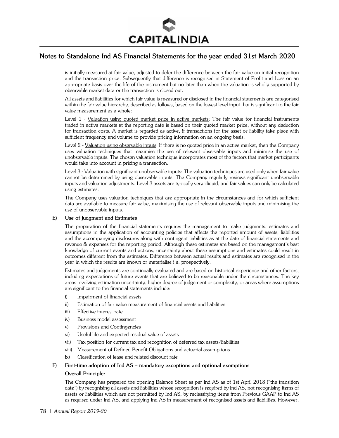

is initially measured at fair value, adjusted to defer the difference between the fair value on initial recognition and the transaction price. Subsequently that difference is recognised in Statement of Profit and Loss on an appropriate basis over the life of the instrument but no later than when the valuation is wholly supported by observable market data or the transaction is closed out.

 All assets and liabilities for which fair value is measured or disclosed in the financial statements are categorised within the fair value hierarchy, described as follows, based on the lowest level input that is significant to the fair value measurement as a whole:

Level 1 - Valuation using quoted market price in active markets: The fair value for financial instruments traded in active markets at the reporting date is based on their quoted market price, without any deduction for transaction costs. A market is regarded as active, if transactions for the asset or liability take place with sufficient frequency and volume to provide pricing information on an ongoing basis.

Level 2 - Valuation using observable inputs: If there is no quoted price in an active market, then the Company uses valuation techniques that maximise the use of relevant observable inputs and minimise the use of unobservable inputs. The chosen valuation technique incorporates most of the factors that market participants would take into account in pricing a transaction.

Level 3 - Valuation with significant unobservable inputs: The valuation techniques are used only when fair value cannot be determined by using observable inputs. The Company regularly reviews significant unobservable inputs and valuation adjustments. Level 3 assets are typically very illiquid, and fair values can only be calculated using estimates.

 The Company uses valuation techniques that are appropriate in the circumstances and for which sufficient data are available to measure fair value, maximising the use of relevant observable inputs and minimising the use of unobservable inputs.

#### **E) Use of judgment and Estimates**

The preparation of the financial statements requires the management to make judgments, estimates and assumptions in the application of accounting policies that affects the reported amount of assets, liabilities and the accompanying disclosures along with contingent liabilities as at the date of financial statements and revenue & expenses for the reporting period. Although these estimates are based on the management's best knowledge of current events and actions, uncertainty about these assumptions and estimates could result in outcomes different from the estimates. Difference between actual results and estimates are recognised in the year in which the results are known or materialise i.e. prospectively.

 Estimates and judgements are continually evaluated and are based on historical experience and other factors, including expectations of future events that are believed to be reasonable under the circumstances. The key areas involving estimation uncertainty, higher degree of judgement or complexity, or areas where assumptions are significant to the financial statements include:

- i) Impairment of financial assets
- ii) Estimation of fair value measurement of financial assets and liabilities
- iii) Effective interest rate
- iv) Business model assessment
- v) Provisions and Contingencies
- vi) Useful life and expected residual value of assets
- vii) Tax position for current tax and recognition of deferred tax assets/liabilities
- viii) Measurement of Defined Benefit Obligations and actuarial assumptions
- ix) Classification of lease and related discount rate

#### **F) First-time adoption of Ind AS – mandatory exceptions and optional exemptions**

#### **Overall Principle:**

The Company has prepared the opening Balance Sheet as per Ind AS as of 1st April 2018 ("the transition date") by recognising all assets and liabilities whose recognition is required by Ind AS, not recognising items of assets or liabilities which are not permitted by Ind AS, by reclassifying items from Previous GAAP to Ind AS as required under Ind AS, and applying Ind AS in measurement of recognised assets and liabilities. However,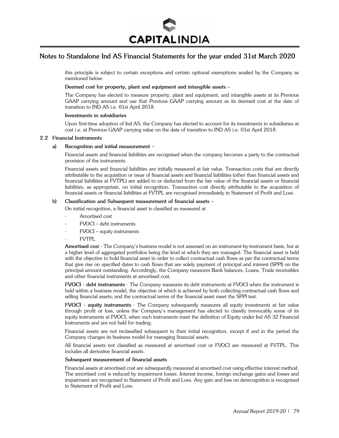

this principle is subject to certain exceptions and certain optional exemptions availed by the Company as mentioned below:

#### **Deemed cost for property, plant and equipment and intangible assets –**

The Company has elected to measure property, plant and equipment, and intangible assets at its Previous GAAP carrying amount and use that Previous GAAP carrying amount as its deemed cost at the date of transition to IND AS i.e. 01st April 2018.

#### **Investments in subsidiaries**

Upon first-time adoption of Ind AS, the Company has elected to account for its investments in subsidiaries at cost i.e. at Previous GAAP carrying value on the date of transition to IND AS i.e. 01st April 2018.

#### **2.2 Financial Instruments**

#### **a) Recognition and initial measurement –**

Financial assets and financial liabilities are recognised when the company becomes a party to the contractual provision of the instruments.

 Financial assets and financial liabilities are initially measured at fair value. Transaction costs that are directly attributable to the acquisition or issue of financial assets and financial liabilities (other than financial assets and financial liabilities at FVTPL) are added to or deducted from the fair value of the financial assets or financial liabilities, as appropriate, on initial recognition. Transaction cost directly attributable to the acquisition of financial assets or financial liabilities at FVTPL are recognised immediately in Statement of Profit and Loss.

#### **b) Classification and Subsequent measurement of financial assets –**

On initial recognition, a financial asset is classified as measured at

- Amortised cost
- FVOCI debt instruments
- FVOCI equity instruments
- FVTPL

 **Amortised cos**t - The Company's business model is not assessed on an instrument-by-instrument basis, but at a higher level of aggregated portfolios being the level at which they are managed. The financial asset is held with the objective to hold financial asset in order to collect contractual cash flows as per the contractual terms that give rise on specified dates to cash flows that are solely payment of principal and interest (SPPI) on the principal amount outstanding. Accordingly, the Company measures Bank balances, Loans, Trade receivables and other financial instruments at amortised cost.

 **FVOCI - debt instruments** - The Company measures its debt instruments at FVOCI when the instrument is held within a business model, the objective of which is achieved by both collecting contractual cash flows and selling financial assets; and the contractual terms of the financial asset meet the SPPI test.

 **FVOCI - equity instruments** - The Company subsequently measures all equity investments at fair value through profit or loss, unless the Company's management has elected to classify irrevocably some of its equity instruments at FVOCI, when such instruments meet the definition of Equity under Ind AS 32 Financial Instruments and are not held for trading.

 Financial assets are not reclassified subsequent to their initial recognition, except if and in the period the Company changes its business model for managing financial assets.

 All financial assets not classified as measured at amortised cost or FVOCI are measured at FVTPL. This includes all derivative financial assets.

#### **Subsequent measurement of financial assets**

 Financial assets at amortised cost are subsequently measured at amortised cost using effective interest method. The amortised cost is reduced by impairment losses. Interest income, foreign exchange gains and losses and impairment are recognised in Statement of Profit and Loss. Any gain and loss on derecognition is recognised in Statement of Profit and Loss.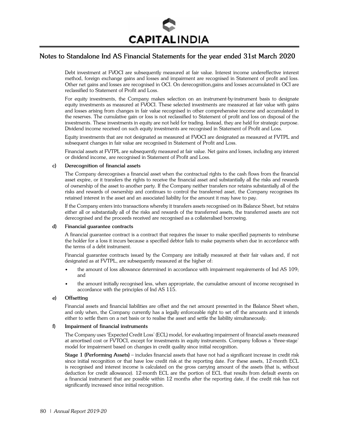

 Debt investment at FVOCI are subsequently measured at fair value. Interest income undereffective interest method, foreign exchange gains and losses and impairment are recognised in Statement of profit and loss. Other net gains and losses are recognised in OCI. On derecognition,gains and losses accumulated in OCI are reclassified to Statement of Profit and Loss.

 For equity investments, the Company makes selection on an instrument-by-instrument basis to designate equity investments as measured at FVOCI. These selected investments are measured at fair value with gains and losses arising from changes in fair value recognised in other comprehensive income and accumulated in the reserves. The cumulative gain or loss is not reclassified to Statement of profit and loss on disposal of the investments. These investments in equity are not held for trading. Instead, they are held for strategic purpose. Dividend income received on such equity investments are recognised in Statement of Profit and Loss.

 Equity investments that are not designated as measured at FVOCI are designated as measured at FVTPL and subsequent changes in fair value are recognised in Statement of Profit and Loss.

 Financial assets at FVTPL are subsequently measured at fair value. Net gains and losses, including any interest or dividend income, are recognised in Statement of Profit and Loss.

#### **c) Derecognition of financial assets**

 The Company derecognises a financial asset when the contractual rights to the cash flows from the financial asset expire, or it transfers the rights to receive the financial asset and substantially all the risks and rewards of ownership of the asset to another party. If the Company neither transfers nor retains substantially all of the risks and rewards of ownership and continues to control the transferred asset, the Company recognises its retained interest in the asset and an associated liability for the amount it may have to pay.

 If the Company enters into transactions whereby it transfers assets recognised on its Balance Sheet, but retains either all or substantially all of the risks and rewards of the transferred assets, the transferred assets are not derecognised and the proceeds received are recognised as a collateralised borrowing.

#### **d) Financial guarantee contracts**

 A financial guarantee contract is a contract that requires the issuer to make specified payments to reimburse the holder for a loss it incurs because a specified debtor fails to make payments when due in accordance with the terms of a debt instrument.

 Financial guarantee contracts issued by the Company are initially measured at their fair values and, if not designated as at FVTPL, are subsequently measured at the higher of:

- the amount of loss allowance determined in accordance with impairment requirements of Ind AS 109; and
- the amount initially recognised less, when appropriate, the cumulative amount of income recognised in accordance with the principles of Ind AS 115.

#### **e) Offsetting**

 Financial assets and financial liabilities are offset and the net amount presented in the Balance Sheet when, and only when, the Company currently has a legally enforceable right to set off the amounts and it intends either to settle them on a net basis or to realise the asset and settle the liability simultaneously.

#### **f) Impairment of financial instruments**

 The Company uses 'Expected Credit Loss' (ECL) model, for evaluating impairment of financial assets measured at amortised cost or FVTOCI, except for investments in equity instruments. Company follows a 'three-stage' model for impairment based on changes in credit quality since initial recognition.

 **Stage 1 (Performing Assets)** – includes financial assets that have not had a significant increase in credit risk since initial recognition or that have low credit risk at the reporting date. For these assets, 12-month ECL is recognised and interest income is calculated on the gross carrying amount of the assets (that is, without deduction for credit allowance). 12-month ECL are the portion of ECL that results from default events on a financial instrument that are possible within 12 months after the reporting date, if the credit risk has not significantly increased since initial recognition.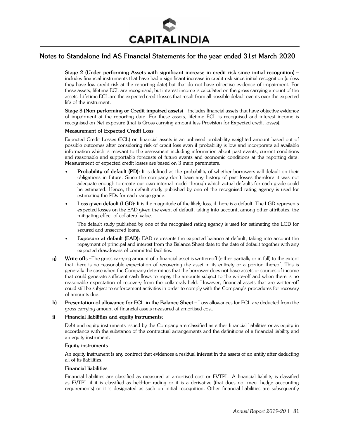

 **Stage 2 (Under performing Assets with significant increase in credit risk since initial recognition)** – includes financial instruments that have had a significant increase in credit risk since initial recognition (unless they have low credit risk at the reporting date) but that do not have objective evidence of impairment. For these assets, lifetime ECL are recognised, but interest income is calculated on the gross carrying amount of the assets. Lifetime ECL are the expected credit losses that result from all possible default events over the expected life of the instrument.

 **Stage 3 (Non-performing or Credit-impaired assets)** – includes financial assets that have objective evidence of impairment at the reporting date. For these assets, lifetime ECL is recognised and interest income is recognised on Net exposure (that is Gross carrying amount less Provision for Expected credit losses).

#### **Measurement of Expected Credit Loss**

 Expected Credit Losses (ECL) on financial assets is an unbiased probability weighted amount based out of possible outcomes after considering risk of credit loss even if probability is low and incorporate all available information which is relevant to the assessment including information about past events, current conditions and reasonable and supportable forecasts of future events and economic conditions at the reporting date. Measurement of expected credit losses are based on 3 main parameters.

- **Probability of default (PD):** It is defined as the probability of whether borrowers will default on their obligations in future. Since the company don't have any history of past losses therefore it was not adequate enough to create our own internal model through which actual defaults for each grade could be estimated. Hence, the default study published by one of the recognised rating agency is used for estimating the PDs for each range grade.
- **Loss given default (LGD):** It is the magnitude of the likely loss, if there is a default. The LGD represents expected losses on the EAD given the event of default, taking into account, among other attributes, the mitigating effect of collateral value.

 The default study published by one of the recognised rating agency is used for estimating the LGD for secured and unsecured loans.

- **Exposure at default (EAD):** EAD represents the expected balance at default, taking into account the repayment of principal and interest from the Balance Sheet date to the date of default together with any expected drawdowns of committed facilities.
- **g) Write offs** –The gross carrying amount of a financial asset is written-off (either partially or in full) to the extent that there is no reasonable expectation of recovering the asset in its entirety or a portion thereof. This is generally the case when the Company determines that the borrower does not have assets or sources of income that could generate sufficient cash flows to repay the amounts subject to the write-off and when there is no reasonable expectation of recovery from the collaterals held. However, financial assets that are written-off could still be subject to enforcement activities in order to comply with the Company's procedures for recovery of amounts due.
- **h) Presentation of allowance for ECL in the Balance Sheet** Loss allowances for ECL are deducted from the gross carrying amount of financial assets measured at amortised cost.

#### **i) Financial liabilities and equity instruments:**

 Debt and equity instruments issued by the Company are classified as either financial liabilities or as equity in accordance with the substance of the contractual arrangements and the definitions of a financial liability and an equity instrument.

#### **Equity instruments**

 An equity instrument is any contract that evidences a residual interest in the assets of an entity after deducting all of its liabilities.

#### **Financial liabilities**

 Financial liabilities are classified as measured at amortised cost or FVTPL. A financial liability is classified as FVTPL if it is classified as held-for-trading or it is a derivative (that does not meet hedge accounting requirements) or it is designated as such on initial recognition. Other financial liabilities are subsequently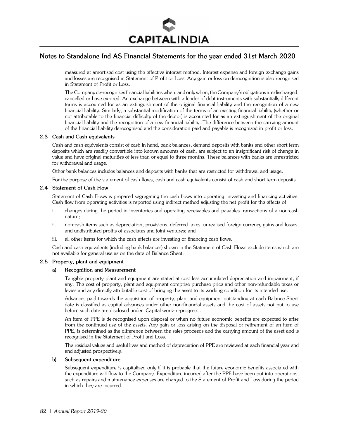

measured at amortised cost using the effective interest method. Interest expense and foreign exchange gains and losses are recognised in Statement of Profit or Loss. Any gain or loss on derecognition is also recognised in Statement of Profit or Loss.

 The Company de-recognizes financial liabilities when, and only when, the Company's obligations are discharged, cancelled or have expired. An exchange between with a lender of debt instruments with substantially different terms is accounted for as an extinguishment of the original financial liability and the recognition of a new financial liability. Similarly, a substantial modification of the terms of an existing financial liability (whether or not attributable to the financial difficulty of the debtor) is accounted for as an extinguishment of the original financial liability and the recognition of a new financial liability. The difference between the carrying amount of the financial liability derecognised and the consideration paid and payable is recognized in profit or loss.

#### **2.3 Cash and Cash equivalents**

Cash and cash equivalents consist of cash in hand, bank balances, demand deposits with banks and other short term deposits which are readily convertible into known amounts of cash, are subject to an insignificant risk of change in value and have original maturities of less than or equal to three months. These balances with banks are unrestricted for withdrawal and usage.

Other bank balances includes balances and deposits with banks that are restricted for withdrawal and usage.

For the purpose of the statement of cash flows, cash and cash equivalents consist of cash and short term deposits.

#### **2.4 Statement of Cash Flow**

Statement of Cash Flows is prepared segregating the cash flows into operating, investing and financing activities. Cash flow from operating activities is reported using indirect method adjusting the net profit for the effects of:

- i. changes during the period in inventories and operating receivables and payables transactions of a non-cash nature;
- ii. non-cash items such as depreciation, provisions, deferred taxes, unrealised foreign currency gains and losses, and undistributed profits of associates and joint ventures; and
- iii. all other items for which the cash effects are investing or financing cash flows.

Cash and cash equivalents (including bank balances) shown in the Statement of Cash Flows exclude items which are not available for general use as on the date of Balance Sheet.

#### **2.5 Property, plant and equipment**

#### **a) Recognition and Measurement**

 Tangible property plant and equipment are stated at cost less accumulated depreciation and impairment, if any. The cost of property, plant and equipment comprise purchase price and other non-refundable taxes or levies and any directly attributable cost of bringing the asset to its working condition for its intended use.

 Advances paid towards the acquisition of property, plant and equipment outstanding at each Balance Sheet date is classified as capital advances under other non-financial assets and the cost of assets not put to use before such date are disclosed under 'Capital work-in-progress'.

 An item of PPE is de-recognised upon disposal or when no future economic benefits are expected to arise from the continued use of the assets. Any gain or loss arising on the disposal or retirement of an item of PPE, is determined as the difference between the sales proceeds and the carrying amount of the asset and is recognised in the Statement of Profit and Loss.

 The residual values and useful lives and method of depreciation of PPE are reviewed at each financial year end and adjusted prospectively.

#### **b) Subsequent expenditure**

 Subsequent expenditure is capitalized only if it is probable that the future economic benefits associated with the expenditure will flow to the Company. Expenditure incurred after the PPE have been put into operations, such as repairs and maintenance expenses are charged to the Statement of Profit and Loss during the period in which they are incurred.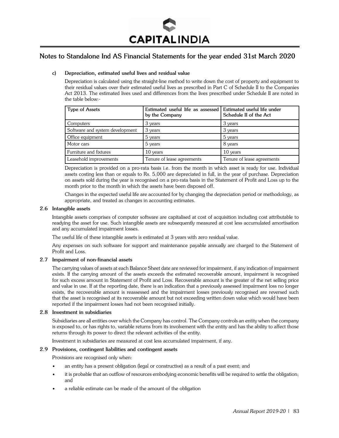

#### **c) Depreciation, estimated useful lives and residual value**

 Depreciation is calculated using the straight-line method to write down the cost of property and equipment to their residual values over their estimated useful lives as prescribed in Part C of Schedule II to the Companies Act 2013. The estimated lives used and differences from the lives prescribed under Schedule II are noted in the table below:-

| Type of Assets                  | Estimated useful life as assessed Estimated useful life under<br>by the Company | Schedule II of the Act     |
|---------------------------------|---------------------------------------------------------------------------------|----------------------------|
| Computers                       | 3 years                                                                         | 3 years                    |
| Software and system development | 3 years                                                                         | 3 years                    |
| Office equipment                | 5 years                                                                         | 5 years                    |
| Motor cars                      | 5 years                                                                         | 8 years                    |
| Furniture and fixtures          | 10 years                                                                        | 10 years                   |
| Leasehold improvements          | Tenure of lease agreements                                                      | Tenure of lease agreements |

 Depreciation is provided on a pro-rata basis i.e. from the month in which asset is ready for use. Individual assets costing less than or equals to Rs. 5,000 are depreciated in full, in the year of purchase. Depreciation on assets sold during the year is recognised on a pro-rata basis in the Statement of Profit and Loss up to the month prior to the month in which the assets have been disposed off.

 Changes in the expected useful life are accounted for by changing the depreciation period or methodology, as appropriate, and treated as changes in accounting estimates.

#### **2.6 Intangible assets**

Intangible assets comprises of computer software are capitalised at cost of acquisition including cost attributable to readying the asset for use. Such intangible assets are subsequently measured at cost less accumulated amortisation and any accumulated impairment losses.

The useful life of these intangible assets is estimated at 3 years with zero residual value.

Any expenses on such software for support and maintenance payable annually are charged to the Statement of Profit and Loss.

#### **2.7 Impairment of non-financial assets**

The carrying values of assets at each Balance Sheet date are reviewed for impairment, if any indication of impairment exists. If the carrying amount of the assets exceeds the estimated recoverable amount, impairment is recognised for such excess amount in Statement of Profit and Loss. Recoverable amount is the greater of the net selling price and value in use. If at the reporting date, there is an indication that a previously assessed impairment loss no longer exists, the recoverable amount is reassessed and the impairment losses previously recognised are reversed such that the asset is recognised at its recoverable amount but not exceeding written down value which would have been reported if the impairment losses had not been recognised initially.

#### **2.8 Investment in subsidiaries**

Subsidiaries are all entities over which the Company has control. The Company controls an entity when the company is exposed to, or has rights to, variable returns from its involvement with the entity and has the ability to affect those returns through its power to direct the relevant activities of the entity.

Investment in subsidiaries are measured at cost less accumulated impairment, if any.

#### **2.9 Provisions, contingent liabilities and contingent assets**

Provisions are recognised only when:

- an entity has a present obligation (legal or constructive) as a result of a past event; and
- it is probable that an outflow of resources embodying economic benefits will be required to settle the obligation; and
- a reliable estimate can be made of the amount of the obligation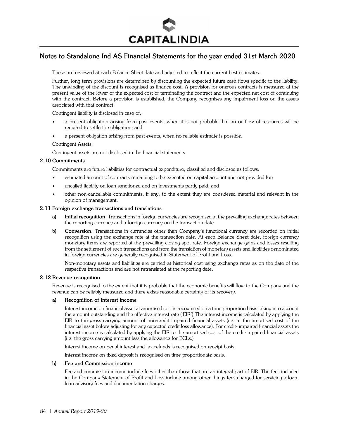

These are reviewed at each Balance Sheet date and adjusted to reflect the current best estimates.

Further, long term provisions are determined by discounting the expected future cash flows specific to the liability. The unwinding of the discount is recognised as finance cost. A provision for onerous contracts is measured at the present value of the lower of the expected cost of terminating the contract and the expected net cost of continuing with the contract. Before a provision is established, the Company recognises any impairment loss on the assets associated with that contract.

Contingent liability is disclosed in case of:

- a present obligation arising from past events, when it is not probable that an outflow of resources will be required to settle the obligation; and
- a present obligation arising from past events, when no reliable estimate is possible.
- Contingent Assets:

Contingent assets are not disclosed in the financial statements.

#### **2.10 Commitments**

Commitments are future liabilities for contractual expenditure, classified and disclosed as follows:

- estimated amount of contracts remaining to be executed on capital account and not provided for;
- uncalled liability on loan sanctioned and on investments partly paid; and
- other non-cancellable commitments, if any, to the extent they are considered material and relevant in the opinion of management.

#### **2.11 Foreign exchange transactions and translations**

- **a) Initial recognition**: Transactions in foreign currencies are recognised at the prevailing exchange rates between the reporting currency and a foreign currency on the transaction date.
- **b) Conversion**: Transactions in currencies other than Company's functional currency are recorded on initial recognition using the exchange rate at the transaction date. At each Balance Sheet date, foreign currency monetary items are reported at the prevailing closing spot rate. Foreign exchange gains and losses resulting from the settlement of such transactions and from the translation of monetary assets and liabilities denominated in foreign currencies are generally recognised in Statement of Profit and Loss.

 Non-monetary assets and liabilities are carried at historical cost using exchange rates as on the date of the respective transactions and are not retranslated at the reporting date.

#### **2.12 Revenue recognition**

Revenue is recognised to the extent that it is probable that the economic benefits will flow to the Company and the revenue can be reliably measured and there exists reasonable certainty of its recovery.

#### **a) Recognition of Interest income**

 Interest income on financial asset at amortised cost is recognised on a time proportion basis taking into account the amount outstanding and the effective interest rate ('EIR').The interest income is calculated by applying the EIR to the gross carrying amount of non-credit impaired financial assets (i.e. at the amortised cost of the financial asset before adjusting for any expected credit loss allowance). For credit- impaired financial assets the interest income is calculated by applying the EIR to the amortised cost of the credit-impaired financial assets (i.e. the gross carrying amount less the allowance for ECLs.)

Interest income on penal interest and tax refunds is recognised on receipt basis.

Interest income on fixed deposit is recognised on time proportionate basis.

#### **b) Fee and Commission income**

 Fee and commission income include fees other than those that are an integral part of EIR. The fees included in the Company Statement of Profit and Loss include among other things fees charged for servicing a loan, loan advisory fees and documentation charges.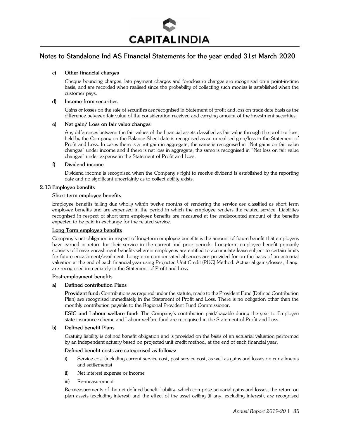

#### **c) Other financial charges**

 Cheque bouncing charges, late payment charges and foreclosure charges are recognised on a point-in-time basis, and are recorded when realised since the probability of collecting such monies is established when the customer pays.

#### **d) Income from securities**

 Gains or losses on the sale of securities are recognised in Statement of profit and loss on trade date basis as the difference between fair value of the consideration received and carrying amount of the investment securities.

#### **e) Net gain/ Loss on fair value changes**

 Any differences between the fair values of the financial assets classified as fair value through the profit or loss, held by the Company on the Balance Sheet date is recognised as an unrealised gain/loss in the Statement of Profit and Loss. In cases there is a net gain in aggregate, the same is recognised in "Net gains on fair value changes" under income and if there is net loss in aggregate, the same is recognised in "Net loss on fair value changes" under expense in the Statement of Profit and Loss.

#### **f) Dividend income**

 Dividend income is recognised when the Company's right to receive dividend is established by the reporting date and no significant uncertainty as to collect ability exists.

#### **2.13 Employee benefits**

#### **Short term employee benefits**

Employee benefits falling due wholly within twelve months of rendering the service are classified as short term employee benefits and are expensed in the period in which the employee renders the related service. Liabilities recognised in respect of short-term employee benefits are measured at the undiscounted amount of the benefits expected to be paid in exchange for the related service.

#### **Long Term employee benefits**

Company's net obligation in respect of long-term employee benefits is the amount of future benefit that employees have earned in return for their service in the current and prior periods. Long-term employee benefit primarily consists of Leave encashment benefits wherein employees are entitled to accumulate leave subject to certain limits for future encashment/availment. Long-term compensated absences are provided for on the basis of an actuarial valuation at the end of each financial year using Projected Unit Credit (PUC) Method. Actuarial gains/losses, if any, are recognised immediately in the Statement of Profit and Loss

#### **Post-employment benefits**

#### **a) Defined contribution Plans**

 **Provident fund:** Contributions as required under the statute, made to the Provident Fund (Defined Contribution Plan) are recognised immediately in the Statement of Profit and Loss. There is no obligation other than the monthly contribution payable to the Regional Provident Fund Commissioner.

 **ESIC and Labour welfare fund:** The Company's contribution paid/payable during the year to Employee state insurance scheme and Labour welfare fund are recognised in the Statement of Profit and Loss.

#### **b) Defined benefit Plans**

 Gratuity liability is defined benefit obligation and is provided on the basis of an actuarial valuation performed by an independent actuary based on projected unit credit method, at the end of each financial year.

#### **Defined benefit costs are categorised as follows:**

- i) Service cost (including current service cost, past service cost, as well as gains and losses on curtailments and settlements)
- ii) Net interest expense or income
- iii) Re-measurement

 Re-measurements of the net defined benefit liability, which comprise actuarial gains and losses, the return on plan assets (excluding interest) and the effect of the asset ceiling (if any, excluding interest), are recognised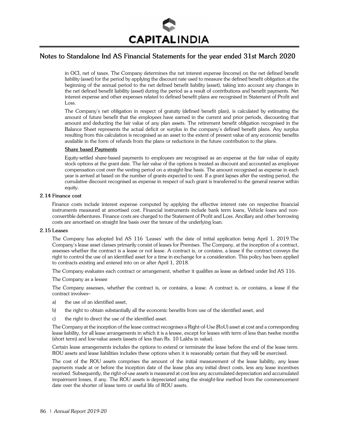

in OCI, net of taxes. The Company determines the net interest expense (income) on the net defined benefit liability (asset) for the period by applying the discount rate used to measure the defined benefit obligation at the beginning of the annual period to the net defined benefit liability (asset), taking into account any changes in the net defined benefit liability (asset) during the period as a result of contributions and benefit payments. Net interest expense and other expenses related to defined benefit plans are recognised in Statement of Profit and Loss.

 The Company's net obligation in respect of gratuity (defined benefit plan), is calculated by estimating the amount of future benefit that the employees have earned in the current and prior periods, discounting that amount and deducting the fair value of any plan assets. The retirement benefit obligation recognised in the Balance Sheet represents the actual deficit or surplus in the company's defined benefit plans. Any surplus resulting from this calculation is recognised as an asset to the extent of present value of any economic benefits available in the form of refunds from the plans or reductions in the future contribution to the plans.

#### **Share based Payments**

 Equity-settled share-based payments to employees are recognised as an expense at the fair value of equity stock options at the grant date. The fair value of the options is treated as discount and accounted as employee compensation cost over the vesting period on a straight-line basis. The amount recognised as expense in each year is arrived at based on the number of grants expected to vest. If a grant lapses after the vesting period, the cumulative discount recognised as expense in respect of such grant is transferred to the general reserve within equity.

#### **2.14 Finance cost**

Finance costs include interest expense computed by applying the effective interest rate on respective financial instruments measured at amortised cost. Financial instruments include bank term loans, Vehicle loans and nonconvertible debentures. Finance costs are charged to the Statement of Profit and Loss. Ancillary and other borrowing costs are amortised on straight line basis over the tenure of the underlying loan.

#### **2.15 Leases**

The Company has adopted Ind AS 116 'Leases' with the date of initial application being April 1, 2019.The Company's lease asset classes primarily consist of leases for Premises. The Company, at the inception of a contract, assesses whether the contract is a lease or not lease. A contract is, or contains, a lease if the contract conveys the right to control the use of an identified asset for a time in exchange for a consideration. This policy has been applied to contracts existing and entered into on or after April 1, 2018.

The Company evaluates each contract or arrangement, whether it qualifies as lease as defined under Ind AS 116.

The Company as a lessee

The Company assesses, whether the contract is, or contains, a lease. A contract is, or contains, a lease if the contract involves–

- a) the use of an identified asset,
- b) the right to obtain substantially all the economic benefits from use of the identified asset, and
- c) the right to direct the use of the identified asset.

The Company at the inception of the lease contract recognises a Right-of-Use (RoU) asset at cost and a corresponding lease liability, for all lease arrangements in which it is a lessee, except for leases with term of less than twelve months (short term) and low-value assets (assets of less than Rs. 10 Lakhs in value).

Certain lease arrangements includes the options to extend or terminate the lease before the end of the lease term. ROU assets and lease liabilities includes these options when it is reasonably certain that they will be exercised.

The cost of the ROU assets comprises the amount of the initial measurement of the lease liability, any lease payments made at or before the inception date of the lease plus any initial direct costs, less any lease incentives received. Subsequently, the right-of-use assets is measured at cost less any accumulated depreciation and accumulated impairment losses, if any. The ROU assets is depreciated using the straight-line method from the commencement date over the shorter of lease term or useful life of ROU assets.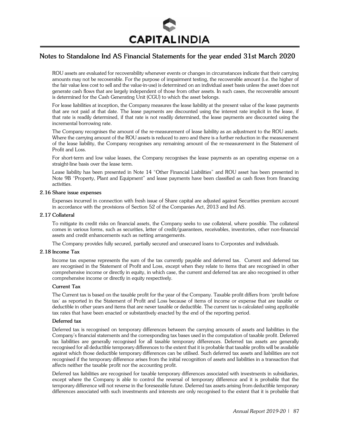

ROU assets are evaluated for recoverability whenever events or changes in circumstances indicate that their carrying amounts may not be recoverable. For the purpose of impairment testing, the recoverable amount (i.e. the higher of the fair value less cost to sell and the value-in-use) is determined on an individual asset basis unless the asset does not generate cash flows that are largely independent of those from other assets. In such cases, the recoverable amount is determined for the Cash Generating Unit (CGU) to which the asset belongs.

For lease liabilities at inception, the Company measures the lease liability at the present value of the lease payments that are not paid at that date. The lease payments are discounted using the interest rate implicit in the lease, if that rate is readily determined, if that rate is not readily determined, the lease payments are discounted using the incremental borrowing rate.

The Company recognises the amount of the re-measurement of lease liability as an adjustment to the ROU assets. Where the carrying amount of the ROU assets is reduced to zero and there is a further reduction in the measurement of the lease liability, the Company recognises any remaining amount of the re-measurement in the Statement of Profit and Loss.

For short-term and low value leases, the Company recognises the lease payments as an operating expense on a straight-line basis over the lease term.

Lease liability has been presented in Note 14 "Other Financial Liabilities" and ROU asset has been presented in Note 9B "Property, Plant and Equipment" and lease payments have been classified as cash flows from financing activities.

#### **2.16 Share issue expenses**

Expenses incurred in connection with fresh issue of Share capital are adjusted against Securities premium account in accordance with the provisions of Section 52 of the Companies Act, 2013 and Ind AS.

#### **2.17 Collateral**

To mitigate its credit risks on financial assets, the Company seeks to use collateral, where possible. The collateral comes in various forms, such as securities, letter of credit/guarantees, receivables, inventories, other non-financial assets and credit enhancements such as netting arrangements.

The Company provides fully secured, partially secured and unsecured loans to Corporates and individuals.

#### **2.18 Income Tax**

Income tax expense represents the sum of the tax currently payable and deferred tax. Current and deferred tax are recognised in the Statement of Profit and Loss, except when they relate to items that are recognised in other comprehensive income or directly in equity, in which case, the current and deferred tax are also recognised in other comprehensive income or directly in equity respectively.

#### **Current Tax**

The Current tax is based on the taxable profit for the year of the Company. Taxable profit differs from 'profit before tax' as reported in the Statement of Profit and Loss because of items of income or expense that are taxable or deductible in other years and items that are never taxable or deductible. The current tax is calculated using applicable tax rates that have been enacted or substantively enacted by the end of the reporting period.

#### **Deferred tax**

Deferred tax is recognised on temporary differences between the carrying amounts of assets and liabilities in the Company's financial statements and the corresponding tax bases used in the computation of taxable profit. Deferred tax liabilities are generally recognised for all taxable temporary differences. Deferred tax assets are generally recognised for all deductible temporary differences to the extent that it is probable that taxable profits will be available against which those deductible temporary differences can be utilised. Such deferred tax assets and liabilities are not recognised if the temporary difference arises from the initial recognition of assets and liabilities in a transaction that affects neither the taxable profit nor the accounting profit.

Deferred tax liabilities are recognised for taxable temporary differences associated with investments in subsidiaries, except where the Company is able to control the reversal of temporary difference and it is probable that the temporary difference will not reverse in the foreseeable future. Deferred tax assets arising from deductible temporary differences associated with such investments and interests are only recognised to the extent that it is probable that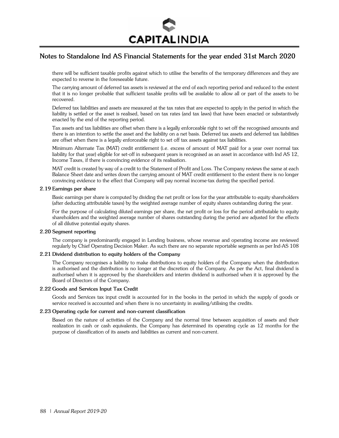

there will be sufficient taxable profits against which to utilise the benefits of the temporary differences and they are expected to reverse in the foreseeable future.

The carrying amount of deferred tax assets is reviewed at the end of each reporting period and reduced to the extent that it is no longer probable that sufficient taxable profits will be available to allow all or part of the assets to be recovered.

Deferred tax liabilities and assets are measured at the tax rates that are expected to apply in the period in which the liability is settled or the asset is realised, based on tax rates (and tax laws) that have been enacted or substantively enacted by the end of the reporting period.

Tax assets and tax liabilities are offset when there is a legally enforceable right to set off the recognised amounts and there is an intention to settle the asset and the liability on a net basis. Deferred tax assets and deferred tax liabilities are offset when there is a legally enforceable right to set off tax assets against tax liabilities.

Minimum Alternate Tax (MAT) credit entitlement (i.e. excess of amount of MAT paid for a year over normal tax liability for that year) eligible for set-off in subsequent years is recognised as an asset in accordance with Ind AS 12, Income Taxes, if there is convincing evidence of its realisation.

MAT credit is created by way of a credit to the Statement of Profit and Loss. The Company reviews the same at each Balance Sheet date and writes down the carrying amount of MAT credit entitlement to the extent there is no longer convincing evidence to the effect that Company will pay normal income-tax during the specified period.

#### **2.19 Earnings per share**

Basic earnings per share is computed by dividing the net profit or loss for the year attributable to equity shareholders (after deducting attributable taxes) by the weighted average number of equity shares outstanding during the year.

For the purpose of calculating diluted earnings per share, the net profit or loss for the period attributable to equity shareholders and the weighted average number of shares outstanding during the period are adjusted for the effects of all dilutive potential equity shares.

#### **2.20 Segment reporting**

The company is predominantly engaged in Lending business, whose revenue and operating income are reviewed regularly by Chief Operating Decision Maker. As such there are no separate reportable segments as per Ind-AS 108

#### **2.21 Dividend distribution to equity holders of the Company**

The Company recognises a liability to make distributions to equity holders of the Company when the distribution is authorised and the distribution is no longer at the discretion of the Company. As per the Act, final dividend is authorised when it is approved by the shareholders and interim dividend is authorised when it is approved by the Board of Directors of the Company.

#### **2.22 Goods and Services Input Tax Credit**

Goods and Services tax input credit is accounted for in the books in the period in which the supply of goods or service received is accounted and when there is no uncertainty in availing/utilising the credits.

#### **2.23 Operating cycle for current and non-current classification**

Based on the nature of activities of the Company and the normal time between acquisition of assets and their realization in cash or cash equivalents, the Company has determined its operating cycle as 12 months for the purpose of classification of its assets and liabilities as current and non-current.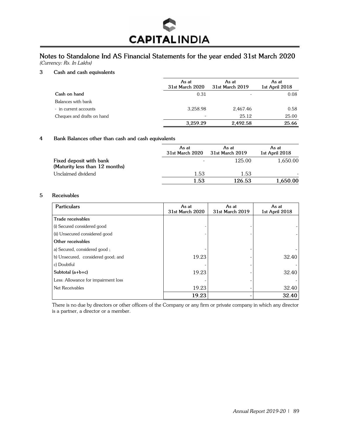

### **3 Cash and cash equivalents**

|                            | As at<br>31st March 2020 | As at<br>31st March 2019 | As at<br>1st April 2018 |
|----------------------------|--------------------------|--------------------------|-------------------------|
| Cash on hand               | 0.31                     |                          | 0.08                    |
| Balances with bank         |                          |                          |                         |
| - in current accounts      | 3,258.98                 | 2,467.46                 | 0.58                    |
| Cheques and drafts on hand |                          | 25.12                    | 25.00                   |
|                            | 3,259.29                 | 2,492.58                 | 25.66                   |

#### **4 Bank Balances other than cash and cash equivalents**

|                                                           | As at<br>31st March 2020 | As at<br>31st March 2019 | As at<br>1st April 2018 |
|-----------------------------------------------------------|--------------------------|--------------------------|-------------------------|
| Fixed deposit with bank<br>(Maturity less than 12 months) |                          | 125.00                   | 1,650.00                |
| Unclaimed dividend                                        | 1.53                     | 1.53                     |                         |
|                                                           | 1.53                     | 126.53                   | 1,650.00                |

### **5 Receivables**

| <b>Particulars</b>                  | As at<br>31st March 2020 | As at<br>31st March 2019 | As at<br>1st April 2018 |
|-------------------------------------|--------------------------|--------------------------|-------------------------|
| Trade receivables                   |                          |                          |                         |
| (i) Secured considered good         |                          |                          |                         |
| (ii) Unsecured considered good      |                          |                          |                         |
| Other receivables                   |                          |                          |                         |
| a) Secured, considered good;        |                          |                          |                         |
| b) Unsecured, considered good; and  | 19.23                    |                          | 32.40                   |
| c) Doubtful                         |                          |                          |                         |
| Subtotal $(a+b+c)$                  | 19.23                    |                          | 32.40                   |
| Less: Allowance for impairment loss |                          |                          |                         |
| Net Receivables                     | 19.23                    |                          | 32.40                   |
|                                     | 19.23                    |                          | 32.40                   |

There is no due by directors or other officers of the Company or any firm or private company in which any director is a partner, a director or a member.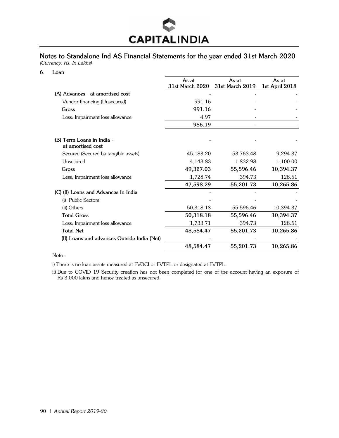

(Currency: Rs. In Lakhs)

#### **6. Loan**

| As at     | As at<br>31st March 2019 | As at<br>1st April 2018 |
|-----------|--------------------------|-------------------------|
|           |                          |                         |
| 991.16    |                          |                         |
| 991.16    |                          |                         |
| 4.97      |                          |                         |
| 986.19    |                          |                         |
|           |                          |                         |
| 45,183.20 | 53,763.48                | 9,294.37                |
| 4,143.83  | 1,832.98                 | 1,100.00                |
| 49,327.03 | 55,596.46                | 10,394.37               |
| 1,728.74  | 394.73                   | 128.51                  |
| 47,598.29 | 55,201.73                | 10,265.86               |
|           |                          |                         |
|           |                          |                         |
| 50,318.18 | 55,596.46                | 10,394.37               |
| 50,318.18 | 55,596.46                | 10,394.37               |
| 1,733.71  | 394.73                   | 128.51                  |
| 48,584.47 | 55,201.73                | 10,265.86               |
|           |                          |                         |
| 48,584.47 | 55,201.73                | 10,265.86               |
|           |                          | 31st March 2020         |

#### Note :

i) There is no loan assets measured at FVOCI or FVTPL or designated at FVTPL.

ii) Due to COVID 19 Security creation has not been completed for one of the account having an exposure of Rs 3,000 lakhs and hence treated as unsecured.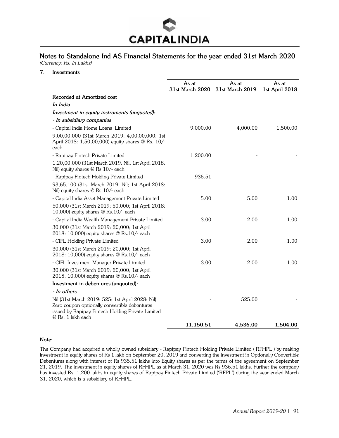

(Currency: Rs. In Lakhs)

#### **7. Investments**

|                                                                                                                                                                            | As at<br>31st March 2020 | As at<br>31st March 2019 | As at<br>1st April 2018 |
|----------------------------------------------------------------------------------------------------------------------------------------------------------------------------|--------------------------|--------------------------|-------------------------|
| Recorded at Amortized cost                                                                                                                                                 |                          |                          |                         |
| In India                                                                                                                                                                   |                          |                          |                         |
| Investment in equity instruments (unquoted):                                                                                                                               |                          |                          |                         |
| - In subsidiary companies                                                                                                                                                  |                          |                          |                         |
| - Capital India Home Loans Limited                                                                                                                                         | 9,000.00                 | 4,000.00                 | 1,500.00                |
| 9,00,00,000 (31st March 2019: 4,00,00,000; 1st<br>April 2018: 1,50,00,000) equity shares @ Rs. 10/-<br>each                                                                |                          |                          |                         |
| - Rapipay Fintech Private Limited                                                                                                                                          | 1,200.00                 |                          |                         |
| 1,20,00,000 (31st March 2019: Nil; 1st April 2018:<br>Nil) equity shares @ Rs.10/- each                                                                                    |                          |                          |                         |
| - Rapipay Fintech Holding Private Limited                                                                                                                                  | 936.51                   |                          |                         |
| 93,65,100 (31st March 2019: Nil; 1st April 2018:<br>Nil) equity shares @ Rs.10/- each                                                                                      |                          |                          |                         |
| - Capital India Asset Management Private Limited                                                                                                                           | 5.00                     | 5.00                     | 1.00                    |
| 50,000 (31st March 2019: 50,000; 1st April 2018:<br>10,000) equity shares @ Rs.10/- each                                                                                   |                          |                          |                         |
| - Capital India Wealth Management Private Limited                                                                                                                          | 3.00                     | 2.00                     | 1.00                    |
| 30,000 (31st March 2019: 20,000; 1st April<br>2018: 10,000) equity shares @ Rs.10/- each                                                                                   |                          |                          |                         |
| - CIFL Holding Private Limited                                                                                                                                             | 3.00                     | 2.00                     | 1.00                    |
| 30,000 (31st March 2019: 20,000; 1st April<br>2018: 10,000) equity shares @ Rs.10/- each                                                                                   |                          |                          |                         |
| - CIFL Investment Manager Private Limited                                                                                                                                  | 3.00                     | 2.00                     | 1.00                    |
| 30,000 (31st March 2019: 20,000; 1st April<br>2018: 10,000) equity shares @ Rs.10/- each                                                                                   |                          |                          |                         |
| Investment in debentures (unquoted):                                                                                                                                       |                          |                          |                         |
| - In others                                                                                                                                                                |                          |                          |                         |
| Nil (31st March 2019: 525; 1st April 2028: Nil)<br>Zero coupon optionally convertible debentures<br>issued by Rapipay Fintech Holding Private Limited<br>@ Rs. 1 lakh each |                          | 525.00                   |                         |
|                                                                                                                                                                            | 11,150.51                | 4,536.00                 | 1,504.00                |

#### **Note:**

The Company had acquired a wholly owned subsidiary - Rapipay Fintech Holding Private Limited ('RFHPL') by making investment in equity shares of Rs 1 lakh on September 20, 2019 and converting the investment in Optionally Convertible Debentures along with interest of Rs 935.51 lakhs into Equity shares as per the terms of the agreement on September 21, 2019. The investment in equity shares of RFHPL as at March 31, 2020 was Rs 936.51 lakhs. Further the company has invested Rs. 1,200 lakhs in equity shares of Rapipay Fintech Private Limited ('RFPL') during the year ended March 31, 2020, which is a subsidiary of RFHPL.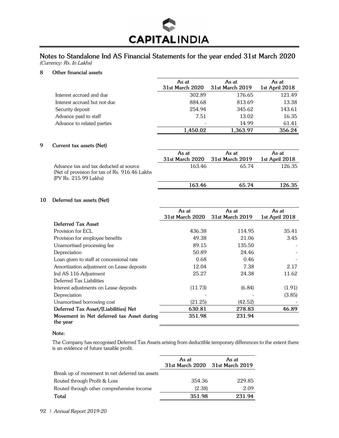

#### **8 Other financial assets**

|                              | As at<br>31st March 2020 | As at<br>31st March 2019 | As at<br>1st April 2018 |
|------------------------------|--------------------------|--------------------------|-------------------------|
| Interest accrued and due     | 302.89                   | 176.65                   | 121.49                  |
| Interest accrued but not due | 884.68                   | 813.69                   | 13.38                   |
| Security deposit             | 254.94                   | 345.62                   | 143.61                  |
| Advance paid to staff        | 7.51                     | 13.02                    | 16.35                   |
| Advance to related parties   |                          | 14.99                    | 61.41                   |
|                              | 1,450.02                 | 1,363.97                 | 356.24                  |

#### **9 Current tax assets (Net)**

|                                                                                                                   | As at<br>31st March 2020 31st March 2019 | As at | As at<br>1st April 2018 |
|-------------------------------------------------------------------------------------------------------------------|------------------------------------------|-------|-------------------------|
| Advance tax and tax deducted at source<br>(Net of provision for tax of Rs. 916.46 Lakhs)<br>(PY Rs. 215.99 Lakhs) | 163.46                                   | 65.74 | 126.35                  |

 **163.46 65.74 126.35** 

#### **10 Deferred tax assets (Net)**

|                                           | As at           | As at           | As at          |
|-------------------------------------------|-----------------|-----------------|----------------|
|                                           | 31st March 2020 | 31st March 2019 | 1st April 2018 |
| Deferred Tax Asset                        |                 |                 |                |
| Provision for ECL                         | 436.38          | 114.95          | 35.41          |
| Provision for employee benefits           | 49.38           | 21.06           | 3.45           |
| Unamortised processing fee                | 89.15           | 135.50          |                |
| Depreciation                              | 50.89           | 24.46           |                |
| Loan given to staff at concessional rate  | 0.68            | 0.46            |                |
| Amortization adjustment on Lease deposits | 12.04           | 7.38            | 2.17           |
| Ind AS 116 Adjustment                     | 25.27           | 24.38           | 11.62          |
| Deferred Tax Liabilities                  |                 |                 |                |
| Interest adjustments on Lease deposits    | (11.73)         | (6.84)          | (1.91)         |
| Depreciation                              |                 |                 | (3.85)         |
| Unamortised borrowing cost                | (21.25)         | (42.52)         |                |
| Deferred Tax Asset/(Liabilities) Net      | 630.81          | 278.83          | 46.89          |
| Movement in Net deferred tax Asset during | 351.98          | 231.94          |                |
| the year                                  |                 |                 |                |

#### **Note:**

The Company has recognised Deferred Tax Assets arising from deductible temporary differences to the extent there is an evidence of future taxable profit.

|                                                 | As at<br>31st March 2020 31st March 2019 | As at  |
|-------------------------------------------------|------------------------------------------|--------|
| Break up of movement in net deferred tax assets |                                          |        |
| Routed through Profit & Loss                    | 354.36                                   | 229.85 |
| Routed through other comprehensive income       | (2.38)                                   | 2.09   |
| <b>Total</b>                                    | 351.98                                   | 231.94 |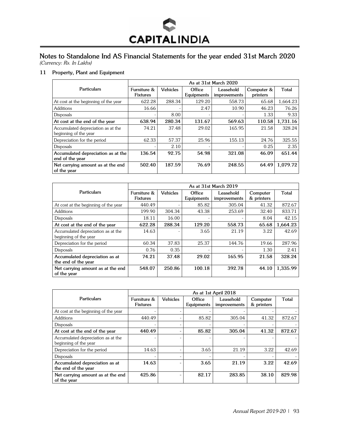

### **11 Property, Plant and Equipment**

|                                                             | As at 31st March 2020   |                 |                      |                           |                        |          |
|-------------------------------------------------------------|-------------------------|-----------------|----------------------|---------------------------|------------------------|----------|
| <b>Particulars</b>                                          | Furniture &<br>Fixtures | <b>Vehicles</b> | Office<br>Equipments | Leasehold<br>improvements | Computer &<br>printers | Total    |
| At cost at the beginning of the year                        | 622.28                  | 288.34          | 129.20               | 558.73                    | 65.68                  | 1,664.23 |
| <b>Additions</b>                                            | 16.66                   |                 | 2.47                 | 10.90                     | 46.23                  | 76.26    |
| <b>Disposals</b>                                            |                         | 8.00            |                      |                           | 1.33                   | 9.33     |
| At cost at the end of the year                              | 638.94                  | 280.34          | 131.67               | 569.63                    | 110.58                 | 1,731.16 |
| Accumulated depreciation as at the<br>beginning of the year | 74.21                   | 37.48           | 29.02                | 165.95                    | 21.58                  | 328.24   |
| Depreciation for the period                                 | 62.33                   | 57.37           | 25.96                | 155.13                    | 24.76                  | 325.55   |
| <b>Disposals</b>                                            |                         | 2.10            |                      |                           | 0.25                   | 2.35     |
| Accumulated depreciation as at the<br>end of the year       | 136.54                  | 92.75           | 54.98                | 321.08                    | 46.09                  | 651.44   |
| Net carrying amount as at the end<br>of the year            | 502.40                  | 187.59          | 76.69                | 248.55                    | 64.49                  | 1,079.72 |

|                                                             | As at 31st March 2019 |                          |                          |              |            |          |
|-------------------------------------------------------------|-----------------------|--------------------------|--------------------------|--------------|------------|----------|
| <b>Particulars</b>                                          | Furniture &           | <b>Vehicles</b>          | Office                   | Leasehold    | Computer   | Total    |
|                                                             | <b>Fixtures</b>       |                          | Equipments               | improvements | & printers |          |
| At cost at the beginning of the year                        | 440.49                | $\overline{\phantom{a}}$ | 85.82                    | 305.04       | 41.32      | 872.67   |
| Additions                                                   | 199.90                | 304.34                   | 43.38                    | 253.69       | 32.40      | 833.71   |
| <b>Disposals</b>                                            | 18.11                 | 16.00                    | $\overline{\phantom{a}}$ |              | 8.04       | 42.15    |
| At cost at the end of the year                              | 622.28                | 288.34                   | 129.20                   | 558.73       | 65.68      | 1,664.23 |
| Accumulated depreciation as at the<br>beginning of the year | 14.63                 |                          | 3.65                     | 21.19        | 3.22       | 42.69    |
| Depreciation for the period                                 | 60.34                 | 37.83                    | 25.37                    | 144.76       | 19.66      | 287.96   |
| <b>Disposals</b>                                            | 0.76                  | 0.35                     | $\overline{\phantom{a}}$ |              | 1.30       | 2.41     |
| Accumulated depreciation as at<br>the end of the year       | 74.21                 | 37.48                    | 29.02                    | 165.95       | 21.58      | 328.24   |
| Net carrying amount as at the end<br>of the year            | 548.07                | 250.86                   | 100.18                   | 392.78       | 44.10      | 1,335.99 |

|                                                             | As at 1st April 2018           |                 |                      |                                  |                        |        |
|-------------------------------------------------------------|--------------------------------|-----------------|----------------------|----------------------------------|------------------------|--------|
| <b>Particulars</b>                                          | Furniture &<br><b>Fixtures</b> | <b>Vehicles</b> | Office<br>Equipments | Leasehold<br><i>improvements</i> | Computer<br>& printers | Total  |
| At cost at the beginning of the year                        | $\overline{\phantom{a}}$       |                 |                      |                                  |                        |        |
| <b>Additions</b>                                            | 440.49                         |                 | 85.82                | 305.04                           | 41.32                  | 872.67 |
| <b>Disposals</b>                                            | $\overline{\phantom{a}}$       |                 |                      |                                  |                        |        |
| At cost at the end of the year                              | 440.49                         |                 | 85.82                | 305.04                           | 41.32                  | 872.67 |
| Accumulated depreciation as at the<br>beginning of the year |                                |                 |                      |                                  |                        |        |
| Depreciation for the period                                 | 14.63                          |                 | 3.65                 | 21.19                            | 3.22                   | 42.69  |
| <b>Disposals</b>                                            |                                |                 |                      |                                  |                        |        |
| Accumulated depreciation as at<br>the end of the year       | 14.63                          |                 | 3.65                 | 21.19                            | 3.22                   | 42.69  |
| Net carrying amount as at the end<br>of the year            | 425.86                         |                 | 82.17                | 283.85                           | 38.10                  | 829.98 |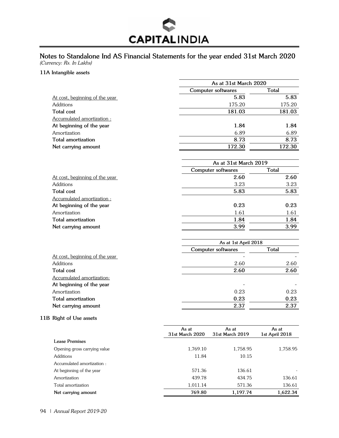

(Currency: Rs. In Lakhs)

### **11A Intangible assets**

|                                | As at 31st March 2020 |              |  |
|--------------------------------|-----------------------|--------------|--|
|                                | Computer softwares    | <b>Total</b> |  |
| At cost, beginning of the year | 5.83                  | 5.83         |  |
| <b>Additions</b>               | 175.20                | 175.20       |  |
| Total cost                     | 181.03                | 181.03       |  |
| Accumulated amortization:      |                       |              |  |
| At beginning of the year       | 1.84                  | 1.84         |  |
| Amortization                   | 6.89                  | 6.89         |  |
| Total amortization             | 8.73                  | 8.73         |  |
| Net carrying amount            | 172.30                | 172.30       |  |

|                                | As at 31st March 2019 |       |  |
|--------------------------------|-----------------------|-------|--|
|                                | Computer softwares    | Total |  |
| At cost, beginning of the year | 2.60                  | 2.60  |  |
| Additions                      | 3.23                  | 3.23  |  |
| Total cost                     | 5.83                  | 5.83  |  |
| Accumulated amortization:      |                       |       |  |
| At beginning of the year       | 0.23                  | 0.23  |  |
| Amortization                   | 1.61                  | 1.61  |  |
| Total amortization             | 1.84                  | 1.84  |  |
| Net carrying amount            | 3.99                  | 3.99  |  |

|                                | As at 1st April 2018 |       |  |
|--------------------------------|----------------------|-------|--|
|                                | Computer softwares   | Total |  |
| At cost, beginning of the year |                      |       |  |
| <b>Additions</b>               | 2.60                 | 2.60  |  |
| Total cost                     | 2.60                 | 2.60  |  |
| Accumulated amortization:      |                      |       |  |
| At beginning of the year       |                      |       |  |
| Amortization                   | 0.23                 | 0.23  |  |
| Total amortization             | 0.23                 | 0.23  |  |
| Net carrying amount            | 2.37                 | 2.37  |  |

#### **11B Right of Use assets**

|                              | As at<br>31st March 2020 | As at<br>31st March 2019 | As at<br>1st April 2018 |
|------------------------------|--------------------------|--------------------------|-------------------------|
| Lease Premises               |                          |                          |                         |
| Opening gross carrying value | 1,769.10                 | 1,758.95                 | 1,758.95                |
| Additions                    | 11.84                    | 10.15                    |                         |
| Accumulated amortization:    |                          |                          |                         |
| At beginning of the year     | 571.36                   | 136.61                   |                         |
| Amortization                 | 439.78                   | 434.75                   | 136.61                  |
| Total amortization           | 1,011.14                 | 571.36                   | 136.61                  |
| Net carrying amount          | 769.80                   | 1,197.74                 | 1,622.34                |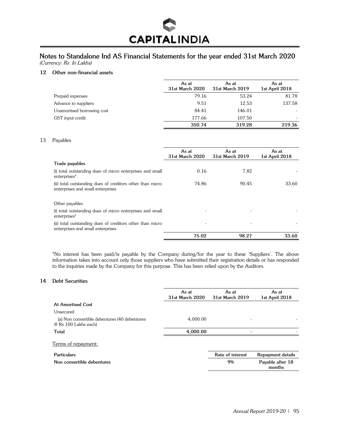

# **12 Other non-financial assets**

|                            | As at<br>31st March 2020 | As at<br>31st March 2019 | As at<br>1st April 2018 |
|----------------------------|--------------------------|--------------------------|-------------------------|
| Prepaid expenses           | 79.16                    | 53.24                    | 81.78                   |
| Advance to suppliers       | 9.51                     | 12.53                    | 137.58                  |
| Unamortised borrowing cost | 84.41                    | 146.01                   |                         |
| GST input credit           | 177.66                   | 107.50                   |                         |
|                            | 350.74                   | 319.28                   | 219.36                  |

#### 13 Payables

|                                                                                                | As at<br>31st March 2020 | As at<br>31st March 2019 | As at<br>1st April 2018 |
|------------------------------------------------------------------------------------------------|--------------------------|--------------------------|-------------------------|
| Trade payables                                                                                 |                          |                          |                         |
| (i) total outstanding dues of micro enterprises and small<br>enterprises*                      | 0.16                     | 7.82                     |                         |
| (ii) total outstanding dues of creditors other than micro<br>enterprises and small enterprises | 74.86                    | 90.45                    | 33.60                   |
| Other payables                                                                                 |                          |                          |                         |
| (i) total outstanding dues of micro enterprises and small<br>enterprises*                      |                          | $\overline{\phantom{a}}$ |                         |
| (ii) total outstanding dues of creditors other than micro<br>enterprises and small enterprises | $\overline{\phantom{0}}$ | $\overline{\phantom{a}}$ |                         |
|                                                                                                | 75.02                    | 98.27                    | 33.60                   |

\*No interest has been paid/is payable by the Company during/for the year to these 'Suppliers'. The above information takes into account only those suppliers who have submitted their registration details or has responded to the inquiries made by the Company for this purpose. This has been relied upon by the Auditors.

#### **14 Debt Securities**

|                                                                       | As at<br>31st March 2020 | As at<br>31st March 2019     | As at<br>1st April 2018    |
|-----------------------------------------------------------------------|--------------------------|------------------------------|----------------------------|
| At Amortised Cost                                                     |                          |                              |                            |
| Unsecured                                                             |                          |                              |                            |
| (a) Non convertible debentures (40 debentures<br>@ Rs 100 Lakhs each) | 4,000.00                 | $\qquad \qquad \blacksquare$ |                            |
| Total                                                                 | 4,000.00                 | -                            |                            |
| Terms of repayment:                                                   |                          |                              |                            |
| Particulars                                                           |                          | Rate of interest             | Repayment details          |
| Non convertible debentures                                            |                          | 9%                           | Payable after 18<br>months |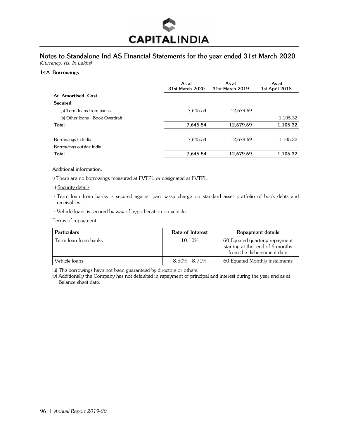

(Currency: Rs. In Lakhs)

### **14A Borrowings**

|                                  | As at<br>31st March 2020 | As at<br>31st March 2019 | As at<br>1st April 2018 |
|----------------------------------|--------------------------|--------------------------|-------------------------|
| At Amortised Cost                |                          |                          |                         |
| <b>Secured</b>                   |                          |                          |                         |
| (a) Term loans from banks        | 7,645.54                 | 12,679.69                |                         |
| (b) Other loans - Book Overdraft |                          |                          | 1,105.32                |
| Total                            | 7,645.54                 | 12,679.69                | 1,105.32                |
|                                  |                          |                          |                         |
| Borrowings in India              | 7,645.54                 | 12,679.69                | 1,105.32                |
| Borrowings outside India         | ٠                        |                          |                         |
| <b>Total</b>                     | 7,645.54                 | 12,679.69                | 1,105.32                |

Additional information:

i) There are no borrowings measured at FVTPL or designated at FVTPL.

ii) Security details

 - Term loan from banks is secured against pari passu charge on standard asset portfolio of book debts and receivables.

- Vehicle loans is secured by way of hypothecation on vehicles.

Terms of repayment:

| <b>Particulars</b>   | Rate of Interest    | Repayment details                                                                               |
|----------------------|---------------------|-------------------------------------------------------------------------------------------------|
| Term loan from banks | 10.10%              | 60 Equated quarterly repayment<br>starting at the end of 6 months<br>from the disbursement date |
| Vehicle loans        | $8.50\%$ - $8.71\%$ | 60 Equated Monthly instalments                                                                  |

iii) The borrowings have not been guaranteed by directors or others.

iv) Additionally the Company has not defaulted in repayment of principal and interest during the year and as at Balance sheet date.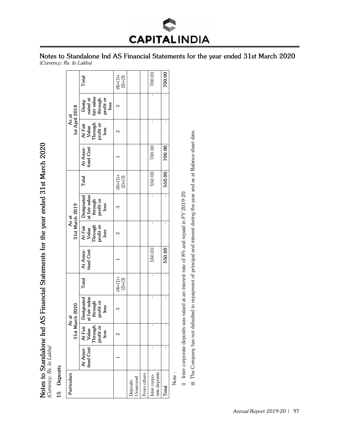

| 15 Deposits                   |                                                           |      |                                                             |                         |                        |                                                  |                                                             |                       |                        |                                                  |                                                                  |                            |
|-------------------------------|-----------------------------------------------------------|------|-------------------------------------------------------------|-------------------------|------------------------|--------------------------------------------------|-------------------------------------------------------------|-----------------------|------------------------|--------------------------------------------------|------------------------------------------------------------------|----------------------------|
| Particulars                   |                                                           |      | 31st March 2020<br>As at                                    |                         |                        | 31st March 2019<br>As at                         |                                                             |                       |                        | 1st April 2018<br>As at                          |                                                                  |                            |
|                               | At Amor-<br>tised Cost<br>Through<br>Through<br>profit or | loss | Designated<br>at fair value<br>through<br>profit or<br>loss | Total                   | At Amor-<br>tised Cost | At Fair<br>Value<br>Through<br>profit or<br>loss | Designated<br>at fair value<br>through<br>profit or<br>loss | Total                 | At Amor-<br>tised Cost | At Fair<br>Value<br>Through<br>profit or<br>loss | fair value<br>through<br>profit or<br>loss<br>nated at<br>Desig- | Total                      |
|                               |                                                           | 2    | 3                                                           | $(4)=(1)+$<br>$(2)+(3)$ |                        | $\mathbf{\Omega}$                                | 3                                                           | $(4)=(1)+$<br>(2)+(3) |                        | $\mathbf{\Omega}$                                | m                                                                | $(4) = (1) +$<br>$(2)+(3)$ |
| Jnsecured<br><b>Deposits</b>  |                                                           |      |                                                             |                         |                        |                                                  |                                                             |                       |                        |                                                  |                                                                  |                            |
| From others                   |                                                           |      |                                                             |                         |                        |                                                  |                                                             |                       |                        |                                                  |                                                                  |                            |
| rate deposits<br>Inter corpo- |                                                           |      |                                                             |                         | 550.00                 |                                                  |                                                             | 550.00                | 700.00                 |                                                  |                                                                  | 700.00                     |
| Total                         |                                                           |      |                                                             |                         | 550.00                 |                                                  |                                                             | 550.00                | 700.00                 |                                                  | $\overline{1}$                                                   | 700.00                     |

**Notes to Standalone Ind AS Financial Statements for the year ended 31st March 2020**

Notes to Standalone Ind AS Financial Statements for the year ended 31st March 2020<br>(Currency: Rs. In Lakhs)

(Currency: Rs. In Lakhs)

Note :

i) Inter corporate deposits was raised at an interest rate of 8% and repaid in FY 2019-20 i) Inter corporate deposits was raised at an interest rate of 8% and repaid in FY 2019-20 The Company has not defaulted in repayment of principal and interest during the year and as at Balance sheet date. ii) The Company has not defaulted in repayment of principal and interest during the year and as at Balance sheet date.  $\hat{=}$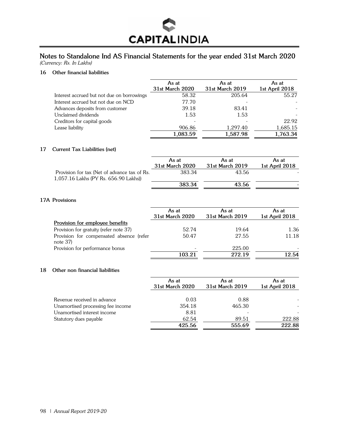

#### **16 Other financial liabilities**

|                                            | As at<br>31st March 2020 | As at<br>31st March 2019 | As at<br>1st April 2018 |
|--------------------------------------------|--------------------------|--------------------------|-------------------------|
|                                            |                          |                          |                         |
| Interest accrued but not due on borrowings | 58.32                    | 205.64                   | 55.27                   |
| Interest accrued but not due on NCD        | 77.70                    |                          |                         |
| Advances deposits from customer            | 39.18                    | 83.41                    |                         |
| Unclaimed dividends                        | 1.53                     | 1.53                     |                         |
| Creditors for capital goods                |                          |                          | 22.92                   |
| Lease liability                            | 906.86                   | 1.297.40                 | 1,685.15                |
|                                            | 1,083.59                 | 1,587.98                 | 1,763.34                |

#### **17 Current Tax Liabilities (net)**

|                                                                                       | As at<br>31st March 2020 | As at<br>31st March 2019 | As at<br>1st April 2018 |
|---------------------------------------------------------------------------------------|--------------------------|--------------------------|-------------------------|
| Provision for tax (Net of advance tax of Rs.<br>1,057.16 Lakhs (PY Rs. 656.90 Lakhs)) | 383.34                   | 43.56                    |                         |
|                                                                                       | 383.34                   | 43.56                    |                         |

#### **17A Provisions**

|                                                         | As at           | As at           | As at          |
|---------------------------------------------------------|-----------------|-----------------|----------------|
|                                                         | 31st March 2020 | 31st March 2019 | 1st April 2018 |
| Provision for employee benefits                         |                 |                 |                |
| Provision for gratuity (refer note 37)                  | 52.74           | 19.64           | 1.36           |
| Provision for compensated absence (refer<br>note $37$ ) | 50.47           | 27.55           | 11.18          |
| Provision for performance bonus                         |                 | 225.00          |                |
|                                                         | 103.21          | 272.19          | 12.54          |

#### **18 Other non financial liabilities**

|                                   | As at           | As at           | As at          |
|-----------------------------------|-----------------|-----------------|----------------|
|                                   | 31st March 2020 | 31st March 2019 | 1st April 2018 |
| Revenue received in advance       | 0.03            | 0.88            |                |
| Unamortised processing fee income | 354.18          | 465.30          |                |
| Unamortised interest income       | 8.81            |                 |                |
| Statutory dues payable            | 62.54           | 89.51           | 222.88         |
|                                   | 425.56          | 555.69          | 222.88         |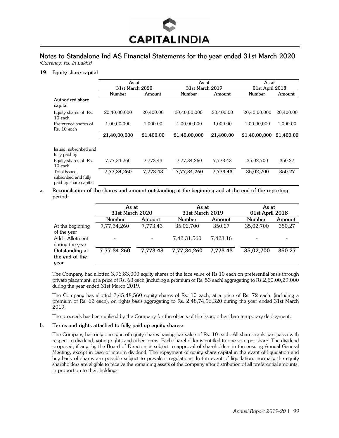

#### **19 Equity share capital**

|                                                                            | As at<br>31st March 2020 |           | As at<br>31st March 2019 |           | As at<br>01st April 2018 |           |
|----------------------------------------------------------------------------|--------------------------|-----------|--------------------------|-----------|--------------------------|-----------|
|                                                                            | Number                   | Amount    | Number                   | Amount    | Number                   | Amount    |
| Authorized share<br>capital                                                |                          |           |                          |           |                          |           |
| Equity shares of Rs.<br>$10$ each                                          | 20,40,00,000             | 20,400.00 | 20,40,00,000             | 20,400.00 | 20,40,00,000             | 20,400.00 |
| Preference shares of<br>Rs. 10 each                                        | 1,00,00,000              | 1,000.00  | 1,00,00,000              | 1,000.00  | 1,00,00,000              | 1,000.00  |
|                                                                            | 21,40,00,000             | 21,400.00 | 21,40,00,000             | 21,400.00 | 21,40,00,000             | 21,400.00 |
| Issued, subscribed and<br>fully paid up<br>Equity shares of Rs.<br>10 each | 7,77,34,260              | 7,773.43  | 7,77,34,260              | 7,773.43  | 35,02,700                | 350.27    |
| Total issued,<br>subscribed and fully<br>paid up share capital             | 7,77,34,260              | 7,773.43  | 7,77,34,260              | 7.773.43  | 35,02,700                | 350.27    |

#### **a. Reconciliation of the shares and amount outstanding at the beginning and at the end of the reporting period:**

|                                          | As at<br>31st March 2020 |          | As at<br>31st March 2019 |          | As at<br>01st April 2018 |        |
|------------------------------------------|--------------------------|----------|--------------------------|----------|--------------------------|--------|
|                                          | Number                   | Amount   | Number                   | Amount   | Number                   | Amount |
| At the beginning<br>of the year          | 7,77,34,260              | 7,773.43 | 35,02,700                | 350.27   | 35.02.700                | 350.27 |
| Add: Allotment<br>during the year        | $\overline{a}$           |          | 7,42,31,560              | 7,423.16 |                          |        |
| Outstanding at<br>the end of the<br>year | 7,77,34,260              | 7,773.43 | 7.77.34,260              | 7.773.43 | 35,02,700                | 350.27 |

The Company had allotted 3,96,83,000 equity shares of the face value of Rs.10 each on preferential basis through private placement, at a price of Rs. 63 each (including a premium of Rs. 53 each) aggregating to Rs.2,50,00,29,000 during the year ended 31st March 2019.

The Company has allotted 3,45,48,560 equity shares of Rs. 10 each, at a price of Rs. 72 each, (including a premium of Rs. 62 each), on rights basis aggregating to Rs. 2,48,74,96,320 during the year ended 31st March 2019.

The proceeds has been utilised by the Company for the objects of the issue, other than temporary deployment.

#### **b. Terms and rights attached to fully paid up equity shares:**

The Company has only one type of equity shares having par value of Rs. 10 each. All shares rank pari passu with respect to dividend, voting rights and other terms. Each shareholder is entitled to one vote per share. The dividend proposed, if any, by the Board of Directors is subject to approval of shareholders in the ensuing Annual General Meeting, except in case of interim dividend. The repayment of equity share capital in the event of liquidation and buy back of shares are possible subject to prevalent regulations. In the event of liquidation, normally the equity shareholders are eligible to receive the remaining assets of the company after distribution of all preferential amounts, in proportion to their holdings.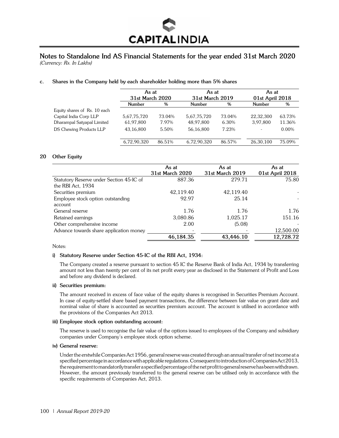

#### **c. Shares in the Company held by each shareholder holding more than 5% shares**

|                              | As at<br>31st March 2020 |        | As at<br>31st March 2019 |        | As at<br>01st April 2018 |        |
|------------------------------|--------------------------|--------|--------------------------|--------|--------------------------|--------|
|                              | Number                   | %      | Number                   | %      | Number                   | %      |
| Equity shares of Rs. 10 each |                          |        |                          |        |                          |        |
| Capital India Corp LLP       | 5,67,75,720              | 73.04% | 5,67,75,720              | 73.04% | 22,32,300                | 63.73% |
| Dharampal Satyapal Limited   | 61,97,800                | 7.97%  | 48,97,800                | 6.30%  | 3,97,800                 | 11.36% |
| DS Chewing Products LLP      | 43.16.800                | 5.50%  | 56.16.800                | 7.23%  | $\overline{\phantom{a}}$ | 0.00%  |
|                              |                          |        |                          |        |                          |        |
|                              | 6,72,90,320              | 86.51% | 6.72.90.320              | 86.57% | 26.30.100                | 75.09% |

#### **20 Other Equity**

|                                          | As at           | As at           | As at           |
|------------------------------------------|-----------------|-----------------|-----------------|
|                                          | 31st March 2020 | 31st March 2019 | 01st April 2018 |
| Statutory Reserve under Section 45-IC of | 887.36          | 279.71          | 75.80           |
| the RBI Act, 1934                        |                 |                 |                 |
| Securities premium                       | 42,119.40       | 42,119.40       |                 |
| Employee stock option outstanding        | 92.97           | 25.14           |                 |
| account                                  |                 |                 |                 |
| General reserve                          | 1.76            | 1.76            | 1.76            |
| Retained earnings                        | 3,080.86        | 1,025.17        | 151.16          |
| Other comprehensive income               | 2.00            | (5.08)          |                 |
| Advance towards share application money  |                 |                 | 12,500.00       |
|                                          | 46,184.35       | 43,446.10       | 12,728.72       |

#### Notes:

#### **i) Statutory Reserve under Section 45-IC of the RBI Act, 1934:**

 The Company created a reserve pursuant to section 45 IC the Reserve Bank of India Act, 1934 by transferring amount not less than twenty per cent of its net profit every year as disclosed in the Statement of Profit and Loss and before any dividend is declared.

#### **ii) Securities premium:**

 The amount received in excess of face value of the equity shares is recognised in Securities Premium Account. In case of equity-settled share based payment transactions, the difference between fair value on grant date and nominal value of share is accounted as securities premium account. The account is utilised in accordance with the provisions of the Companies Act 2013.

#### **iii) Employee stock option outstanding account:**

 The reserve is used to recognise the fair value of the options issued to employees of the Company and subsidiary companies under Company's employee stock option scheme.

#### **iv) General reserve:**

 Under the erstwhile Companies Act 1956, general reserve was created through an annual transfer of net income at a specified percentage in accordance with applicable regulations. Consequent to introduction of Companies Act 2013, the requirement to mandatorily transfer a specified percentage of the net profit to general reserve has been withdrawn. However, the amount previously transferred to the general reserve can be utilised only in accordance with the specific requirements of Companies Act, 2013.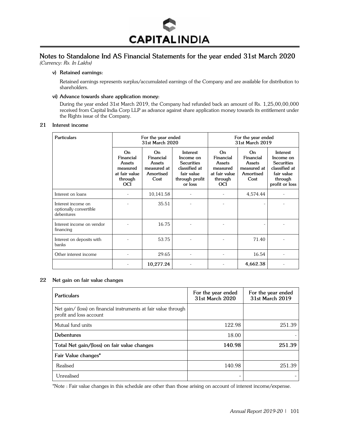

(Currency: Rs. In Lakhs)

#### **v) Retained earnings:**

 Retained earnings represents surplus/accumulated earnings of the Company and are available for distribution to shareholders.

#### **vi) Advance towards share application money:**

 During the year ended 31st March 2019, the Company had refunded back an amount of Rs. 1,25,00,00,000 received from Capital India Corp LLP as advance against share application money towards its entitlement under the Rights issue of the Company.

#### **21 Interest income**

| <b>Particulars</b>                                         | For the year ended<br>31st March 2020                                           |                                                               | For the year ended<br>31st March 2019                                                                         |                                                                                 |                                                                      |                                                                                                        |
|------------------------------------------------------------|---------------------------------------------------------------------------------|---------------------------------------------------------------|---------------------------------------------------------------------------------------------------------------|---------------------------------------------------------------------------------|----------------------------------------------------------------------|--------------------------------------------------------------------------------------------------------|
|                                                            | On<br>Financial<br>Assets<br>measured<br>at fair value<br>through<br><b>OCI</b> | On<br>Financial<br>Assets<br>measured at<br>Amortised<br>Cost | <b>Interest</b><br>Income on<br><b>Securities</b><br>classified at<br>fair value<br>through profit<br>or loss | On<br>Financial<br>Assets<br>measured<br>at fair value<br>through<br><b>OCI</b> | On<br>Financial<br><b>Assets</b><br>measured at<br>Amortised<br>Cost | Interest<br>Income on<br><b>Securities</b><br>classified at<br>fair value<br>through<br>profit or loss |
| Interest on loans                                          |                                                                                 | 10,141.58                                                     |                                                                                                               |                                                                                 | 4,574.44                                                             |                                                                                                        |
| Interest income on<br>optionally convertible<br>debentures |                                                                                 | 35.51                                                         |                                                                                                               |                                                                                 |                                                                      |                                                                                                        |
| Interest income on vendor<br>financing                     |                                                                                 | 16.75                                                         |                                                                                                               |                                                                                 |                                                                      |                                                                                                        |
| Interest on deposits with<br>banks                         |                                                                                 | 53.75                                                         |                                                                                                               |                                                                                 | 71.40                                                                |                                                                                                        |
| Other interest income                                      |                                                                                 | 29.65                                                         |                                                                                                               |                                                                                 | 16.54                                                                |                                                                                                        |
|                                                            |                                                                                 | 10,277.24                                                     |                                                                                                               |                                                                                 | 4,662.38                                                             |                                                                                                        |

#### **22 Net gain on fair value changes**

Ī

| <b>Particulars</b>                                                                         | For the year ended<br>31st March 2020 | For the year ended<br>31st March 2019 |
|--------------------------------------------------------------------------------------------|---------------------------------------|---------------------------------------|
| Net gain/ (loss) on financial instruments at fair value through<br>profit and loss account |                                       |                                       |
| Mutual fund units                                                                          | 122.98                                | 251.39                                |
| <b>Debentures</b>                                                                          | 18.00                                 |                                       |
| Total Net gain/(loss) on fair value changes                                                | 140.98                                | 251.39                                |
| Fair Value changes*                                                                        |                                       |                                       |
| Realised                                                                                   | 140.98                                | 251.39                                |
| Unrealised                                                                                 |                                       |                                       |

\*Note : Fair value changes in this schedule are other than those arising on account of interest income/expense.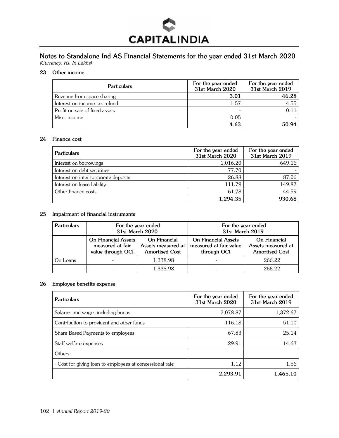

#### **23 Other income**

| <b>Particulars</b>             | For the year ended<br>31st March 2020 | For the year ended<br>31st March 2019 |
|--------------------------------|---------------------------------------|---------------------------------------|
| Revenue from space sharing     | 3.01                                  | 46.28                                 |
| Interest on income tax refund  | 1.57                                  | 4.55                                  |
| Profit on sale of fixed assets |                                       | 0.11                                  |
| Misc. income                   | 0.05                                  |                                       |
|                                | 4.63                                  | -94                                   |

#### **24 Finance cost**

| <b>Particulars</b>                   | For the year ended<br>31st March 2020 | For the year ended<br>31st March 2019 |
|--------------------------------------|---------------------------------------|---------------------------------------|
| Interest on borrowings               | 1,016.20                              | 649.16                                |
| Interest on debt securities          | 77.70                                 |                                       |
| Interest on inter corporate deposits | 26.88                                 | 87.06                                 |
| Interest on lease liability          | 111.79                                | 149.87                                |
| Other finance costs                  | 61.78                                 | 44.59                                 |
|                                      | 1,294.35                              | 930.68                                |

#### **25 Impairment of financial instruments**

| <b>Particulars</b> | For the year ended<br>31st March 2020                        |                                                             | For the year ended<br>31st March 2019                               |                                                             |
|--------------------|--------------------------------------------------------------|-------------------------------------------------------------|---------------------------------------------------------------------|-------------------------------------------------------------|
|                    | On Financial Assets<br>measured at fair<br>value through OCI | On Financial<br>Assets measured at<br><b>Amortised Cost</b> | <b>On Financial Assets</b><br>measured at fair value<br>through OCI | On Financial<br>Assets measured at<br><b>Amortised Cost</b> |
| On Loans           |                                                              | 1,338.98                                                    |                                                                     | 266.22                                                      |
|                    |                                                              | 1,338.98                                                    |                                                                     | 266.22                                                      |

#### **26 Employee benefits expense**

| <b>Particulars</b>                                       | For the year ended<br>31st March 2020 | For the year ended<br>31st March 2019 |
|----------------------------------------------------------|---------------------------------------|---------------------------------------|
| Salaries and wages including bonus                       | 2,078.87                              | 1,372.67                              |
| Contribution to provident and other funds                | 116.18                                | 51.10                                 |
| Share Based Payments to employees                        | 67.83                                 | 25.14                                 |
| Staff welfare expenses                                   | 29.91                                 | 14.63                                 |
| Others:                                                  |                                       |                                       |
| - Cost for giving loan to employees at concessional rate | 1.12                                  | 1.56                                  |
|                                                          | 2,293.91                              | 1,465.10                              |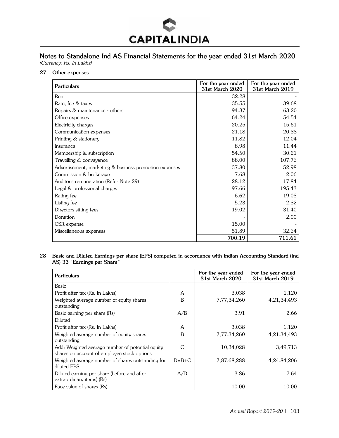

# **27 Other expenses**

| <b>Particulars</b>                                     | For the year ended<br>31st March 2020 | For the year ended<br>31st March 2019 |
|--------------------------------------------------------|---------------------------------------|---------------------------------------|
| Rent                                                   | 32.28                                 |                                       |
| Rate, fee & taxes                                      | 35.55                                 | 39.68                                 |
| Repairs & maintenance - others                         | 94.37                                 | 63.20                                 |
| Office expenses                                        | 64.24                                 | 54.54                                 |
| Electricity charges                                    | 20.25                                 | 15.61                                 |
| Communication expenses                                 | 21.18                                 | 20.88                                 |
| Printing & stationery                                  | 11.82                                 | 12.04                                 |
| Insurance                                              | 8.98                                  | 11.44                                 |
| Membership & subscription                              | 54.50                                 | 30.21                                 |
| Travelling & conveyance                                | 88.00                                 | 107.76                                |
| Advertisement, marketing & business promotion expenses | 37.80                                 | 52.98                                 |
| Commission & brokerage                                 | 7.68                                  | 2.06                                  |
| Auditor's remuneration (Refer Note 29)                 | 28.12                                 | 17.84                                 |
| Legal & professional charges                           | 97.66                                 | 195.43                                |
| Rating fee                                             | 6.62                                  | 19.08                                 |
| Listing fee                                            | 5.23                                  | 2.82                                  |
| Directors sitting fees                                 | 19.02                                 | 31.40                                 |
| Donation                                               |                                       | 2.00                                  |
| CSR expense                                            | 15.00                                 |                                       |
| Miscellaneous expenses                                 | 51.89                                 | 32.64                                 |
|                                                        | 700.19                                | 711.61                                |

#### **28 Basic and Diluted Earnings per share [EPS] computed in accordance with Indian Accounting Standard (Ind AS) 33 "Earnings per Share''**

| <b>Particulars</b>                                                                              |         | For the year ended<br>31st March 2020 | For the year ended<br>31st March 2019 |
|-------------------------------------------------------------------------------------------------|---------|---------------------------------------|---------------------------------------|
| Basic                                                                                           |         |                                       |                                       |
| Profit after tax (Rs. In Lakhs)                                                                 | A       | 3,038                                 | 1,120                                 |
| Weighted average number of equity shares<br>outstanding                                         | B       | 7,77,34,260                           | 4,21,34,493                           |
| Basic earning per share (Rs)                                                                    | A/B     | 3.91                                  | 2.66                                  |
| Diluted                                                                                         |         |                                       |                                       |
| Profit after tax (Rs. In Lakhs)                                                                 | A       | 3,038                                 | 1,120                                 |
| Weighted average number of equity shares<br>outstanding                                         | B       | 7,77,34,260                           | 4,21,34,493                           |
| Add: Weighted average number of potential equity<br>shares on account of employee stock options | C       | 10,34,028                             | 3,49,713                              |
| Weighted average number of shares outstanding for<br>diluted EPS                                | $D=B+C$ | 7,87,68,288                           | 4,24,84,206                           |
| Diluted earning per share (before and after<br>extraordinary items) (Rs)                        | A/D     | 3.86                                  | 2.64                                  |
| Face value of shares (Rs)                                                                       |         | 10.00                                 | 10.00                                 |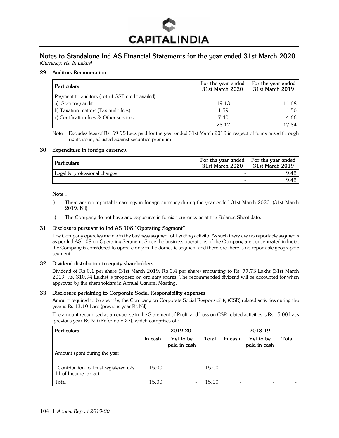

#### **29 Auditors Remuneration**

| <b>Particulars</b>                              | For the year ended<br>31st March 2020 | For the year ended<br>31st March 2019 |
|-------------------------------------------------|---------------------------------------|---------------------------------------|
| Payment to auditors (net of GST credit availed) |                                       |                                       |
| a) Statutory audit                              | 19.13                                 | 11.68                                 |
| b) Taxation matters (Tax audit fees)            | 1.59                                  | 1.50 <sub>1</sub>                     |
| c) Certification fees & Other services          | 7.40                                  | 4.66                                  |
|                                                 | 28.12                                 | 17.84 I                               |

Note : Excludes fees of Rs. 59.95 Lacs paid for the year ended 31st March 2019 in respect of funds raised through rights issue, adjusted against securities premium.

#### **30 Expenditure in foreign currency:**

| <b>Particulars</b>           | For the year ended $\vert$ For the year ended<br><b>31st March 2020</b> | 31st March 2019 |
|------------------------------|-------------------------------------------------------------------------|-----------------|
| Legal & professional charges |                                                                         | 9.42            |
|                              |                                                                         | 9.42            |
|                              |                                                                         |                 |

#### **Note :**

- i) There are no reportable earnings in foreign currency during the year ended 31st March 2020. (31st March 2019: Nil)
- ii) The Company do not have any exposures in foreign currency as at the Balance Sheet date.

#### **31 Disclosure pursuant to Ind AS 108 "Operating Segment"**

The Company operates mainly in the business segment of Lending activity. As such there are no reportable segments as per Ind AS 108 on Operating Segment. Since the business operations of the Company are concentrated in India, the Company is considered to operate only in the domestic segment and therefore there is no reportable geographic segment.

#### **32 Dividend distribution to equity shareholders**

Dividend of Re.0.1 per share (31st March 2019: Re.0.4 per share) amounting to Rs. 77.73 Lakhs (31st March 2019: Rs. 310.94 Lakhs) is proposed on ordinary shares. The recommended dividend will be accounted for when approved by the shareholders in Annual General Meeting.

#### **33 Disclosure pertaining to Corporate Social Responsibility expenses**

Amount required to be spent by the Company on Corporate Social Responsibility (CSR) related activities during the year is Rs 13.10 Lacs (previous year Rs Nil)

The amount recognised as an expense in the Statement of Profit and Loss on CSR related activities is Rs 15.00 Lacs (previous year Rs Nil) (Refer note 27), which comprises of :

| <b>Particulars</b>                                             | 2019-20 |                           | 2018-19      |         |                           |       |
|----------------------------------------------------------------|---------|---------------------------|--------------|---------|---------------------------|-------|
|                                                                | In cash | Yet to be<br>paid in cash | <b>Total</b> | In cash | Yet to be<br>paid in cash | Total |
| Amount spent during the year                                   |         |                           |              |         |                           |       |
| - Contribution to Trust registered u/s<br>11 of Income tax act | 15.00   | $\qquad \qquad =$         | 15.00        |         |                           |       |
| Total                                                          | 15.00   | $\overline{\phantom{0}}$  | 15.00        |         |                           |       |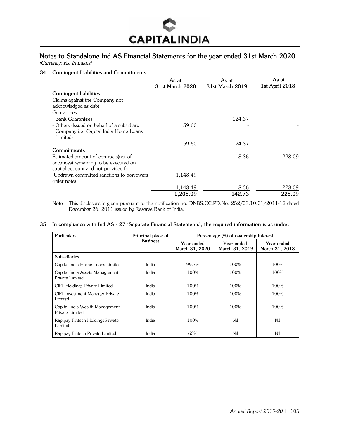

#### **34 Contingent Liabilities and Commitments**

|                                              | As at<br>31st March 2020 | As at<br>31st March 2019 | As at<br>1st April 2018 |
|----------------------------------------------|--------------------------|--------------------------|-------------------------|
| Contingent liabilities                       |                          |                          |                         |
| Claims against the Company not               |                          |                          |                         |
| acknowledged as debt                         |                          |                          |                         |
| Guarantees                                   |                          |                          |                         |
| - Bank Guarantees                            |                          | 124.37                   |                         |
| - Others (Issued on behalf of a subsidiary   | 59.60                    |                          |                         |
| Company <i>i.e.</i> Capital India Home Loans |                          |                          |                         |
| Limited)                                     |                          |                          |                         |
|                                              | 59.60                    | 124.37                   |                         |
| Commitments                                  |                          |                          |                         |
| Estimated amount of contracts (net of        |                          | 18.36                    | 228.09                  |
| advances) remaining to be executed on        |                          |                          |                         |
| capital account and not provided for         |                          |                          |                         |
| Undrawn committed sanctions to borrowers     | 1,148.49                 |                          |                         |
| (refer note)                                 |                          |                          |                         |
|                                              | 1,148.49                 | 18.36                    | 228.09                  |
|                                              | 1,208.09                 | 142.73                   | 228.09                  |

Note : This disclosure is given pursuant to the notification no. DNBS.CC.PD.No. 252/03.10.01/2011-12 dated December 26, 2011 issued by Reserve Bank of India.

### **35 In compliance with Ind AS - 27 'Separate Financial Statements', the required information is as under.**

| <b>Particulars</b>                                 | Principal place of |                              | Percentage (%) of ownership Interest |                              |
|----------------------------------------------------|--------------------|------------------------------|--------------------------------------|------------------------------|
|                                                    | <b>Business</b>    | Year ended<br>March 31, 2020 | Year ended<br>March 31, 2019         | Year ended<br>March 31, 2018 |
| <b>Subsidiaries</b>                                |                    |                              |                                      |                              |
| Capital India Home Loans Limited                   | India              | 99.7%                        | 100%                                 | 100%                         |
| Capital India Assets Management<br>Private Limited | India              | 100%                         | 100%                                 | 100%                         |
| CIFL Holdings Private Limited                      | India              | 100%                         | 100%                                 | 100%                         |
| CIFL Investment Manager Private<br>Limited         | India              | 100%                         | 100%                                 | 100%                         |
| Capital India Wealth Management<br>Private Limited | India              | 100%                         | 100%                                 | 100%                         |
| Rapipay Fintech Holdings Private<br>Limited        | India              | 100%                         | Nil                                  | Nil                          |
| Rapipay Fintech Private Limited                    | India              | 63%                          | Nil                                  | Nil                          |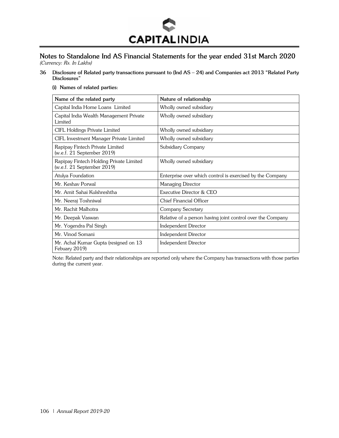

- **36 Disclosure of Related party transactions pursuant to (Ind AS 24) and Companies act 2013 "Related Party Disclosures"** 
	- **(i) Names of related parties:**

| Name of the related party                                             | Nature of relationship                                     |
|-----------------------------------------------------------------------|------------------------------------------------------------|
| Capital India Home Loans Limited                                      | Wholly owned subsidiary                                    |
| Capital India Wealth Management Private<br>Limited                    | Wholly owned subsidiary                                    |
| CIFL Holdings Private Limited                                         | Wholly owned subsidiary                                    |
| CIFL Investment Manager Private Limited                               | Wholly owned subsidiary                                    |
| Rapipay Fintech Private Limited<br>(w.e.f. 21 September 2019)         | Subsidiary Company                                         |
| Rapipay Fintech Holding Private Limited<br>(w.e.f. 21 September 2019) | Wholly owned subsidiary                                    |
| Atulya Foundation                                                     | Enterprise over which control is exercised by the Company  |
| Mr. Keshav Porwal                                                     | <b>Managing Director</b>                                   |
| Mr. Amit Sahai Kulshreshtha                                           | Executive Director & CEO                                   |
| Mr. Neeraj Toshniwal                                                  | Chief Financial Officer                                    |
| Mr. Rachit Malhotra                                                   | Company Secretary                                          |
| Mr. Deepak Vaswan                                                     | Relative of a person having joint control over the Company |
| Mr. Yogendra Pal Singh                                                | Independent Director                                       |
| Mr. Vinod Somani                                                      | Independent Director                                       |
| Mr. Achal Kumar Gupta (resigned on 13<br>Febuary 2019)                | Independent Director                                       |

Note: Related party and their relationships are reported only where the Company has transactions with those parties during the current year.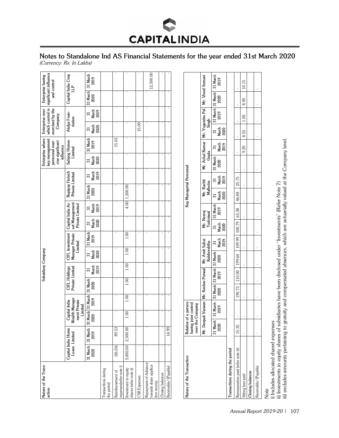

| 31 March<br>2019<br>ЦL |                                                         |
|------------------------|---------------------------------------------------------|
| 2020<br>March<br>2019  | 31 March<br>$\overline{5}$                              |
| 2020                   | March<br>51                                             |
|                        | 31 March<br>2019                                        |
| March<br>2020          | $\overline{5}$<br>March<br>2019<br>$\overline{3}$       |
|                        | 31 March<br>2020                                        |
|                        | March<br>2019<br>55                                     |
| March<br>2020          | $\overline{31}$                                         |
| 2019                   | 31 March                                                |
| March<br>2020          | $\overline{3}$                                          |
| March<br>2019          | $\overline{5}$                                          |
|                        | 2020                                                    |
|                        | 31 March 31 March 31 March<br>2019<br>Limited<br>2020   |
|                        | 31 March<br>2019                                        |
|                        | $\begin{array}{c} 31 \text{ March} \\ 2020 \end{array}$ |
| Transactions during    |                                                         |

Note<br>i) Includes allocated shared expenses i) Includes allocated shared expenses

ii) Investments in equity shares of subsidiaries have been disclosed under "Investments" (Refer Note 7)

Receivable/ (Payable) - - - - - - - - - - - - - - - -

ii) Investments in equity shares of subsidiaries have been disclosed under "Investments" (Refer Note 7)<br>iii) excludes amounts pertaining to gratuity and compensated absences, which are actuarially valued at the Company lev iii) excludes amounts pertaining to gratuity and compensated absences, which are actuarially valued at the Company level.

Receivable/ (Payable)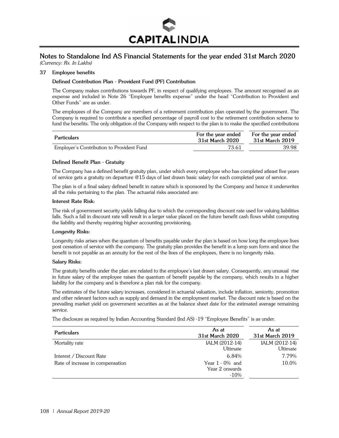

(Currency: Rs. In Lakhs)

### **37 Employee benefits**

### **Defined Contribution Plan - Provident Fund (PF) Contribution**

The Company makes contributions towards PF, in respect of qualifying employees. The amount recognised as an expense and included in Note 26 "Employee benefits expense" under the head "Contribution to Provident and Other Funds" are as under.

The employees of the Company are members of a retirement contribution plan operated by the government. The Company is required to contribute a specified percentage of payroll cost to the retirement contribution scheme to fund the benefits. The only obligation of the Company with respect to the plan is to make the specified contributions

| <b>Particulars</b>                        | For the year ended<br>31st March 2020 | For the year ended<br>31st March 2019 |
|-------------------------------------------|---------------------------------------|---------------------------------------|
| Employer's Contribution to Provident Fund | 73.61                                 | 39.98                                 |

### **Defined Benefit Plan - Gratuity**

The Company has a defined benefit gratuity plan, under which every employee who has completed atleast five years of service gets a gratuity on departure @15 days of last drawn basic salary for each completed year of service.

The plan is of a final salary defined benefit in nature which is sponsored by the Company and hence it underwrites all the risks pertaining to the plan. The actuarial risks associated are:

### **Interest Rate Risk:**

The risk of government security yields falling due to which the corresponding discount rate used for valuing liabilities falls. Such a fall in discount rate will result in a larger value placed on the future benefit cash flows whilst computing the liability and thereby requiring higher accounting provisioning.

### **Longevity Risks:**

Longevity risks arises when the quantum of benefits payable under the plan is based on how long the employee lives post cessation of service with the company. The gratuity plan provides the benefit in a lump sum form and since the benefit is not payable as an annuity for the rest of the lives of the employees, there is no longevity risks.

### **Salary Risks:**

The gratuity benefits under the plan are related to the employee's last drawn salary. Consequently, any unusual rise in future salary of the employee raises the quantum of benefit payable by the company, which results in a higher liability for the company and is therefore a plan risk for the company.

The estimates of the future salary increases, considered in actuarial valuation, include inflation, seniority, promotion and other relevant factors such as supply and demand in the employment market. The discount rate is based on the prevailing market yield on government securities as at the balance sheet date for the estimated average remaining service.

The disclosure as required by Indian Accounting Standard (Ind AS) -19 "Employee Benefits" is as under.

| <b>Particulars</b>               | As at<br>31st March 2020 | As at<br>31st March 2019 |
|----------------------------------|--------------------------|--------------------------|
| Mortality rate                   | IALM (2012-14)           | IALM (2012-14)           |
|                                  | Ultimate                 | Ultimate                 |
| Interest / Discount Rate         | 6.84%                    | 7.79%                    |
| Rate of increase in compensation | Year $1 - 0\%$ and       | 10.0%                    |
|                                  | Year 2 onwards           |                          |
|                                  | $-10%$                   |                          |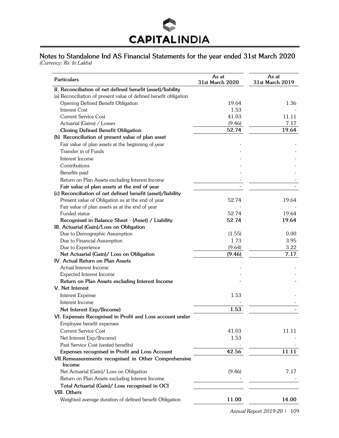

| <b>Particulars</b>                                                | As at<br>31st March 2020 | As at<br>31st March 2019 |
|-------------------------------------------------------------------|--------------------------|--------------------------|
| II. Reconciliation of net defined benefit (asset)/liability       |                          |                          |
| (a) Reconciliation of present value of defined benefit obligation |                          |                          |
| Opening Defined Benefit Obligation                                | 19.64                    | 1.36                     |
| <b>Interest Cost</b>                                              | 1.53                     |                          |
| <b>Current Service Cost</b>                                       | 41.03                    | 11.11                    |
| Actuarial (Gains) / Losses                                        | (9.46)                   | 7.17                     |
| <b>Closing Defined Benefit Obligation</b>                         | 52.74                    | 19.64                    |
| (b) Reconciliation of present value of plan asset                 |                          |                          |
| Fair value of plan assets at the beginning of year                |                          |                          |
| Transfer in of Funds                                              |                          |                          |
| Interest Income                                                   |                          |                          |
| Contributions                                                     |                          |                          |
| Benefits paid                                                     |                          |                          |
| Return on Plan Assets excluding Interest Income                   |                          |                          |
| Fair value of plan assets at the end of year                      |                          |                          |
| (c) Reconciliation of net defined benefit (asset)/liability       |                          |                          |
| Present value of Obligation as at the end of year                 | 52.74                    | 19.64                    |
| Fair value of plan assets as at the end of year                   |                          |                          |
| Funded status                                                     | 52.74                    | 19.64                    |
| Recognised in Balance Sheet - (Asset) / Liability                 | 52.74                    | 19.64                    |
| III. Actuarial (Gain)/Loss on Obligation                          |                          |                          |
| Due to Demographic Assumption                                     | (1.55)                   | 0.00                     |
| Due to Financial Assumption                                       | 1.73                     | 3.95                     |
| Due to Experience                                                 | (9.64)                   | 3.22                     |
| Net Actuarial (Gain)/ Loss on Obligation                          | (9.46)                   | 7.17                     |
| <b>IV.</b> Actual Return on Plan Assets                           |                          |                          |
| Actual Interest Income                                            |                          |                          |
| Expected Interest Income                                          |                          |                          |
| Return on Plan Assets excluding Interest Income                   |                          |                          |
| V. Net Interest                                                   |                          |                          |
| <b>Interest Expense</b>                                           | 1.53                     |                          |
| Interest Income                                                   |                          |                          |
| Net Interest Exp/(Income)                                         | 1.53                     |                          |
| VI. Expenses Recognised in Profit and Loss account under          |                          |                          |
| Employee benefit expenses                                         |                          |                          |
| <b>Current Service Cost</b>                                       | 41.03                    | 11.11                    |
| Net Interest Exp/(Income)                                         | 1.53                     |                          |
| Past Service Cost (vested benefits)                               |                          |                          |
| Expenses recognised in Profit and Loss Account                    | 42.56                    | 11.11                    |
| VII.Remeasurements recognised in Other Comprehensive<br>Income    |                          |                          |
| Net Actuarial (Gain)/ Loss on Obligation                          | (9.46)                   | 7.17                     |
| Return on Plan Assets excluding Interest Income                   |                          |                          |
| Total Actuarial (Gain)/ Loss recognised in OCI                    |                          |                          |
| VIII. Others                                                      |                          |                          |
| Weighted average duration of defined benefit Obligation           | 11.00                    | 14.00                    |
|                                                                   |                          |                          |

Annual Report 2019-20 | 109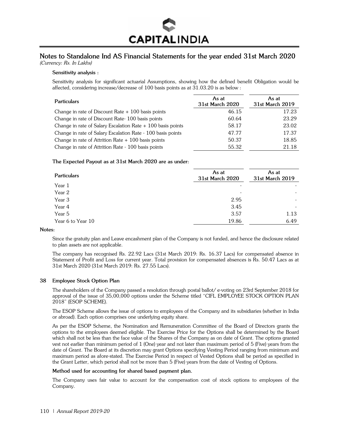

(Currency: Rs. In Lakhs)

### **Sensitivity analysis :**

Sensitivity analysis for significant actuarial Assumptions, showing how the defined benefit Obligation would be affected, considering increase/decrease of 100 basis points as at 31.03.20 is as below :

| <b>Particulars</b>                                          | As at<br>31st March 2020 | As at<br>31st March 2019 |
|-------------------------------------------------------------|--------------------------|--------------------------|
| Change in rate of Discount Rate $+100$ basis points         | 46.15                    | 17.23                    |
| Change in rate of Discount Rate-100 basis points            | 60.64                    | 23.29                    |
| Change in rate of Salary Escalation Rate + 100 basis points | 58.17                    | 23.02                    |
| Change in rate of Salary Escalation Rate - 100 basis points | 47.77                    | 17.37                    |
| Change in rate of Attrition Rate $+100$ basis points        | 50.37                    | 18.85                    |
| Change in rate of Attrition Rate - 100 basis points         | 55.32                    | 21.18                    |

### **The Expected Payout as at 31st March 2020 are as under:**

| <b>Particulars</b> | As at<br>31st March 2020 | As at<br>31st March 2019 |
|--------------------|--------------------------|--------------------------|
| Year 1             |                          |                          |
| Year 2             |                          |                          |
| Year 3             | 2.95                     |                          |
| Year 4             | 3.45                     |                          |
| Year 5             | 3.57                     | 1.13                     |
| Year 6 to Year 10  | 19.86                    | 6.49                     |

### **Notes:**

Since the gratuity plan and Leave encashment plan of the Company is not funded, and hence the disclosure related to plan assets are not applicable.

The company has recognised Rs. 22.92 Lacs (31st March 2019: Rs. 16.37 Lacs) for compensated absence in Statement of Profit and Loss for current year. Total provision for compensated absences is Rs. 50.47 Lacs as at 31st March 2020 (31st March 2019: Rs. 27.55 Lacs).

### **38 Employee Stock Option Plan**

The shareholders of the Company passed a resolution through postal ballot/ e-voting on 23rd September 2018 for approval of the issue of 35,00,000 options under the Scheme titled "CIFL EMPLOYEE STOCK OPTION PLAN 2018" (ESOP SCHEME).

The ESOP Scheme allows the issue of options to employees of the Company and its subsidiaries (whether in India or abroad). Each option comprises one underlying equity share.

As per the ESOP Scheme, the Nomination and Remuneration Committee of the Board of Directors grants the options to the employees deemed eligible. The Exercise Price for the Options shall be determined by the Board which shall not be less than the face value of the Shares of the Company as on date of Grant. The options granted vest not earlier than minimum period of 1 (One) year and not later than maximum period of 5 (Five) years from the date of Grant. The Board at its discretion may grant Options specifying Vesting Period ranging from minimum and maximum period as afore-stated. The Exercise Period in respect of Vested Options shall be period as specified in the Grant Letter, which period shall not be more than 5 (Five) years from the date of Vesting of Options.

### **Method used for accounting for shared based payment plan.**

The Company uses fair value to account for the compensation cost of stock options to employees of the Company.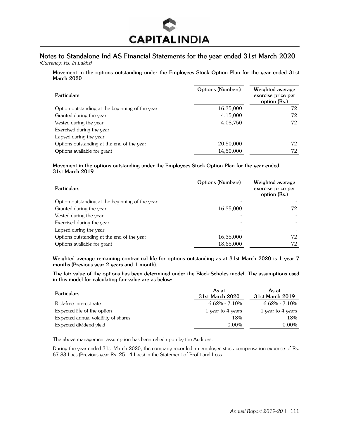

**Movement in the options outstanding under the Employees Stock Option Plan for the year ended 31st March 2020**

| <b>Particulars</b>                              | <b>Options (Numbers)</b> | Weighted average<br>exercise price per<br>option (Rs.) |
|-------------------------------------------------|--------------------------|--------------------------------------------------------|
| Option outstanding at the beginning of the year | 16,35,000                | 72                                                     |
| Granted during the year                         | 4,15,000                 | 72                                                     |
| Vested during the year                          | 4,08,750                 | 72                                                     |
| Exercised during the year                       |                          |                                                        |
| Lapsed during the year                          |                          |                                                        |
| Options outstanding at the end of the year      | 20,50,000                | 72                                                     |
| Options available for grant                     | 14,50,000                | 72                                                     |

**Movement in the options outstanding under the Employees Stock Option Plan for the year ended 31st March 2019**

| <b>Particulars</b>                              | <b>Options (Numbers)</b> | Weighted average<br>exercise price per<br>option (Rs.) |
|-------------------------------------------------|--------------------------|--------------------------------------------------------|
| Option outstanding at the beginning of the year |                          |                                                        |
| Granted during the year                         | 16,35,000                | 72                                                     |
| Vested during the year                          |                          |                                                        |
| Exercised during the year                       |                          |                                                        |
| Lapsed during the year                          |                          |                                                        |
| Options outstanding at the end of the year      | 16,35,000                | 72.                                                    |
| Options available for grant                     | 18,65,000                | 72                                                     |

**Weighted average remaining contractual life for options outstanding as at 31st March 2020 is 1 year 7 months (Previous year 2 years and 1 month).**

**The fair value of the options has been determined under the Black-Scholes model. The assumptions used in this model for calculating fair value are as below:**

| <b>Particulars</b>                   | As at<br>31st March 2020 | As at<br>31st March 2019 |
|--------------------------------------|--------------------------|--------------------------|
| Risk-free interest rate              | $6.62\% - 7.10\%$        | $6.62\% - 7.10\%$        |
| Expected life of the option          | 1 year to 4 years        | 1 year to 4 years        |
| Expected annual volatility of shares | 18%                      | 18%                      |
| Expected dividend yield              | $0.00\%$                 | 0.00%                    |

The above management assumption has been relied upon by the Auditors.

During the year ended 31st March 2020, the company recorded an employee stock compensation expense of Rs. 67.83 Lacs (Previous year Rs. 25.14 Lacs) in the Statement of Profit and Loss.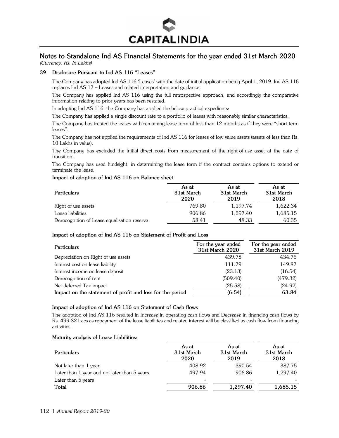

### **39 Disclosure Pursuant to Ind AS 116 "Leases"**

The Company has adopted Ind AS 116 'Leases' with the date of initial application being April 1, 2019. Ind AS 116 replaces Ind AS 17 – Leases and related interpretation and guidance.

The Company has applied Ind AS 116 using the full retrospective approach, and accordingly the comparative information relating to prior years has been restated.

In adopting Ind AS 116, the Company has applied the below practical expedients:

The Company has applied a single discount rate to a portfolio of leases with reasonably similar characteristics.

The Company has treated the leases with remaining lease term of less than 12 months as if they were "short term leases".

The Company has not applied the requirements of Ind AS 116 for leases of low value assets (assets of less than Rs. 10 Lakhs in value).

The Company has excluded the initial direct costs from measurement of the right-of-use asset at the date of transition.

The Company has used hindsight, in determining the lease term if the contract contains options to extend or terminate the lease.

### **Impact of adoption of Ind AS 116 on Balance sheet**

| <b>Particulars</b>                          | As at<br>31st March<br>2020 | As at<br>31st March<br>2019 | As at<br>31st March<br>2018 |
|---------------------------------------------|-----------------------------|-----------------------------|-----------------------------|
| Right of use assets                         | 769.80                      | 1.197.74                    | 1,622.34                    |
| Lease liabilities                           | 906.86                      | 1.297.40                    | 1,685.15                    |
| Derecognition of Lease equalisation reserve | 58.41                       | 48.33                       | 60.35                       |

### **Impact of adoption of Ind AS 116 on Statement of Profit and Loss**

| <b>Particulars</b>                                        | For the year ended<br>31st March 2020 | For the year ended<br>31st March 2019 |
|-----------------------------------------------------------|---------------------------------------|---------------------------------------|
| Depreciation on Right of use assets                       | 439.78                                | 434.75                                |
| Interest cost on lease liability                          | 111.79                                | 149.87                                |
| Interest income on lease deposit                          | (23.13)                               | (16.54)                               |
| Derecognition of rent                                     | (509.40)                              | (479.32)                              |
| Net deferred Tax impact                                   | (25.58)                               | (24.92)                               |
| Impact on the statement of profit and loss for the period | (6.54)                                | 63.84                                 |

### **Impact of adoption of Ind AS 116 on Statement of Cash flows**

The adoption of Ind AS 116 resulted in Increase in operating cash flows and Decrease in financing cash flows by Rs. 499.32 Lacs as repayment of the lease liabilities and related interest will be classified as cash flow from financing activities.

### **Maturity analysis of Lease Liabilities:**

| <b>Particulars</b>                           | As at<br>31st March<br>2020 | As at<br>31st March<br>2019 | As at<br>31st March<br>2018 |
|----------------------------------------------|-----------------------------|-----------------------------|-----------------------------|
| Not later than 1 year                        | 408.92                      | 390.54                      | 387.75                      |
| Later than 1 year and not later than 5 years | 497.94                      | 906.86                      | 1.297.40                    |
| Later than 5 years                           |                             |                             |                             |
| Total                                        | 906.86                      | 1,297.40                    | 1,685.15                    |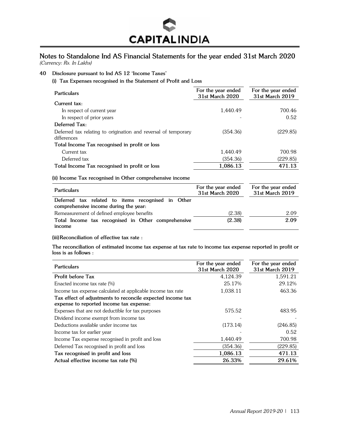

### **40 Disclosure pursuant to Ind AS 12 'Income Taxes'**

**(i) Tax Expenses recognised in the Statement of Profit and Loss**

| <b>Particulars</b>                                                            | For the year ended<br>31st March 2020 | For the year ended<br>31st March 2019 |
|-------------------------------------------------------------------------------|---------------------------------------|---------------------------------------|
| Current tax:                                                                  |                                       |                                       |
| In respect of current year                                                    | 1,440.49                              | 700.46                                |
| In respect of prior years                                                     |                                       | 0.52                                  |
| Deferred Tax:                                                                 |                                       |                                       |
| Deferred tax relating to origination and reversal of temporary<br>differences | (354.36)                              | (229.85)                              |
| Total Income Tax recognised in profit or loss                                 |                                       |                                       |
| Current tax                                                                   | 1,440.49                              | 700.98                                |
| Deferred tax                                                                  | (354.36)                              | (229.85)                              |
| Total Income Tax recognised in profit or loss                                 | 1,086.13                              | 471.13                                |

**(ii) Income Tax recognised in Other comprehensive income**

| <b>Particulars</b>                                                                         | For the year ended<br>31st March 2020 | For the year ended<br>31st March 2019 |
|--------------------------------------------------------------------------------------------|---------------------------------------|---------------------------------------|
| Deferred tax related to items recognised in Other<br>comprehensive income during the year: |                                       |                                       |
| Remeasurement of defined employee benefits                                                 | (2.38)                                | 2.09                                  |
| Total Income tax recognised in Other comprehensive<br>income                               | (2.38)                                | 2.09                                  |

**(iii)Reconciliation of effective tax rate :** 

**The reconciliation of estimated income tax expense at tax rate to income tax expense reported in profit or loss is as follows :**

| <b>Particulars</b>                                          | For the year ended<br>31st March 2020 | For the year ended<br>31st March 2019 |
|-------------------------------------------------------------|---------------------------------------|---------------------------------------|
| Profit before Tax                                           | 4,124.39                              | 1,591.21                              |
| Enacted income tax rate (%)                                 | 25.17%                                | 29.12%                                |
| Income tax expense calculated at applicable income tax rate | 1,038.11                              | 463.36                                |
| Tax effect of adjustments to reconcile expected income tax  |                                       |                                       |
| expense to reported income tax expense:                     |                                       |                                       |
| Expenses that are not deductible for tax purposes           | 575.52                                | 483.95                                |
| Dividend income exempt from income tax                      |                                       |                                       |
| Deductions available under income tax                       | (173.14)                              | (246.85)                              |
| Income tax for earlier year                                 |                                       | 0.52                                  |
| Income Tax expense recognised in profit and loss            | 1,440.49                              | 700.98                                |
| Deferred Tax recognised in profit and loss                  | (354.36)                              | (229.85)                              |
| Tax recognised in profit and loss                           | 1,086.13                              | 471.13                                |
| Actual effective income tax rate (%)                        | 26.33%                                | 29.61%                                |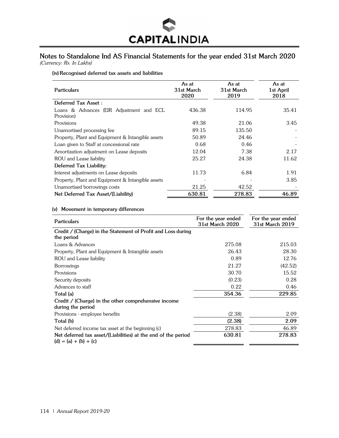

**(iv) Recognised deferred tax assets and liabilities**

| <b>Particulars</b>                                     | As at<br>31st March<br>2020 | As at<br>31st March<br>2019 | As at<br>1st April<br>2018 |
|--------------------------------------------------------|-----------------------------|-----------------------------|----------------------------|
| Deferred Tax Asset:                                    |                             |                             |                            |
| Loans & Advances (EIR Adjustment and ECL<br>Provision) | 436.38                      | 114.95                      | 35.41                      |
| Provisions                                             | 49.38                       | 21.06                       | 3.45                       |
| Unamortised processing fee                             | 89.15                       | 135.50                      |                            |
| Property, Plant and Equipment & Intangible assets      | 50.89                       | 24.46                       |                            |
| Loan given to Staff at concessional rate               | 0.68                        | 0.46                        |                            |
| Amortization adjustment on Lease deposits              | 12.04                       | 7.38                        | 2.17                       |
| ROU and Lease liability                                | 25.27                       | 24.38                       | 11.62                      |
| Deferred Tax Liability:                                |                             |                             |                            |
| Interest adjustments on Lease deposits                 | 11.73                       | 6.84                        | 1.91                       |
| Property, Plant and Equipment & Intangible assets      |                             |                             | 3.85                       |
| Unamortised borrowings costs                           | 21.25                       | 42.52                       |                            |
| Net Deferred Tax Asset/(Liability)                     | 630.81                      | 278.83                      | 46.89                      |

### **(v) Movement in temporary differences**

| <b>Particulars</b>                                                                       | For the year ended<br>31st March 2020 | For the year ended<br>31st March 2019 |
|------------------------------------------------------------------------------------------|---------------------------------------|---------------------------------------|
| Credit / (Charge) in the Statement of Profit and Loss during                             |                                       |                                       |
| the period                                                                               |                                       |                                       |
| Loans & Advances                                                                         | 275.08                                | 215.03                                |
| Property, Plant and Equipment & Intangible assets                                        | 26.43                                 | 28.30                                 |
| ROU and Lease liability                                                                  | 0.89                                  | 12.76                                 |
| <b>Borrowings</b>                                                                        | 21.27                                 | (42.52)                               |
| Provisions                                                                               | 30.70                                 | 15.52                                 |
| Security deposits                                                                        | (0.23)                                | 0.28                                  |
| Advances to staff                                                                        | 0.22                                  | 0.46                                  |
| Total (a)                                                                                | 354.36                                | 229.85                                |
| Credit / (Charge) in the other comprehensive income<br>during the period                 |                                       |                                       |
| Provisions - employee benefits                                                           | (2.38)                                | 2.09                                  |
| Total (b)                                                                                | (2.38)                                | 2.09                                  |
| Net deferred income tax asset at the beginning (c)                                       | 278.83                                | 46.89                                 |
| Net deferred tax asset/(Liabilities) at the end of the period<br>$(d) = (a) + (b) + (c)$ | 630.81                                | 278.83                                |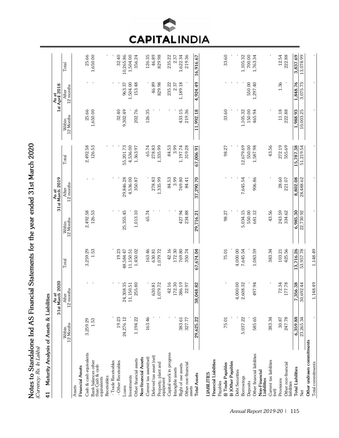|                                                        |                     | 31st March 2020<br>ੱਕ<br>LS  |           |                     | 31st March 2019<br>As at |           |                     | As at<br>1st April 2018 |           |
|--------------------------------------------------------|---------------------|------------------------------|-----------|---------------------|--------------------------|-----------|---------------------|-------------------------|-----------|
|                                                        | Within<br>12 Months | After<br>12 months           | Total     | Within<br>12 Months | 12 months<br>After       | Total     | Within<br>12 Months | 12 months<br>After      | Total     |
| Financial Assets<br>Assets                             |                     |                              |           |                     |                          |           |                     |                         |           |
| Cash & cash equivalents                                | 3,259.29            |                              | 3,259.29  | 2,492.58            |                          | 2,492.58  | 25.66               |                         | 25.66     |
| Bank balances other<br>than Cash & cash<br>equivalents | 1.53                |                              | 1.53      | 126.53              |                          | 126.53    | 1,650.00            |                         | 1,650.00  |
| Receivables                                            |                     |                              |           |                     |                          |           |                     |                         |           |
| - Trade Receivables                                    |                     |                              |           |                     |                          |           |                     |                         |           |
| Other Receivables                                      | 19.23               |                              | 19.23     |                     |                          |           | 32.40               |                         | 32.40     |
| Loans                                                  | 24,276.12           | ,308.35<br>24,               | 48,584.47 | 25,355.45           | 29,846.28                | 55,201.73 | 9,302.49            | 963.37                  | 10,265.86 |
| Investments                                            |                     | .150.51<br>$\overline{11}$ . | 11,150.51 |                     | 4,536.00                 | 4,536.00  |                     | 1,504.00                | 1,504.00  |
| Other financial assets                                 | 1,194.22            | 255.80                       | 1,450.02  | 1,013.10            | 350.87                   | 1,363.97  | 202.76              | 153.48                  | 356.24    |
| Non-financial Assets                                   |                     |                              |           |                     |                          |           |                     |                         |           |
| Current tax assets(net)                                | 163.46              |                              | 163.46    | 65.74               |                          | 65.74     | 126.35              |                         | 126.35    |
| Deferred tax asset (net)                               |                     | 630.81                       | 630.81    |                     | 278.83                   | 278.83    |                     | 46.89                   | 46.89     |
| Property, plant and<br>equipment                       |                     | 079.72<br>$\overline{ }$     | 1,079.72  |                     | 1,335.99                 | 1,335.99  |                     | 829.98                  | 829.98    |
| Capital work in progress                               |                     | 42.16                        | 42.16     |                     | 84.53                    | 84.53     |                     | 235.22                  | 235.22    |
| Intangible assets                                      |                     | 172.30                       | 172.30    |                     | 3.99                     | 3.99      |                     | 2.37                    | 2.37      |
| Right of use assets                                    | 383.61              | 386.19                       | 769.80    | 427.94              | 769.80                   | 1,197.74  | 433.15              | 1,189.18                | 1,622.34  |
| Other non-financial<br>assets                          | 327.77              | 22.97                        | 350.74    | 234.88              | 84.41                    | 319.28    | 219.36              |                         | 219.36    |
| <b>Total Assets</b>                                    | 29,625.22           | 048.82<br>38,                | 67,674.04 | 29,716.21           | 37,290.70                | 67,006.91 | 11,992.18           | 4,924.49                | 16,916.67 |
| Financial Liabilities<br><b>LIABILITIES</b>            |                     |                              |           |                     |                          |           |                     |                         |           |
| Payables                                               |                     |                              |           |                     |                          |           |                     |                         |           |
| (ii) Other Payables<br>(i) Trade Payables              | 75.01               |                              | 75.01     | 98.27               |                          | 98.27     | 33.60               |                         | 33.60     |
| Debt Securities                                        |                     | 00.00                        | 4,000.00  |                     |                          |           |                     |                         |           |
| Borrowings                                             | 5,037.22            | ,608.32<br>4 U               | 7,645.54  | 5,034.15            | 7,645.54                 | 12,679.69 | 1,105.32            |                         | 1,105.32  |
| Deposits                                               |                     |                              |           | 550.00              |                          | 550.00    | 150.00              | 550.00                  | 700.00    |
| Other financial liabilities                            | 585.65              | 497.94                       | 1,083.59  | 681.12              | 906.86                   | 1,587.98  | 465.94              | 1,297.40                | 1,763.34  |
| Non-Financial<br>Liabilities                           |                     |                              |           |                     |                          |           |                     |                         |           |
| Current tax liabilities<br>(net)                       | 383.34              |                              | 383.34    | 43.56               |                          | 43.56     |                     |                         |           |
| Provisions                                             | 30.87               | 72.34                        | 103.21    | 243.59              | 28.60                    | 272.19    | 11.18               | 1.36                    | 12.54     |
| Other non-financial<br>liabilities                     | 247.78              | 177.78                       | 425.56    | 334.62              | 221.07                   | 555.69    | 222.88              |                         | 222.88    |
| <b>Total Liabilities</b>                               | 6,359.88            | 7,356.38                     | 13,716.26 | 6,985.30            | 8,802.08                 | 15,787.38 | 1,988.93            | 1,848.76                | 3,837.69  |
| Net                                                    | 23,265.34           | 692.44<br>30,                | 53,957.78 | 22,730.92           | 28,488.62                | 51,219.54 | 10,003.25           | 3,075.73                | 13,078.99 |
| Other undrawn commitments                              |                     |                              |           |                     |                          |           |                     |                         |           |
| Total commitments                                      |                     | .148.49                      | 1,148.49  |                     |                          |           |                     |                         |           |

# Notes to Standalone Ind AS Financial Statements for the year ended 31st March 2020 (Currency: Rs. In Lakhs) **Notes to Standalone Ind AS Financial Statements for the year ended 31st March 2020** (Currency: Rs. In Lakhs)

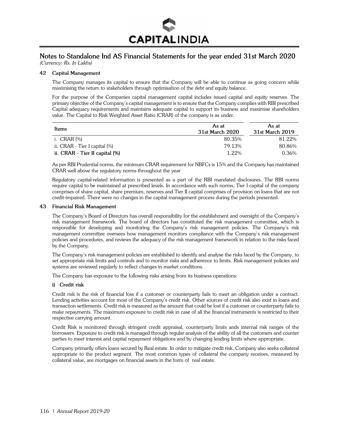

(Currency: Rs. In Lakhs)

### **42 Capital Management**

The Company manages its capital to ensure that the Company will be able to continue as going concern while maximising the return to stakeholders through optimisation of the debt and equity balance.

For the purpose of the Companies capital management capital includes issued capital and equity reserves. The primary objective of the Company's capital management is to ensure that the Company complies with RBI prescribed Capital adequacy requirements and maintains adequate capital to support its business and maximise shareholders value. The Capital to Risk Weighted Asset Ratio (CRAR) of the company is as under.

| Items                          | As at<br>31st March 2020 | As at<br>31st March 2019 |
|--------------------------------|--------------------------|--------------------------|
| i. CRAR (%)                    | 80.35%                   | 81.22%                   |
| ii, CRAR - Tier I capital (%)  | 79.13%                   | 80.86%                   |
| ii. CRAR - Tier II capital (%) | 1.22%                    | 0.36%                    |

As per RBI Prudential norms, the minimum CRAR requirement for NBFCs is 15% and the Company has maintained CRAR well above the regulatory norms throughout the year

Regulatory capital-related information is presented as a part of the RBI mandated disclosures. The RBI norms require capital to be maintained at prescribed levels. In accordance with such norms, Tier I capital of the company comprises of share capital, share premium, reserves and Tier II capital comprises of provision on loans that are not credit-impaired. There were no changes in the capital management process during the periods presented.

### **43 Financial Risk Management**

The Company's Board of Directors has overall responsibility for the establishment and oversight of the Company's risk management framework. The board of directors has constituted the risk management committee, which is responsible for developing and monitoring the Company's risk management policies. The Company's risk management committee oversees how management monitors compliance with the Company's risk management policies and procedures, and reviews the adequacy of the risk management framework in relation to the risks faced by the Company.

The Company's risk management policies are established to identify and analyse the risks faced by the Company, to set appropriate risk limits and controls and to monitor risks and adherence to limits. Risk management policies and systems are reviewed regularly to reflect changes in market conditions.

The Company has exposure to the following risks arising from its business operations:

### **i) Credit risk**

Credit risk is the risk of financial loss if a customer or counterparty fails to meet an obligation under a contract. Lending activities account for most of the Company's credit risk. Other sources of credit risk also exist in loans and transaction settlements. Credit risk is measured as the amount that could be lost if a customer or counterparty fails to make repayments. The maximum exposure to credit risk in case of all the financial instruments is restricted to their respective carrying amount.

Credit Risk is monitored through stringent credit appraisal, counterparty limits ands internal risk ranges of the borrowers. Exposure to credit risk is managed through regular analysis of the ability of all the customers and counter parties to meet interest and capital repayment obligations and by changing lending limits where appropriate.

Company primarily offers loans secured by Real estate. In order to mitigate credit risk, Company also seeks collateral appropriate to the product segment. The most common types of collateral the company receives, measured by collateral value, are mortgages on financial assets in the form of real estate.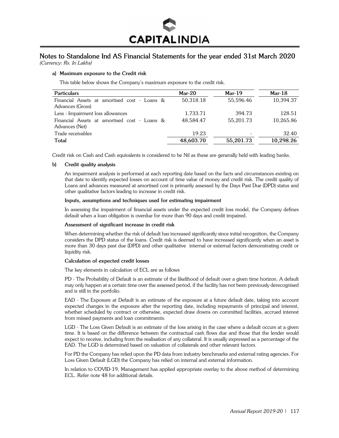

### **a) Maximum exposure to the Credit risk**

This table below shows the Company's maximum exposure to the credit risk.

| <b>Particulars</b>                                               | $Mar-20$  | $Mar-19$  | $Mar-18$  |
|------------------------------------------------------------------|-----------|-----------|-----------|
| Financial Assets at amortised cost - Loans &<br>Advances (Gross) | 50,318.18 | 55,596.46 | 10,394.37 |
| Less: Impairment loss allowances                                 | 1,733.71  | 394.73    | 128.51    |
| Financial Assets at amortised cost - Loans &<br>Advances (Net)   | 48.584.47 | 55,201.73 | 10,265.86 |
| Trade receivables                                                | 19.23     |           | 32.40     |
| <b>Total</b>                                                     | 48,603.70 | 55,201.73 | 10,298.26 |

Credit risk on Cash and Cash equivalents is considered to be Nil as these are generally held with leading banks.

### **b) Credit quality analysis**

 An impairment analysis is performed at each reporting date based on the facts and circumstances existing on that date to identify expected losses on account of time value of money and credit risk. The credit quality of Loans and advances measured at amortised cost is primarily assessed by the Days Past Due (DPD) status and other qualitative factors leading to increase in credit risk.

### **Inputs, assumptions and techniques used for estimating impairment**

 In assessing the impairment of financial assets under the expected credit loss model, the Company defines default when a loan obligation is overdue for more than 90 days and credit impaired.

### **Assessment of significant increase in credit risk**

 When determining whether the risk of default has increased significantly since initial recognition, the Company considers the DPD status of the loans. Credit risk is deemed to have increased significantly when an asset is more than 30 days past due (DPD) and other qualitative internal or external factors demonstrating credit or liquidity risk.

### **Calculation of expected credit losses**

The key elements in calculation of ECL are as follows

 PD - The Probability of Default is an estimate of the likelihood of default over a given time horizon. A default may only happen at a certain time over the assessed period, if the facility has not been previously derecognised and is still in the portfolio.

 EAD - The Exposure at Default is an estimate of the exposure at a future default date, taking into account expected changes in the exposure after the reporting date, including repayments of principal and interest, whether scheduled by contract or otherwise, expected draw downs on committed facilities, accrued interest from missed payments and loan commitments.

 LGD - The Loss Given Default is an estimate of the loss arising in the case where a default occurs at a given time. It is based on the difference between the contractual cash flows due and those that the lender would expect to receive, including from the realisation of any collateral. It is usually expressed as a percentage of the EAD. The LGD is determined based on valuation of collaterals and other relevant factors.

 For PD the Company has relied upon the PD data from industry benchmarks and external rating agencies. For Loss Given Default (LGD) the Company has relied on internal and external information.

 In relation to COVID-19, Management has applied appropriate overlay to the above method of determining ECL. Refer note 48 for additional details.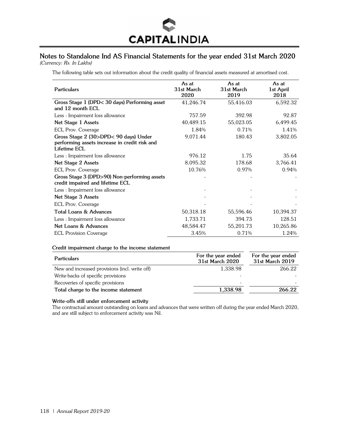

The following table sets out information about the credit quality of financial assets measured at amortised cost.

| <b>Particulars</b>                                                                                     | As at<br>31st March<br>2020 | As at<br>31st March<br>2019 | As at<br>1st April<br>2018 |
|--------------------------------------------------------------------------------------------------------|-----------------------------|-----------------------------|----------------------------|
| Gross Stage 1 (DPD< 30 days) Performing asset<br>and 12 month ECL                                      | 41,246.74                   | 55,416.03                   | 6,592.32                   |
| Less : Impairment loss allowance                                                                       | 757.59                      | 392.98                      | 92.87                      |
| Net Stage 1 Assets                                                                                     | 40,489.15                   | 55,023.05                   | 6,499.45                   |
| ECL Prov. Coverage                                                                                     | 1.84%                       | 0.71%                       | 1.41%                      |
| Gross Stage 2 (30>DPD< 90 days) Under<br>performing assets increase in credit risk and<br>Lifetime ECL | 9,071.44                    | 180.43                      | 3,802.05                   |
| Less : Impairment loss allowance                                                                       | 976.12                      | 1.75                        | 35.64                      |
| Net Stage 2 Assets                                                                                     | 8,095.32                    | 178.68                      | 3,766.41                   |
| ECL Prov. Coverage                                                                                     | 10.76%                      | 0.97%                       | 0.94%                      |
| Gross Stage 3 (DPD>90) Non-performing assets<br>credit impaired and lifetime ECL                       |                             |                             |                            |
| Less: Impairment loss allowance                                                                        |                             |                             |                            |
| Net Stage 3 Assets                                                                                     |                             |                             |                            |
| ECL Prov. Coverage                                                                                     |                             |                             |                            |
| Total Loans & Advances                                                                                 | 50,318.18                   | 55,596.46                   | 10,394.37                  |
| Less : Impairment loss allowance                                                                       | 1,733.71                    | 394.73                      | 128.51                     |
| Net Loans & Advances                                                                                   | 48,584.47                   | 55,201.73                   | 10,265.86                  |
| <b>ECL Provision Coverage</b>                                                                          | 3.45%                       | 0.71%                       | 1.24%                      |

### **Credit impairment charge to the income statement**

| <b>Particulars</b>                             | For the year ended<br>31st March 2020 | For the year ended<br>31st March 2019 |
|------------------------------------------------|---------------------------------------|---------------------------------------|
| New and increased provisions (incl. write off) | 1.338.98                              | 266.22                                |
| Write-backs of specific provisions             |                                       |                                       |
| Recoveries of specific provisions              | -                                     |                                       |
| Total charge to the income statement           | 1,338.98                              | 266.22                                |

### **Write-offs still under enforcement activity**

The contractual amount outstanding on loans and advances that were written off during the year ended March 2020, and are still subject to enforcement activity was Nil.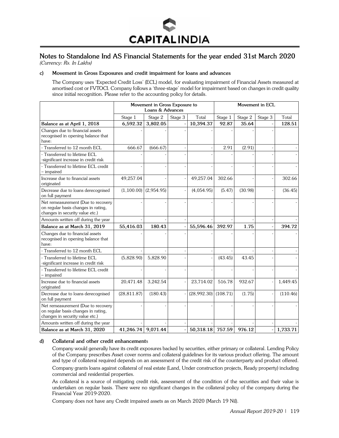

(Currency: Rs. In Lakhs)

### **c) Movement in Gross Exposures and credit impairment for loans and advances**

The Company uses 'Expected Credit Loss' (ECL) model, for evaluating impairment of Financial Assets measured at amortised cost or FVTOCI. Company follows a 'three-stage' model for impairment based on changes in credit quality since initial recognition. Please refer to the accounting policy for details.

|                                                                                                              |              | Loans & Advances | Movement in Gross Exposure to |             | Movement in ECL |         |         |          |
|--------------------------------------------------------------------------------------------------------------|--------------|------------------|-------------------------------|-------------|-----------------|---------|---------|----------|
|                                                                                                              | Stage 1      | Stage 2          | Stage 3                       | Total       | Stage 1         | Stage 2 | Stage 3 | Total    |
| Balance as at April 1, 2018                                                                                  | 6,592.32     | 3,802.05         |                               | 10,394.37   | 92.87           | 35.64   |         | 128.51   |
| Changes due to financial assets<br>recognised in opening balance that<br>have:                               |              |                  |                               |             |                 |         |         |          |
| Transferred to 12 month ECL                                                                                  | 666.67       | (666.67)         |                               |             | 2.91            | (2.91)  |         |          |
| - Transferred to lifetime ECL<br>-significant increase in credit risk                                        |              |                  |                               |             |                 |         |         |          |
| - Transferred to lifetime ECL credit<br>impaired                                                             |              |                  |                               |             |                 |         |         |          |
| Increase due to financial assets<br>originated                                                               | 49,257.04    |                  |                               | 49,257.04   | 302.66          |         |         | 302.66   |
| Decrease due to loans derecognised<br>on full payment                                                        | (1,100.00)   | (2,954.95)       |                               | (4,054.95)  | (5.47)          | (30.98) |         | (36.45)  |
| Net remeasurement (Due to recovery<br>on regular basis changes in rating,<br>changes in security value etc.) |              |                  |                               |             |                 |         |         |          |
| Amounts written off during the year                                                                          |              |                  |                               |             |                 |         |         |          |
| Balance as at March 31, 2019                                                                                 | 55,416.03    | 180.43           |                               | 55,596.46   | 392.97          | 1.75    |         | 394.72   |
| Changes due to financial assets<br>recognised in opening balance that<br>have:                               |              |                  |                               |             |                 |         |         |          |
| - Transferred to 12 month ECL                                                                                |              |                  |                               |             |                 |         |         |          |
| - Transferred to lifetime ECL<br>-significant increase in credit risk                                        | (5,828.90)   | 5,828.90         |                               |             | (43.45)         | 43.45   |         |          |
| - Transferred to lifetime ECL credit<br>- impaired                                                           |              |                  |                               |             |                 |         |         |          |
| Increase due to financial assets<br>originated                                                               | 20,471.48    | 3,242.54         |                               | 23,714.02   | 516.78          | 932.67  |         | 1,449.45 |
| Decrease due to loans derecognised<br>on full payment                                                        | (28, 811.87) | (180.43)         |                               | (28,992,30) | (108.71)        | (1.75)  |         | (110.46) |
| Net remeasurement (Due to recovery<br>on regular basis changes in rating,<br>changes in security value etc.) |              |                  |                               |             |                 |         |         |          |
| Amounts written off during the year                                                                          |              |                  |                               |             |                 |         |         |          |
| Balance as at March 31, 2020                                                                                 | 41,246.74    | 9,071.44         |                               | 50,318.18   | 757.59          | 976.12  |         | 1,733.71 |

### **d) Collateral and other credit enhancement**s

Company would generally have its credit exposures backed by securities, either primary or collateral. Lending Policy of the Company prescribes Asset cover norms and collateral guidelines for its various product offering. The amount and type of collateral required depends on an assessment of the credit risk of the counterparty and product offered.

Company grants loans against collateral of real estate (Land, Under construction projects, Ready property) including commercial and residential properties.

As collateral is a source of mitigating credit risk, assessment of the condition of the securities and their value is undertaken on regular basis. There were no significant changes in the collateral policy of the company during the Financial Year 2019-2020.

Company does not have any Credit impaired assets as on March 2020 (March 19 Nil).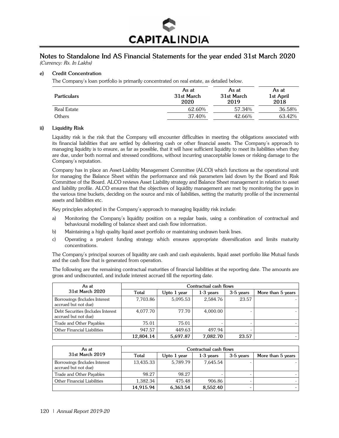

(Currency: Rs. In Lakhs)

### **e) Credit Concentration**

The Company's loan portfolio is primarily concentrated on real estate, as detailed below.

| <b>Particulars</b> | As at<br>31st March<br>2020 | As at<br>31st March<br>2019 | As at<br>1st April<br>2018 |
|--------------------|-----------------------------|-----------------------------|----------------------------|
| Real Estate        | 62.60%                      | 57.34%                      | 36.58%                     |
| Others             | 37.40%                      | 42.66%                      | 63.42%                     |

### **ii) Liquidity Risk**

Liquidity risk is the risk that the Company will encounter difficulties in meeting the obligations associated with its financial liabilities that are settled by delivering cash or other financial assets. The Company's approach to managing liquidity is to ensure, as far as possible, that it will have sufficient liquidity to meet its liabilities when they are due, under both normal and stressed conditions, without incurring unacceptable losses or risking damage to the Company's reputation.

Company has in place an Asset-Liability Management Committee (ALCO) which functions as the operational unit for managing the Balance Sheet within the performance and risk parameters laid down by the Board and Risk Committee of the Board. ALCO reviews Asset Liability strategy and Balance Sheet management in relation to asset and liability profile. ALCO ensures that the objectives of liquidity management are met by monitoring the gaps in the various time buckets, deciding on the source and mix of liabilities, setting the maturity profile of the incremental assets and liabilities etc.

Key principles adopted in the Company's approach to managing liquidity risk include:

- a) Monitoring the Company's liquidity position on a regular basis, using a combination of contractual and behavioural modelling of balance sheet and cash flow information.
- b) Maintaining a high quality liquid asset portfolio or maintaining undrawn bank lines.
- c) Operating a prudent funding strategy which ensures appropriate diversification and limits maturity concentrations.

The Company's principal sources of liquidity are cash and cash equivalents, liquid asset portfolio like Mutual funds and the cash flow that is generated from operation.

The following are the remaining contractual maturities of financial liabilities at the reporting date. The amounts are gross and undiscounted, and include interest accrued till the reporting date.

| As at                                                      | Contractual cash flows |             |             |                          |                   |
|------------------------------------------------------------|------------------------|-------------|-------------|--------------------------|-------------------|
| 31st March 2020                                            | Total                  | Upto 1 year | $1-3$ years | 3-5 years                | More than 5 years |
| Borrowings (Includes Interest<br>accrued but not due)      | 7,703.86               | 5,095.53    | 2,584.76    | 23.57                    |                   |
| Debt Securities (Includes Interest<br>accrued but not due) | 4,077.70               | 77.70       | 4,000.00    | $\overline{\phantom{a}}$ |                   |
| Trade and Other Payables                                   | 75.01                  | 75.01       |             | $\overline{\phantom{a}}$ |                   |
| Other Financial Liabilities                                | 947.57                 | 449.63      | 497.94      | $\overline{\phantom{a}}$ |                   |
|                                                            | 12,804.14              | 5,697.87    | 7,082.70    | 23.57                    |                   |

| As at                                                 | Contractual cash flows |             |             |           |                   |  |  |  |
|-------------------------------------------------------|------------------------|-------------|-------------|-----------|-------------------|--|--|--|
| 31st March 2019                                       | Total                  | Upto 1 year | $1-3$ years | 3-5 years | More than 5 years |  |  |  |
| Borrowings (Includes Interest<br>accrued but not due) | 13,435.33              | 5,789.79    | 7,645.54    |           |                   |  |  |  |
| Trade and Other Payables                              | 98.27                  | 98.27       |             |           |                   |  |  |  |
| Other Financial Liabilities                           | 1.382.34               | 475.48      | 906.86      |           |                   |  |  |  |
|                                                       | 14,915.94              | 6,363.54    | 8,552.40    | -         |                   |  |  |  |

Ī

Ī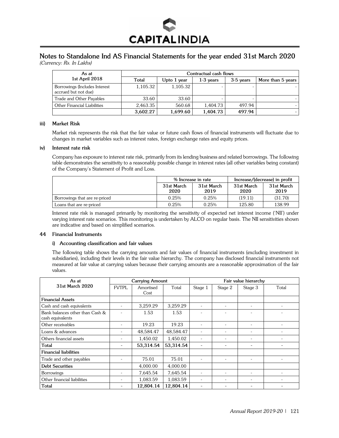

(Currency: Rs. In Lakhs)

| As at                                                 | Contractual cash flows |             |           |           |                   |  |  |  |
|-------------------------------------------------------|------------------------|-------------|-----------|-----------|-------------------|--|--|--|
| 1st April 2018                                        | Total                  | Upto 1 year | 1-3 years | 3-5 years | More than 5 years |  |  |  |
| Borrowings (Includes Interest<br>accrued but not due) | 1,105.32               | 1,105.32    |           |           |                   |  |  |  |
| Trade and Other Payables                              | 33.60                  | 33.60       |           |           |                   |  |  |  |
| Other Financial Liabilities                           | 2,463.35               | 560.68      | 1.404.73  | 497.94    |                   |  |  |  |
|                                                       | 3,602.27               | 1,699.60    | 1,404.73  | 497.94    |                   |  |  |  |

### **iii) Market Risk**

Market risk represents the risk that the fair value or future cash flows of financial instruments will fluctuate due to changes in market variables such as interest rates, foreign exchange rates and equity prices.

### **iv) Interest rate risk**

Company has exposure to interest rate risk, primarily from its lending business and related borrowings. The following table demonstrates the sensitivity to a reasonably possible change in interest rates (all other variables being constant) of the Company's Statement of Profit and Loss.

|                               |                    | % Increase in rate | Increase/(decrease) in profit |                    |  |
|-------------------------------|--------------------|--------------------|-------------------------------|--------------------|--|
|                               | 31st March<br>2020 |                    | 31st March<br>2020            | 31st March<br>2019 |  |
| Borrowings that are re-priced | 0.25%              | 0.25%              | (19.11)                       | (31.70)            |  |
| Loans that are re-priced      | 0.25%              | 0.25%              | 125.80                        | 138.99             |  |

Interest rate risk is managed primarily by monitoring the sensitivity of expected net interest income ('NII') under varying interest rate scenarios. This monitoring is undertaken by ALCO on regular basis. The NII sensitivities shown are indicative and based on simplified scenarios.

### **44 Financial Instruments**

### **i) Accounting classification and fair values**

The following table shows the carrying amounts and fair values of financial instruments (excluding investment in subsidiaries), including their levels in the fair value hierarchy. The company has disclosed financial instruments not measured at fair value at carrying values because their carrying amounts are a reasonable approximation of the fair values.

| As at                                               |                          | <b>Carrying Amount</b> |           | Fair value hierarchy     |                          |                          |       |
|-----------------------------------------------------|--------------------------|------------------------|-----------|--------------------------|--------------------------|--------------------------|-------|
| 31st March 2020                                     | <b>FVTPL</b>             | Amortised<br>Cost      | Total     | Stage 1                  | Stage 2                  | Stage 3                  | Total |
| <b>Financial Assets</b>                             |                          |                        |           |                          |                          |                          |       |
| Cash and cash equivalents                           |                          | 3,259.29               | 3.259.29  | $\overline{\phantom{a}}$ | $\overline{\phantom{a}}$ | $\overline{\phantom{a}}$ |       |
| Bank balances other than Cash &<br>cash equivalents |                          | 1.53                   | 1.53      |                          |                          |                          |       |
| Other receivables                                   |                          | 19.23                  | 19.23     |                          |                          |                          |       |
| Loans & advances                                    | $\overline{\phantom{m}}$ | 48,584.47              | 48,584.47 | $\overline{\phantom{a}}$ | $\overline{\phantom{a}}$ | $\overline{\phantom{a}}$ |       |
| Others financial assets                             |                          | 1,450.02               | 1,450.02  | ٠                        |                          |                          |       |
| <b>Total</b>                                        |                          | 53,314.54              | 53,314.54 |                          |                          |                          |       |
| <b>Financial liabilities</b>                        |                          |                        |           |                          |                          |                          |       |
| Trade and other payables                            |                          | 75.01                  | 75.01     | $\overline{a}$           |                          | $\overline{\phantom{a}}$ |       |
| <b>Debt Securities</b>                              |                          | 4,000.00               | 4,000.00  |                          |                          |                          |       |
| Borrowings                                          |                          | 7,645.54               | 7,645.54  |                          |                          |                          |       |
| Other financial liabilities                         |                          | 1,083.59               | 1.083.59  | ٠                        | $\overline{\phantom{a}}$ | $\overline{\phantom{a}}$ |       |
| <b>Total</b>                                        |                          | 12,804.14              | 12,804.14 |                          |                          |                          |       |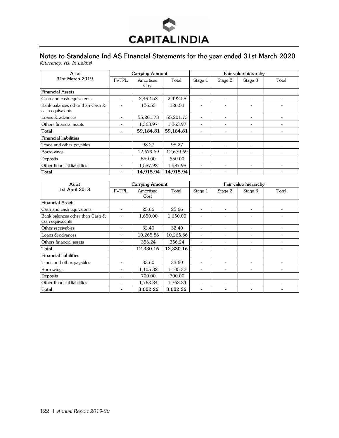

(Currency: Rs. In Lakhs)

| As at                                               |                          | <b>Carrying Amount</b> |           | Fair value hierarchy     |                          |                          |       |
|-----------------------------------------------------|--------------------------|------------------------|-----------|--------------------------|--------------------------|--------------------------|-------|
| 31st March 2019                                     | <b>FVTPL</b>             | Amortised<br>Cost      | Total     | Stage 1                  | Stage 2                  | Stage 3                  | Total |
| <b>Financial Assets</b>                             |                          |                        |           |                          |                          |                          |       |
| Cash and cash equivalents                           |                          | 2,492.58               | 2,492.58  |                          |                          |                          |       |
| Bank balances other than Cash &<br>cash equivalents |                          | 126.53                 | 126.53    |                          |                          |                          |       |
| Loans & advances                                    |                          | 55,201.73              | 55,201.73 |                          |                          |                          |       |
| Others financial assets                             |                          | 1,363.97               | 1,363.97  | $\overline{a}$           |                          |                          |       |
| <b>Total</b>                                        |                          | 59,184.81              | 59,184.81 | $\overline{\phantom{a}}$ |                          |                          |       |
| <b>Financial liabilities</b>                        |                          |                        |           |                          |                          |                          |       |
| Trade and other payables                            |                          | 98.27                  | 98.27     |                          |                          | $\overline{\phantom{a}}$ |       |
| Borrowings                                          |                          | 12,679.69              | 12,679.69 | $\overline{\phantom{a}}$ | $\overline{\phantom{a}}$ | $\overline{\phantom{a}}$ |       |
| Deposits                                            |                          | 550.00                 | 550.00    |                          |                          |                          |       |
| Other financial liabilities                         | $\overline{\phantom{a}}$ | 1,587.98               | 1,587.98  | $\overline{\phantom{a}}$ | $\overline{\phantom{a}}$ | $\overline{\phantom{a}}$ |       |
| <b>Total</b>                                        |                          | 14,915.94              | 14,915.94 | $\overline{\phantom{0}}$ |                          |                          |       |

| As at                                               |               | <b>Carrying Amount</b> |           | Fair value hierarchy     |         |                          |       |
|-----------------------------------------------------|---------------|------------------------|-----------|--------------------------|---------|--------------------------|-------|
| 1st April 2018                                      | <b>FVTPL.</b> | Amortised<br>Cost      | Total     | Stage 1                  | Stage 2 | Stage 3                  | Total |
| <b>Financial Assets</b>                             |               |                        |           |                          |         |                          |       |
| Cash and cash equivalents                           |               | 25.66                  | 25.66     | $\overline{\phantom{a}}$ |         | $\overline{\phantom{a}}$ |       |
| Bank balances other than Cash &<br>cash equivalents |               | 1,650.00               | 1,650.00  |                          |         |                          |       |
| Other receivables                                   |               | 32.40                  | 32.40     |                          |         | $\overline{\phantom{a}}$ |       |
| Loans & advances                                    |               | 10,265.86              | 10,265.86 | ٠                        |         | $\overline{\phantom{a}}$ |       |
| Others financial assets                             |               | 356.24                 | 356.24    | ٠                        |         | $\overline{\phantom{a}}$ |       |
| Total                                               |               | 12,330.16              | 12,330.16 |                          |         |                          |       |
| <b>Financial liabilities</b>                        |               |                        |           |                          |         |                          |       |
| Trade and other payables                            |               | 33.60                  | 33.60     | $\overline{a}$           |         | $\overline{\phantom{a}}$ |       |
| Borrowings                                          |               | 1,105.32               | 1,105.32  | $\overline{a}$           |         | $\overline{\phantom{a}}$ |       |
| Deposits                                            |               | 700.00                 | 700.00    |                          |         |                          |       |
| Other financial liabilities                         |               | 1,763.34               | 1,763.34  | $\overline{\phantom{a}}$ |         | $\overline{\phantom{a}}$ |       |
| <b>Total</b>                                        |               | 3.602.26               | 3.602.26  |                          |         |                          |       |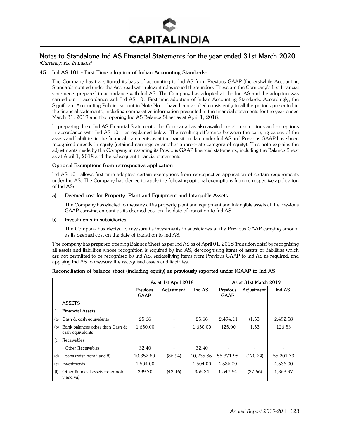

### **45 Ind AS 101 - First Time adoption of Indian Accounting Standards:**

The Company has transitioned its basis of accounting to Ind AS from Previous GAAP (the erstwhile Accounting Standards notified under the Act, read with relevant rules issued thereunder). These are the Company's first financial statements prepared in accordance with Ind AS. The Company has adopted all the Ind AS and the adoption was carried out in accordance with Ind AS 101 First time adoption of Indian Accounting Standards. Accordingly, the Significant Accounting Policies set out in Note No 1, have been applied consistently to all the periods presented in the financial statements, including comparative information presented in the financial statements for the year ended March 31, 2019 and the opening Ind AS Balance Sheet as at April 1, 2018.

In preparing these Ind AS Financial Statements, the Company has also availed certain exemptions and exceptions in accordance with Ind AS 101, as explained below. The resulting difference between the carrying values of the assets and liabilities in the financial statements as at the transition date under Ind AS and Previous GAAP have been recognised directly in equity (retained earnings or another appropriate category of equity). This note explains the adjustments made by the Company in restating its Previous GAAP financial statements, including the Balance Sheet as at April 1, 2018 and the subsequent financial statements.

### **Optional Exemptions from retrospective application**

Ind AS 101 allows first time adopters certain exemptions from retrospective application of certain requirements under Ind AS. The Company has elected to apply the following optional exemptions from retrospective application of Ind AS:

### **a) Deemed cost for Property, Plant and Equipment and Intangible Assets**

 The Company has elected to measure all its property plant and equipment and intangible assets at the Previous GAAP carrying amount as its deemed cost on the date of transition to Ind AS.

### **b) Investments in subsidiaries**

 The Company has elected to measure its investments in subsidiaries at the Previous GAAP carrying amount as its deemed cost on the date of transition to Ind AS.

The company has prepared opening Balance Sheet as per Ind AS as of April 01, 2018 (transition date) by recognising all assets and liabilities whose recognition is required by Ind AS, derecognising items of assets or liabilities which are not permitted to be recognised by Ind AS, reclassifying items from Previous GAAP to Ind AS as required, and applying Ind AS to measure the recognised assets and liabilities.

|                |                                                     |                         | As at 1st April 2018 |           |                         | As at 31st March 2019 |           |
|----------------|-----------------------------------------------------|-------------------------|----------------------|-----------|-------------------------|-----------------------|-----------|
|                |                                                     | Previous<br><b>GAAP</b> | Adjustment           | Ind AS    | Previous<br><b>GAAP</b> | Adjustment            | Ind AS    |
|                | <b>ASSETS</b>                                       |                         |                      |           |                         |                       |           |
| $\mathbf{1}$ . | <b>Financial Assets</b>                             |                         |                      |           |                         |                       |           |
| (a)            | Cash & cash equivalents                             | 25.66                   |                      | 25.66     | 2,494.11                | (1.53)                | 2,492.58  |
| (b)            | Bank balances other than Cash &<br>cash equivalents | 1,650.00                |                      | 1,650.00  | 125.00                  | 1.53                  | 126.53    |
| (c)            | Receivables                                         |                         |                      |           |                         |                       |           |
|                | - Other Receivables                                 | 32.40                   |                      | 32.40     |                         |                       |           |
| (d)            | Loans (refer note i and ii)                         | 10,352.80               | (86.94)              | 10,265.86 | 55,371.98               | (170.24)              | 55,201.73 |
| (e)            | Investments                                         | 1,504.00                |                      | 1,504.00  | 4,536.00                |                       | 4,536.00  |
| (f)            | Other financial assets (refer note<br>v and vii)    | 399.70                  | (43.46)              | 356.24    | 1,547.64                | (37.66)               | 1,363.97  |

**Reconciliation of balance sheet (including equity) as previously reported under IGAAP to Ind AS**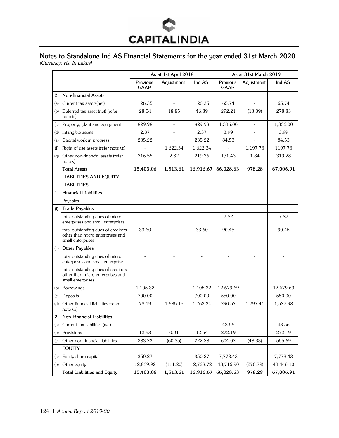

|      |                                                                                              |                         | As at 1st April 2018     |           | As at 31st March 2019   |                |           |
|------|----------------------------------------------------------------------------------------------|-------------------------|--------------------------|-----------|-------------------------|----------------|-----------|
|      |                                                                                              | Previous<br><b>GAAP</b> | Adjustment               | Ind AS    | Previous<br><b>GAAP</b> | Adjustment     | Ind AS    |
| 2.   | <b>Non-financial Assets</b>                                                                  |                         |                          |           |                         |                |           |
| (a)  | Current tax assets(net)                                                                      | 126.35                  | $\overline{\phantom{0}}$ | 126.35    | 65.74                   |                | 65.74     |
| (b)  | Deferred tax asset (net) (refer<br>note ix)                                                  | 28.04                   | 18.85                    | 46.89     | 292.21                  | (13.39)        | 278.83    |
| (c)  | Property, plant and equipment                                                                | 829.98                  | $\overline{\phantom{a}}$ | 829.98    | 1,336.00                | $\sim$         | 1,336.00  |
| (d)  | Intangible assets                                                                            | 2.37                    |                          | 2.37      | 3.99                    |                | 3.99      |
| (e)  | Capital work in progress                                                                     | 235.22                  | $\frac{1}{2}$            | 235.22    | 84.53                   |                | 84.53     |
| (f)  | Right of use assets (refer note vii)                                                         |                         | 1,622.34                 | 1,622.34  |                         | 1,197.73       | 1197.73   |
| (q)  | Other non-financial assets (refer<br>note v)                                                 | 216.55                  | 2.82                     | 219.36    | 171.43                  | 1.84           | 319.28    |
|      | <b>Total Assets</b>                                                                          | 15,403.06               | 1,513.61                 | 16,916.67 | 66,028.63               | 978.28         | 67,006.91 |
|      | <b>LIABILITIES AND EQUITY</b>                                                                |                         |                          |           |                         |                |           |
|      | <b>LIABILITIES</b>                                                                           |                         |                          |           |                         |                |           |
| 1.   | <b>Financial Liabilities</b>                                                                 |                         |                          |           |                         |                |           |
|      | Payables                                                                                     |                         |                          |           |                         |                |           |
| (i)  | <b>Trade Payables</b>                                                                        |                         |                          |           |                         |                |           |
|      | total outstanding dues of micro<br>enterprises and small enterprises                         |                         |                          |           | 7.82                    |                | 7.82      |
|      | total outstanding dues of creditors<br>other than micro enterprises and<br>small enterprises | 33.60                   |                          | 33.60     | 90.45                   |                | 90.45     |
| (ii) | <b>Other Payables</b>                                                                        |                         |                          |           |                         |                |           |
|      | total outstanding dues of micro<br>enterprises and small enterprises                         |                         |                          |           |                         |                |           |
|      | total outstanding dues of creditors<br>other than micro enterprises and<br>small enterprises |                         |                          |           |                         |                |           |
| (b)  | Borrowings                                                                                   | 1,105.32                | $\overline{a}$           | 1,105.32  | 12,679.69               | $\overline{a}$ | 12,679.69 |
| (c)  | Deposits                                                                                     | 700.00                  | $\overline{\phantom{m}}$ | 700.00    | 550.00                  | $\frac{1}{2}$  | 550.00    |
| (d)  | Other financial liabilities (refer<br>note vii)                                              | 78.19                   | 1,685.15                 | 1,763.34  | 290.57                  | 1,297.41       | 1,587.98  |
| 2.   | Non-Financial Liabilities                                                                    |                         |                          |           |                         |                |           |
| (a)  | Current tax liabilities (net)                                                                |                         |                          |           | 43.56                   |                | 43.56     |
| (b)  | Provisions                                                                                   | 12.53                   | 0.01                     | 12.54     | 272.19                  |                | 272.19    |
| (c)  | Other non-financial liabilities                                                              | 283.23                  | (60.35)                  | 222.88    | 604.02                  | (48.33)        | 555.69    |
|      | <b>EQUITY</b>                                                                                |                         |                          |           |                         |                |           |
| (a)  | Equity share capital                                                                         | 350.27                  |                          | 350.27    | 7,773.43                |                | 7,773.43  |
| (b)  | Other equity                                                                                 | 12,839.92               | (111.20)                 | 12,728.72 | 43,716.90               | (270.79)       | 43,446.10 |
|      | <b>Total Liabilities and Equity</b>                                                          | 15,403.06               | 1,513.61                 | 16,916.67 | 66,028.63               | 978.29         | 67,006.91 |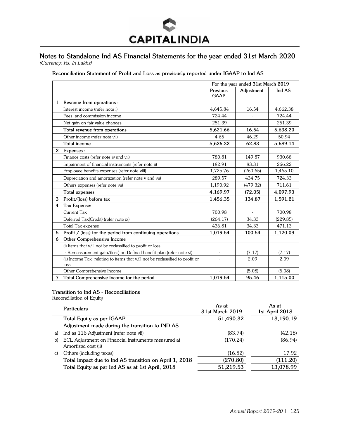

**Reconciliation Statement of Profit and Loss as previously reported under IGAAP to Ind AS**

|                |                                                                                      | For the year ended 31st March 2019 |                |          |  |  |
|----------------|--------------------------------------------------------------------------------------|------------------------------------|----------------|----------|--|--|
|                |                                                                                      | Previous<br><b>GAAP</b>            | Adjustment     | Ind AS   |  |  |
| $\mathbf{1}$   | Revenue from operations :                                                            |                                    |                |          |  |  |
|                | Interest income (refer note i)                                                       | 4,645.84                           | 16.54          | 4,662.38 |  |  |
|                | Fees and commission income                                                           | 724.44                             |                | 724.44   |  |  |
|                | Net gain on fair value changes                                                       | 251.39                             | $\overline{a}$ | 251.39   |  |  |
|                | Total revenue from operations                                                        | 5,621.66                           | 16.54          | 5,638.20 |  |  |
|                | Other income (refer note vii)                                                        | 4.65                               | 46.29          | 50.94    |  |  |
|                | Total income                                                                         | 5,626.32                           | 62.83          | 5,689.14 |  |  |
| $\overline{2}$ | Expenses :                                                                           |                                    |                |          |  |  |
|                | Finance costs (refer note iv and vii)                                                | 780.81                             | 149.87         | 930.68   |  |  |
|                | Impairment of financial instruments (refer note ii)                                  | 182.91                             | 83.31          | 266.22   |  |  |
|                | Employee benefits expenses (refer note viii)                                         | 1,725.76                           | (260.65)       | 1,465.10 |  |  |
|                | Depreciation and amortization (refer note v and vii)                                 | 289.57                             | 434.75         | 724.33   |  |  |
|                | Others expenses (refer note vii)                                                     | 1,190.92                           | (479.32)       | 711.61   |  |  |
|                | Total expenses                                                                       | 4,169.97                           | (72.05)        | 4,097.93 |  |  |
| 3              | Profit/(loss) before tax                                                             | 1,456.35                           | 134.87         | 1,591.21 |  |  |
| 4              | Tax Expense:                                                                         |                                    |                |          |  |  |
|                | Current Tax                                                                          | 700.98                             | $\overline{a}$ | 700.98   |  |  |
|                | Deferred Tax(Credit) (refer note ix)                                                 | (264.17)                           | 34.33          | (229.85) |  |  |
|                | Total Tax expense                                                                    | 436.81                             | 34.33          | 471.13   |  |  |
| 5              | Profit / (loss) for the period from continuing operations                            | 1,019.54                           | 100.54         | 1,120.09 |  |  |
| 6              | Other Comprehensive Income                                                           |                                    |                |          |  |  |
|                | (i) Items that will not be reclassified to profit or loss                            |                                    |                |          |  |  |
|                | - Remeasurement gain/(loss) on Defined benefit plan (refer note vi)                  | $\overline{a}$                     | (7.17)         | (7.17)   |  |  |
|                | (ii) Income Tax relating to items that will not be reclassified to profit or<br>loss |                                    | 2.09           | 2.09     |  |  |
|                | Other Comprehensive Income                                                           |                                    | (5.08)         | (5.08)   |  |  |
| 7              | Total Comprehensive Income for the period                                            | 1.019.54                           | 95.46          | 1,115.00 |  |  |

# **Transition to Ind AS - Reconciliations**

Reconciliation of Equity

| <b>Particulars</b>                                                         | As at<br>31st March 2019 | As at<br>1st April 2018 |
|----------------------------------------------------------------------------|--------------------------|-------------------------|
| Total Equity as per IGAAP                                                  | 51,490.32                | 13,190.19               |
| Adjustment made during the transition to IND AS                            |                          |                         |
| Ind as 116 Adjustment (refer note vii)                                     | (83.74)                  | (42.18)                 |
| ECL Adjustment on Financial instruments measured at<br>Amortized cost (ii) | (170.24)                 | (86.94)                 |
| Others (including taxes)                                                   | (16.82)                  | 17.92                   |
| Total Impact due to Ind AS transition on April 1, 2018                     | (270.80)                 | (111.20)                |
| Total Equity as per Ind AS as at 1st April, 2018                           | 51,219.53                | 13,078.99               |
|                                                                            |                          |                         |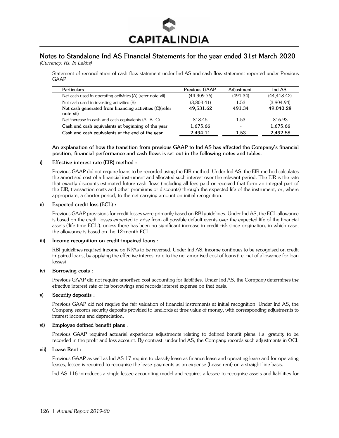

### (Currency: Rs. In Lakhs)

Statement of reconciliation of cash flow statement under Ind AS and cash flow statement reported under Previous GAAP

| <b>Particulars</b>                                                  | <b>Previous GAAP</b> | Adjustment | Ind AS        |
|---------------------------------------------------------------------|----------------------|------------|---------------|
| Net cash used in operating activities (A) (refer note vii)          | (44,909.76)          | (491.34)   | (44, 418, 42) |
| Net cash used in investing activities (B)                           | (3.803.41)           | 1.53       | (3.804.94)    |
| Net cash generated from financing activities (C)(refer<br>note vii) | 49,531.62            | 491 34     | 49,040.28     |
| Net increase in cash and cash equivalents $(A+B+C)$                 | 818.45               | 1.53       | 816.93        |
| Cash and cash equivalents at beginning of the year                  | 1,675.66             |            | 1,675.66      |
| Cash and cash equivalents at the end of the year                    | 2.494.11             | 1.53       | 2,492.58      |

**An explanation of how the transition from previous GAAP to Ind AS has affected the Company's financial position, financial performance and cash flows is set out in the following notes and tables.**

### **i) Effective interest rate (EIR) method :**

Previous GAAP did not require loans to be recorded using the EIR method. Under Ind AS, the EIR method calculates the amortised cost of a financial instrument and allocated such interest over the relevant period. The EIR is the rate that exactly discounts estimated future cash flows (including all fees paid or received that form an integral part of the EIR, transaction costs and other premiums or discounts) through the expected life of the instrument, or, where appropriate, a shorter period, to the net carrying amount on initial recognition.

### **ii) Expected credit loss (ECL) :**

Previous GAAP provisions for credit losses were primarily based on RBI guidelines. Under Ind AS, the ECL allowance is based on the credit losses expected to arise from all possible default events over the expected life of the financial assets ('life time ECL'), unless there has been no significant increase in credit risk since origination, in which case, the allowance is based on the 12-month ECL.

### **iii) Income recognition on credit-impaired loans :**

RBI guidelines required income on NPAs to be reversed. Under Ind AS, income continues to be recognised on credit impaired loans, by applying the effective interest rate to the net amortised cost of loans (i.e. net of allowance for loan losses)

### **iv) Borrowing costs :**

Previous GAAP did not require amortised cost accounting for liabilities. Under Ind AS, the Company determines the effective interest rate of its borrowings and records interest expense on that basis.

### **v) Security deposits :**

Previous GAAP did not require the fair valuation of financial instruments at initial recognition. Under Ind AS, the Company records security deposits provided to landlords at time value of money, with corresponding adjustments to interest income and depreciation.

### **vi) Employee defined benefit plans** :

Previous GAAP required actuarial experience adjustments relating to defined benefit plans, i.e. gratuity to be recorded in the profit and loss account. By contrast, under Ind AS, the Company records such adjustments in OCI.

### **vii) Lease Rent :**

Previous GAAP as well as Ind AS 17 require to classify lease as finance lease and operating lease and for operating leases, lessee is required to recognise the lease payments as an expense (Lease rent) on a straight line basis.

Ind AS 116 introduces a single lessee accounting model and requires a lessee to recognise assets and liabilities for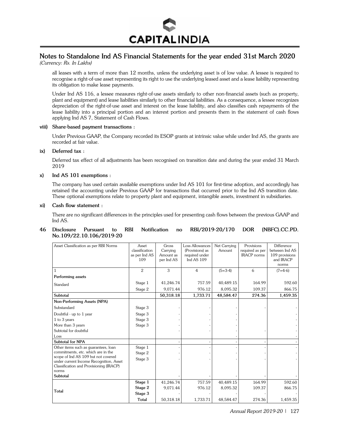

(Currency: Rs. In Lakhs)

all leases with a term of more than 12 months, unless the underlying asset is of low value. A lessee is required to recognise a right-of-use asset representing its right to use the underlying leased asset and a lease liability representing its obligation to make lease payments.

Under Ind AS 116, a lessee measures right-of-use assets similarly to other non-financial assets (such as property, plant and equipment) and lease liabilities similarly to other financial liabilities. As a consequence, a lessee recognizes depreciation of the right-of-use asset and interest on the lease liability, and also classifies cash repayments of the lease liability into a principal portion and an interest portion and presents them in the statement of cash flows applying Ind AS 7, Statement of Cash Flows.

### **viii) Share-based payment transactions :**

Under Previous GAAP, the Company recorded its ESOP grants at intrinsic value while under Ind AS, the grants are recorded at fair value.

### **ix) Deferred tax :**

Deferred tax effect of all adjustments has been recognised on transition date and during the year ended 31 March 2019

### **x) Ind AS 101 exemptions :**

The company has used certain available exemptions under Ind AS 101 for first-time adoption, and accordingly has retained the accounting under Previous GAAP for transactions that occurred prior to the Ind AS transition date. These optional exemptions relate to property plant and equipment, intangible assets, investment in subsidiaries.

### **xi) Cash flow statement :**

There are no significant differences in the principles used for presenting cash flows between the previous GAAP and Ind AS.

### **46 Disclosure Pursuant to RBI Notification no RBI/2019-20/170 DOR (NBFC).CC.PD. No.109/22.10.106/2019-20**

| Asset Classification as per RBI Norms                                                                                     | Asset<br>classification<br>as per Ind AS<br>109 | Gross<br>Carrying<br>Amount as<br>per Ind AS | Loss Allowances<br>(Provisions) as<br>required under<br>Ind AS 109 | Net Carrying<br>Amount | Provisions<br>required as per<br><b>IRACP</b> norms | Difference<br>between Ind AS<br>109 provisions<br>and IRACP<br>norms |
|---------------------------------------------------------------------------------------------------------------------------|-------------------------------------------------|----------------------------------------------|--------------------------------------------------------------------|------------------------|-----------------------------------------------------|----------------------------------------------------------------------|
| 1                                                                                                                         | 2                                               | 3                                            | $\overline{4}$                                                     | $(5=3-4)$              | 6                                                   | $(7=4-6)$                                                            |
| Performing assets                                                                                                         |                                                 |                                              |                                                                    |                        |                                                     |                                                                      |
| Standard                                                                                                                  | Stage 1                                         | 41,246.74                                    | 757.59                                                             | 40,489.15              | 164.99                                              | 592.60                                                               |
|                                                                                                                           | Stage 2                                         | 9,071.44                                     | 976.12                                                             | 8,095.32               | 109.37                                              | 866.75                                                               |
| Subtotal                                                                                                                  |                                                 | 50,318.18                                    | 1,733.71                                                           | 48,584.47              | 274.36                                              | 1,459.35                                                             |
| Non-Performing Assets (NPA)                                                                                               |                                                 |                                              |                                                                    |                        |                                                     |                                                                      |
| Substandard                                                                                                               | Stage 3                                         |                                              |                                                                    |                        |                                                     |                                                                      |
| Doubtful - up to 1 year                                                                                                   | Stage 3                                         |                                              |                                                                    |                        |                                                     |                                                                      |
| 1 to 3 years                                                                                                              | Stage 3                                         |                                              |                                                                    |                        |                                                     |                                                                      |
| More than 3 years                                                                                                         | Stage 3                                         |                                              |                                                                    |                        |                                                     |                                                                      |
| Subtotal for doubtful                                                                                                     |                                                 |                                              |                                                                    |                        |                                                     |                                                                      |
| Loss                                                                                                                      |                                                 |                                              |                                                                    |                        |                                                     |                                                                      |
| Subtotal for NPA                                                                                                          |                                                 |                                              |                                                                    |                        |                                                     |                                                                      |
| Other items such as quarantees, loan                                                                                      | Stage 1                                         |                                              |                                                                    |                        |                                                     |                                                                      |
| commitments, etc. which are in the                                                                                        | Stage 2                                         |                                              |                                                                    |                        |                                                     |                                                                      |
| scope of Ind AS 109 but not covered<br>under current Income Recognition, Asset<br>Classification and Provisioning (IRACP) | Stage 3                                         |                                              |                                                                    |                        |                                                     |                                                                      |
| norms                                                                                                                     |                                                 |                                              |                                                                    |                        |                                                     |                                                                      |
| Subtotal                                                                                                                  |                                                 |                                              |                                                                    |                        |                                                     |                                                                      |
|                                                                                                                           | Stage 1                                         | 41,246.74                                    | 757.59                                                             | 40,489.15              | 164.99                                              | 592.60                                                               |
|                                                                                                                           | Stage 2                                         | 9,071.44                                     | 976.12                                                             | 8,095.32               | 109.37                                              | 866.75                                                               |
| Total                                                                                                                     | Stage 3                                         |                                              |                                                                    |                        |                                                     |                                                                      |
|                                                                                                                           | Total                                           | 50,318.18                                    | 1,733.71                                                           | 48,584.47              | 274.36                                              | 1,459.35                                                             |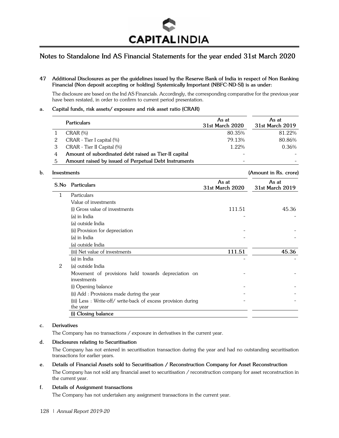

### **47 Additional Disclosures as per the guidelines issued by the Reserve Bank of India in respect of Non Banking Financial (Non deposit accepting or holding) Systemically Important (NBFC-ND-SI) is as under:**

The disclosure are based on the Ind AS Financials. Accordingly, the corresponding comparative for the previous year have been restated, in order to confirm to current period presentation.

### **a. Capital funds, risk assets/ exposure and risk asset ratio (CRAR)**

|   | <b>Particulars</b>                                    | As at<br>31st March 2020 | As at<br>31st March 2019 |
|---|-------------------------------------------------------|--------------------------|--------------------------|
|   | $CRAR$ $%$                                            | 80.35%                   | 81.22%                   |
|   | CRAR - Tier I capital (%)                             | 79.13%                   | 80.86%                   |
|   | CRAR - Tier II Capital (%)                            | 1.22%                    | 0.36%                    |
| 4 | Amount of subordinated debt raised as Tier-II capital |                          |                          |
| 5 | Amount raised by issued of Perpetual Debt Instruments |                          |                          |

### **b. Investments (Amount in Rs. crore)**

|   | S.No Particulars                                                         | As at<br>31st March 2020 | As at<br>31st March 2019 |
|---|--------------------------------------------------------------------------|--------------------------|--------------------------|
| 1 | Particulars                                                              |                          |                          |
|   | Value of investments                                                     |                          |                          |
|   | (i) Gross value of investments                                           | 111.51                   | 45.36                    |
|   | (a) in India                                                             |                          |                          |
|   | (a) outside India                                                        |                          |                          |
|   | (ii) Provision for depreciation                                          |                          |                          |
|   | (a) in India                                                             |                          |                          |
|   | (a) outside India                                                        |                          |                          |
|   | (iii) Net value of investments                                           | 111.51                   | 45.36                    |
|   | (a) in India                                                             |                          |                          |
| 2 | (a) outside India                                                        |                          |                          |
|   | Movement of provisions held towards depreciation on<br>investments       |                          |                          |
|   | (i) Opening balance                                                      |                          |                          |
|   | (ii) Add : Provisions made during the year                               |                          |                          |
|   | (iii) Less: Write-off/ write-back of excess provision during<br>the year |                          |                          |
|   | (i) Closing balance                                                      |                          |                          |
|   |                                                                          |                          |                          |

### **c. Derivatives**

The Company has no transactions / exposure in derivatives in the current year.

### **d. Disclosures relating to Securitisation**

 The Company has not entered in securitisation transaction during the year and had no outstanding securitisation transactions for earlier years.

### **e. Details of Financial Assets sold to Securitisation / Reconstruction Company for Asset Reconstruction**

 The Company has not sold any financial asset to securitisation / reconstruction company for asset reconstruction in the current year.

### **f. Details of Assignment transactions**

The Company has not undertaken any assignment transactions in the current year.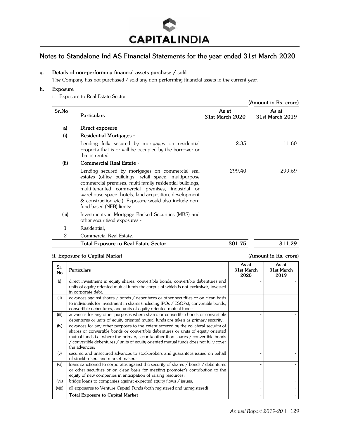

### **g. Details of non-performing financial assets purchase / sold**

The Company has not purchased / sold any non-performing financial assets in the current year.

# **h. Exposure**

i. Exposure to Real Estate Sector

|       |                                                                                                                                                                                                                                                                                                                                                                           |                          | (Amount in Rs. crore)    |
|-------|---------------------------------------------------------------------------------------------------------------------------------------------------------------------------------------------------------------------------------------------------------------------------------------------------------------------------------------------------------------------------|--------------------------|--------------------------|
| Sr.No | <b>Particulars</b>                                                                                                                                                                                                                                                                                                                                                        | As at<br>31st March 2020 | As at<br>31st March 2019 |
| a)    | Direct exposure                                                                                                                                                                                                                                                                                                                                                           |                          |                          |
| (i)   | <b>Residential Mortgages -</b>                                                                                                                                                                                                                                                                                                                                            |                          |                          |
|       | Lending fully secured by mortgages on residential<br>property that is or will be occupied by the borrower or<br>that is rented                                                                                                                                                                                                                                            | 2.35                     | 11.60                    |
| (ii)  | Commercial Real Estate -                                                                                                                                                                                                                                                                                                                                                  |                          |                          |
|       | Lending secured by mortgages on commercial real<br>estates (office buildings, retail space, multipurpose<br>commercial premises, multi-family residential buildings,<br>multi-tenanted commercial premises, industrial or<br>warehouse space, hotels, land acquisition, development<br>& construction etc.). Exposure would also include non-<br>fund based (NFB) limits; | 299.40                   | 299.69                   |
| (iii) | Investments in Mortgage Backed Securities (MBS) and<br>other securitised exposures -                                                                                                                                                                                                                                                                                      |                          |                          |
| 1     | Residential,                                                                                                                                                                                                                                                                                                                                                              |                          |                          |
| 2     | Commercial Real Estate.                                                                                                                                                                                                                                                                                                                                                   |                          |                          |
|       | <b>Total Exposure to Real Estate Sector</b>                                                                                                                                                                                                                                                                                                                               | 301.75                   | 311.29                   |

### **ii. Exposure to Capital Market (Amount in Rs. crore)**

| Sr.<br>No | <b>Particulars</b>                                                                                                                                                                                                                                                                                                                                                       | As at<br>31st March<br>2020 | As at<br>31st March<br>2019 |
|-----------|--------------------------------------------------------------------------------------------------------------------------------------------------------------------------------------------------------------------------------------------------------------------------------------------------------------------------------------------------------------------------|-----------------------------|-----------------------------|
| (i)       | direct investment in equity shares, convertible bonds, convertible debentures and<br>units of equity-oriented mutual funds the corpus of which is not exclusively invested<br>in corporate debt;                                                                                                                                                                         |                             |                             |
| (ii)      | advances against shares / bonds / debentures or other securities or on clean basis<br>to individuals for investment in shares (including IPOs / ESOPs), convertible bonds,<br>convertible debentures, and units of equity-oriented mutual funds;                                                                                                                         |                             |                             |
| (iii)     | advances for any other purposes where shares or convertible bonds or convertible<br>debentures or units of equity oriented mutual funds are taken as primary security;                                                                                                                                                                                                   |                             |                             |
| (iv)      | advances for any other purposes to the extent secured by the collateral security of<br>shares or convertible bonds or convertible debentures or units of equity oriented<br>mutual funds i.e. where the primary security other than shares / convertible bonds<br>/ convertible debentures / units of equity oriented mutual funds does not fully cover<br>the advances: |                             |                             |
| (v)       | secured and unsecured advances to stockbrokers and guarantees issued on behalf<br>of stockbrokers and market makers;                                                                                                                                                                                                                                                     |                             |                             |
| (vi)      | loans sanctioned to corporates against the security of shares / bonds / debentures<br>or other securities or on clean basis for meeting promoter's contribution to the<br>equity of new companies in anticipation of raising resources;                                                                                                                                  |                             |                             |
| (vii)     | bridge loans to companies against expected equity flows / issues;                                                                                                                                                                                                                                                                                                        |                             |                             |
| (viii)    | all exposures to Venture Capital Funds (both registered and unregistered)                                                                                                                                                                                                                                                                                                |                             |                             |
|           | <b>Total Exposure to Capital Market</b>                                                                                                                                                                                                                                                                                                                                  |                             |                             |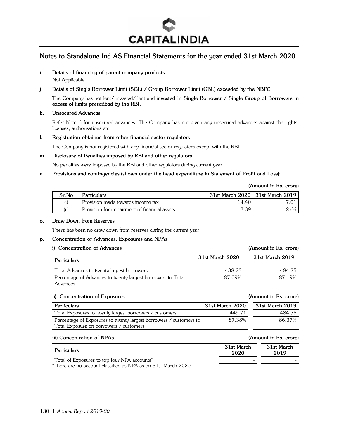

### **i. Details of financing of parent company products**  Not Applicable

### **j Details of Single Borrower Limit (SGL) / Group Borrower Limit (GBL) exceeded by the NBFC**

The Company has not lent/ invested/ lent and i**nvested in Single Borrower / Single Group of Borrowers in excess of limits prescribed by the RBI.** 

### **k. Unsecured Advances**

Refer Note 6 for unsecured advances. The Company has not given any unsecured advances against the rights, licenses, authorisations etc.

### **l. Registration obtained from other financial sector regulators**

The Company is not registered with any financial sector regulators except with the RBI.

### **m Disclosure of Penalties imposed by RBI and other regulators**

No penalties were imposed by the RBI and other regulators during current year.

### **n Provisions and contingencies (shown under the head expenditure in Statement of Profit and Loss):**

**(Amount in Rs. crore)**

| Sr.No | <b>Particulars</b>                           | 31st March 2020   31st March 2019 |      |
|-------|----------------------------------------------|-----------------------------------|------|
| (i)   | Provision made towards income tax            | 14.40                             |      |
| (i)   | Provision for impairment of financial assets | 13.39                             | 2.66 |

### **o. Draw Down from Reserves**

There has been no draw down from reserves during the current year.

### **p. Concentration of Advances, Exposures and NPAs**

| i) Concentration of Advances                                            |                 | (Amount in Rs. crore) |
|-------------------------------------------------------------------------|-----------------|-----------------------|
| <b>Particulars</b>                                                      | 31st March 2020 | 31st March 2019       |
| Total Advances to twenty largest borrowers                              | 438.23          | 484.75                |
| Percentage of Advances to twenty largest borrowers to Total<br>Advances | 87.09%          | 87.19%                |

### **ii) Concentration of Exposures (Amount in Rs. crore)**

| <b>Particulars</b>                                                 | 31st March 2020 | 31st March 2019 |
|--------------------------------------------------------------------|-----------------|-----------------|
| Total Exposures to twenty largest borrowers / customers            | 449.71          | 484.75          |
| Percentage of Exposures to twenty largest borrowers / customers to | 87.38%          | 86.37%          |
| Total Exposure on borrowers / customers                            |                 |                 |

| iii) Concentration of NPAs                   |                    | (Amount in Rs. crore) |
|----------------------------------------------|--------------------|-----------------------|
| Particulars                                  | 31st March<br>2020 | 31st March<br>2019    |
| Total of Exposures to top four NPA accounts* |                    |                       |

\* there are no account classified as NPA as on 31st March 2020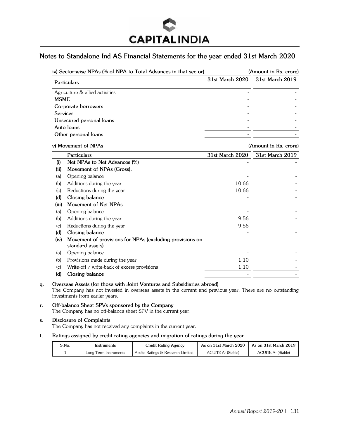

| iv) Sector-wise NPAs (% of NPA to Total Advances in that sector) | (Amount in Rs. crore) |                 |  |
|------------------------------------------------------------------|-----------------------|-----------------|--|
| <b>Particulars</b>                                               | 31st March 2020       | 31st March 2019 |  |
| Agriculture & allied activities                                  |                       |                 |  |
| <b>MSME</b>                                                      |                       |                 |  |
| Corporate borrowers                                              |                       |                 |  |
| <b>Services</b>                                                  |                       |                 |  |
| Unsecured personal loans                                         |                       |                 |  |
| Auto loans                                                       |                       |                 |  |
| Other personal loans                                             |                       |                 |  |

### **v) Movement of NPAs (Amount in Rs. crore)**

|       | <b>Particulars</b>                                                           | 31st March 2020 | 31st March 2019 |
|-------|------------------------------------------------------------------------------|-----------------|-----------------|
| (i)   | Net NPAs to Net Advances (%)                                                 |                 |                 |
| (i)   | Movement of NPAs (Gross):                                                    |                 |                 |
| (a)   | Opening balance                                                              |                 |                 |
| (b)   | Additions during the year                                                    | 10.66           |                 |
| (c)   | Reductions during the year                                                   | 10.66           |                 |
| (d)   | Closing balance                                                              |                 |                 |
| (iii) | Movement of Net NPAs                                                         |                 |                 |
| (a)   | Opening balance                                                              |                 |                 |
| (b)   | Additions during the year                                                    | 9.56            |                 |
| (c)   | Reductions during the year                                                   | 9.56            |                 |
| (d)   | Closing balance                                                              |                 |                 |
| (iv)  | Movement of provisions for NPAs (excluding provisions on<br>standard assets) |                 |                 |
| (a)   | Opening balance                                                              |                 |                 |
| (b)   | Provisions made during the year                                              | 1.10            |                 |
| (c)   | Write-off / write-back of excess provisions                                  | 1.10            |                 |
| (d)   | Closing balance                                                              |                 |                 |

### **q. Overseas Assets (for those with Joint Ventures and Subsidiaries abroad)**

The Company has not invested in overseas assets in the current and previous year. There are no outstanding investments from earlier years.

# **r. Off-balance Sheet SPVs sponsored by the Company**

The Company has no off-balance sheet SPV in the current year.

### **s. Disclosure of Complaints**

Ī

The Company has not received any complaints in the current year.

### **t. Ratings assigned by credit rating agencies and migration of ratings during the year**

| S.No. | Instruments           | Credit Rating Agency              | As on 31st March 2020 | As on 31st March 2019 |  |
|-------|-----------------------|-----------------------------------|-----------------------|-----------------------|--|
|       | Long Term Instruments | Acuite Ratings & Research Limited | ACUITE A- (Stable)    | ACUITE A- (Stable)    |  |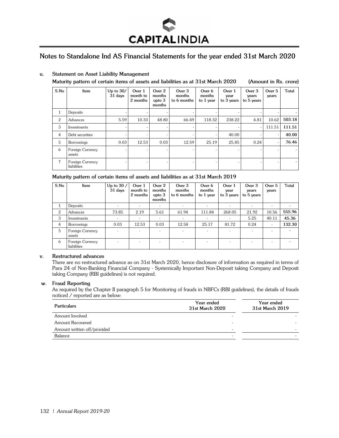

| S.No | Item                            | Up to $30/$<br>31 days | Over 1<br>month to<br>2 months | Over 2<br>months<br>upto $3$<br>months | Over 3<br>months<br>to 6 months | Over 6<br>months<br>to 1 year | Over 1<br>year<br>to 3 years | Over 3<br>years<br>to 5 years | Over 5<br>years          | Total  |
|------|---------------------------------|------------------------|--------------------------------|----------------------------------------|---------------------------------|-------------------------------|------------------------------|-------------------------------|--------------------------|--------|
| 1    | Deposits                        |                        |                                |                                        |                                 |                               |                              |                               |                          |        |
| 2    | Advances                        | 5.59                   | 10.33                          | 48.80                                  | 66.49                           | 118.32                        | 238.22                       | 4.81                          | 10.62                    | 503.18 |
| 3    | Investments                     |                        | ۰                              |                                        |                                 |                               |                              |                               | 111.51                   | 111.51 |
| 4    | Debt securities                 |                        |                                |                                        |                                 |                               | 40.00                        |                               |                          | 40.00  |
| 5    | Borrowings                      | 0.03                   | 12.53                          | 0.03                                   | 12.59                           | 25.19                         | 25.85                        | 0.24                          | $\overline{\phantom{a}}$ | 76.46  |
| 6    | Foreign Currency<br>assets      |                        |                                |                                        |                                 |                               |                              |                               |                          |        |
| 7    | Foreign Currency<br>liabilities |                        |                                |                                        |                                 |                               |                              |                               |                          |        |

### **u. Statement on Asset Liability Management**

### **Maturity pattern of certain items of assets and liabilities as at 31st March 2020 (Amount in Rs. crore)**

### **Maturity pattern of certain items of assets and liabilities as at 31st March 2019**

| S.No | Item                            | Up to $30/$<br>31 days | Over 1<br>month to<br>2 months | Over 2<br>months<br>upto $3$<br>months | Over 3<br>months<br>to 6 months | Over 6<br>months<br>to 1 year | Over 1<br>year<br>to 3 years | Over 3<br>years<br>to 5 years | Over 5<br>years          | Total  |
|------|---------------------------------|------------------------|--------------------------------|----------------------------------------|---------------------------------|-------------------------------|------------------------------|-------------------------------|--------------------------|--------|
|      | Deposits                        |                        | $\sim$                         | $\overline{\phantom{a}}$               | $\overline{\phantom{a}}$        | $\sim$                        |                              | $\overline{\phantom{a}}$      | $\overline{\phantom{a}}$ |        |
| 2    | Advances                        | 73.85                  | 2.19                           | 5.61                                   | 61.94                           | 111.84                        | 268.05                       | 21.92                         | 10.56                    | 555.96 |
| 3    | Investments                     | ٠.                     | $\sim$                         | $\overline{\phantom{a}}$               | $\overline{\phantom{a}}$        | ۰                             | $\sim$                       | 5.25                          | 40.11                    | 45.36  |
| 4    | Borrowings                      | 0.03                   | 12.53                          | 0.03                                   | 12.58                           | 25.17                         | 81.72                        | 0.24                          | $\sim$                   | 132.30 |
| 5    | Foreign Currency<br>assets      |                        | $\overline{\phantom{a}}$       | $\overline{\phantom{a}}$               | $\overline{\phantom{a}}$        | ۰                             |                              | $\overline{\phantom{a}}$      | $\overline{\phantom{a}}$ |        |
| 6    | Foreign Currency<br>liabilities | -                      | $\overline{\phantom{a}}$       | $\overline{\phantom{a}}$               | $\overline{\phantom{a}}$        | ۰                             | $\overline{\phantom{a}}$     | $\overline{\phantom{a}}$      | $\overline{\phantom{a}}$ |        |

### **v. Restructured advances**

There are no restructured advance as on 31st March 2020, hence disclosure of information as required in terms of Para 24 of Non-Banking Financial Company - Systemically Important Non-Deposit taking Company and Deposit taking Company (RBI guidelines) is not required.

### **w. Fraud Reporting**

As required by the Chapter II paragraph 5 for Monitoring of frauds in NBFCs (RBI guidelines), the details of frauds noticed / reported are as below:

| $\overline{\phantom{a}}$ |                          |
|--------------------------|--------------------------|
|                          |                          |
| $\overline{\phantom{a}}$ |                          |
| $\overline{\phantom{a}}$ | $\overline{\phantom{a}}$ |
| -                        |                          |
|                          |                          |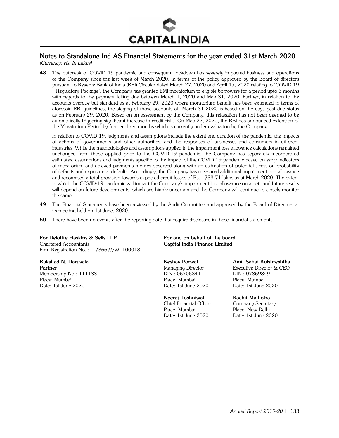

(Currency: Rs. In Lakhs)

**48** The outbreak of COVID 19 pandemic and consequent lockdown has severely impacted business and operations of the Company since the last week of March 2020. In terms of the policy approved by the Board of directors pursuant to Reserve Bank of India (RBI) Circular dated March 27, 2020 and April 17, 2020 relating to 'COVID-19 – Regulatory Package', the Company has granted EMI moratorium to eligible borrowers for a period upto 3 months with regards to the payment falling due between March 1, 2020 and May 31, 2020. Further, in relation to the accounts overdue but standard as at February 29, 2020 where moratorium benefit has been extended in terms of aforesaid RBI guidelines, the staging of those accounts at March 31 2020 is based on the days past due status as on February 29, 2020. Based on an assessment by the Company, this relaxation has not been deemed to be automatically triggering significant increase in credit risk. On May 22, 2020, the RBI has announced extension of the Moratorium Period by further three months which is currently under evaluation by the Company.

In relation to COVID-19, judgments and assumptions include the extent and duration of the pandemic, the impacts of actions of governments and other authorities, and the responses of businesses and consumers in different industries. While the methodologies and assumptions applied in the impairment loss allowance calculations remained unchanged from those applied prior to the COVID-19 pandemic, the Company has separately incorporated estimates, assumptions and judgments specific to the impact of the COVID-19 pandemic based on early indicators of moratorium and delayed payments metrics observed along with an estimation of potential stress on probability of defaults and exposure at defaults. Accordingly, the Company has measured additional impairment loss allowance and recognised a total provision towards expected credit losses of Rs. 1733.71 lakhs as at March 2020. The extent to which the COVID-19 pandemic will impact the Company's impairment loss allowance on assets and future results will depend on future developments, which are highly uncertain and the Company will continue to closely monitor the same.

- **49** The Financial Statements have been reviewed by the Audit Committee and approved by the Board of Directors at its meeting held on 1st June, 2020.
- **50** There have been no events after the reporting date that require disclosure in these financial statements.

**For Deloitte Haskins & Sells LLP For and on behalf of the board** Chartered Accountants **Capital India Finance Limited** Firm Registration No. :117366W/W -100018

**Partner** Managing Director Executive Director & CEO Membership No.: 111188 Place: Mumbai Place: Mumbai Place: Mumbai Date: 1st June 2020 Date: 1st June 2020 Date: 1st June 2020

**Neeraj Toshniwal Rachit Malhotra** Chief Financial Officer Company Secretary Place: Mumbai Place: New Delhi Date: 1st June 2020 Date: 1st June 2020

**Rukshad N. Daruvala Keshav Porwal Amit Sahai Kulshreshtha**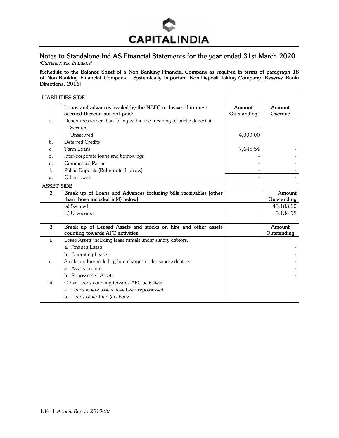

**[Schedule to the Balance Sheet of a Non Banking Financial Company as required in terms of paragraph 18 of Non-Banking Financial Company - Systemically Important Non-Deposit taking Company (Reserve Bank) Directions, 2016]**

|    | <b>LIABILITIES SIDE</b>                                                                       |                       |                   |  |  |
|----|-----------------------------------------------------------------------------------------------|-----------------------|-------------------|--|--|
| 1  | Loans and advances availed by the NBFC inclusive of interest<br>accrued thereon but not paid: | Amount<br>Outstanding | Amount<br>Overdue |  |  |
| a. | Debentures (other than falling within the meaning of public deposits)                         |                       |                   |  |  |
|    | - Secured                                                                                     |                       |                   |  |  |
|    | - Unsecured                                                                                   | 4,000.00              |                   |  |  |
| b. | Deferred Credits                                                                              |                       |                   |  |  |
| c. | Term Loans                                                                                    | 7,645.54              |                   |  |  |
| d. | Inter-corporate loans and borrowings                                                          |                       |                   |  |  |
| e. | Commercial Paper                                                                              |                       |                   |  |  |
| f. | Public Deposits (Refer note 1 below)                                                          |                       |                   |  |  |
| g. | Other Loans                                                                                   |                       |                   |  |  |
|    | <b>ASSET SIDE</b>                                                                             |                       |                   |  |  |

| ∠ | Break up of Loans and Advances including bills receivables [other] |  | Amount      |
|---|--------------------------------------------------------------------|--|-------------|
|   | than those included in(4) below]:                                  |  | Outstanding |
|   | (a) Secured                                                        |  | 45.183.20   |
|   | (b) Unsecured                                                      |  | 5.134.98    |

| 3    | Break up of Leased Assets and stocks on hire and other assets<br>counting towards AFC activities |  | Amount<br>Outstanding |
|------|--------------------------------------------------------------------------------------------------|--|-----------------------|
| i.   | Lease Assets including lease rentals under sundry debtors:                                       |  |                       |
|      | a. Finance Lease                                                                                 |  |                       |
|      | b. Operating Lease                                                                               |  |                       |
| ii.  | Stocks on hire including hire charges under sundry debtors:                                      |  |                       |
|      | a. Assets on hire                                                                                |  |                       |
|      | b. Repossessed Assets                                                                            |  |                       |
| iii. | Other Loans counting towards AFC activities:                                                     |  |                       |
|      | a. Loans where assets have been repossessed                                                      |  |                       |
|      | b. Loans other than (a) above                                                                    |  |                       |
|      |                                                                                                  |  |                       |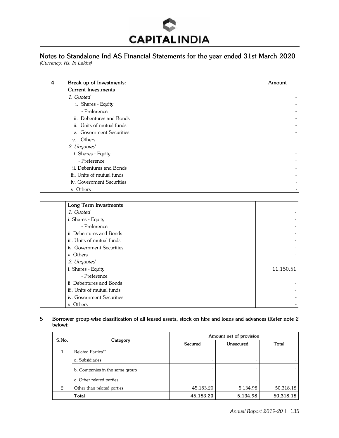

| $\overline{4}$ | Break up of Investments:   | Amount    |
|----------------|----------------------------|-----------|
|                | <b>Current Investments</b> |           |
|                | 1. Quoted                  |           |
|                | i. Shares - Equity         |           |
|                | - Preference               |           |
|                | ii. Debentures and Bonds   |           |
|                | iii. Units of mutual funds |           |
|                | iv. Government Securities  |           |
|                | v. Others                  |           |
|                | 2. Unquoted                |           |
|                | i. Shares - Equity         |           |
|                | - Preference               |           |
|                | ii. Debentures and Bonds   |           |
|                | iii. Units of mutual funds |           |
|                | iv. Government Securities  |           |
|                | v. Others                  |           |
|                |                            |           |
|                | Long Term Investments      |           |
|                | 1. Quoted                  |           |
|                | i. Shares - Equity         |           |
|                | - Preference               |           |
|                | ii. Debentures and Bonds   |           |
|                | iii. Units of mutual funds |           |
|                | iv. Government Securities  |           |
|                | v. Others                  |           |
|                | 2. Unquoted                |           |
|                | i. Shares - Equity         | 11,150.51 |
|                | - Preference               |           |
|                | ii. Debentures and Bonds   |           |
|                | iii. Units of mutual funds |           |
|                | iv. Government Securities  |           |
|                | v. Others                  |           |

### **5 Borrower group-wise classification of all leased assets, stock on hire and loans and advances (Refer note 2 below):**

| S.No. | Category                       | Amount net of provision |           |           |  |
|-------|--------------------------------|-------------------------|-----------|-----------|--|
|       |                                | Secured                 | Unsecured | Total     |  |
|       | Related Parties**              |                         |           |           |  |
|       | a. Subsidiaries                |                         |           |           |  |
|       | b. Companies in the same group |                         |           |           |  |
|       | c. Other related parties       |                         |           |           |  |
| 2     | Other than related parties     | 45,183.20               | 5,134.98  | 50,318.18 |  |
|       | Total                          | 45,183.20               | 5,134.98  | 50,318.18 |  |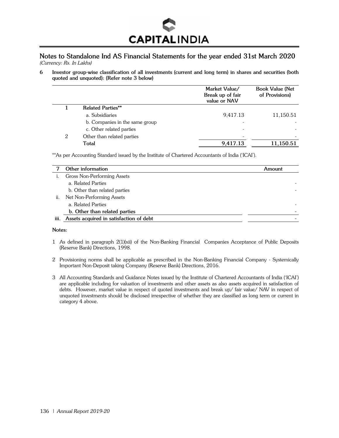

**6 Investor group-wise classification of all investments (current and long term) in shares and securities (both quoted and unquoted): (Refer note 3 below)**

|   |                                | Market Value/<br>Break up of fair<br>value or NAV | <b>Book Value (Net</b><br>of Provisions) |
|---|--------------------------------|---------------------------------------------------|------------------------------------------|
|   | <b>Related Parties**</b>       |                                                   |                                          |
|   | a. Subsidiaries                | 9,417.13                                          | 11,150.51                                |
|   | b. Companies in the same group |                                                   |                                          |
|   | c. Other related parties       |                                                   |                                          |
| 2 | Other than related parties     |                                                   |                                          |
|   | <b>Total</b>                   | 9.417.13                                          | 11,150.51                                |
|   |                                |                                                   |                                          |

\*\*As per Accounting Standard issued by the Institute of Chartered Accountants of India ('ICAI').

| Other information                       | Amount |
|-----------------------------------------|--------|
| Gross Non-Performing Assets             |        |
| a. Related Parties                      |        |
| b. Other than related parties           |        |
| Net Non-Performing Assets               |        |
| a. Related Parties                      |        |
| b. Other than related parties           |        |
| Assets acquired in satisfaction of debt |        |
|                                         |        |

### **Notes:**

- 1 As defined in paragraph 2(1)(xii) of the Non-Banking Financial Companies Acceptance of Public Deposits (Reserve Bank) Directions, 1998.
- 2 Provisioning norms shall be applicable as prescribed in the Non-Banking Financial Company Systemically Important Non-Deposit taking Company (Reserve Bank) Directions, 2016.
- 3 All Accounting Standards and Guidance Notes issued by the Institute of Chartered Accountants of India ('ICAI') are applicable including for valuation of investments and other assets as also assets acquired in satisfaction of debts. However, market value in respect of quoted investments and break up/ fair value/ NAV in respect of unquoted investments should be disclosed irrespective of whether they are classified as long term or current in category 4 above.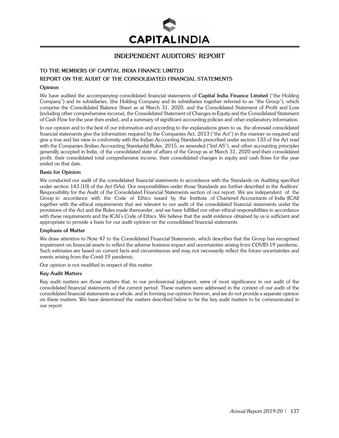

# **INDEPENDENT AUDITORS' REPORT**

### **TO THE MEMBERS OF CAPITAL INDIA FINANCE LIMITED**

### **REPORT ON THE AUDIT OF THE CONSOLIDATED FINANCIAL STATEMENTS**

### **Opinion**

We have audited the accompanying consolidated financial statements of **Capital India Finance Limited** ("the Holding Company") and its subsidiaries, (the Holding Company and its subsidiaries together referred to as "the Group"), which comprise the Consolidated Balance Sheet as at March 31, 2020, and the Consolidated Statement of Profit and Loss (including other comprehensive income), the Consolidated Statement of Changes in Equity and the Consolidated Statement of Cash Flow for the year then ended, and a summary of significant accounting policies and other explanatory information.

In our opinion and to the best of our information and according to the explanations given to us, the aforesaid consolidated financial statements give the information required by the Companies Act, 2013 ("the Act") in the manner so required and give a true and fair view in conformity with the Indian Accounting Standards prescribed under section 133 of the Act read with the Companies (Indian Accounting Standards) Rules, 2015, as amended ("Ind AS"), and other accounting principles generally accepted in India, of the consolidated state of affairs of the Group as at March 31, 2020 and their consolidated profit, their consolidated total comprehensive income, their consolidated changes in equity and cash flows for the year ended on that date.

### **Basis for Opinion**

We conducted our audit of the consolidated financial statements in accordance with the Standards on Auditing specified under section 143 (10) of the Act (SAs). Our responsibilities under those Standards are further described in the Auditors' Responsibility for the Audit of the Consolidated Financial Statements section of our report. We are independent of the Group in accordance with the Code of Ethics issued by the Institute of Chartered Accountants of India (ICAI) together with the ethical requirements that are relevant to our audit of the consolidated financial statements under the provisions of the Act and the Rules made thereunder, and we have fulfilled our other ethical responsibilities in accordance with these requirements and the ICAI's Code of Ethics. We believe that the audit evidence obtained by us is sufficient and appropriate to provide a basis for our audit opinion on the consolidated financial statements.

### **Emphasis of Matter**

We draw attention to Note 47 to the Consolidated Financial Statements, which describes that the Group has recognised impairment on financial assets to reflect the adverse business impact and uncertainties arising from COVID-19 pandemic. Such estimates are based on current facts and circumstances and may not necessarily reflect the future uncertainties and events arising from the Covid-19 pandemic.

Our opinion is not modified in respect of this matter.

### **Key Audit Matters**

Key audit matters are those matters that, in our professional judgment, were of most significance in our audit of the consolidated financial statements of the current period. These matters were addressed in the context of our audit of the consolidated financial statements as a whole, and in forming our opinion thereon, and we do not provide a separate opinion on these matters. We have determined the matters described below to be the key audit matters to be communicated in our report.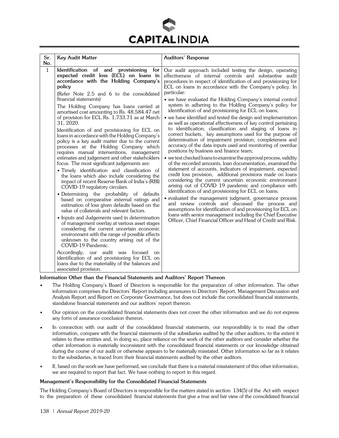

| Sr.<br>No.   | <b>Key Audit Matter</b>                                                                                                                                                                                                                                                                                                                                                                                                                                                                                                                                                                                                                                                                                                                                                                                                                                                                                                                                                                                                                                                                                                                                                                                                                                                                                                                                                                                                                                                                                                                                | Auditors' Response                                                                                                                                                                                                                                                                                                                                                                                                                                                                                                                                                                                                                                                                                                                                                                                                                                                                                                                                                                                                                                                                                                                                                                                                                                                                                                                                                                                                                                                                                                                                                                                                                         |
|--------------|--------------------------------------------------------------------------------------------------------------------------------------------------------------------------------------------------------------------------------------------------------------------------------------------------------------------------------------------------------------------------------------------------------------------------------------------------------------------------------------------------------------------------------------------------------------------------------------------------------------------------------------------------------------------------------------------------------------------------------------------------------------------------------------------------------------------------------------------------------------------------------------------------------------------------------------------------------------------------------------------------------------------------------------------------------------------------------------------------------------------------------------------------------------------------------------------------------------------------------------------------------------------------------------------------------------------------------------------------------------------------------------------------------------------------------------------------------------------------------------------------------------------------------------------------------|--------------------------------------------------------------------------------------------------------------------------------------------------------------------------------------------------------------------------------------------------------------------------------------------------------------------------------------------------------------------------------------------------------------------------------------------------------------------------------------------------------------------------------------------------------------------------------------------------------------------------------------------------------------------------------------------------------------------------------------------------------------------------------------------------------------------------------------------------------------------------------------------------------------------------------------------------------------------------------------------------------------------------------------------------------------------------------------------------------------------------------------------------------------------------------------------------------------------------------------------------------------------------------------------------------------------------------------------------------------------------------------------------------------------------------------------------------------------------------------------------------------------------------------------------------------------------------------------------------------------------------------------|
| $\mathbf{1}$ | Identification of and<br>provisioning<br>for<br>expected credit loss (ECL) on loans in<br>accordance with the Holding Company's<br>policy<br>(Refer Note 2.5 and 6 to the consolidated<br>financial statements)<br>The Holding Company has loans carried at<br>amortised cost amounting to Rs. 48,584.47 net<br>of provision for ECL Rs. 1,733.71 as at March<br>31, 2020.<br>Identification of and provisioning for ECL on<br>loans in accordance with the Holding Company's<br>policy is a key audit matter due to the current<br>processes at the Holding Company which<br>requires manual interventions, management<br>estimates and judgement and other stakeholders<br>focus. The most significant judgements are:<br>• Timely identification and classification of<br>the loans which also include considering the<br>impact of recent Reserve Bank of India's (RBI)<br>COVID-19 regulatory circulars.<br>· Determining the probability of defaults<br>based on comparative external ratings and<br>estimation of loss given defaults based on the<br>value of collaterals and relevant factors.<br>• Inputs and Judgements used in determination<br>of management overlay at various asset stages<br>considering the current uncertain economic<br>environment with the range of possible effects<br>unknown to the country arising out of the<br>COVID-19 Pandemic.<br>Accordingly, our audit was focused<br>on<br>identification of and provisioning for ECL on<br>loans due to the materiality of the balances and<br>associated provision. | Our audit approach included testing the design, operating<br>effectiveness of internal controls and substantive audit<br>procedures in respect of identification of and provisioning for<br>ECL on loans in accordance with the Company's policy. In<br>particular:<br>• we have evaluated the Holding Company's internal control<br>system in adhering to the Holding Company's policy for<br>identification of and provisioning for ECL on loans;<br>• we have identified and tested the design and implementation<br>as well as operational effectiveness of key control pertaining<br>to identification, classification and staging of loans in<br>correct buckets, key assumptions used for the purpose of<br>determination of impairment provision, completeness and<br>accuracy of the data inputs used and monitoring of overdue<br>positions by business and finance team;<br>• we test checked loans to examine the approval process, validity<br>of the recorded amounts, loan documentation, examined the<br>statement of accounts, indicators of impairment, expected<br>credit loss provision, additional provisions made on loans<br>considering the current uncertain economic environment<br>arising out of COVID 19 pandemic and compliance with<br>identification of and provisioning for ECL on loans;<br>• evaluated the management judgment, governance process<br>and review controls and discussed the process and<br>assumptions for identification of and provisioning for ECL on<br>loans with senior management including the Chief Executive<br>Officer, Chief Financial Officer and Head of Credit and Risk. |

### **Information Other than the Financial Statements and Auditors' Report Thereon**

- The Holding Company's Board of Directors is responsible for the preparation of other information. The other information comprises the Directors' Report including annexures to Directors' Report, Management Discussion and Analysis Report and Report on Corporate Governance, but does not include the consolidated financial statements, standalone financial statements and our auditors' report thereon.
- Our opinion on the consolidated financial statements does not cover the other information and we do not express any form of assurance conclusion thereon.
- In connection with our audit of the consolidated financial statements, our responsibility is to read the other information, compare with the financial statements of the subsidiaries audited by the other auditors, to the extent it relates to these entities and, in doing so, place reliance on the work of the other auditors and consider whether the other information is materially inconsistent with the consolidated financial statements or our knowledge obtained during the course of our audit or otherwise appears to be materially misstated. Other information so far as it relates to the subsidiaries, is traced from their financial statements audited by the other auditors.
- If, based on the work we have performed, we conclude that there is a material misstatement of this other information, we are required to report that fact. We have nothing to report in this regard.

### **Management's Responsibility for the Consolidated Financial Statements**

The Holding Company's Board of Directors is responsible for the matters stated in section 134(5) of the Act with respect to the preparation of these consolidated financial statements that give a true and fair view of the consolidated financial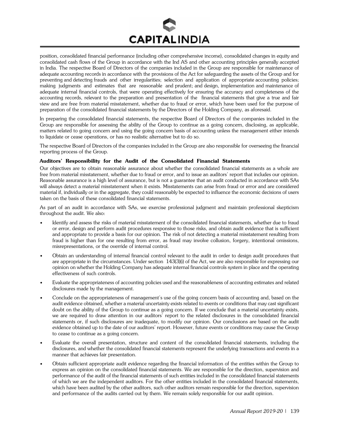

position, consolidated financial performance (including other comprehensive income), consolidated changes in equity and consolidated cash flows of the Group in accordance with the Ind AS and other accounting principles generally accepted in India. The respective Board of Directors of the companies included in the Group are responsible for maintenance of adequate accounting records in accordance with the provisions of the Act for safeguarding the assets of the Group and for preventing and detecting frauds and other irregularities; selection and application of appropriate accounting policies; making judgments and estimates that are reasonable and prudent; and design, implementation and maintenance of adequate internal financial controls, that were operating effectively for ensuring the accuracy and completeness of the accounting records, relevant to the preparation and presentation of the financial statements that give a true and fair view and are free from material misstatement, whether due to fraud or error, which have been used for the purpose of preparation of the consolidated financial statements by the Directors of the Holding Company, as aforesaid.

In preparing the consolidated financial statements, the respective Board of Directors of the companies included in the Group are responsible for assessing the ability of the Group to continue as a going concern, disclosing, as applicable, matters related to going concern and using the going concern basis of accounting unless the management either intends to liquidate or cease operations, or has no realistic alternative but to do so.

The respective Board of Directors of the companies included in the Group are also responsible for overseeing the financial reporting process of the Group.

### *Auditors' Responsibility for the Audit of the Consolidated Financial Statements*

Our objectives are to obtain reasonable assurance about whether the consolidated financial statements as a whole are free from material misstatement, whether due to fraud or error, and to issue an auditors' report that includes our opinion. Reasonable assurance is a high level of assurance, but is not a guarantee that an audit conducted in accordance with SAs will always detect a material misstatement when it exists. Misstatements can arise from fraud or error and are considered material if, individually or in the aggregate, they could reasonably be expected to influence the economic decisions of users taken on the basis of these consolidated financial statements.

As part of an audit in accordance with SAs, we exercise professional judgment and maintain professional skepticism throughout the audit. We also:

- Identify and assess the risks of material misstatement of the consolidated financial statements, whether due to fraud or error, design and perform audit procedures responsive to those risks, and obtain audit evidence that is sufficient and appropriate to provide a basis for our opinion. The risk of not detecting a material misstatement resulting from fraud is higher than for one resulting from error, as fraud may involve collusion, forgery, intentional omissions, misrepresentations, or the override of internal control.
- Obtain an understanding of internal financial control relevant to the audit in order to design audit procedures that are appropriate in the circumstances. Under section 143(3)(i) of the Act, we are also responsible for expressing our opinion on whether the Holding Company has adequate internal financial controls system in place and the operating effectiveness of such controls.
- Evaluate the appropriateness of accounting policies used and the reasonableness of accounting estimates and related disclosures made by the management.
- Conclude on the appropriateness of management's use of the going concern basis of accounting and, based on the audit evidence obtained, whether a material uncertainty exists related to events or conditions that may cast significant doubt on the ability of the Group to continue as a going concern. If we conclude that a material uncertainty exists, we are required to draw attention in our auditors' report to the related disclosures in the consolidated financial statements or, if such disclosures are inadequate, to modify our opinion. Our conclusions are based on the audit evidence obtained up to the date of our auditors' report. However, future events or conditions may cause the Group to cease to continue as a going concern.
- Evaluate the overall presentation, structure and content of the consolidated financial statements, including the disclosures, and whether the consolidated financial statements represent the underlying transactions and events in a manner that achieves fair presentation.
- Obtain sufficient appropriate audit evidence regarding the financial information of the entities within the Group to express an opinion on the consolidated financial statements. We are responsible for the direction, supervision and performance of the audit of the financial statements of such entities included in the consolidated financial statements of which we are the independent auditors. For the other entities included in the consolidated financial statements, which have been audited by the other auditors, such other auditors remain responsible for the direction, supervision and performance of the audits carried out by them. We remain solely responsible for our audit opinion.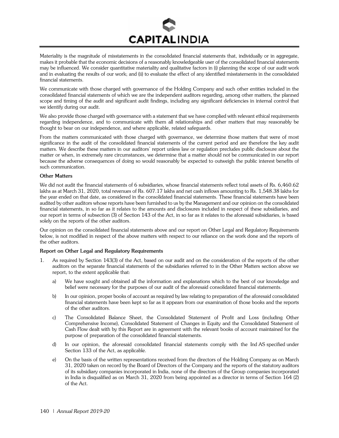

Materiality is the magnitude of misstatements in the consolidated financial statements that, individually or in aggregate, makes it probable that the economic decisions of a reasonably knowledgeable user of the consolidated financial statements may be influenced. We consider quantitative materiality and qualitative factors in (i) planning the scope of our audit work and in evaluating the results of our work; and (ii) to evaluate the effect of any identified misstatements in the consolidated financial statements.

We communicate with those charged with governance of the Holding Company and such other entities included in the consolidated financial statements of which we are the independent auditors regarding, among other matters, the planned scope and timing of the audit and significant audit findings, including any significant deficiencies in internal control that we identify during our audit.

We also provide those charged with governance with a statement that we have complied with relevant ethical requirements regarding independence, and to communicate with them all relationships and other matters that may reasonably be thought to bear on our independence, and where applicable, related safeguards.

From the matters communicated with those charged with governance, we determine those matters that were of most significance in the audit of the consolidated financial statements of the current period and are therefore the key audit matters. We describe these matters in our auditors' report unless law or regulation precludes public disclosure about the matter or when, in extremely rare circumstances, we determine that a matter should not be communicated in our report because the adverse consequences of doing so would reasonably be expected to outweigh the public interest benefits of such communication.

### **Other Matters**

We did not audit the financial statements of 6 subsidiaries, whose financial statements reflect total assets of Rs. 6,460.62 lakhs as at March 31, 2020, total revenues of Rs. 607.17 lakhs and net cash inflows amounting to Rs. 1,548.38 lakhs for the year ended on that date, as considered in the consolidated financial statements. These financial statements have been audited by other auditors whose reports have been furnished to us by the Management and our opinion on the consolidated financial statements, in so far as it relates to the amounts and disclosures included in respect of these subsidiaries, and our report in terms of subsection (3) of Section 143 of the Act, in so far as it relates to the aforesaid subsidiaries, is based solely on the reports of the other auditors.

Our opinion on the consolidated financial statements above and our report on Other Legal and Regulatory Requirements below, is not modified in respect of the above matters with respect to our reliance on the work done and the reports of the other auditors.

### **Report on Other Legal and Regulatory Requirements**

- 1. As required by Section 143(3) of the Act, based on our audit and on the consideration of the reports of the other auditors on the separate financial statements of the subsidiaries referred to in the Other Matters section above we report, to the extent applicable that:
	- a) We have sought and obtained all the information and explanations which to the best of our knowledge and belief were necessary for the purposes of our audit of the aforesaid consolidated financial statements.
	- b) In our opinion, proper books of account as required by law relating to preparation of the aforesaid consolidated financial statements have been kept so far as it appears from our examination of those books and the reports of the other auditors.
	- c) The Consolidated Balance Sheet, the Consolidated Statement of Profit and Loss (including Other Comprehensive Income), Consolidated Statement of Changes in Equity and the Consolidated Statement of Cash Flow dealt with by this Report are in agreement with the relevant books of account maintained for the purpose of preparation of the consolidated financial statements.
	- d) In our opinion, the aforesaid consolidated financial statements comply with the Ind AS specified under Section 133 of the Act, as applicable.
	- e) On the basis of the written representations received from the directors of the Holding Company as on March 31, 2020 taken on record by the Board of Directors of the Company and the reports of the statutory auditors of its subsidiary companies incorporated in India, none of the directors of the Group companies incorporated in India is disqualified as on March 31, 2020 from being appointed as a director in terms of Section 164 (2) of the Act.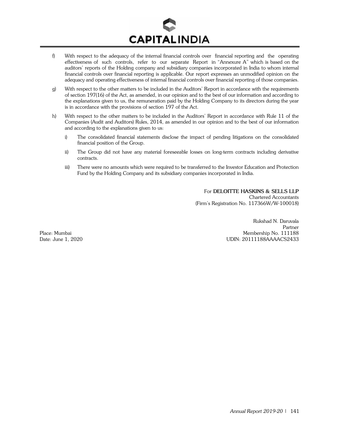

- f) With respect to the adequacy of the internal financial controls over financial reporting and the operating effectiveness of such controls, refer to our separate Report in "Annexure A" which is based on the auditors' reports of the Holding company and subsidiary companies incorporated in India to whom internal financial controls over financial reporting is applicable. Our report expresses an unmodified opinion on the adequacy and operating effectiveness of internal financial controls over financial reporting of those companies.
- g) With respect to the other matters to be included in the Auditors' Report in accordance with the requirements of section 197(16) of the Act, as amended, in our opinion and to the best of our information and according to the explanations given to us, the remuneration paid by the Holding Company to its directors during the year is in accordance with the provisions of section 197 of the Act.
- h) With respect to the other matters to be included in the Auditors' Report in accordance with Rule 11 of the Companies (Audit and Auditors) Rules, 2014, as amended in our opinion and to the best of our information and according to the explanations given to us:
	- i) The consolidated financial statements disclose the impact of pending litigations on the consolidated financial position of the Group.
	- ii) The Group did not have any material foreseeable losses on long-term contracts including derivative contracts.
	- iii) There were no amounts which were required to be transferred to the Investor Education and Protection Fund by the Holding Company and its subsidiary companies incorporated in India.

For **DELOITTE HASKINS & SELLS LLP** Chartered Accountants (Firm's Registration No. 117366W/W-100018)

Rukshad N. Daruvala Partner Place: Mumbai Membership No. 111188 Date: June 1, 2020 UDIN: 20111188AAAACS2433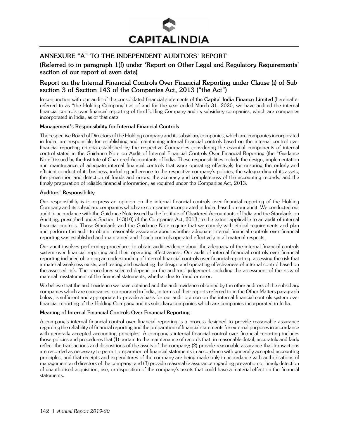

# **ANNEXURE "A" TO THE INDEPENDENT AUDITORS' REPORT**

# **(Referred to in paragraph 1(f) under 'Report on Other Legal and Regulatory Requirements' section of our report of even date)**

# **Report on the Internal Financial Controls Over Financial Reporting under Clause (i) of Subsection 3 of Section 143 of the Companies Act, 2013 ("the Act")**

In conjunction with our audit of the consolidated financial statements of the **Capital India Finance Limited** (hereinafter referred to as "the Holding Company") as of and for the year ended March 31, 2020, we have audited the internal financial controls over financial reporting of the Holding Company and its subsidiary companies, which are companies incorporated in India, as of that date.

### **Management's Responsibility for Internal Financial Controls**

The respective Board of Directors of the Holding company and its subsidiary companies, which are companies incorporated in India, are responsible for establishing and maintaining internal financial controls based on the internal control over financial reporting criteria established by the respective Companies considering the essential components of internal control stated in the Guidance Note on Audit of Internal Financial Controls Over Financial Reporting (the "Guidance Note") issued by the Institute of Chartered Accountants of India. These responsibilities include the design, implementation and maintenance of adequate internal financial controls that were operating effectively for ensuring the orderly and efficient conduct of its business, including adherence to the respective company's policies, the safeguarding of its assets, the prevention and detection of frauds and errors, the accuracy and completeness of the accounting records, and the timely preparation of reliable financial information, as required under the Companies Act, 2013.

### **Auditors' Responsibility**

Our responsibility is to express an opinion on the internal financial controls over financial reporting of the Holding Company and its subsidiary companies which are companies incorporated in India, based on our audit. We conducted our audit in accordance with the Guidance Note issued by the Institute of Chartered Accountants of India and the Standards on Auditing, prescribed under Section 143(10) of the Companies Act, 2013, to the extent applicable to an audit of internal financial controls. Those Standards and the Guidance Note require that we comply with ethical requirements and plan and perform the audit to obtain reasonable assurance about whether adequate internal financial controls over financial reporting was established and maintained and if such controls operated effectively in all material respects.

Our audit involves performing procedures to obtain audit evidence about the adequacy of the internal financial controls system over financial reporting and their operating effectiveness. Our audit of internal financial controls over financial reporting included obtaining an understanding of internal financial controls over financial reporting, assessing the risk that a material weakness exists, and testing and evaluating the design and operating effectiveness of internal control based on the assessed risk. The procedures selected depend on the auditors' judgement, including the assessment of the risks of material misstatement of the financial statements, whether due to fraud or error.

We believe that the audit evidence we have obtained and the audit evidence obtained by the other auditors of the subsidiary companies which are companies incorporated in India, in terms of their reports referred to in the Other Matters paragraph below, is sufficient and appropriate to provide a basis for our audit opinion on the internal financial controls system over financial reporting of the Holding Company and its subsidiary companies which are companies incorporated in India.

### **Meaning of Internal Financial Controls Over Financial Reporting**

A company's internal financial control over financial reporting is a process designed to provide reasonable assurance regarding the reliability of financial reporting and the preparation of financial statements for external purposes in accordance with generally accepted accounting principles. A company's internal financial control over financial reporting includes those policies and procedures that (1) pertain to the maintenance of records that, in reasonable detail, accurately and fairly reflect the transactions and dispositions of the assets of the company; (2) provide reasonable assurance that transactions are recorded as necessary to permit preparation of financial statements in accordance with generally accepted accounting principles, and that receipts and expenditures of the company are being made only in accordance with authorisations of management and directors of the company; and (3) provide reasonable assurance regarding prevention or timely detection of unauthorised acquisition, use, or disposition of the company's assets that could have a material effect on the financial statements.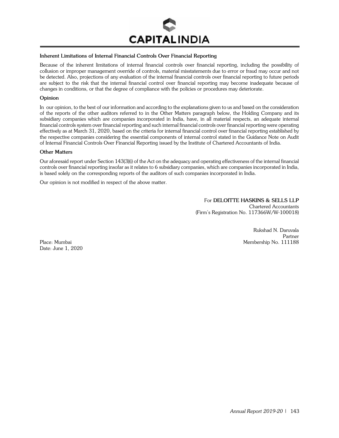

### **Inherent Limitations of Internal Financial Controls Over Financial Reporting**

Because of the inherent limitations of internal financial controls over financial reporting, including the possibility of collusion or improper management override of controls, material misstatements due to error or fraud may occur and not be detected. Also, projections of any evaluation of the internal financial controls over financial reporting to future periods are subject to the risk that the internal financial control over financial reporting may become inadequate because of changes in conditions, or that the degree of compliance with the policies or procedures may deteriorate.

### **Opinion**

In our opinion, to the best of our information and according to the explanations given to us and based on the consideration of the reports of the other auditors referred to in the Other Matters paragraph below, the Holding Company and its subsidiary companies which are companies incorporated in India, have, in all material respects, an adequate internal financial controls system over financial reporting and such internal financial controls over financial reporting were operating effectively as at March 31, 2020, based on the criteria for internal financial control over financial reporting established by the respective companies considering the essential components of internal control stated in the Guidance Note on Audit of Internal Financial Controls Over Financial Reporting issued by the Institute of Chartered Accountants of India.

### **Other Matters**

Our aforesaid report under Section 143(3)(i) of the Act on the adequacy and operating effectiveness of the internal financial controls over financial reporting insofar as it relates to 6 subsidiary companies, which are companies incorporated in India, is based solely on the corresponding reports of the auditors of such companies incorporated in India.

Our opinion is not modified in respect of the above matter.

# For **DELOITTE HASKINS & SELLS LLP**

Chartered Accountants (Firm's Registration No. 117366W/W-100018)

Date: June 1, 2020

Rukshad N. Daruvala Partner Place: Mumbai Membership No. 111188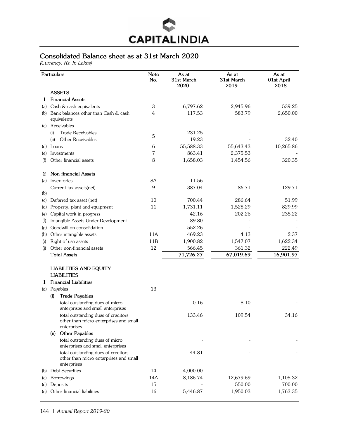

## **Consolidated Balance sheet as at 31st March 2020**

(Currency: Rs. In Lakhs)

|                             | Particulars                                                                                  | Note<br>No. | As at<br>31st March | As at<br>31st March | As at<br>01st April |
|-----------------------------|----------------------------------------------------------------------------------------------|-------------|---------------------|---------------------|---------------------|
|                             |                                                                                              |             | 2020                | 2019                | 2018                |
|                             | <b>ASSETS</b>                                                                                |             |                     |                     |                     |
| 1                           | <b>Financial Assets</b>                                                                      |             |                     |                     |                     |
| (a)                         | Cash & cash equivalents                                                                      | 3           | 6,797.62            | 2,945.96            | 539.25              |
| (b)                         | Bank balances other than Cash & cash<br>equivalents                                          | 4           | 117.53              | 583.79              | 2,650.00            |
| (c)                         | Receivables                                                                                  |             |                     |                     |                     |
|                             | <b>Trade Receivables</b><br>(i)                                                              | 5           | 231.25              |                     |                     |
|                             | Other Receivables<br>(ii)                                                                    |             | 19.23               |                     | 32.40               |
|                             | (d) Loans                                                                                    | 6           | 55,588.33           | 55,643.43           | 10,265.86           |
| (e)                         | Investments                                                                                  | 7           | 863.41              | 2,375.53            |                     |
| (f)                         | Other financial assets                                                                       | 8           | 1,658.03            | 1,454.56            | 320.35              |
| 2                           | <b>Non-financial Assets</b>                                                                  |             |                     |                     |                     |
| (a)                         | Inventories                                                                                  | <b>8A</b>   | 11.56               |                     |                     |
| (b)                         | Current tax assets(net)                                                                      | 9           | 387.04              | 86.71               | 129.71              |
| (c)                         | Deferred tax asset (net)                                                                     | 10          | 700.44              | 286.64              | 51.99               |
| (d)                         | Property, plant and equipment                                                                | 11          | 1,731.11            | 1,528.29            | 829.99              |
| (e)                         | Capital work in progress                                                                     |             | 42.16               | 202.26              | 235.22              |
| (f)                         | Intangible Assets Under Development                                                          |             | 89.80               |                     |                     |
| $\left(\overline{q}\right)$ | Goodwill on consolidation                                                                    |             | 552.26              |                     |                     |
| (h)                         | Other intangible assets                                                                      | 11A         | 469.23              | 4.13                | 2.37                |
| (i)                         | Right of use assets                                                                          | 11B         | 1,900.82            | 1,547.07            | 1,622.34            |
| (i)                         | Other non-financial assets                                                                   | 12          | 566.45              | 361.32              | 222.49              |
|                             | <b>Total Assets</b>                                                                          |             | 71,726.27           | 67,019.69           | 16,901.97           |
|                             | <b>LIABILITIES AND EQUITY</b>                                                                |             |                     |                     |                     |
|                             | <b>LIABILITIES</b>                                                                           |             |                     |                     |                     |
| 1                           | <b>Financial Liabilities</b>                                                                 |             |                     |                     |                     |
| (a)                         | Payables                                                                                     | 13          |                     |                     |                     |
|                             | <b>Trade Payables</b><br>(i)                                                                 |             |                     |                     |                     |
|                             | total outstanding dues of micro<br>enterprises and small enterprises                         |             | 0.16                | 8.10                |                     |
|                             | total outstanding dues of creditors<br>other than micro enterprises and small<br>enterprises |             | 133.46              | 109.54              | 34.16               |
|                             | <b>Other Payables</b><br>(ii)                                                                |             |                     |                     |                     |
|                             | total outstanding dues of micro<br>enterprises and small enterprises                         |             |                     |                     |                     |
|                             | total outstanding dues of creditors<br>other than micro enterprises and small<br>enterprises |             | 44.81               |                     |                     |
| (b)                         | <b>Debt Securities</b>                                                                       | 14          | 4,000.00            |                     |                     |
| (c)                         | Borrowings                                                                                   | 14A         | 8,186.74            | 12,679.69           | 1,105.32            |
| (d)                         | Deposits                                                                                     | 15          |                     | 550.00              | 700.00              |
| (e)                         | Other financial liabilities                                                                  | 16          | 5,446.87            | 1,950.03            | 1,763.35            |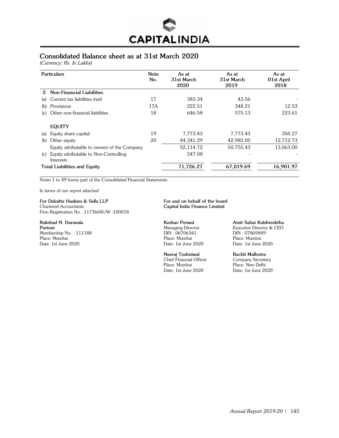

## **Consolidated Balance sheet as at 31st March 2020**

(Currency: Rs. In Lakhs)

|     | <b>Particulars</b>                                                       | <b>Note</b><br>No. | As at<br>31st March<br>2020 | As at<br>31st March<br>2019 | As at<br>01st April<br>2018 |
|-----|--------------------------------------------------------------------------|--------------------|-----------------------------|-----------------------------|-----------------------------|
| 2   | Non-Financial Liabilities                                                |                    |                             |                             |                             |
| (a) | Current tax liabilities (net)                                            | 17                 | 383.34                      | 43.56                       |                             |
| (b) | Provisions                                                               | 17A                | 222.51                      | 348.21                      | 12.53                       |
| (c) | Other non-financial liabilities                                          | 18                 | 646.58                      | 575.13                      | 223.61                      |
|     | <b>EQUITY</b>                                                            |                    |                             |                             |                             |
| (a) | Equity share capital                                                     | 19                 | 7,773.43                    | 7.773.43                    | 350.27                      |
| (b) | Other equity                                                             | 20                 | 44.341.29                   | 42.982.00                   | 12,712.73                   |
|     | Equity attributable to owners of the Company                             |                    | 52,114.72                   | 50,755.43                   | 13,063.00                   |
| (c) | Equity attributable to Non-Controlling<br><i><u><b>Interests</b></u></i> |                    | 547.08                      |                             |                             |
|     | <b>Total Liabilities and Equity</b>                                      |                    | 71,726.27                   | 67,019.69                   | 16,901.97                   |

Notes 1 to 49 forms part of the Consolidated Financial Statements

In terms of our report attached

**For Deloitte Haskins & Sells LLP For and on behalf of the board** Chartered Accountants **Capital India Finance Limited** Firm Registration No. :117366W/W -100018

**Rukshad N. Daruvala Keshav Porwal Amit Sahai Kulshreshtha** Membership No. : 111188 DIN : 06706341 DIN : 07869849 Place: Mumbai Place: Mumbai Place: Mumbai

Date: 1st June 2020

**Neeraj Toshniwal Rachit Malhotra** Chief Financial Officer Company Secretary Place: Mumbai Place: New Delhi<br>
Date: 1st June 2020 Date: 1st June 20

**Executive Director & CEO** 

Date: 1st June 2020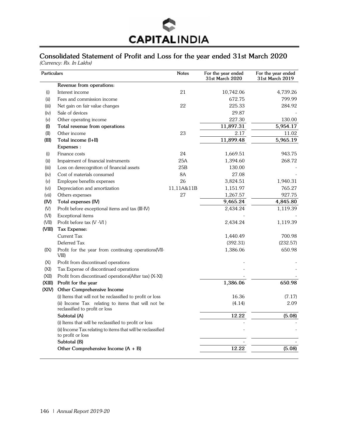

# **Consolidated Statement of Profit and Loss for the year ended 31st March 2020**

(Currency: Rs. In Lakhs)

| Particulars |                                                                                      | <b>Notes</b> | For the year ended<br>31st March 2020 | For the year ended<br>31st March 2019 |
|-------------|--------------------------------------------------------------------------------------|--------------|---------------------------------------|---------------------------------------|
|             | Revenue from operations:                                                             |              |                                       |                                       |
| (i)         | Interest income                                                                      | 21           | 10,742.06                             | 4,739.26                              |
| (ii)        | Fees and commission income                                                           |              | 672.75                                | 799.99                                |
| (iii)       | Net gain on fair value changes                                                       | 22           | 225.33                                | 284.92                                |
| (iv)        | Sale of devices                                                                      |              | 29.87                                 |                                       |
| (v)         | Other operating income                                                               |              | 227.30                                | 130.00                                |
| $($ I       | Total revenue from operations                                                        |              | 11,897.31                             | 5,954.17                              |
| (II)        | Other income                                                                         | 23           | 2.17                                  | 11.02                                 |
| (III)       | Total income (I+II)                                                                  |              | 11,899.48                             | 5,965.19                              |
|             | Expenses :                                                                           |              |                                       |                                       |
| (i)         | Finance costs                                                                        | 24           | 1,669.51                              | 943.75                                |
| (ii)        | Impairment of financial instruments                                                  | 25A          | 1,394.60                              | 268.72                                |
| (iii)       | Loss on derecognition of financial assets                                            | 25B          | 130.00                                |                                       |
| (iv)        | Cost of materials consumed                                                           | <b>8A</b>    | 27.08                                 |                                       |
| (v)         | Employee benefits expenses                                                           | 26           | 3,824.51                              | 1,940.31                              |
| (vi)        | Depreciation and amortization                                                        | 11,11A&11B   | 1,151.97                              | 765.27                                |
| (vii)       | Others expenses                                                                      | 27           | 1,267.57                              | 927.75                                |
| (IV)        | Total expenses (IV)                                                                  |              | 9,465.24                              | 4,845.80                              |
| (V)         | Profit before exceptional items and tax (III-IV)                                     |              | 2,434.24                              | 1,119.39                              |
| (VI)        | Exceptional items                                                                    |              |                                       |                                       |
| (VII)       | Profit before tax (V -VI)                                                            |              | 2,434.24                              | 1,119.39                              |
| (VIII)      | Tax Expense:                                                                         |              |                                       |                                       |
|             | Current Tax                                                                          |              | 1,440.49                              | 700.98                                |
|             | Deferred Tax                                                                         |              | (392.31)                              | (232.57)                              |
| (IX)        | Profit for the year from continuing operations (VII-<br><b>VIII</b> )                |              | 1,386.06                              | 650.98                                |
| (X)         | Profit from discontinued operations                                                  |              |                                       |                                       |
| (XI)        | Tax Expense of discontinued operations                                               |              |                                       |                                       |
| (XII)       | Profit from discontinued operations(After tax) (X-XI)                                |              |                                       |                                       |
| (XIII)      | Profit for the year                                                                  |              | 1,386.06                              | 650.98                                |
| (XIV)       | Other Comprehensive Income                                                           |              |                                       |                                       |
|             | (i) Items that will not be reclassified to profit or loss                            |              | 16.36                                 | (7.17)                                |
|             | (ii) Income Tax relating to items that will not be<br>reclassified to profit or loss |              | (4.14)                                | 2.09                                  |
|             | Subtotal (A)                                                                         |              | 12.22                                 | (5.08)                                |
|             | (i) Items that will be reclassified to profit or loss                                |              |                                       |                                       |
|             | (ii) Income Tax relating to items that will be reclassified<br>to profit or loss     |              |                                       |                                       |
|             | Subtotal (B)                                                                         |              |                                       |                                       |
|             | Other Comprehensive Income $(A + B)$                                                 |              | 12.22                                 | (5.08)                                |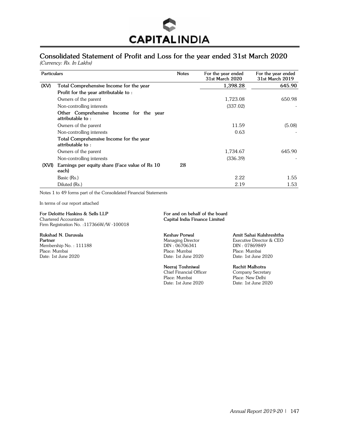

# **Consolidated Statement of Profit and Loss for the year ended 31st March 2020**

(Currency: Rs. In Lakhs)

| <b>Particulars</b> |                                                             | <b>Notes</b> | For the year ended<br>31st March 2020 | For the year ended<br>31st March 2019 |
|--------------------|-------------------------------------------------------------|--------------|---------------------------------------|---------------------------------------|
| (XV)               | Total Comprehensive Income for the year                     |              | 1,398.28                              | 645.90                                |
|                    | Profit for the year attributable to:                        |              |                                       |                                       |
|                    | Owners of the parent                                        |              | 1,723.08                              | 650.98                                |
|                    | Non-controlling interests                                   |              | (337.02)                              |                                       |
|                    | Other Comprehensive Income for the year<br>attributable to: |              |                                       |                                       |
|                    | Owners of the parent                                        |              | 11.59                                 | (5.08)                                |
|                    | Non-controlling interests                                   |              | 0.63                                  |                                       |
|                    | Total Comprehensive Income for the year<br>attributable to: |              |                                       |                                       |
|                    | Owners of the parent                                        |              | 1,734.67                              | 645.90                                |
|                    | Non-controlling interests                                   |              | (336.39)                              |                                       |
| (XVI)              | Earnings per equity share (Face value of Rs 10)<br>each)    | 28           |                                       |                                       |
|                    | Basic (Rs.)                                                 |              | 2.22                                  | 1.55                                  |
|                    | Diluted (Rs.)                                               |              | 2.19                                  | 1.53                                  |

Notes 1 to 49 forms part of the Consolidated Financial Statements

In terms of our report attached

# **For Deloitte Haskins & Sells LLP For and on behalf of the board** Chartered Accountants **For and School Chartered** Accountants Firm Registration No. :117366W/W -100018

**Rukshad N. Daruvala Keshav Porwal Amit Sahai Kulshreshtha** Membership No.: 111188 Place: Mumbai Place: Mumbai Place: Mumbai

Capital India Finance Limited

**Neeraj Toshniwal Rachit Malhotra** Chief Financial Officer<br>Place: Mumbai Date: 1st June 2020 Date: 1st June 2020

**Partner** Managing Director Executive Director & CEO Date: 1st June 2020 Date: 1st June 2020 Date: 1st June 2020

Place: New Delhi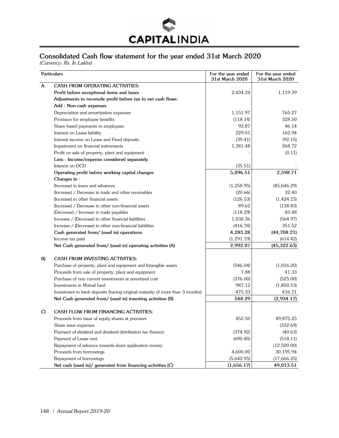

# **Consolidated Cash flow statement for the year ended 31st March 2020**

(Currency: Rs. In Lakhs)

|    | <b>Particulars</b>                                                           | For the year ended<br>31st March 2020 | For the year ended<br>31st March 2020 |
|----|------------------------------------------------------------------------------|---------------------------------------|---------------------------------------|
| A. | <b>CASH FROM OPERATING ACTIVITIES:</b>                                       |                                       |                                       |
|    | Profit before exceptional items and taxes                                    | 2,434.24                              | 1,119.39                              |
|    | Adjustments to reconcile profit before tax to net cash flows:                |                                       |                                       |
|    | Add : Non-cash expenses                                                      |                                       |                                       |
|    | Depreciation and amortisation expenses                                       | 1,151.97                              | 765.27                                |
|    | Provision for employee benefits                                              | (118.14)                              | 328.50                                |
|    | Share based payments to employees                                            | 92.87                                 | 46.14                                 |
|    | Interest on Lease liability                                                  | 229.01                                | 162.94                                |
|    | Interest income on Lease and Fixed deposits                                  | (39.41)                               | (92.15)                               |
|    | Impairment on financial instruments                                          | 1,381.48                              | 268.72                                |
|    | Profit on sale of property, plant and equipment                              |                                       | (0.11)                                |
|    | Less : Income/expense considered separately                                  |                                       |                                       |
|    | Interest on OCD                                                              | (35.51)                               |                                       |
|    | Operating profit before working capital changes                              | 5,096.51                              | 2,598.71                              |
|    | Changes in -                                                                 |                                       |                                       |
|    | (Increase) in loans and advances                                             | (1,258.95)                            | (45, 646.29)                          |
|    | (Increase) / Decrease in trade and other receivables                         | (20.66)                               | 32.40                                 |
|    | (Increase) in other financial assets                                         | (126.53)                              | (1,424.23)                            |
|    | (Increase) / Decrease in other non-financial assets                          | 89.62                                 | (138.83)                              |
|    | (Decrease) / Increase in trade payables                                      | (118.29)                              | 83.48                                 |
|    | Increase / (Decrease) in other financial liabilities                         | 1,038.36                              | (564.97)                              |
|    | Increase / (Decrease) in other non-financial liabilities                     | (416.78)                              | 351.52                                |
|    | Cash generated from/ (used in) operations                                    | 4,283.28                              | (44, 708.21)                          |
|    | Income tax paid                                                              | (1, 291.19)                           | (614.42)                              |
|    | Net Cash generated from/ (used in) operating activities (A)                  | 2,992.07                              | (45, 322.63)                          |
| B) | <b>CASH FROM INVESTING ACTIVITIES:</b>                                       |                                       |                                       |
|    | Purchase of property, plant and equipment and Intangible assets              | (546.04)                              | (1,016.20)                            |
|    | Proceeds from sale of property, plant and equipment                          | 7.88                                  | 41.33                                 |
|    | Purchase of non current investments at amortized cost                        | (376.00)                              | (525.00)                              |
|    | Investments in Mutual fund                                                   | 987.12                                | (1,850.53)                            |
|    | Investment in bank deposits (having original maturity of more than 3 months) | 475.33                                | 416.21                                |
|    | Net Cash generated from/ (used in) investing activities (B)                  | 548.29                                | (2,934.17)                            |
| C) | <b>CASH FLOW FROM FINANCING ACTIVITIES:</b>                                  |                                       |                                       |
|    | Proceeds from issue of equity shares at premium                              | 452.50                                | 49,875.25                             |
|    | Share issue expenses                                                         |                                       | (332.69)                              |
|    | Payment of dividend and dividend distribution tax thereon                    | (374.92)                              | (40.63)                               |
|    | Payment of Lease rent                                                        | (690.80)                              | (518.11)                              |
|    | Repayment of advance towards share application money                         |                                       | (12,500.00)                           |
|    | Proceeds from borrowings                                                     | 4,600.00                              | 30,195.94                             |
|    | Repayment of borrowings                                                      | (5,642.95)                            | (17,666.25)                           |
|    | Net cash (used in)/ generated from financing activities (C)                  | (1,656.17)                            | 49,013.51                             |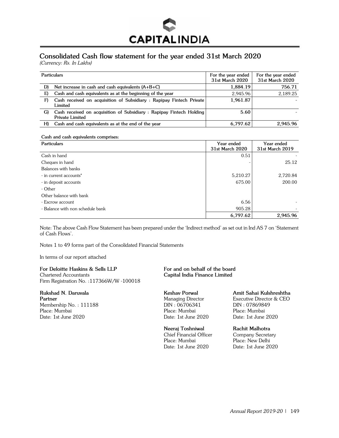

## **Consolidated Cash flow statement for the year ended 31st March 2020**

(Currency: Rs. In Lakhs)

|    | <b>Particulars</b>                                                                             | For the year ended<br>31st March 2020 | For the year ended<br>31st March 2020 |
|----|------------------------------------------------------------------------------------------------|---------------------------------------|---------------------------------------|
| D) | Net increase in cash and cash equivalents $(A+B+C)$                                            | 1,884.19                              | 756.71                                |
| E) | Cash and cash equivalents as at the beginning of the year                                      | 2.945.96                              | 2,189.25                              |
| F) | Cash received on acquisition of Subsidiary : Rapipay Fintech Private<br>Limited                | 1,961.87                              |                                       |
| G) | Cash received on acquisition of Subsidiary : Rapipay Fintech Holding<br><b>Private Limited</b> | 5.60                                  |                                       |
| H) | Cash and cash equivalents as at the end of the year                                            | 6,797.62                              | 2.945.96                              |

#### **Cash and cash equivalents comprises:**

| <b>Particulars</b>               | Year ended<br>31st March 2020 | Year ended<br>31st March 2019 |
|----------------------------------|-------------------------------|-------------------------------|
| Cash in hand                     | 0.51                          |                               |
| Cheques in hand                  |                               | 25.12                         |
| Balances with banks              |                               |                               |
| - in current accounts*           | 5,210.27                      | 2,720.84                      |
| - in deposit accounts            | 675.00                        | 200.00                        |
| - Other                          |                               |                               |
| Other balance with bank          |                               |                               |
| - Escrow account                 | 6.56                          |                               |
| - Balance with non schedule bank | 905.28                        |                               |
|                                  | 6,797.62                      | 2,945.96                      |

Note: The above Cash Flow Statement has been prepared under the 'Indirect method' as set out in Ind AS 7 on 'Statement of Cash Flows'.

Notes 1 to 49 forms part of the Consolidated Financial Statements

In terms of our report attached

#### **For Deloitte Haskins & Sells LLP For and on behalf of the board**

Chartered Accountants **Capital India Finance Limited** Firm Registration No. :117366W/W -100018

# **Rukshad N. Daruvala Keshav Porwal Amit Sahai Kulshreshtha** Membership No.: 111188

Place: Mumbai Place: Mumbai Place: Mumbai Date: 1st June 2020 Date: 1st June 2020 Date: 1st June 2020

**Neeraj Toshniwal Rachit Malhotra** Place: Mumbai Place: New Delhi Date: 1st June 2020 Date: 1st June 2020

# Partner<br>
Managing Director Executive Director & CEO<br>
Membership No. : 111188 **DIN** : 06706341 DIN : 07869849

# Company Secretary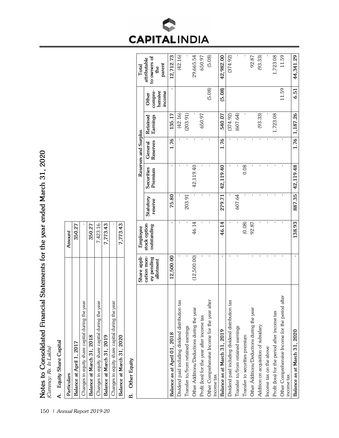|                 | Notes to Consolidated Financial Statements for the year ended March 31, 2020 |  |  |  |  |
|-----------------|------------------------------------------------------------------------------|--|--|--|--|
| $\mathbf \zeta$ | - آما ما<br>م                                                                |  |  |  |  |
|                 |                                                                              |  |  |  |  |

| (Currency: Rs. In Lakhs)                        |          |
|-------------------------------------------------|----------|
| A. Equity Share Capital                         |          |
| Particulars                                     | Amount   |
| Balance at April 1, 2017                        | 350.27   |
| Changes in equity share capital during the year |          |
| Balance at March 31, 2018                       | 350.27   |
| Changes in equity share capital during the year | 7,423.16 |
| Balance at March 31, 2019                       | 7,773.43 |
| Changes in equity share capital during the year |          |
| Balance at March 31, 2020                       | 7,773.43 |

# Other Equity **B. Other Equity**  $\mathbf{B}$

|                                                             | Share appli-                           | Employee                    |                      |                       | Reserves and Surplus |                      |                                       | Total                                         |
|-------------------------------------------------------------|----------------------------------------|-----------------------------|----------------------|-----------------------|----------------------|----------------------|---------------------------------------|-----------------------------------------------|
|                                                             | cation mon-<br>ey pending<br>allotment | stock option<br>outstanding | Statutory<br>reserve | Securities<br>Premium | Reserves<br>General  | Earnings<br>Retained | compre-<br>hensive<br>income<br>Other | to owners of<br>attributable<br>parent<br>the |
| Balance as at April 01, 2018                                | 12,500.00                              | f,                          | 75.80                | f.                    | 1.76                 | 135.17               |                                       | 12,712.73                                     |
| Dividend paid including dividend distribution tax           |                                        |                             |                      |                       | ı                    | (42.16)              |                                       | (42.16)                                       |
| Transfer to/from retained earnings                          |                                        |                             | 203.91               |                       |                      | (203.91)             |                                       |                                               |
| Other Additions/Deductions during the year                  | (12,500.00)                            | 46.14                       |                      | 42.119.40             | $\mathbf{I}$         |                      |                                       | 29,665.54                                     |
| Profit (loss) for the year after income tax                 |                                        |                             |                      |                       |                      | 650.97               |                                       | 650.97                                        |
| Other Comprehensive Income for the year after<br>income tax | ı,                                     |                             |                      |                       | I.                   |                      | (5.08)                                | (5.08)                                        |
| Balance as at March 31, 2019                                | ı                                      | 46.14                       | 279.71               | 42,119.40             | 1.76                 | 540.07               | (5.08)                                | 42,982.00                                     |
| Dividend paid including dividend distribution tax           |                                        |                             |                      |                       |                      | (374.92)             |                                       | (374.92)                                      |
| Transfer to/from retained earnings                          | ï                                      |                             | 607.64               |                       |                      | (607.64)             |                                       |                                               |
| Transfer to securities premium                              |                                        | (0.08)                      |                      | 0.08                  |                      |                      |                                       |                                               |
| Other Additions/Deductions during the year                  | $\mathbf{I}$                           | 92.87                       |                      |                       | ï                    |                      |                                       | 92.87                                         |
| Addition on acquisition of subsidary                        | ı                                      |                             |                      |                       | ı                    | (93.33)              |                                       | (93.33)                                       |
| Income tax on the above                                     | ï                                      |                             |                      |                       |                      |                      |                                       |                                               |
| Profit (loss) for the period after income tax               | ï                                      | ı                           | $\mathbf{I}$         | ı                     | $\mathbf{I}$         | 1,723.08             |                                       | 1,723.08                                      |
| Other Comprehensive Income for the period after             | $\mathbf{I}$                           |                             |                      |                       |                      |                      | 11.59                                 | 11.59                                         |
| income tax                                                  |                                        |                             |                      |                       |                      |                      |                                       |                                               |
| Balance as at March 31, 2020                                |                                        | 138.93                      | 887.35               | 42,119.48             |                      | 1.76 1,187.26        | 6.51                                  | 44,341.29                                     |

# C **CAPITALINDIA**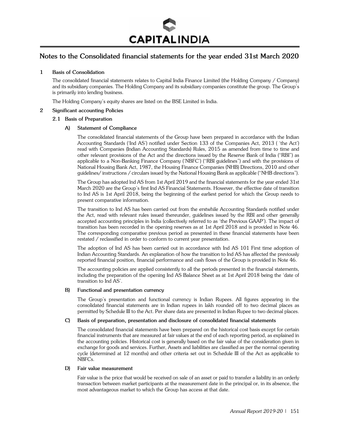

#### **1 Basis of Consolidation**

The consolidated financial statements relates to Capital India Finance Limited (the Holding Company / Company) and its subsidiary companies. The Holding Company and its subsidiary companies constitute the group. The Group's is primarily into lending business.

The Holding Company's equity shares are listed on the BSE Limited in India.

#### **2 Significant accounting Policies**

#### **2.1 Basis of Preparation**

#### **A) Statement of Compliance**

 The consolidated financial statements of the Group have been prepared in accordance with the Indian Accounting Standards ('Ind AS') notified under Section 133 of the Companies Act, 2013 ( 'the Act') read with Companies (Indian Accounting Standards) Rules, 2015 as amended from time to time and other relevant provisions of the Act and the directions issued by the Reserve Bank of India ("RBI") as applicable to a Non-Banking Finance Company ('NBFC') ("RBI guidelines") and with the provisions of National Housing Bank Act, 1987, the Housing Finance Companies (NHB) Directions, 2010 and other guidelines/ instructions / circulars issued by the National Housing Bank as applicable ("NHB directions").

 The Group has adopted lnd AS from 1st April 2019 and the financial statements for the year ended 31st March 2020 are the Group's first Ind AS Financial Statements. However, the effective date of transition to Ind AS is 1st April 2018, being the beginning of the earliest period for which the Group needs to present comparative information.

 The transition to Ind AS has been carried out from the erstwhile Accounting Standards notified under the Act, read with relevant rules issued thereunder, guidelines issued by the RBI and other generally accepted accounting principles in India (collectively referred to as 'the Previous GAAP'). The impact of transition has been recorded in the opening reserves as at 1st April 2018 and is provided in Note 46. The corresponding comparative previous period as presented in these financial statements have been restated / reclassified in order to conform to current year presentation.

 The adoption of Ind AS has been carried out in accordance with Ind AS 101 First time adoption of Indian Accounting Standards. An explanation of how the transition to Ind AS has affected the previously reported financial position, financial performance and cash flows of the Group is provided in Note 46.

 The accounting policies are applied consistently to all the periods presented in the financial statements, including the preparation of the opening Ind AS Balance Sheet as at 1st April 2018 being the 'date of transition to Ind AS'.

#### **B) Functional and presentation currency**

The Group's presentation and functional currency is Indian Rupees. All figures appearing in the consolidated financial statements are in Indian rupees in lakh rounded off to two decimal places as permitted by Schedule III to the Act. Per share data are presented in Indian Rupee to two decimal places.

#### **C) Basis of preparation, presentation and disclosure of consolidated financial statements**

 The consolidated financial statements have been prepared on the historical cost basis except for certain financial instruments that are measured at fair values at the end of each reporting period, as explained in the accounting policies. Historical cost is generally based on the fair value of the consideration given in exchange for goods and services. Further, Assets and liabilities are classified as per the normal operating cycle (determined at 12 months) and other criteria set out in Schedule III of the Act as applicable to NBFCs.

#### **D) Fair value measurement**

 Fair value is the price that would be received on sale of an asset or paid to transfer a liability in an orderly transaction between market participants at the measurement date in the principal or, in its absence, the most advantageous market to which the Group has access at that date.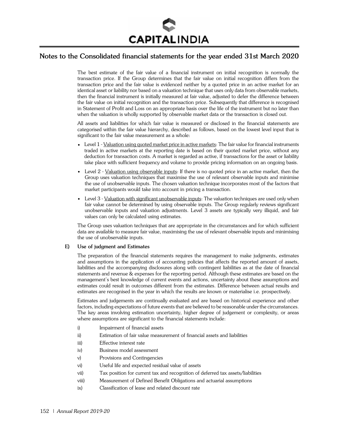

 The best estimate of the fair value of a financial instrument on initial recognition is normally the transaction price. If the Group determines that the fair value on initial recognition differs from the transaction price and the fair value is evidenced neither by a quoted price in an active market for an identical asset or liability nor based on a valuation technique that uses only data from observable markets, then the financial instrument is initially measured at fair value, adjusted to defer the difference between the fair value on initial recognition and the transaction price. Subsequently that difference is recognised in Statement of Profit and Loss on an appropriate basis over the life of the instrument but no later than when the valuation is wholly supported by observable market data or the transaction is closed out.

 All assets and liabilities for which fair value is measured or disclosed in the financial statements are categorised within the fair value hierarchy, described as follows, based on the lowest level input that is significant to the fair value measurement as a whole:

- Level 1 Valuation using quoted market price in active markets: The fair value for financial instruments traded in active markets at the reporting date is based on their quoted market price, without any deduction for transaction costs. A market is regarded as active, if transactions for the asset or liability take place with sufficient frequency and volume to provide pricing information on an ongoing basis.
- Level 2 Valuation using observable inputs: If there is no quoted price in an active market, then the Group uses valuation techniques that maximise the use of relevant observable inputs and minimise the use of unobservable inputs. The chosen valuation technique incorporates most of the factors that market participants would take into account in pricing a transaction.
- Level 3 Valuation with significant unobservable inputs: The valuation techniques are used only when fair value cannot be determined by using observable inputs. The Group regularly reviews significant unobservable inputs and valuation adjustments. Level 3 assets are typically very illiquid, and fair values can only be calculated using estimates.

 The Group uses valuation techniques that are appropriate in the circumstances and for which sufficient data are available to measure fair value, maximising the use of relevant observable inputs and minimising the use of unobservable inputs.

#### **E) Use of judgment and Estimates**

 The preparation of the financial statements requires the management to make judgments, estimates and assumptions in the application of accounting policies that affects the reported amount of assets, liabilities and the accompanying disclosures along with contingent liabilities as at the date of financial statements and revenue & expenses for the reporting period. Although these estimates are based on the management's best knowledge of current events and actions, uncertainty about these assumptions and estimates could result in outcomes different from the estimates. Difference between actual results and estimates are recognised in the year in which the results are known or materialise i.e. prospectively.

 Estimates and judgements are continually evaluated and are based on historical experience and other factors, including expectations of future events that are believed to be reasonable under the circumstances. The key areas involving estimation uncertainty, higher degree of judgement or complexity, or areas where assumptions are significant to the financial statements include:

- i) Impairment of financial assets
- ii) Estimation of fair value measurement of financial assets and liabilities
- iii) Effective interest rate
- iv) Business model assessment
- v) Provisions and Contingencies
- vi) Useful life and expected residual value of assets
- vii) Tax position for current tax and recognition of deferred tax assets/liabilities
- viii) Measurement of Defined Benefit Obligations and actuarial assumptions
- ix) Classification of lease and related discount rate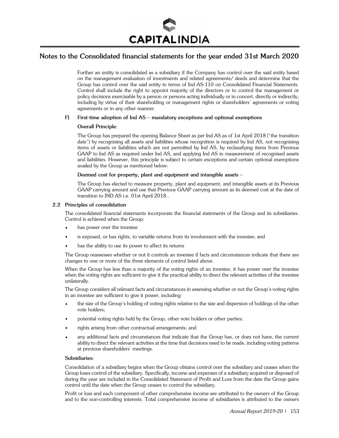

 Further an entity is consolidated as a subsidiary if the Company has control over the said entity based on the management evaluation of investments and related agreements/ deeds and determine that the Group has control over the said entity in terms of Ind AS-110 on Consolidated Financial Statements. Control shall include the right to appoint majority of the directors or to control the management or policy decisions exercisable by a person or persons acting individually or in concert, directly or indirectly, including by virtue of their shareholding or management rights or shareholders' agreements or voting agreements or in any other manner.

#### **F) First-time adoption of Ind AS – mandatory exceptions and optional exemptions**

#### **Overall Principle**:

 The Group has prepared the opening Balance Sheet as per Ind AS as of 1st April 2018 ("the transition date") by recognising all assets and liabilities whose recognition is required by Ind AS, not recognising items of assets or liabilities which are not permitted by Ind AS, by reclassifying items from Previous GAAP to Ind AS as required under Ind AS, and applying Ind AS in measurement of recognised assets and liabilities. However, this principle is subject to certain exceptions and certain optional exemptions availed by the Group as mentioned below:

#### **Deemed cost for property, plant and equipment and intangible assets –**

 The Group has elected to measure property, plant and equipment, and intangible assets at its Previous GAAP carrying amount and use that Previous GAAP carrying amount as its deemed cost at the date of transition to IND AS i.e. 01st April 2018..

#### **2.2 Principles of consolidation**

 The consolidated financial statements incorporate the financial statements of the Group and its subsidiaries. Control is achieved when the Group:

- has power over the investee
- is exposed, or has rights, to variable returns from its involvement with the investee; and
- has the ability to use its power to affect its returns

 The Group reassesses whether or not it controls an investee if facts and circumstances indicate that there are changes to one or more of the three elements of control listed above.

 When the Group has less than a majority of the voting rights of an investee, it has power over the investee when the voting rights are sufficient to give it the practical ability to direct the relevant activities of the investee unilaterally.

 The Group considers all relevant facts and circumstances in assessing whether or not the Group's voting rights in an investee are sufficient to give it power, including:

- the size of the Group's holding of voting rights relative to the size and dispersion of holdings of the other vote holders;
- potential voting rights held by the Group, other vote holders or other parties;
- rights arising from other contractual arrangements; and
- any additional facts and circumstances that indicate that the Group has, or does not have, the current ability to direct the relevant activities at the time that decisions need to be made, including voting patterns at previous shareholders' meetings.

#### **Subsidiaries:**

 Consolidation of a subsidiary begins when the Group obtains control over the subsidiary and ceases when the Group loses control of the subsidiary. Specifically, income and expenses of a subsidiary acquired or disposed of during the year are included in the Consolidated Statement of Profit and Loss from the date the Group gains control until the date when the Group ceases to control the subsidiary.

 Profit or loss and each component of other comprehensive income are attributed to the owners of the Group and to the non-controlling interests. Total comprehensive income of subsidiaries is attributed to the owners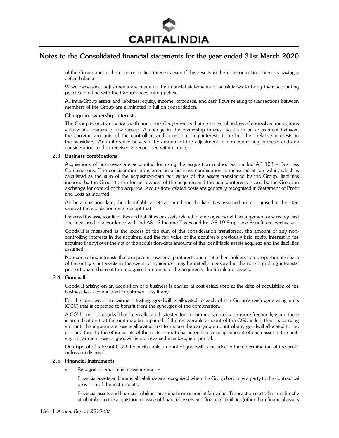

of the Group and to the non-controlling interests even if this results in the non-controlling interests having a deficit balance.

 When necessary, adjustments are made to the financial statements of subsidiaries to bring their accounting policies into line with the Group's accounting policies.

 All intra-Group assets and liabilities, equity, income, expenses, and cash flows relating to transactions between members of the Group are eliminated in full on consolidation.

#### **Change in ownership interests**

 The Group treats transactions with non-controlling interests that do not result in loss of control as transactions with equity owners of the Group. A change in the ownership interest results in an adjustment between the carrying amounts of the controlling and non-controlling interests to reflect their relative interests in the subsidiary. Any difference between the amount of the adjustment to non-controlling interests and any consideration paid or received is recognised within equity.

#### **2.3 Business combinations**

 Acquisitions of businesses are accounted for using the acquisition method as per Ind AS 103 – Business Combinations. The consideration transferred in a business combination is measured at fair value, which is calculated as the sum of the acquisition-date fair values of the assets transferred by the Group, liabilities incurred by the Group to the former owners of the acquiree and the equity interests issued by the Group in exchange for control of the acquiree. Acquisition- related costs are generally recognised in Statement of Profit and Loss as incurred.

 At the acquisition date, the identifiable assets acquired and the liabilities assumed are recognised at their fair value at the acquisition date, except that:

 Deferred tax assets or liabilities and liabilities or assets related to employee benefit arrangements are recognised and measured in accordance with Ind AS 12 Income Taxes and Ind AS 19 Employee Benefits respectively;

 Goodwill is measured as the excess of the sum of the consideration transferred, the amount of any noncontrolling interests in the acquiree, and the fair value of the acquirer's previously held equity interest in the acquiree (if any) over the net of the acquisition-date amounts of the identifiable assets acquired and the liabilities assumed.

 Non-controlling interests that are present ownership interests and entitle their holders to a proportionate share of the entity's net assets in the event of liquidation may be initially measured at the noncontrolling interests' proportionate share of the recognised amounts of the acquiree's identifiable net assets.

#### **2.4 Goodwill**

 Goodwill arising on an acquisition of a business is carried at cost established at the date of acquisition of the business less accumulated impairment loss if any.

 For the purpose of impairment testing, goodwill is allocated to each of the Group's cash generating units (CGU) that is expected to benefit from the synergies of the combination.

 A CGU to which goodwill has been allocated is tested for impairment annually, or more frequently when there is an indication that the unit may be impaired, if the recoverable amount of the CGU is less than its carrying amount, the impairment loss is allocated first to reduce the carrying amount of any goodwill allocated to the unit and then to the other assets of the units pro-rata based on the carrying amount of each asset in the unit, any impairment loss or goodwill is not reversed in subsequent period.

 On disposal of relevant CGU the attributable amount of goodwill is included in the determination of the profit or loss on disposal.

#### **2.5 Financial Instruments**

a) Recognition and initial measurement –

 Financial assets and financial liabilities are recognised when the Group becomes a party to the contractual provision of the instruments.

 Financial assets and financial liabilities are initially measured at fair value. Transaction costs that are directly attributable to the acquisition or issue of financial assets and financial liabilities (other than financial assets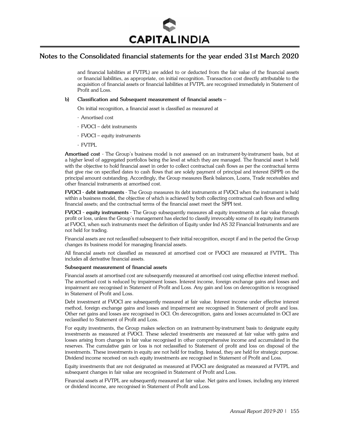

and financial liabilities at FVTPL) are added to or deducted from the fair value of the financial assets or financial liabilities, as appropriate, on initial recognition. Transaction cost directly attributable to the acquisition of financial assets or financial liabilities at FVTPL are recognised immediately in Statement of Profit and Loss.

#### **b) Classification and Subsequent measurement of financial assets –**

On initial recognition, a financial asset is classified as measured at

- Amortised cost
- FVOCI debt instruments
- FVOCI equity instruments
- FVTPL

 **Amortised cost** - The Group's business model is not assessed on an instrument-by-instrument basis, but at a higher level of aggregated portfolios being the level at which they are managed. The financial asset is held with the objective to hold financial asset in order to collect contractual cash flows as per the contractual terms that give rise on specified dates to cash flows that are solely payment of principal and interest (SPPI) on the principal amount outstanding. Accordingly, the Group measures Bank balances, Loans, Trade receivables and other financial instruments at amortised cost.

 **FVOCI - debt instruments** - The Group measures its debt instruments at FVOCI when the instrument is held within a business model, the objective of which is achieved by both collecting contractual cash flows and selling financial assets; and the contractual terms of the financial asset meet the SPPI test.

 **FVOCI - equity instruments** - The Group subsequently measures all equity investments at fair value through profit or loss, unless the Group's management has elected to classify irrevocably some of its equity instruments at FVOCI, when such instruments meet the definition of Equity under Ind AS 32 Financial Instruments and are not held for trading.

 Financial assets are not reclassified subsequent to their initial recognition, except if and in the period the Group changes its business model for managing financial assets.

 All financial assets not classified as measured at amortised cost or FVOCI are measured at FVTPL. This includes all derivative financial assets.

#### **Subsequent measurement of financial assets**

 Financial assets at amortised cost are subsequently measured at amortised cost using effective interest method. The amortised cost is reduced by impairment losses. Interest income, foreign exchange gains and losses and impairment are recognised in Statement of Profit and Loss. Any gain and loss on derecognition is recognised in Statement of Profit and Loss.

 Debt investment at FVOCI are subsequently measured at fair value. Interest income under effective interest method, foreign exchange gains and losses and impairment are recognised in Statement of profit and loss. Other net gains and losses are recognised in OCI. On derecognition, gains and losses accumulated in OCI are reclassified to Statement of Profit and Loss.

 For equity investments, the Group makes selection on an instrument-by-instrument basis to designate equity investments as measured at FVOCI. These selected investments are measured at fair value with gains and losses arising from changes in fair value recognised in other comprehensive income and accumulated in the reserves. The cumulative gain or loss is not reclassified to Statement of profit and loss on disposal of the investments. These investments in equity are not held for trading. Instead, they are held for strategic purpose. Dividend income received on such equity investments are recognised in Statement of Profit and Loss.

 Equity investments that are not designated as measured at FVOCI are designated as measured at FVTPL and subsequent changes in fair value are recognised in Statement of Profit and Loss.

 Financial assets at FVTPL are subsequently measured at fair value. Net gains and losses, including any interest or dividend income, are recognised in Statement of Profit and Loss.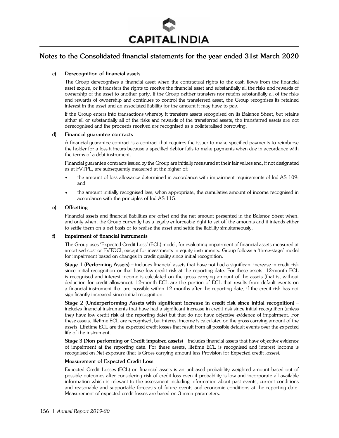

#### **c) Derecognition of financial assets**

 The Group derecognises a financial asset when the contractual rights to the cash flows from the financial asset expire, or it transfers the rights to receive the financial asset and substantially all the risks and rewards of ownership of the asset to another party. If the Group neither transfers nor retains substantially all of the risks and rewards of ownership and continues to control the transferred asset, the Group recognises its retained interest in the asset and an associated liability for the amount it may have to pay.

 If the Group enters into transactions whereby it transfers assets recognised on its Balance Sheet, but retains either all or substantially all of the risks and rewards of the transferred assets, the transferred assets are not derecognised and the proceeds received are recognised as a collateralised borrowing.

#### **d) Financial guarantee contracts**

 A financial guarantee contract is a contract that requires the issuer to make specified payments to reimburse the holder for a loss it incurs because a specified debtor fails to make payments when due in accordance with the terms of a debt instrument.

 Financial guarantee contracts issued by the Group are initially measured at their fair values and, if not designated as at FVTPL, are subsequently measured at the higher of:

- the amount of loss allowance determined in accordance with impairment requirements of Ind AS 109; and
- the amount initially recognised less, when appropriate, the cumulative amount of income recognised in accordance with the principles of Ind AS 115.

#### **e) Offsetting**

 Financial assets and financial liabilities are offset and the net amount presented in the Balance Sheet when, and only when, the Group currently has a legally enforceable right to set off the amounts and it intends either to settle them on a net basis or to realise the asset and settle the liability simultaneously.

#### **f) Impairment of financial instruments**

 The Group uses 'Expected Credit Loss' (ECL) model, for evaluating impairment of financial assets measured at amortised cost or FVTOCI, except for investments in equity instruments. Group follows a 'three-stage' model for impairment based on changes in credit quality since initial recognition.

 **Stage 1 (Performing Assets)** – includes financial assets that have not had a significant increase in credit risk since initial recognition or that have low credit risk at the reporting date. For these assets, 12-month ECL is recognised and interest income is calculated on the gross carrying amount of the assets (that is, without deduction for credit allowance). 12-month ECL are the portion of ECL that results from default events on a financial instrument that are possible within 12 months after the reporting date, if the credit risk has not significantly increased since initial recognition.

 **Stage 2 (Underperforming Assets with significant increase in credit risk since initial recognition)** – includes financial instruments that have had a significant increase in credit risk since initial recognition (unless they have low credit risk at the reporting date) but that do not have objective evidence of impairment. For these assets, lifetime ECL are recognised, but interest income is calculated on the gross carrying amount of the assets. Lifetime ECL are the expected credit losses that result from all possible default events over the expected life of the instrument.

 **Stage 3 (Non-performing or Credit-impaired assets)** – includes financial assets that have objective evidence of impairment at the reporting date. For these assets, lifetime ECL is recognised and interest income is recognised on Net exposure (that is Gross carrying amount less Provision for Expected credit losses).

#### **Measurement of Expected Credit Loss**

 Expected Credit Losses (ECL) on financial assets is an unbiased probability weighted amount based out of possible outcomes after considering risk of credit loss even if probability is low and incorporate all available information which is relevant to the assessment including information about past events, current conditions and reasonable and supportable forecasts of future events and economic conditions at the reporting date. Measurement of expected credit losses are based on 3 main parameters.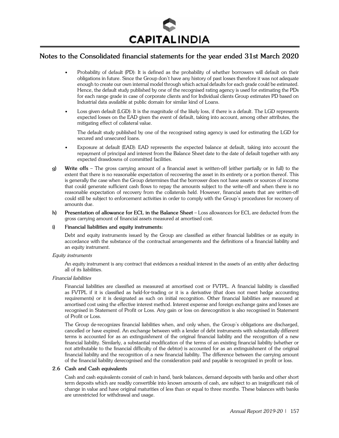

- Probability of default (PD): It is defined as the probability of whether borrowers will default on their obligations in future. Since the Group don't have any history of past losses therefore it was not adequate enough to create our own internal model through which actual defaults for each grade could be estimated. Hence, the default study published by one of the recognised rating agency is used for estimating the PDs for each range grade in case of corporate clients and for Individual clients Group estimates PD based on Industrial data available at public domain for similar kind of Loans.
- Loss given default (LGD): It is the magnitude of the likely loss, if there is a default. The LGD represents expected losses on the EAD given the event of default, taking into account, among other attributes, the mitigating effect of collateral value.

 The default study published by one of the recognised rating agency is used for estimating the LGD for secured and unsecured loans.

- Exposure at default (EAD): EAD represents the expected balance at default, taking into account the repayment of principal and interest from the Balance Sheet date to the date of default together with any expected drawdowns of committed facilities.
- **g) Write offs** The gross carrying amount of a financial asset is written-off (either partially or in full) to the extent that there is no reasonable expectation of recovering the asset in its entirety or a portion thereof. This is generally the case when the Group determines that the borrower does not have assets or sources of income that could generate sufficient cash flows to repay the amounts subject to the write-off and when there is no reasonable expectation of recovery from the collaterals held. However, financial assets that are written-off could still be subject to enforcement activities in order to comply with the Group's procedures for recovery of amounts due.
- **h) Presentation of allowance for ECL in the Balance Sheet** Loss allowances for ECL are deducted from the gross carrying amount of financial assets measured at amortised cost.

#### **i) Financial liabilities and equity instruments:**

 Debt and equity instruments issued by the Group are classified as either financial liabilities or as equity in accordance with the substance of the contractual arrangements and the definitions of a financial liability and an equity instrument.

#### Equity instruments

 An equity instrument is any contract that evidences a residual interest in the assets of an entity after deducting all of its liabilities.

#### Financial liabilities

 Financial liabilities are classified as measured at amortised cost or FVTPL. A financial liability is classified as FVTPL if it is classified as held-for-trading or it is a derivative (that does not meet hedge accounting requirements) or it is designated as such on initial recognition. Other financial liabilities are measured at amortised cost using the effective interest method. Interest expense and foreign exchange gains and losses are recognised in Statement of Profit or Loss. Any gain or loss on derecognition is also recognised in Statement of Profit or Loss.

 The Group de-recognizes financial liabilities when, and only when, the Group's obligations are discharged, cancelled or have expired. An exchange between with a lender of debt instruments with substantially different terms is accounted for as an extinguishment of the original financial liability and the recognition of a new financial liability. Similarly, a substantial modification of the terms of an existing financial liability (whether or not attributable to the financial difficulty of the debtor) is accounted for as an extinguishment of the original financial liability and the recognition of a new financial liability. The difference between the carrying amount of the financial liability derecognised and the consideration paid and payable is recognized in profit or loss.

#### **2.6 Cash and Cash equivalents**

 Cash and cash equivalents consist of cash in hand, bank balances, demand deposits with banks and other short term deposits which are readily convertible into known amounts of cash, are subject to an insignificant risk of change in value and have original maturities of less than or equal to three months. These balances with banks are unrestricted for withdrawal and usage.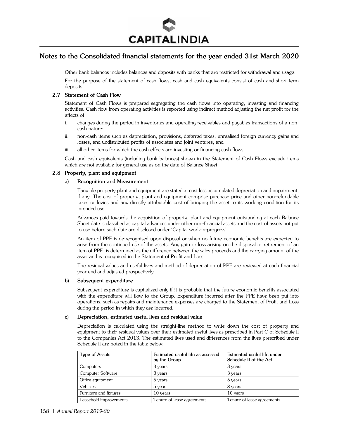

Other bank balances includes balances and deposits with banks that are restricted for withdrawal and usage.

 For the purpose of the statement of cash flows, cash and cash equivalents consist of cash and short term deposits.

#### **2.7 Statement of Cash Flow**

 Statement of Cash Flows is prepared segregating the cash flows into operating, investing and financing activities. Cash flow from operating activities is reported using indirect method adjusting the net profit for the effects of:

- i. changes during the period in inventories and operating receivables and payables transactions of a noncash nature;
- ii. non-cash items such as depreciation, provisions, deferred taxes, unrealised foreign currency gains and losses, and undistributed profits of associates and joint ventures; and
- iii. all other items for which the cash effects are investing or financing cash flows.

 Cash and cash equivalents (including bank balances) shown in the Statement of Cash Flows exclude items which are not available for general use as on the date of Balance Sheet.

#### **2.8 Property, plant and equipment**

#### **a) Recognition and Measurement**

 Tangible property plant and equipment are stated at cost less accumulated depreciation and impairment, if any. The cost of property, plant and equipment comprise purchase price and other non-refundable taxes or levies and any directly attributable cost of bringing the asset to its working condition for its intended use.

 Advances paid towards the acquisition of property, plant and equipment outstanding at each Balance Sheet date is classified as capital advances under other non-financial assets and the cost of assets not put to use before such date are disclosed under 'Capital work-in-progress'.

 An item of PPE is de-recognised upon disposal or when no future economic benefits are expected to arise from the continued use of the assets. Any gain or loss arising on the disposal or retirement of an item of PPE, is determined as the difference between the sales proceeds and the carrying amount of the asset and is recognised in the Statement of Profit and Loss.

 The residual values and useful lives and method of depreciation of PPE are reviewed at each financial year end and adjusted prospectively.

#### **b) Subsequent expenditure**

 Subsequent expenditure is capitalized only if it is probable that the future economic benefits associated with the expenditure will flow to the Group. Expenditure incurred after the PPE have been put into operations, such as repairs and maintenance expenses are charged to the Statement of Profit and Loss during the period in which they are incurred.

#### **c) Depreciation, estimated useful lives and residual value**

 Depreciation is calculated using the straight-line method to write down the cost of property and equipment to their residual values over their estimated useful lives as prescribed in Part C of Schedule II to the Companies Act 2013. The estimated lives used and differences from the lives prescribed under Schedule II are noted in the table below:-

| Type of Assets         | Estimated useful life as assessed<br>by the Group | Estimated useful life under<br>Schedule II of the Act |
|------------------------|---------------------------------------------------|-------------------------------------------------------|
| Computers              | 3 years                                           | 3 years                                               |
| Computer Software      | 3 years                                           | 3 years                                               |
| Office equipment       | 5 years                                           | 5 years                                               |
| Vehicles               | 5 years                                           | 8 years                                               |
| Furniture and fixtures | 10 years                                          | 10 years                                              |
| Leasehold improvements | Tenure of lease agreements                        | Tenure of lease agreements                            |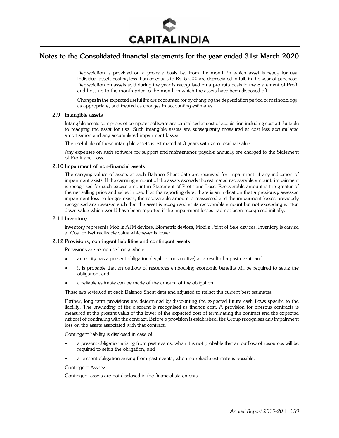

Depreciation is provided on a pro-rata basis i.e. from the month in which asset is ready for use. Individual assets costing less than or equals to Rs. 5,000 are depreciated in full, in the year of purchase. Depreciation on assets sold during the year is recognised on a pro-rata basis in the Statement of Profit and Loss up to the month prior to the month in which the assets have been disposed off.

Changes in the expected useful life are accounted for by changing the depreciation period or methodology, as appropriate, and treated as changes in accounting estimates.

#### **2.9 Intangible assets**

 Intangible assets comprises of computer software are capitalised at cost of acquisition including cost attributable to readying the asset for use. Such intangible assets are subsequently measured at cost less accumulated amortisation and any accumulated impairment losses.

The useful life of these intangible assets is estimated at 3 years with zero residual value.

 Any expenses on such software for support and maintenance payable annually are charged to the Statement of Profit and Loss.

#### **2.10 Impairment of non-financial assets**

 The carrying values of assets at each Balance Sheet date are reviewed for impairment, if any indication of impairment exists. If the carrying amount of the assets exceeds the estimated recoverable amount, impairment is recognised for such excess amount in Statement of Profit and Loss. Recoverable amount is the greater of the net selling price and value in use. If at the reporting date, there is an indication that a previously assessed impairment loss no longer exists, the recoverable amount is reassessed and the impairment losses previously recognised are reversed such that the asset is recognised at its recoverable amount but not exceeding written down value which would have been reported if the impairment losses had not been recognised initially.

#### **2.11 Inventory**

 Inventory represents Mobile ATM devices, Biometric devices, Mobile Point of Sale devices. Inventory is carried at Cost or Net realizable value whichever is lower.

#### **2.12 Provisions, contingent liabilities and contingent assets**

Provisions are recognised only when:

- an entity has a present obligation (legal or constructive) as a result of a past event; and
- it is probable that an outflow of resources embodying economic benefits will be required to settle the obligation; and
- a reliable estimate can be made of the amount of the obligation

These are reviewed at each Balance Sheet date and adjusted to reflect the current best estimates.

 Further, long term provisions are determined by discounting the expected future cash flows specific to the liability. The unwinding of the discount is recognised as finance cost. A provision for onerous contracts is measured at the present value of the lower of the expected cost of terminating the contract and the expected net cost of continuing with the contract. Before a provision is established, the Group recognises any impairment loss on the assets associated with that contract.

Contingent liability is disclosed in case of:

- a present obligation arising from past events, when it is not probable that an outflow of resources will be required to settle the obligation; and
- a present obligation arising from past events, when no reliable estimate is possible.

#### Contingent Assets:

Contingent assets are not disclosed in the financial statements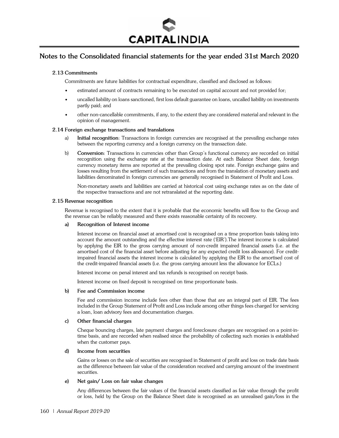

#### **2.13 Commitments**

Commitments are future liabilities for contractual expenditure, classified and disclosed as follows:

- estimated amount of contracts remaining to be executed on capital account and not provided for;
- uncalled liability on loans sanctioned, first loss default guarantee on loans, uncalled liability on investments partly paid; and
- other non-cancellable commitments, if any, to the extent they are considered material and relevant in the opinion of management.

#### **2.14 Foreign exchange transactions and translations**

- a) **Initial recognition**: Transactions in foreign currencies are recognised at the prevailing exchange rates between the reporting currency and a foreign currency on the transaction date.
- b) **Conversion**: Transactions in currencies other than Group's functional currency are recorded on initial recognition using the exchange rate at the transaction date. At each Balance Sheet date, foreign currency monetary items are reported at the prevailing closing spot rate. Foreign exchange gains and losses resulting from the settlement of such transactions and from the translation of monetary assets and liabilities denominated in foreign currencies are generally recognised in Statement of Profit and Loss.

 Non-monetary assets and liabilities are carried at historical cost using exchange rates as on the date of the respective transactions and are not retranslated at the reporting date.

#### **2.15 Revenue recognition**

 Revenue is recognised to the extent that it is probable that the economic benefits will flow to the Group and the revenue can be reliably measured and there exists reasonable certainty of its recovery.

#### **a) Recognition of Interest income**

 Interest income on financial asset at amortised cost is recognised on a time proportion basis taking into account the amount outstanding and the effective interest rate ('EIR').The interest income is calculated by applying the EIR to the gross carrying amount of non-credit impaired financial assets (i.e. at the amortised cost of the financial asset before adjusting for any expected credit loss allowance). For creditimpaired financial assets the interest income is calculated by applying the EIR to the amortised cost of the credit-impaired financial assets (i.e. the gross carrying amount less the allowance for ECLs.)

Interest income on penal interest and tax refunds is recognised on receipt basis.

Interest income on fixed deposit is recognised on time proportionate basis.

#### **b) Fee and Commission income**

 Fee and commission income include fees other than those that are an integral part of EIR. The fees included in the Group Statement of Profit and Loss include among other things fees charged for servicing a loan, loan advisory fees and documentation charges.

#### **c) Other financial charges**

 Cheque bouncing charges, late payment charges and foreclosure charges are recognised on a point-intime basis, and are recorded when realised since the probability of collecting such monies is established when the customer pays.

#### **d) Income from securities**

 Gains or losses on the sale of securities are recognised in Statement of profit and loss on trade date basis as the difference between fair value of the consideration received and carrying amount of the investment securities.

#### **e) Net gain/ Loss on fair value changes**

 Any differences between the fair values of the financial assets classified as fair value through the profit or loss, held by the Group on the Balance Sheet date is recognised as an unrealised gain/loss in the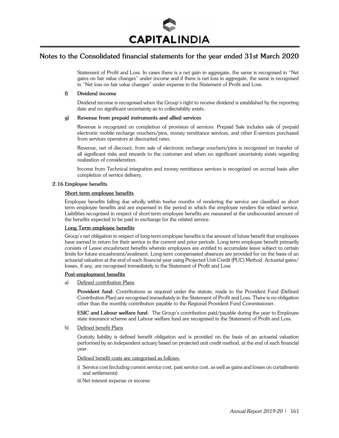

Statement of Profit and Loss. In cases there is a net gain in aggregate, the same is recognised in "Net gains on fair value changes" under income and if there is net loss in aggregate, the same is recognised in "Net loss on fair value changes" under expense in the Statement of Profit and Loss.

#### **f) Dividend income**

 Dividend income is recognised when the Group's right to receive dividend is established by the reporting date and no significant uncertainty as to collectability exists.

#### **g) Revenue from prepaid instruments and allied services**

 Revenue is recognized on completion of provision of services. Prepaid Sale includes sale of prepaid electronic mobile recharge vouchers/pins, money remittance services, and other E-services purchased from services operators at discounted rates.

 Revenue, net of discount, from sale of electronic recharge vouchers/pins is recognized on transfer of all significant risks and rewards to the customer and when no significant uncertainty exists regarding realization of consideration.

 Income from Technical integration and money remittance services is recognized on accrual basis after completion of service delivery.

#### **2.16 Employee benefits**

#### **Short term employee benefits**

 Employee benefits falling due wholly within twelve months of rendering the service are classified as short term employee benefits and are expensed in the period in which the employee renders the related service. Liabilities recognised in respect of short-term employee benefits are measured at the undiscounted amount of the benefits expected to be paid in exchange for the related service.

#### **Long Term employee benefits**

 Group's net obligation in respect of long-term employee benefits is the amount of future benefit that employees have earned in return for their service in the current and prior periods. Long-term employee benefit primarily consists of Leave encashment benefits wherein employees are entitled to accumulate leave subject to certain limits for future encashment/availment. Long-term compensated absences are provided for on the basis of an actuarial valuation at the end of each financial year using Projected Unit Credit (PUC) Method. Actuarial gains/ losses, if any, are recognised immediately in the Statement of Profit and Loss

#### **Post-employment benefits**

a) Defined contribution Plans

 **Provident fund**: Contributions as required under the statute, made to the Provident Fund (Defined Contribution Plan) are recognised immediately in the Statement of Profit and Loss. There is no obligation other than the monthly contribution payable to the Regional Provident Fund Commissioner.

 **ESIC and Labour welfare fund**: The Group's contribution paid/payable during the year to Employee state insurance scheme and Labour welfare fund are recognised in the Statement of Profit and Loss.

b) Defined benefit Plans

 Gratuity liability is defined benefit obligation and is provided on the basis of an actuarial valuation performed by an independent actuary based on projected unit credit method, at the end of each financial year.

Defined benefit costs are categorised as follows:

- i) Service cost (including current service cost, past service cost, as well as gains and losses on curtailments and settlements)
- ii) Net interest expense or income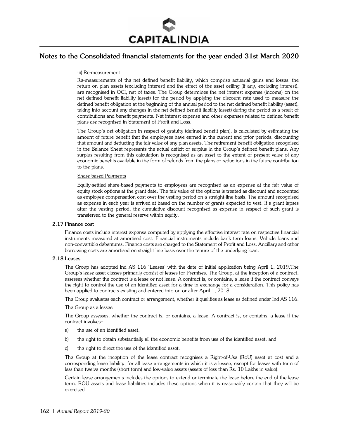

#### iii) Re-measurement

 Re-measurements of the net defined benefit liability, which comprise actuarial gains and losses, the return on plan assets (excluding interest) and the effect of the asset ceiling (if any, excluding interest), are recognised in OCI, net of taxes. The Group determines the net interest expense (income) on the net defined benefit liability (asset) for the period by applying the discount rate used to measure the defined benefit obligation at the beginning of the annual period to the net defined benefit liability (asset), taking into account any changes in the net defined benefit liability (asset) during the period as a result of contributions and benefit payments. Net interest expense and other expenses related to defined benefit plans are recognised in Statement of Profit and Loss.

 The Group's net obligation in respect of gratuity (defined benefit plan), is calculated by estimating the amount of future benefit that the employees have earned in the current and prior periods, discounting that amount and deducting the fair value of any plan assets. The retirement benefit obligation recognised in the Balance Sheet represents the actual deficit or surplus in the Group's defined benefit plans. Any surplus resulting from this calculation is recognised as an asset to the extent of present value of any economic benefits available in the form of refunds from the plans or reductions in the future contribution to the plans.

#### Share based Payments

 Equity-settled share-based payments to employees are recognised as an expense at the fair value of equity stock options at the grant date. The fair value of the options is treated as discount and accounted as employee compensation cost over the vesting period on a straight-line basis. The amount recognised as expense in each year is arrived at based on the number of grants expected to vest. If a grant lapses after the vesting period, the cumulative discount recognised as expense in respect of such grant is transferred to the general reserve within equity.

#### **2.17 Finance cost**

 Finance costs include interest expense computed by applying the effective interest rate on respective financial instruments measured at amortised cost. Financial instruments include bank term loans, Vehicle loans and non-convertible debentures. Finance costs are charged to the Statement of Profit and Loss. Ancillary and other borrowing costs are amortised on straight line basis over the tenure of the underlying loan.

#### **2.18 Leases**

 The Group has adopted Ind AS 116 'Leases' with the date of initial application being April 1, 2019.The Group's lease asset classes primarily consist of leases for Premises. The Group, at the inception of a contract, assesses whether the contract is a lease or not lease. A contract is, or contains, a lease if the contract conveys the right to control the use of an identified asset for a time in exchange for a consideration. This policy has been applied to contracts existing and entered into on or after April 1, 2018.

The Group evaluates each contract or arrangement, whether it qualifies as lease as defined under Ind AS 116.

The Group as a lessee

 The Group assesses, whether the contract is, or contains, a lease. A contract is, or contains, a lease if the contract involves–

- a) the use of an identified asset,
- b) the right to obtain substantially all the economic benefits from use of the identified asset, and
- c) the right to direct the use of the identified asset.

 The Group at the inception of the lease contract recognises a Right-of-Use (RoU) asset at cost and a corresponding lease liability, for all lease arrangements in which it is a lessee, except for leases with term of less than twelve months (short term) and low-value assets (assets of less than Rs. 10 Lakhs in value).

 Certain lease arrangements includes the options to extend or terminate the lease before the end of the lease term. ROU assets and lease liabilities includes these options when it is reasonably certain that they will be exercised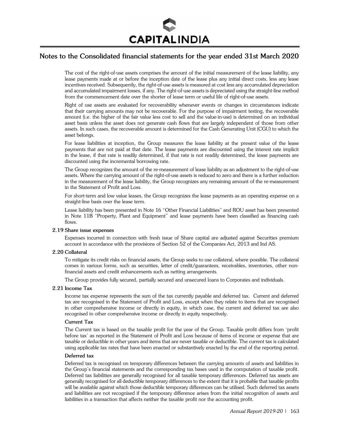

 The cost of the right-of-use assets comprises the amount of the initial measurement of the lease liability, any lease payments made at or before the inception date of the lease plus any initial direct costs, less any lease incentives received. Subsequently, the right-of-use assets is measured at cost less any accumulated depreciation and accumulated impairment losses, if any. The right-of-use assets is depreciated using the straight-line method from the commencement date over the shorter of lease term or useful life of right-of-use assets.

 Right of use assets are evaluated for recoverability whenever events or changes in circumstances indicate that their carrying amounts may not be recoverable. For the purpose of impairment testing, the recoverable amount (i.e. the higher of the fair value less cost to sell and the value-in-use) is determined on an individual asset basis unless the asset does not generate cash flows that are largely independent of those from other assets. In such cases, the recoverable amount is determined for the Cash Generating Unit (CGU) to which the asset belongs.

 For lease liabilities at inception, the Group measures the lease liability at the present value of the lease payments that are not paid at that date. The lease payments are discounted using the interest rate implicit in the lease, if that rate is readily determined, if that rate is not readily determined, the lease payments are discounted using the incremental borrowing rate.

 The Group recognizes the amount of the re-measurement of lease liability as an adjustment to the right-of-use assets. Where the carrying amount of the right-of-use assets is reduced to zero and there is a further reduction in the measurement of the lease liability, the Group recognizes any remaining amount of the re-measurement in the Statement of Profit and Loss.

 For short-term and low value leases, the Group recognizes the lease payments as an operating expense on a straight-line basis over the lease term.

 Lease liability has been presented in Note 16 "Other Financial Liabilities" and ROU asset has been presented in Note 11B "Property, Plant and Equipment" and lease payments have been classified as financing cash flows

#### **2.19 Share issue expenses**

 Expenses incurred in connection with fresh issue of Share capital are adjusted against Securities premium account in accordance with the provisions of Section 52 of the Companies Act, 2013 and Ind AS.

#### **2.20 Collateral**

 To mitigate its credit risks on financial assets, the Group seeks to use collateral, where possible. The collateral comes in various forms, such as securities, letter of credit/guarantees, receivables, inventories, other nonfinancial assets and credit enhancements such as netting arrangements.

The Group provides fully secured, partially secured and unsecured loans to Corporates and individuals.

#### **2.21 Income Tax**

 Income tax expense represents the sum of the tax currently payable and deferred tax. Current and deferred tax are recognised in the Statement of Profit and Loss, except when they relate to items that are recognised in other comprehensive income or directly in equity, in which case, the current and deferred tax are also recognised in other comprehensive income or directly in equity respectively.

#### **Current Tax**

 The Current tax is based on the taxable profit for the year of the Group. Taxable profit differs from 'profit before tax' as reported in the Statement of Profit and Loss because of items of income or expense that are taxable or deductible in other years and items that are never taxable or deductible. The current tax is calculated using applicable tax rates that have been enacted or substantively enacted by the end of the reporting period.

#### **Deferred tax**

 Deferred tax is recognised on temporary differences between the carrying amounts of assets and liabilities in the Group's financial statements and the corresponding tax bases used in the computation of taxable profit. Deferred tax liabilities are generally recognised for all taxable temporary differences. Deferred tax assets are generally recognised for all deductible temporary differences to the extent that it is probable that taxable profits will be available against which those deductible temporary differences can be utilised. Such deferred tax assets and liabilities are not recognised if the temporary difference arises from the initial recognition of assets and liabilities in a transaction that affects neither the taxable profit nor the accounting profit.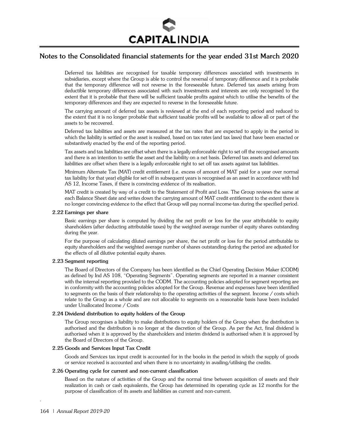

 Deferred tax liabilities are recognised for taxable temporary differences associated with investments in subsidiaries, except where the Group is able to control the reversal of temporary difference and it is probable that the temporary difference will not reverse in the foreseeable future. Deferred tax assets arising from deductible temporary differences associated with such investments and interests are only recognised to the extent that it is probable that there will be sufficient taxable profits against which to utilise the benefits of the temporary differences and they are expected to reverse in the foreseeable future.

 The carrying amount of deferred tax assets is reviewed at the end of each reporting period and reduced to the extent that it is no longer probable that sufficient taxable profits will be available to allow all or part of the assets to be recovered.

 Deferred tax liabilities and assets are measured at the tax rates that are expected to apply in the period in which the liability is settled or the asset is realised, based on tax rates (and tax laws) that have been enacted or substantively enacted by the end of the reporting period.

 Tax assets and tax liabilities are offset when there is a legally enforceable right to set off the recognised amounts and there is an intention to settle the asset and the liability on a net basis. Deferred tax assets and deferred tax liabilities are offset when there is a legally enforceable right to set off tax assets against tax liabilities.

 Minimum Alternate Tax (MAT) credit entitlement (i.e. excess of amount of MAT paid for a year over normal tax liability for that year) eligible for set-off in subsequent years is recognised as an asset in accordance with Ind AS 12, Income Taxes, if there is convincing evidence of its realisation.

 MAT credit is created by way of a credit to the Statement of Profit and Loss. The Group reviews the same at each Balance Sheet date and writes down the carrying amount of MAT credit entitlement to the extent there is no longer convincing evidence to the effect that Group will pay normal income-tax during the specified period.

#### **2.22 Earnings per share**

 Basic earnings per share is computed by dividing the net profit or loss for the year attributable to equity shareholders (after deducting attributable taxes) by the weighted average number of equity shares outstanding during the year.

 For the purpose of calculating diluted earnings per share, the net profit or loss for the period attributable to equity shareholders and the weighted average number of shares outstanding during the period are adjusted for the effects of all dilutive potential equity shares.

#### **2.23 Segment reporting**

 The Board of Directors of the Company has been identified as the Chief Operating Decision Maker (CODM) as defined by Ind AS 108, "Operating Segments". Operating segments are reported in a manner consistent with the internal reporting provided to the CODM. The accounting policies adopted for segment reporting are in conformity with the accounting policies adopted for the Group. Revenue and expenses have been identified to segments on the basis of their relationship to the operating activities of the segment. Income / costs which relate to the Group as a whole and are not allocable to segments on a reasonable basis have been included under Unallocated Income / Costs

#### **2.24 Dividend distribution to equity holders of the Group**

 The Group recognises a liability to make distributions to equity holders of the Group when the distribution is authorised and the distribution is no longer at the discretion of the Group. As per the Act, final dividend is authorised when it is approved by the shareholders and interim dividend is authorised when it is approved by the Board of Directors of the Group.

#### **2.25 Goods and Services Input Tax Credit**

 Goods and Services tax input credit is accounted for in the books in the period in which the supply of goods or service received is accounted and when there is no uncertainty in availing/utilising the credits.

#### **2.26 Operating cycle for current and non-current classification**

 Based on the nature of activities of the Group and the normal time between acquisition of assets and their realization in cash or cash equivalents, the Group has determined its operating cycle as 12 months for the purpose of classification of its assets and liabilities as current and non-current.

.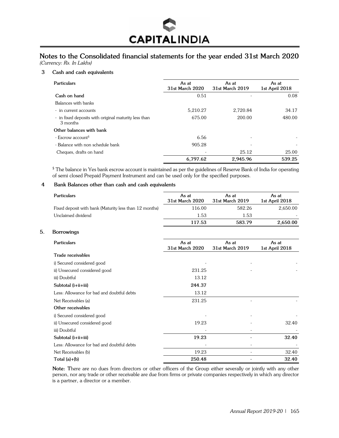

## **Notes to the Consolidated financial statements for the year ended 31st March 2020** (Currency: Rs. In Lakhs)

## **3 Cash and cash equivalents**

| <b>Particulars</b>                                               | As at<br>31st March 2020 | As at<br>31st March 2019 | As at<br>1st April 2018 |
|------------------------------------------------------------------|--------------------------|--------------------------|-------------------------|
| Cash on hand                                                     | 0.51                     |                          | 0.08                    |
| Balances with banks                                              |                          |                          |                         |
| - in current accounts                                            | 5,210.27                 | 2,720.84                 | 34.17                   |
| - in fixed deposits with original maturity less than<br>3 months | 675.00                   | 200.00                   | 480.00                  |
| Other balances with bank                                         |                          |                          |                         |
| $-$ Escrow account <sup>\$</sup>                                 | 6.56                     |                          |                         |
| - Balance with non schedule bank                                 | 905.28                   |                          |                         |
| Cheques, drafts on hand                                          | $\overline{\phantom{a}}$ | 25.12                    | 25.00                   |
|                                                                  | 6,797.62                 | 2,945.96                 | 539.25                  |

\$ The balance in Yes bank escrow account is maintained as per the guidelines of Reserve Bank of India for operating of semi closed Prepaid Payment Instrument and can be used only for the specified purposes.

#### **4 Bank Balances other than cash and cash equivalents**

| <b>Particulars</b>                                     | As at<br>31st March 2020 | As at<br>31st March 2019 | As at<br>1st April 2018 |
|--------------------------------------------------------|--------------------------|--------------------------|-------------------------|
| Fixed deposit with bank (Maturity less than 12 months) | 116.00                   | 582.26                   | 2,650.00                |
| Unclaimed dividend                                     | 1.53                     | 1.53                     |                         |
|                                                        | 117.53                   | 583.79                   | 2.650.00                |

#### **5. Borrowings**

| <b>Particulars</b>                         | As at<br>31st March 2020 | As at<br>As at<br>31st March 2019 |                |
|--------------------------------------------|--------------------------|-----------------------------------|----------------|
| Trade receivables                          |                          |                                   | 1st April 2018 |
| i) Secured considered good                 |                          |                                   |                |
| ii) Unsecured considered good              | 231.25                   |                                   |                |
| iii) Doubtful                              | 13.12                    |                                   |                |
| Subtotal (i+ii+iii)                        | 244.37                   |                                   |                |
| Less: Allowance for bad and doubtful debts | 13.12                    |                                   |                |
| Net Receivables (a)                        | 231.25                   |                                   |                |
| Other receivables                          |                          |                                   |                |
| i) Secured considered good                 |                          |                                   |                |
| ii) Unsecured considered good              | 19.23                    |                                   | 32.40          |
| iii) Doubtful                              |                          |                                   |                |
| Subtotal $(i+iii+i)$                       | 19.23                    |                                   | 32.40          |
| Less: Allowance for bad and doubtful debts |                          |                                   |                |
| Net Receivables (b)                        | 19.23                    |                                   | 32.40          |
| Total $(a)+(b)$                            | 250.48                   |                                   | 32.40          |

**Note: T**here are no dues from directors or other officers of the Group either severally or jointly with any other person, nor any trade or other receivable are due from firms or private companies respectively in which any director is a partner, a director or a member.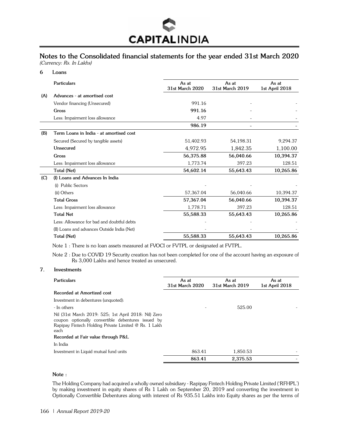

(Currency: Rs. In Lakhs)

|     | <b>Particulars</b>                          | As at<br>31st March 2020 | As at<br>31st March 2019 |           |  |  |
|-----|---------------------------------------------|--------------------------|--------------------------|-----------|--|--|
| (A) | Advances - at amortised cost                |                          |                          |           |  |  |
|     | Vendor financing (Unsecured)                | 991.16                   |                          |           |  |  |
|     | Gross                                       | 991.16                   |                          |           |  |  |
|     | Less: Impairment loss allowance             | 4.97                     |                          |           |  |  |
|     |                                             | 986.19                   |                          |           |  |  |
| (B) | Term Loans in India - at amortised cost     |                          |                          |           |  |  |
|     | Secured (Secured by tangible assets)        | 51,402.93                | 54,198.31                | 9,294.37  |  |  |
|     | Unsecured                                   | 4,972.95                 | 1,842.35                 | 1,100.00  |  |  |
|     | Gross                                       | 56,375.88                | 56,040.66                | 10,394.37 |  |  |
|     | Less: Impairment loss allowance             | 1,773.74                 | 397.23                   | 128.51    |  |  |
|     | Total (Net)                                 | 54,602.14                | 55,643.43                | 10,265.86 |  |  |
| (C) | (I) Loans and Advances In India             |                          |                          |           |  |  |
|     | (i) Public Sectors                          |                          |                          |           |  |  |
|     | (ii) Others                                 | 57,367.04                | 56,040.66                | 10,394.37 |  |  |
|     | <b>Total Gross</b>                          | 57,367.04                | 56,040.66                | 10,394.37 |  |  |
|     | Less: Impairment loss allowance             | 1,778.71                 | 397.23                   | 128.51    |  |  |
|     | <b>Total Net</b>                            | 55,588.33                | 55,643.43                | 10,265.86 |  |  |
|     | Less: Allowance for bad and doubtful debts  |                          |                          |           |  |  |
|     | (II) Loans and advances Outside India (Net) |                          |                          |           |  |  |
|     | Total (Net)                                 | 55,588.33                | 55,643.43                | 10,265.86 |  |  |

Note 1 : There is no loan assets measured at FVOCI or FVTPL or designated at FVTPL.

Note 2 : Due to COVID 19 Security creation has not been completed for one of the account having an exposure of Rs 3,000 Lakhs and hence treated as unsecured.

#### **7. Investments**

| <b>Particulars</b>                                                                                                                                                         | As at<br>31st March 2020 | As at<br>31st March 2019 | As at<br>1st April 2018 |
|----------------------------------------------------------------------------------------------------------------------------------------------------------------------------|--------------------------|--------------------------|-------------------------|
| Recorded at Amortized cost                                                                                                                                                 |                          |                          |                         |
| Investment in debentures (unquoted):                                                                                                                                       |                          |                          |                         |
| - In others                                                                                                                                                                |                          | 525.00                   |                         |
| Nil (31st March 2019: 525; 1st April 2018: Nil) Zero<br>coupon optionally convertible debentures issued by<br>Rapipay Fintech Holding Private Limited @ Rs. 1 Lakh<br>each |                          |                          |                         |
| Recorded at Fair value through P&L                                                                                                                                         |                          |                          |                         |
| In India                                                                                                                                                                   |                          |                          |                         |
| Investment in Liquid mutual fund units                                                                                                                                     | 863.41                   | 1.850.53                 |                         |
|                                                                                                                                                                            | 863.41                   | 2,375.53                 |                         |

#### **Note :**

The Holding Company had acquired a wholly owned subsidiary - Rapipay Fintech Holding Private Limited ('RFHPL') by making investment in equity shares of Rs 1 Lakh on September 20, 2019 and converting the investment in Optionally Convertible Debentures along with interest of Rs 935.51 Lakhs into Equity shares as per the terms of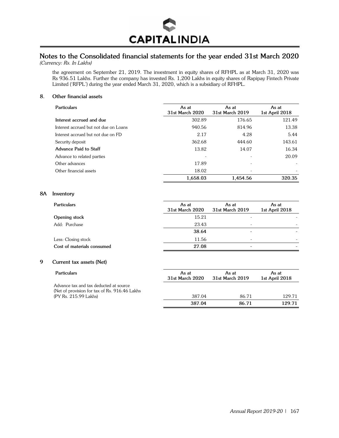

(Currency: Rs. In Lakhs)

the agreement on September 21, 2019. The investment in equity shares of RFHPL as at March 31, 2020 was Rs 936.51 Lakhs. Further the company has invested Rs. 1,200 Lakhs in equity shares of Rapipay Fintech Private Limited ('RFPL') during the year ended March 31, 2020, which is a subsidiary of RFHPL.

#### **8. Other financial assets**

| <b>Particulars</b>                    | As at<br>31st March 2020 | As at<br>31st March 2019 |        |
|---------------------------------------|--------------------------|--------------------------|--------|
| Interest accrued and due              | 302.89                   | 176.65                   | 121.49 |
| Interest accrued but not due on Loans | 940.56                   | 814.96                   | 13.38  |
| Interest accrued but not due on FD    | 2.17                     | 4.28                     | 5.44   |
| Security deposit                      | 362.68                   | 444.60                   | 143.61 |
| Advance Paid to Staff                 | 13.82                    | 14.07                    | 16.34  |
| Advance to related parties            | $\overline{\phantom{a}}$ | $\overline{\phantom{a}}$ | 20.09  |
| Other advances                        | 17.89                    | $\overline{\phantom{a}}$ |        |
| Other financial assets                | 18.02                    | $\overline{\phantom{a}}$ |        |
|                                       | 1.658.03                 | 1.454.56                 | 320.35 |

#### **8A Inventory**

| As at<br>31st March 2020 | As at<br>31st March 2019 | As at<br>1st April 2018 |
|--------------------------|--------------------------|-------------------------|
| 15.21                    | $\overline{\phantom{a}}$ |                         |
| 23.43                    | $\overline{\phantom{a}}$ |                         |
| 38.64                    | -                        |                         |
| 11.56                    | $\overline{\phantom{a}}$ |                         |
| 27.08                    | -                        |                         |
|                          |                          |                         |

### **9 Current tax assets (Net)**

| Particulars                                                                              | As at<br>31st March 2020 | As at<br>31st March 2019 | As at<br>1st April 2018 |
|------------------------------------------------------------------------------------------|--------------------------|--------------------------|-------------------------|
| Advance tax and tax deducted at source<br>(Net of provision for tax of Rs. 916.46 Lakhs) |                          |                          |                         |
| (PY Rs. 215.99 Lakhs)                                                                    | 387.04                   | 86.71                    | 129.71                  |
|                                                                                          | 387.04                   | 86.71                    | 129 71                  |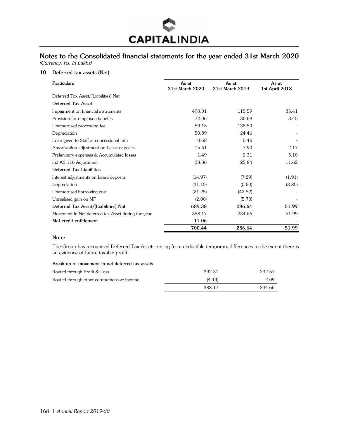

(Currency: Rs. In Lakhs)

#### **10 Deferred tax assets (Net)**

| <b>Particulars</b>                                 | As at<br>31st March 2020 | As at<br>31st March 2019 |        |  |
|----------------------------------------------------|--------------------------|--------------------------|--------|--|
| Deferred Tax Asset/(Liabilities) Net               |                          |                          |        |  |
| Deferred Tax Asset                                 |                          |                          |        |  |
| Impairment on financial instruments                | 490.01                   | 115.59                   | 35.41  |  |
| Provision for employee benefits                    | 72.06                    | 30.69                    | 3.45   |  |
| Unamortised processing fee                         | 89.15                    | 135.50                   |        |  |
| Depreciation                                       | 50.89                    | 24.46                    |        |  |
| Loan given to Staff at concessional rate           | 0.68                     | 0.46                     |        |  |
| Amortization adjustment on Lease deposits          | 15.61                    | 7.90                     | 2.17   |  |
| Preliminary expenses & Accumulated losses          | 1.49                     | 2.31                     | 5.10   |  |
| Ind AS 116 Adjustment                              | 38.86                    | 25.84                    | 11.62  |  |
| <b>Deferred Tax Liabilities</b>                    |                          |                          |        |  |
| Interest adjustments on Lease deposits             | (14.97)                  | (7.29)                   | (1.91) |  |
| Depreciation                                       | (31.15)                  | (0.60)                   | (3.85) |  |
| Unamortised borrowing cost                         | (21.25)                  | (42.52)                  |        |  |
| Unrealised gain on MF                              | (2.00)                   | (5.70)                   |        |  |
| Deferred Tax Asset/(Liabilities) Net               | 689.38                   | 286.64                   | 51.99  |  |
| Movement in Net deferred tax Asset during the year | 388.17                   | 234.66                   | 51.99  |  |
| Mat credit entitlement                             | 11.06                    |                          |        |  |
|                                                    | 700.44                   | 286.64                   | 51.99  |  |

#### **Note:**

The Group has recognised Deferred Tax Assets arising from deductible temporary differences to the extent there is an evidence of future taxable profit.

#### **Break up of movement in net deferred tax assets**

| Routed through Profit & Loss              | 392.31 | 232.57 |
|-------------------------------------------|--------|--------|
| Routed through other comprehensive income | (4.14) | 2.09   |
|                                           | 388.17 | 234.66 |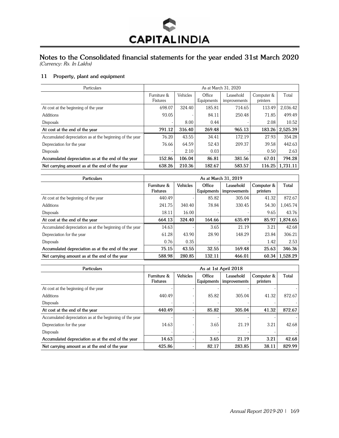

### **Notes to the Consolidated financial statements for the year ended 31st March 2020** (Currency: Rs. In Lakhs)

### **11 Property, plant and equipment**

| Particulars                                              |             | As at March 31, 2020 |            |              |            |          |
|----------------------------------------------------------|-------------|----------------------|------------|--------------|------------|----------|
|                                                          | Furniture & | Vehicles             | Office     | Leasehold    | Computer & | Total    |
|                                                          | Fixtures    |                      | Equipments | improvements | printers   |          |
| At cost at the beginning of the year                     | 698.07      | 324.40               | 185.81     | 714.65       | 113.49     | 2,036.42 |
| <b>Additions</b>                                         | 93.05       |                      | 84.11      | 250.48       | 71.85      | 499.49   |
| <b>Disposals</b>                                         |             | 8.00                 | 0.44       |              | 2.08       | 10.52    |
| At cost at the end of the year                           | 791.12      | 316.40               | 269.48     | 965.13       | 183.26     | 2,525.39 |
| Accumulated depreciation as at the beginning of the year | 76.20       | 43.55                | 34.41      | 172.19       | 27.93      | 354.28   |
| Depreciation for the year                                | 76.66       | 64.59                | 52.43      | 209.37       | 39.58      | 442.63   |
| <b>Disposals</b>                                         |             | 2.10                 | 0.03       |              | 0.50       | 2.63     |
| Accumulated depreciation as at the end of the year       | 152.86      | 106.04               | 86.81      | 381.56       | 67.01      | 794.28   |
| Net carrying amount as at the end of the year            | 638.26      | 210.36               | 182.67     | 583.57       | 116.25     | 1,731.11 |

| <b>Particulars</b>                                       | As at March 31, 2019           |                 |                      |                           |                        |              |
|----------------------------------------------------------|--------------------------------|-----------------|----------------------|---------------------------|------------------------|--------------|
|                                                          | Furniture &<br><b>Fixtures</b> | <b>Vehicles</b> | Office<br>Equipments | Leasehold<br>improvements | Computer &<br>printers | <b>Total</b> |
| At cost at the beginning of the year                     | 440.49                         |                 | 85.82                | 305.04                    | 41.32                  | 872.67       |
| <b>Additions</b>                                         | 241.75                         | 340.40          | 78.84                | 330.45                    | 54.30                  | 1.045.74     |
| <b>Disposals</b>                                         | 18.11                          | 16.00           |                      |                           | 9.65                   | 43.76        |
| At cost at the end of the year                           | 664.13                         | 324.40          | 164.66               | 635.49                    | 85.97                  | 1,874.65     |
| Accumulated depreciation as at the beginning of the year | 14.63                          |                 | 3.65                 | 21.19                     | 3.21                   | 42.68        |
| Depreciation for the year                                | 61.28                          | 43.90           | 28.90                | 148.29                    | 23.84                  | 306.21       |
| <b>Disposals</b>                                         | 0.76                           | 0.35            |                      |                           | 1.42                   | 2.53         |
| Accumulated depreciation as at the end of the year       | 75.15                          | 43.55           | 32.55                | 169.48                    | 25.63                  | 346.36       |
| Net carrying amount as at the end of the year            | 588.98                         | 280.85          | 132.11               | 466.01                    | 60.34                  | 1,528.29     |

| <b>Particulars</b>                                       | As at 1st April 2018           |                 |                      |                           |                        |              |
|----------------------------------------------------------|--------------------------------|-----------------|----------------------|---------------------------|------------------------|--------------|
|                                                          | Furniture &<br><b>Fixtures</b> | <b>Vehicles</b> | Office<br>Equipments | Leasehold<br>improvements | Computer &<br>printers | <b>Total</b> |
| At cost at the beginning of the year                     |                                |                 |                      |                           |                        |              |
| <b>Additions</b>                                         | 440.49                         |                 | 85.82                | 305.04                    | 41.32                  | 872.67       |
| <b>Disposals</b>                                         |                                |                 |                      |                           |                        |              |
| At cost at the end of the year                           | 440.49                         |                 | 85.82                | 305.04                    | 41.32                  | 872.67       |
| Accumulated depreciation as at the beginning of the year |                                |                 |                      |                           |                        |              |
| Depreciation for the year                                | 14.63                          |                 | 3.65                 | 21.19                     | 3.21                   | 42.68        |
| <b>Disposals</b>                                         |                                |                 |                      |                           |                        |              |
| Accumulated depreciation as at the end of the year       | 14.63                          |                 | 3.65                 | 21.19                     | 3.21                   | 42.68        |
| Net carrying amount as at the end of the year            | 425.86                         |                 | 82.17                | 283.85                    | 38.11                  | 829.99       |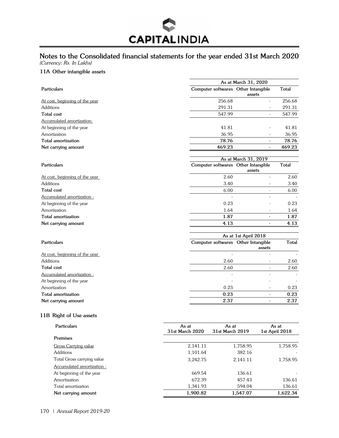

(Currency: Rs. In Lakhs)

#### **11A Other intangible assets**

|                                |                                                      | As at March 31, 2020    |  |  |  |  |
|--------------------------------|------------------------------------------------------|-------------------------|--|--|--|--|
| Particulars                    | Computer softwares Other Intangible<br>assets        | <b>Total</b>            |  |  |  |  |
| At cost, beginning of the year | 256.68                                               | 256.68                  |  |  |  |  |
| Additions                      | 291.31<br>÷,                                         | 291.31                  |  |  |  |  |
| <b>Total cost</b>              | 547.99<br>$\overline{\phantom{m}}$                   | 547.99                  |  |  |  |  |
| Accumulated amortization:      |                                                      |                         |  |  |  |  |
| At beginning of the year       | 41.81                                                | 41.81                   |  |  |  |  |
| Amortization                   | 36.95                                                | 36.95                   |  |  |  |  |
| Total amortization             | 78.76<br>÷,                                          | 78.76                   |  |  |  |  |
| Net carrying amount            | 469.23<br>÷,                                         | 469.23                  |  |  |  |  |
|                                | As at March 31, 2019                                 |                         |  |  |  |  |
| <b>Particulars</b>             | Computer softwares Other Intangible<br>assets        | <b>Total</b>            |  |  |  |  |
| At cost, beginning of the year | 2.60<br>L,                                           | 2.60                    |  |  |  |  |
| <b>Additions</b>               | 3.40                                                 | 3.40                    |  |  |  |  |
| <b>Total cost</b>              | 6.00<br>L,                                           | 6.00                    |  |  |  |  |
| Accumulated amortization:      |                                                      |                         |  |  |  |  |
| At beginning of the year       | 0.23                                                 | 0.23                    |  |  |  |  |
| Amortization                   | 1.64                                                 | 1.64                    |  |  |  |  |
| <b>Total amortization</b>      | 1.87<br>L,                                           | 1.87                    |  |  |  |  |
| Net carrying amount            | 4.13<br>L.                                           | 4.13                    |  |  |  |  |
|                                | As at 1st April 2018                                 |                         |  |  |  |  |
| <b>Particulars</b>             | Computer softwares Other Intangible<br>assets        | Total                   |  |  |  |  |
| At cost, beginning of the year |                                                      |                         |  |  |  |  |
| <b>Additions</b>               | 2.60                                                 | 2.60                    |  |  |  |  |
| <b>Total cost</b>              | 2.60                                                 | 2.60                    |  |  |  |  |
| Accumulated amortization:      |                                                      |                         |  |  |  |  |
| At beginning of the year       |                                                      |                         |  |  |  |  |
| Amortization                   | 0.23<br>÷,                                           | 0.23                    |  |  |  |  |
| <b>Total amortization</b>      | 0.23<br>÷,                                           | 0.23                    |  |  |  |  |
| Net carrying amount            | 2.37<br>÷                                            | 2.37                    |  |  |  |  |
| 11B Right of Use assets        |                                                      |                         |  |  |  |  |
| <b>Particulars</b>             | As at<br>As at<br>31st March 2020<br>31st March 2019 | As at<br>1st April 2018 |  |  |  |  |

|                            | 31st March 2020 | 31st March 2019 | 1st April 2018 |
|----------------------------|-----------------|-----------------|----------------|
| <b>Premises</b>            |                 |                 |                |
| Gross Carrying value       | 2,141.11        | 1,758.95        | 1,758.95       |
| <b>Additions</b>           | 1,101.64        | 382.16          |                |
| Total Gross carrying value | 3.242.75        | 2.141.11        | 1,758.95       |
| Accumulated amortization:  |                 |                 |                |
| At beginning of the year   | 669.54          | 136.61          |                |
| Amortization               | 672.39          | 457.43          | 136.61         |
| Total amortization         | 1,341.93        | 594.04          | 136.61         |
| Net carrying amount        | 1,900.82        | 1.547.07        | 1.622.34       |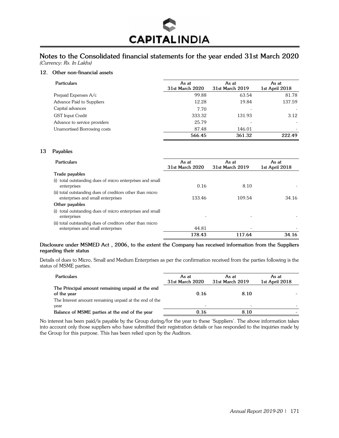

(Currency: Rs. In Lakhs)

#### **12. Other non-financial assets**

| <b>Particulars</b>           | As at<br>31st March 2020 | As at<br>31st March 2019 | As at<br>1st April 2018 |
|------------------------------|--------------------------|--------------------------|-------------------------|
| Prepaid Expenses A/c         | 99.88                    | 63.54                    | 81.78                   |
| Advance Paid to Suppliers    | 12.28                    | 19.84                    | 137.59                  |
| Capital advances             | 7.70                     | $\overline{\phantom{a}}$ |                         |
| <b>GST</b> Input Credit      | 333.32                   | 131.93                   | 3.12                    |
| Advance to service providers | 25.79                    |                          |                         |
| Unamortised Borrowing costs  | 87.48                    | 146.01                   |                         |
|                              | 566.45                   | 361.32                   | 222.49                  |

#### **13 Payables**

| <b>Particulars</b>                                                                             | As at           | As at                    | As at          |
|------------------------------------------------------------------------------------------------|-----------------|--------------------------|----------------|
|                                                                                                | 31st March 2020 | 31st March 2019          | 1st April 2018 |
| Trade payables                                                                                 |                 |                          |                |
| (i) total outstanding dues of micro enterprises and small<br>enterprises                       | 0.16            | 8.10                     |                |
| (ii) total outstanding dues of creditors other than micro<br>enterprises and small enterprises | 133.46          | 109.54                   | 34.16          |
| Other payables                                                                                 |                 |                          |                |
| (i) total outstanding dues of micro enterprises and small<br>enterprises                       |                 |                          |                |
| (ii) total outstanding dues of creditors other than micro<br>enterprises and small enterprises | 44.81           | $\overline{\phantom{a}}$ |                |
|                                                                                                | 178.43          | 117.64                   | 34 16          |

#### **Disclosure under MSMED Act , 2006, to the extent the Company has received information from the Suppliers regarding their status**

Details of dues to Micro, Small and Medium Enterprises as per the confirmation received from the parties following is the status of MSME parties.

| <b>Particulars</b>                                              | As at<br>31st March 2020 | As at<br>31st March 2019 | As at<br>1st April 2018 |
|-----------------------------------------------------------------|--------------------------|--------------------------|-------------------------|
| The Principal amount remaining unpaid at the end<br>of the year | 0.16                     | 8.10                     |                         |
| The Interest amount remaining unpaid at the end of the          |                          |                          |                         |
| year                                                            | $\overline{\phantom{a}}$ | $\overline{\phantom{a}}$ |                         |
| Balance of MSME parties at the end of the year                  | 0.16                     | 8.10                     |                         |

No interest has been paid/is payable by the Group during/for the year to these 'Suppliers'. The above information takes into account only those suppliers who have submitted their registration details or has responded to the inquiries made by the Group for this purpose. This has been relied upon by the Auditors.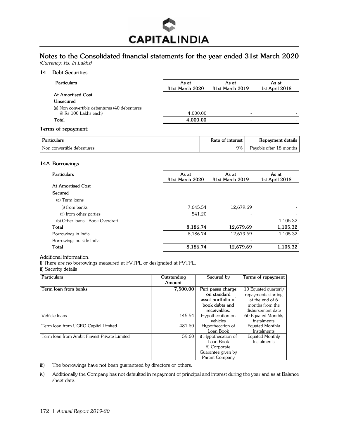

(Currency: Rs. In Lakhs)

#### **14 Debt Securities**

| <b>Particulars</b>                            | As at<br>31st March 2020 | As at<br>31st March 2019 | As at<br>1st April 2018 |
|-----------------------------------------------|--------------------------|--------------------------|-------------------------|
| At Amortised Cost                             |                          |                          |                         |
| Unsecured                                     |                          |                          |                         |
| (a) Non convertible debentures (40 debentures |                          |                          |                         |
| @ Rs 100 Lakhs each)                          | 4.000.00                 | $\overline{\phantom{a}}$ |                         |
| Total                                         | 4,000.00                 | -                        |                         |

| Particulars                | Rate of interest | Repayment details       |
|----------------------------|------------------|-------------------------|
| Non convertible debentures | 9%               | Pavable after 18 months |

#### **14A Borrowings**

| <b>Particulars</b>               | As at<br>31st March 2020 | As at<br>31st March 2019 | As at<br>1st April 2018 |
|----------------------------------|--------------------------|--------------------------|-------------------------|
| At Amortised Cost                |                          |                          |                         |
| Secured                          |                          |                          |                         |
| (a) Term loans                   |                          |                          |                         |
| (i) from banks                   | 7,645.54                 | 12.679.69                |                         |
| (ii) from other parties          | 541.20                   | ۰                        |                         |
| (b) Other Ioans - Book Overdraft |                          |                          | 1,105.32                |
| Total                            | 8,186.74                 | 12,679.69                | 1,105.32                |
| Borrowings in India              | 8,186.74                 | 12,679.69                | 1,105.32                |
| Borrowings outside India         | ۰                        | ۰                        |                         |
| Total                            | 8,186.74                 | 12,679.69                | 1,105.32                |

Additional information:

i) There are no borrowings measured at FVTPL or designated at FVTPL.

ii) Security details

| Particulars                                  | Outstanding<br>Amount | Secured by          | Terms of repayment   |
|----------------------------------------------|-----------------------|---------------------|----------------------|
| Term loan from banks                         | 7,500.00              | Pari passu charge   | 10 Equated quarterly |
|                                              |                       | on standard         | repayments starting  |
|                                              |                       | asset portfolio of  | at the end of 6      |
|                                              |                       | book debts and      | months from the      |
|                                              |                       | receivables.        | disbursement date    |
| Vehicle loans                                | 145.54                | Hypothecation on    | 60 Equated Monthly   |
|                                              |                       | vehicles            | <i>instalments</i>   |
| Term loan from UGRO Capital Limited          | 481.60                | Hypothecation of    | Equated Monthly      |
|                                              |                       | Loan Book           | <b>Instalments</b>   |
| Term loan from Ambit Finyest Private Limited | 59.60                 | i) Hypothecation of | Equated Monthly      |
|                                              |                       | Loan Book           | <b>Instalments</b>   |
|                                              |                       | ii) Corporate       |                      |
|                                              |                       | Guarantee given by  |                      |
|                                              |                       | Parent Company      |                      |

iii) The borrowings have not been guaranteed by directors or others.

iv) Additionally the Company has not defaulted in repayment of principal and interest during the year and as at Balance sheet date.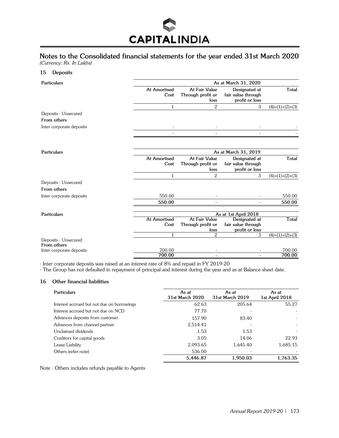

(Currency: Rs. In Lakhs)

## **15 Deposits**

| <b>Particulars</b>                  |                     |                      | As at March 31, 2020 |                              |  |  |
|-------------------------------------|---------------------|----------------------|----------------------|------------------------------|--|--|
|                                     | <b>At Amortised</b> | At Fair Value        | Designated at        | Total                        |  |  |
|                                     | Cost                | Through profit or    | fair value through   |                              |  |  |
|                                     |                     | loss                 | profit or loss       |                              |  |  |
|                                     | 1                   | $\overline{2}$       | 3                    | $(4)=(1)+(2)+(3)$            |  |  |
| Deposits - Unsecured                |                     |                      |                      |                              |  |  |
| From others                         |                     |                      |                      |                              |  |  |
| Inter corporate deposits            |                     |                      |                      |                              |  |  |
|                                     |                     |                      |                      |                              |  |  |
|                                     |                     |                      |                      |                              |  |  |
| <b>Particulars</b>                  |                     | As at March 31, 2019 |                      |                              |  |  |
|                                     | <b>At Amortised</b> | <b>At Fair Value</b> | Designated at        | <b>Total</b>                 |  |  |
|                                     | Cost                | Through profit or    | fair value through   |                              |  |  |
|                                     |                     | loss                 | profit or loss       |                              |  |  |
|                                     | 1                   | $\overline{2}$       | 3                    | $(4)=(1)+(2)+(3)$            |  |  |
| Deposits - Unsecured                |                     |                      |                      |                              |  |  |
| From others                         |                     |                      |                      |                              |  |  |
| Inter corporate deposits            | 550.00              |                      |                      | 550.00                       |  |  |
|                                     | 550.00              |                      |                      | 550.00                       |  |  |
|                                     |                     |                      |                      |                              |  |  |
| <b>Particulars</b>                  |                     |                      | As at 1st April 2018 |                              |  |  |
|                                     | <b>At Amortised</b> | <b>At Fair Value</b> | Designated at        | Total                        |  |  |
|                                     | Cost                | Through profit or    | fair value through   |                              |  |  |
|                                     |                     | loss                 | profit or loss       |                              |  |  |
|                                     |                     | 2                    | 3                    | $\overline{(4)}=(1)+(2)+(3)$ |  |  |
| Deposits - Unsecured<br>From others |                     |                      |                      |                              |  |  |
| Inter corporate deposits            | 700.00              |                      |                      | 700.00                       |  |  |
|                                     | 700.00              |                      |                      | 700.00                       |  |  |

- Inter corporate deposits was raised at an interest rate of 8% and repaid in FY 2019-20

- The Group has not defaulted in repayment of principal and interest during the year and as at Balance sheet date.

#### **16 Other financial liabilities**

| <b>Particulars</b>                         | As at<br>31st March 2020 | As at<br>31st March 2019 | As at<br>1st April 2018 |
|--------------------------------------------|--------------------------|--------------------------|-------------------------|
| Interest accrued but not due on borrowings | 62.63                    | 205.64                   | 55.27                   |
| Interest accrued but not due on NCD        | 77.70                    |                          |                         |
| Advances deposits from customer            | 157.90                   | 83.40                    |                         |
| Advances from channel partner              | 2,514.41                 |                          |                         |
| Unclaimed dividends                        | 1.53                     | 1.53                     |                         |
| Creditors for capital goods                | 3.05                     | 14.06                    | 22.93                   |
| Lease Liability                            | 2,093.65                 | 1,645.40                 | 1,685.15                |
| Others (refer note)                        | 536.00                   |                          |                         |
|                                            | 5,446.87                 | 1,950.03                 | 1,763.35                |

Note : Others includes refunds payable to Agents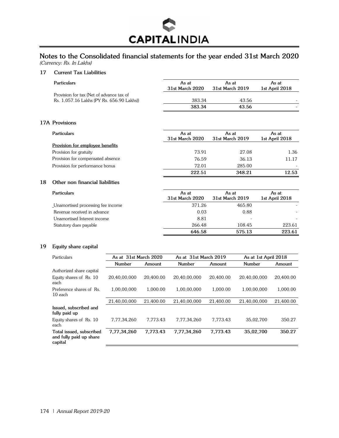

### **Notes to the Consolidated financial statements for the year ended 31st March 2020** (Currency: Rs. In Lakhs)

#### **17 Current Tax Liabilities**

| As at<br>31st March 2020                                                                                                                                                                                                                   | As at<br>31st March 2019 | As at<br>1st April 2018 |
|--------------------------------------------------------------------------------------------------------------------------------------------------------------------------------------------------------------------------------------------|--------------------------|-------------------------|
| 383.34                                                                                                                                                                                                                                     | 43.56                    |                         |
| 383.34                                                                                                                                                                                                                                     | 43.56                    |                         |
|                                                                                                                                                                                                                                            |                          |                         |
| As at<br>31st March 2020                                                                                                                                                                                                                   | As at<br>31st March 2019 | As at<br>1st April 2018 |
|                                                                                                                                                                                                                                            |                          |                         |
| 73.91                                                                                                                                                                                                                                      | 27.08                    | 1.36                    |
| 76.59                                                                                                                                                                                                                                      | 36.13                    | 11.17                   |
| 72.01                                                                                                                                                                                                                                      | 285.00                   |                         |
| 222.51                                                                                                                                                                                                                                     | 348.21                   | 12.53                   |
|                                                                                                                                                                                                                                            |                          |                         |
| As at<br>31st March 2020                                                                                                                                                                                                                   | As at<br>31st March 2019 | As at<br>1st April 2018 |
| Provision for tax (Net of advance tax of<br>Rs. 1,057.16 Lakhs (PY Rs. 656.90 Lakhs))<br><b>Provision for employee benefits</b><br>Provision for compensated absence<br>Provision for performance bonus<br>Other non financial liabilities |                          |                         |

|                                   | 31st March 2020 | 31st March 2019          | 1st April 2018 |
|-----------------------------------|-----------------|--------------------------|----------------|
| Unamortised processing fee income | 371.26          | 465.80                   |                |
| Revenue received in advance       | 0.03            | 0.88                     |                |
| Unamortised Interest income       | 8.81            | $\overline{\phantom{a}}$ |                |
| Statutory dues payable            | 266.48          | 108.45                   | 223.61         |
|                                   | 646.58          | 575.13                   | 223.61         |
|                                   |                 |                          |                |

### **19 Equity share capital**

| Particulars                                                    |              | As at 31st March 2020<br>As at 31st March 2019<br>As at 1st April 2018 |              |           |              |           |
|----------------------------------------------------------------|--------------|------------------------------------------------------------------------|--------------|-----------|--------------|-----------|
|                                                                | Number       | Amount                                                                 | Number       | Amount    | Number       | Amount    |
| Authorized share capital                                       |              |                                                                        |              |           |              |           |
| Equity shares of Rs. 10<br>each                                | 20,40,00,000 | 20.400.00                                                              | 20,40,00,000 | 20.400.00 | 20,40,00,000 | 20,400.00 |
| Preference shares of Rs.<br>$10$ each                          | 1,00,00,000  | 1.000.00                                                               | 1,00,00,000  | 1.000.00  | 1,00,00,000  | 1,000.00  |
|                                                                | 21,40,00,000 | 21.400.00                                                              | 21.40.00.000 | 21.400.00 | 21,40,00,000 | 21,400.00 |
| Issued, subscribed and<br>fully paid up                        |              |                                                                        |              |           |              |           |
| Equity shares of Rs. 10<br>each                                | 7,77,34,260  | 7.773.43                                                               | 7,77,34,260  | 7,773.43  | 35,02,700    | 350.27    |
| Total issued, subscribed<br>and fully paid up share<br>capital | 7,77,34,260  | 7,773.43                                                               | 7,77,34,260  | 7.773.43  | 35,02,700    | 350.27    |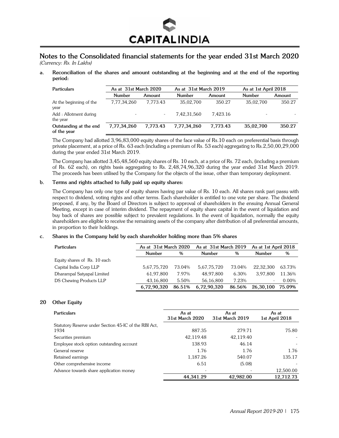

#### **Notes to the Consolidated financial statements for the year ended 31st March 2020** (Currency: Rs. In Lakhs)

**a. Reconciliation of the shares and amount outstanding at the beginning and at the end of the reporting period:**

| <b>Particulars</b>                    | As at 31st March 2020    | As at 31st March 2019<br>As at 1st April 2018 |             |          |               |        |
|---------------------------------------|--------------------------|-----------------------------------------------|-------------|----------|---------------|--------|
|                                       | Number                   | Amount                                        | Number      | Amount   | <b>Number</b> | Amount |
| At the beginning of the<br>year       | 7,77,34,260              | 7.773.43                                      | 35,02,700   | 350.27   | 35,02,700     | 350.27 |
| Add : Allotment during<br>the year    | $\overline{\phantom{a}}$ | $\overline{\phantom{0}}$                      | 7.42.31.560 | 7.423.16 |               |        |
| Outstanding at the end<br>of the year | 7,77,34,260              | 7.773.43                                      | 7,77,34,260 | 7.773.43 | 35,02,700     | 350.27 |

The Company had allotted 3,96,83,000 equity shares of the face value of Rs.10 each on preferential basis through private placement, at a price of Rs. 63 each (including a premium of Rs. 53 each) aggregating to Rs.2,50,00,29,000 during the year ended 31st March 2019.

The Company has allotted 3,45,48,560 equity shares of Rs. 10 each, at a price of Rs. 72 each, (including a premium of Rs. 62 each), on rights basis aggregating to Rs. 2,48,74,96,320 during the year ended 31st March 2019. The proceeds has been utilised by the Company for the objects of the issue, other than temporary deployment.

#### **b. Terms and rights attached to fully paid up equity shares:**

The Company has only one type of equity shares having par value of Rs. 10 each. All shares rank pari passu with respect to dividend, voting rights and other terms. Each shareholder is entitled to one vote per share. The dividend proposed, if any, by the Board of Directors is subject to approval of shareholders in the ensuing Annual General Meeting, except in case of interim dividend. The repayment of equity share capital in the event of liquidation and buy back of shares are possible subject to prevalent regulations. In the event of liquidation, normally the equity shareholders are eligible to receive the remaining assets of the company after distribution of all preferential amounts, in proportion to their holdings.

#### **c. Shares in the Company held by each shareholder holding more than 5% shares**

| <b>Particulars</b>           | As at 31st March 2020 |        | As at 31st March 2019 |        | As at 1st April 2018     |        |
|------------------------------|-----------------------|--------|-----------------------|--------|--------------------------|--------|
|                              | Number                | %      | Number                | %      | Number                   | %      |
| Equity shares of Rs. 10 each |                       |        |                       |        |                          |        |
| Capital India Corp LLP       | 5,67,75,720           | 73.04% | 5,67,75,720           | 73.04% | 22,32,300                | 63.73% |
| Dharampal Satyapal Limited   | 61,97,800             | 7.97%  | 48,97,800             | 6.30%  | 3.97.800                 | 11.36% |
| DS Chewing Products LLP      | 43,16,800             | 5.50%  | 56,16,800             | 7.23%  | $\overline{\phantom{a}}$ | 0.00%  |
|                              | 6,72,90,320           | 86.51% | 6,72,90,320           | 86.56% | 26,30,100                | 75.09% |

#### **20 Other Equity**

| <b>Particulars</b>                                            | As at<br>31st March 2020 | As at<br>31st March 2019 | As at<br>1st April 2018 |
|---------------------------------------------------------------|--------------------------|--------------------------|-------------------------|
| Statutory Reserve under Section 45-IC of the RBI Act,<br>1934 | 887.35                   | 279.71                   | 75.80                   |
| Securities premium                                            | 42,119.48                | 42,119.40                |                         |
| Employee stock option outstanding account                     | 138.93                   | 46.14                    |                         |
| General reserve                                               | 1.76                     | 1.76                     | 1.76                    |
| Retained earnings                                             | 1,187.26                 | 540.07                   | 135.17                  |
| Other comprehensive income                                    | 6.51                     | (5.08)                   |                         |
| Advance towards share application money                       | $\overline{\phantom{a}}$ |                          | 12,500.00               |
|                                                               | 44.341.29                | 42.982.00                | 12.712.73               |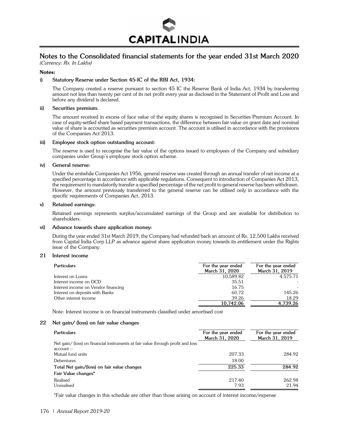

(Currency: Rs. In Lakhs)

#### *Notes:*

#### **i) Statutory Reserve under Section 45-IC of the RBI Act, 1934:**

The Company created a reserve pursuant to section 45 IC the Reserve Bank of India Act, 1934 by transferring amount not less than twenty per cent of its net profit every year as disclosed in the Statement of Profit and Loss and before any dividend is declared.

#### **ii) Securities premium:**

The amount received in excess of face value of the equity shares is recognised in Securities Premium Account. In case of equity-settled share based payment transactions, the difference between fair value on grant date and nominal value of share is accounted as securities premium account. The account is utilised in accordance with the provisions of the Companies Act 2013.

#### **iii) Employee stock option outstanding account:**

The reserve is used to recognise the fair value of the options issued to employees of the Company and subsidiary companies under Group's employee stock option scheme.

#### **iv) General reserve:**

Under the erstwhile Companies Act 1956, general reserve was created through an annual transfer of net income at a specified percentage in accordance with applicable regulations. Consequent to introduction of Companies Act 2013, the requirement to mandatorily transfer a specified percentage of the net profit to general reserve has been withdrawn. However, the amount previously transferred to the general reserve can be utilised only in accordance with the specific requirements of Companies Act, 2013.

#### **v) Retained earnings:**

Retained earnings represents surplus/accumulated earnings of the Group and are available for distribution to shareholders.

#### **vi) Advance towards share application money:**

During the year ended 31st March 2019, the Company had refunded back an amount of Rs. 12,500 Lakhs received from Capital India Corp LLP as advance against share application money towards its entitlement under the Rights issue of the Company.

#### **21 Interest income**

| <b>Particulars</b>                  | For the year ended<br>March 31, 2020 | For the year ended<br>March 31, 2019 |
|-------------------------------------|--------------------------------------|--------------------------------------|
| Interest on Loans                   | 10,589.82                            | 4,575.71                             |
| Interest income on OCD              | 35.51                                |                                      |
| Interest income on Vendor financing | 16.75                                |                                      |
| Interest on deposits with Banks     | 60.72                                | 145.26                               |
| Other interest income               | 39.26                                | 18.29                                |
|                                     | 10.742.06                            | 4.739.26                             |

Note: Interest income is on financial instruments classified under amortised cost

#### **22 Net gain/ (loss) on fair value changes**

| <b>Particulars</b>                                                              | For the year ended<br>March 31, 2020 | For the year ended<br>March 31, 2019 |
|---------------------------------------------------------------------------------|--------------------------------------|--------------------------------------|
| Net gain/ (loss) on financial instruments at fair value through profit and loss |                                      |                                      |
| account :-                                                                      |                                      |                                      |
| Mutual fund units                                                               | 207.33                               | 284.92                               |
| Debentures                                                                      | 18.00                                |                                      |
| Total Net gain/(loss) on fair value changes                                     | 225.33                               | 284.92                               |
| Fair Value changes*                                                             |                                      |                                      |
| Realised                                                                        | 217.40                               | 262.98                               |
| Unrealised                                                                      | 7.93                                 | 21.94                                |

\*Fair value changes in this schedule are other than those arising on account of interest income/expense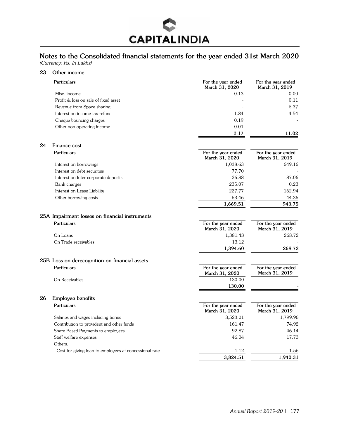

(Currency: Rs. In Lakhs)

| 23 | Other income                                             |                                      |                                      |
|----|----------------------------------------------------------|--------------------------------------|--------------------------------------|
|    | Particulars                                              | For the year ended<br>March 31, 2020 | For the year ended<br>March 31, 2019 |
|    | Misc. income                                             | 0.13                                 | 0.00                                 |
|    | Profit & loss on sale of fixed asset                     |                                      | 0.11                                 |
|    | Revenue from Space sharing                               |                                      | 6.37                                 |
|    | Interest on income tax refund                            | 1.84                                 | 4.54                                 |
|    | Cheque bouncing charges                                  | 0.19                                 |                                      |
|    | Other non operating income                               | 0.01                                 |                                      |
|    |                                                          | 2.17                                 | 11.02                                |
| 24 | Finance cost                                             |                                      |                                      |
|    | <b>Particulars</b>                                       | For the year ended<br>March 31, 2020 | For the year ended<br>March 31, 2019 |
|    | Interest on borrowings                                   | 1,038.63                             | 649.16                               |
|    | Interest on debt securities                              | 77.70                                |                                      |
|    | Interest on Inter corporate deposits                     | 26.88                                | 87.06                                |
|    | Bank charges                                             | 235.07                               | 0.23                                 |
|    | Interest on Lease Liability                              | 227.77                               | 162.94                               |
|    | Other borrowing costs                                    | 63.46                                | 44.36                                |
|    |                                                          | 1,669.51                             | 943.75                               |
|    | 25A Impairment losses on financial instruments           |                                      |                                      |
|    | <b>Particulars</b>                                       | For the year ended<br>March 31, 2020 | For the year ended<br>March 31, 2019 |
|    | On Loans                                                 | 1,381.48                             | 268.72                               |
|    | On Trade receivables                                     | 13.12                                |                                      |
|    |                                                          | 1,394.60                             | 268.72                               |
|    | 25B Loss on derecognition on financial assets            |                                      |                                      |
|    | <b>Particulars</b>                                       | For the year ended<br>March 31, 2020 | For the year ended<br>March 31, 2019 |
|    | On Receivables                                           | 130.00                               |                                      |
|    |                                                          | 130.00                               |                                      |
| 26 | Employee benefits                                        |                                      |                                      |
|    | <b>Particulars</b>                                       | For the year ended<br>March 31, 2020 | For the year ended<br>March 31, 2019 |
|    | Salaries and wages including bonus                       | 3,523.01                             | 1,799.96                             |
|    | Contribution to provident and other funds                | 161.47                               | 74.92                                |
|    | Share Based Payments to employees                        | 92.87                                | 46.14                                |
|    | Staff welfare expenses                                   | 46.04                                | 17.73                                |
|    | Others:                                                  |                                      |                                      |
|    | - Cost for giving loan to employees at concessional rate | 1.12                                 | 1.56                                 |
|    |                                                          | 3,824.51                             | 1,940.31                             |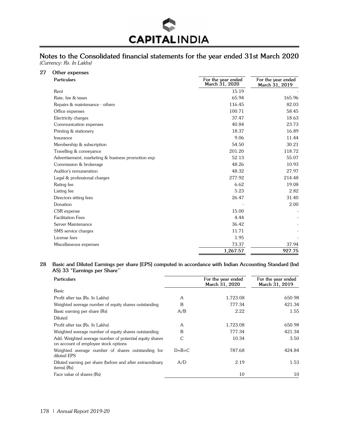

(Currency: Rs. In Lakhs)

| 27 | Other expenses                                    |                                      |                                      |
|----|---------------------------------------------------|--------------------------------------|--------------------------------------|
|    | <b>Particulars</b>                                | For the year ended<br>March 31, 2020 | For the year ended<br>March 31, 2019 |
|    | Rent                                              | 15.19                                |                                      |
|    | Rate, fee & taxes                                 | 65.94                                | 165.96                               |
|    | Repairs & maintenance - others                    | 116.45                               | 82.03                                |
|    | Office expenses                                   | 100.71                               | 58.45                                |
|    | Electricity charges                               | 37.47                                | 18.63                                |
|    | Communication expenses                            | 40.84                                | 23.73                                |
|    | Printing & stationery                             | 18.37                                | 16.89                                |
|    | Insurance                                         | 9.06                                 | 11.44                                |
|    | Membership & subscription                         | 54.50                                | 30.21                                |
|    | Travelling & conveyance                           | 201.20                               | 118.72                               |
|    | Advertisement, marketing & business promotion exp | 52.13                                | 55.07                                |
|    | Commission & brokerage                            | 48.26                                | 10.93                                |
|    | Auditor's remuneration                            | 48.32                                | 27.97                                |
|    | Legal & professional charges                      | 277.92                               | 214.48                               |
|    | Rating fee                                        | 6.62                                 | 19.08                                |
|    | Listing fee                                       | 5.23                                 | 2.82                                 |
|    | Directors sitting fees                            | 26.47                                | 31.40                                |
|    | Donation                                          |                                      | 2.00                                 |
|    | CSR expense                                       | 15.00                                |                                      |
|    | <b>Facilitation Fees</b>                          | 4.44                                 |                                      |
|    | Server Maintenance                                | 36.42                                |                                      |
|    | SMS service charges                               | 11.71                                |                                      |
|    | License fees                                      | 1.95                                 |                                      |
|    | Miscellaneous expenses                            | 73.37                                | 37.94                                |
|    |                                                   | 1,267.57                             | 927.75                               |

#### **28 Basic and Diluted Earnings per share [EPS] computed in accordance with Indian Accounting Standard (Ind AS) 33 "Earnings per Share''**

| <b>Particulars</b>                                                                              |         | For the year ended<br>March 31, 2020 | For the year ended<br>March 31, 2019 |
|-------------------------------------------------------------------------------------------------|---------|--------------------------------------|--------------------------------------|
| Basic                                                                                           |         |                                      |                                      |
| Profit after tax (Rs. In Lakhs)                                                                 | A       | 1,723.08                             | 650.98                               |
| Weighted average number of equity shares outstanding                                            | B       | 777.34                               | 421.34                               |
| Basic earning per share (Rs)                                                                    | A/B     | 2.22                                 | 1.55                                 |
| Diluted                                                                                         |         |                                      |                                      |
| Profit after tax (Rs. In Lakhs)                                                                 | A       | 1,723.08                             | 650.98                               |
| Weighted average number of equity shares outstanding                                            | B       | 777.34                               | 421.34                               |
| Add: Weighted average number of potential equity shares<br>on account of employee stock options | C       | 10.34                                | 3.50                                 |
| Weighted average number of shares outstanding for<br>diluted EPS                                | $D=B+C$ | 787.68                               | 424.84                               |
| Diluted earning per share (before and after extraordinary<br>items) (Rs)                        | A/D     | 2.19                                 | 1.53                                 |
| Face value of shares (Rs)                                                                       |         | 10                                   | 10                                   |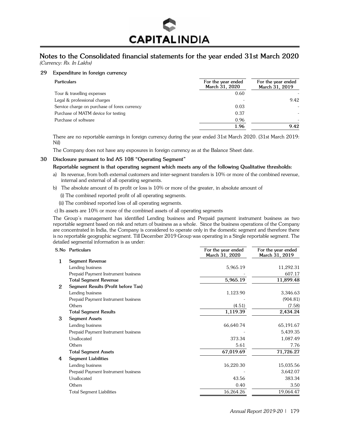

#### **Notes to the Consolidated financial statements for the year ended 31st March 2020** (Currency: Rs. In Lakhs)

#### **29 Expenditure in foreign currency**

| <b>Particulars</b>                           | For the year ended<br>March 31, 2020 | For the year ended<br>March 31, 2019 |
|----------------------------------------------|--------------------------------------|--------------------------------------|
| Tour & travelling expenses                   | 0.60                                 |                                      |
| Legal & professional charges                 |                                      | 9.42                                 |
| Service charge on purchase of forex currency | 0.03                                 |                                      |
| Purchase of MATM device for testing          | 0.37                                 |                                      |
| Purchase of software                         | 0.96                                 |                                      |
|                                              | 1.96                                 | 9.42                                 |

There are no reportable earnings in foreign currency during the year ended 31st March 2020. (31st March 2019: Nil)

The Company does not have any exposures in foreign currency as at the Balance Sheet date.

#### **30 Disclosure pursuant to Ind AS 108 "Operating Segment"**

#### **Reportable segment is that operating segment which meets any of the following Qualitative thresholds:**

- a) Its revenue, from both external customers and inter-segment transfers is 10% or more of the combined revenue, internal and external of all operating segments.
- b) The absolute amount of its profit or loss is 10% or more of the greater, in absolute amount of

(i) The combined reported profit of all operating segments.

- (ii) The combined reported loss of all operating segments.
- c) Its assets are 10% or more of the combined assets of all operating segments

The Group's management has identified Lending business and Prepaid payment instrument business as two reportable segment based on risk and return of business as a whole. Since the business operations of the Company are concentrated in India, the Company is considered to operate only in the domestic segment and therefore there is no reportable geographic segment. Till December 2019 Group was operating in a Single reportable segment. The detailed segmental information is as under:

|   | S.No Particulars                    | For the year ended<br>March 31, 2020 | For the year ended<br>March 31, 2019 |
|---|-------------------------------------|--------------------------------------|--------------------------------------|
| 1 | Segment Revenue                     |                                      |                                      |
|   | Lending business                    | 5,965.19                             | 11,292.31                            |
|   | Prepaid Payment Instrument business |                                      | 607.17                               |
|   | <b>Total Segment Revenue</b>        | 5,965.19                             | 11,899.48                            |
| 2 | Segment Results (Profit before Tax) |                                      |                                      |
|   | Lending business                    | 1,123.90                             | 3,346.63                             |
|   | Prepaid Payment Instrument business |                                      | (904.81)                             |
|   | Others                              | (4.51)                               | (7.58)                               |
|   | <b>Total Segment Results</b>        | 1,119.39                             | 2,434.24                             |
| 3 | <b>Segment Assets</b>               |                                      |                                      |
|   | Lending business                    | 66,640.74                            | 65,191.67                            |
|   | Prepaid Payment Instrument business |                                      | 5,439.35                             |
|   | Unallocated                         | 373.34                               | 1,087.49                             |
|   | Others                              | 5.61                                 | 7.76                                 |
|   | <b>Total Segment Assets</b>         | 67,019.69                            | 71,726.27                            |
| 4 | <b>Segment Liabilities</b>          |                                      |                                      |
|   | Lending business                    | 16,220.30                            | 15,035.56                            |
|   | Prepaid Payment Instrument business |                                      | 3,642.07                             |
|   | Unallocated                         | 43.56                                | 383.34                               |
|   | Others                              | 0.40                                 | 3.50                                 |
|   | <b>Total Segment Liabilities</b>    | 16,264.26                            | 19,064.47                            |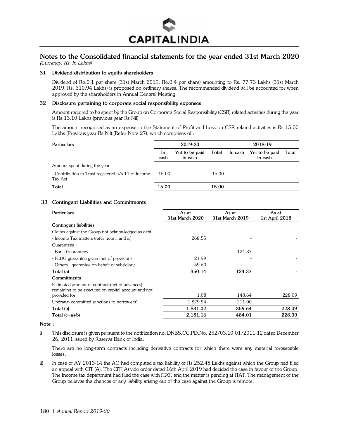

#### **31 Dividend distribution to equity shareholders**

Dividend of Re.0.1 per share (31st March 2019: Re.0.4 per share) amounting to Rs. 77.73 Lakhs (31st March 2019: Rs. 310.94 Lakhs) is proposed on ordinary shares. The recommended dividend will be accounted for when approved by the shareholders in Annual General Meeting.

#### **32 Disclosure pertaining to corporate social responsibility expenses**

Amount required to be spent by the Group on Corporate Social Responsibility (CSR) related activities during the year is Rs 13.10 Lakhs (previous year Rs Nil)

The amount recognised as an expense in the Statement of Profit and Loss on CSR related activities is Rs 15.00 Lakhs (Previous year Rs Nil) (Refer Note 27), which comprises of :

| <b>Particulars</b>                                             |                   | 2019-20                   |       |                          | 2018-19                   |       |
|----------------------------------------------------------------|-------------------|---------------------------|-------|--------------------------|---------------------------|-------|
|                                                                | <b>In</b><br>cash | Yet to be paid<br>in cash | Total | In cash                  | Yet to be paid<br>in cash | Total |
| Amount spent during the year                                   |                   |                           |       |                          |                           |       |
| - Contribution to Trust registered u/s 11 of Income<br>Tax Act | 15.00             | $\overline{\phantom{0}}$  | 15.00 | ٠                        |                           |       |
| <b>Total</b>                                                   | 15.00             |                           | 15.00 | $\overline{\phantom{a}}$ |                           |       |

#### **33 Contingent Liabilities and Commitments**

| <b>Particulars</b>                                                                                                     | As at<br>As at<br>31st March 2020<br>31st March 2019 |        | As at<br>1st April 2018 |  |
|------------------------------------------------------------------------------------------------------------------------|------------------------------------------------------|--------|-------------------------|--|
| <b>Contingent liabilities</b>                                                                                          |                                                      |        |                         |  |
| Claims against the Group not acknowledged as debt                                                                      |                                                      |        |                         |  |
| - Income Tax matters (refer note ii and iii)                                                                           | 268.55                                               |        |                         |  |
| Guarantees                                                                                                             |                                                      |        |                         |  |
| - Bank Guarantees                                                                                                      |                                                      | 124.37 |                         |  |
| - FLDG guarantee given (net of provision)                                                                              | 21.99                                                |        |                         |  |
| - Others - guarantee on behalf of subsidiary                                                                           | 59.60                                                |        |                         |  |
| Total (a)                                                                                                              | 350.14                                               | 124.37 |                         |  |
| Commitments                                                                                                            |                                                      |        |                         |  |
| Estimated amount of contracts (net of advances)<br>remaining to be executed on capital account and not<br>provided for | 1.08                                                 | 148.64 | 228.09                  |  |
| Undrawn committed sanctions to borrowers*                                                                              | 1,829.94                                             | 211.00 |                         |  |
| Total (b)                                                                                                              | 1,831.02                                             | 359.64 | 228.09                  |  |
| $Total (c=a+b)$                                                                                                        | 2,181.16                                             | 484.01 | 228.09                  |  |

#### **Note :**

i) This disclosure is given pursuant to the notification no. DNBS.CC.PD.No. 252/03.10.01/2011-12 dated December 26, 2011 issued by Reserve Bank of India.

There are no long-term contracts including derivative contracts for which there were any material foreseeable losses.

ii) In case of AY 2013-14 the AO had computed a tax liability of Rs.252.48 Lakhs against which the Group had filed an appeal with CIT (A). The CIT( A) vide order dated 16th April 2019 had decided the case in favour of the Group. The Income tax department had filed the case with ITAT, and the matter is pending at ITAT. The management of the Group believes the chances of any liability arising out of the case against the Group is remote.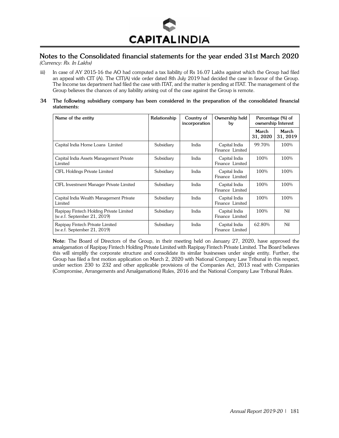

(Currency: Rs. In Lakhs)

iii) In case of AY 2015-16 the AO had computed a tax liability of Rs 16.07 Lakhs against which the Group had filed an appeal with CIT (A). The CIT(A) vide order dated 8th July 2019 had decided the case in favour of the Group. The Income tax department had filed the case with ITAT, and the matter is pending at ITAT. The management of the Group believes the chances of any liability arising out of the case against the Group is remote.

#### **34 The following subsidiary company has been considered in the preparation of the consolidated financial statements:**

| Name of the entity                                                     | Relationship | Country of<br>Ownership held<br>Percentage (%) of<br>ownership Interest<br>incorporation<br>by |                                  |                   |                   |
|------------------------------------------------------------------------|--------------|------------------------------------------------------------------------------------------------|----------------------------------|-------------------|-------------------|
|                                                                        |              |                                                                                                |                                  | March<br>31, 2020 | March<br>31, 2019 |
| Capital India Home Loans Limited                                       | Subsidiary   | India                                                                                          | Capital India<br>Finance Limited | 99.70%            | 100%              |
| Capital India Assets Management Private<br>Limited                     | Subsidiary   | India                                                                                          | Capital India<br>Finance Limited | 100%              | 100%              |
| CIFL Holdings Private Limited                                          | Subsidiary   | India                                                                                          | Capital India<br>Finance Limited | 100%              | 100%              |
| CIFL Investment Manager Private Limited                                | Subsidiary   | India                                                                                          | Capital India<br>Finance Limited | 100%              | 100%              |
| Capital India Wealth Management Private<br>Limited                     | Subsidiary   | India                                                                                          | Capital India<br>Finance Limited | 100%              | 100%              |
| Rapipay Fintech Holding Private Limited<br>(w.e.f. September 21, 2019) | Subsidiary   | India                                                                                          | Capital India<br>Finance Limited | 100%              | Nil               |
| Rapipay Fintech Private Limited<br>(w.e.f. September 21, 2019)         | Subsidiary   | India                                                                                          | Capital India<br>Finance Limited | 62.80%            | Nil               |

**Note:** The Board of Directors of the Group, in their meeting held on January 27, 2020, have approved the amalgamation of Rapipay Fintech Holding Private Limited with Rapipay Fintech Private Limited. The Board believes this will simplify the corporate structure and consolidate its similar businesses under single entity. Further, the Group has filed a first motion application on March 2, 2020 with National Company Law Tribunal in this respect, under section 230 to 232 and other applicable provisions of the Companies Act, 2013 read with Companies (Compromise, Arrangements and Amalgamations) Rules, 2016 and the National Company Law Tribunal Rules.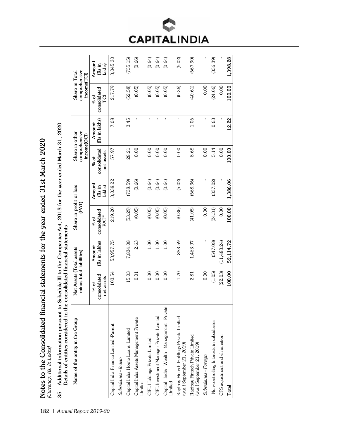| Notes to the Consolidated financial statements for the year ended 31st March 2020<br>(Currency: Rs. In Lakhs)                                                                                 |                                                      |                         |                                  |                            |                                                |                         |                                                            |                            |
|-----------------------------------------------------------------------------------------------------------------------------------------------------------------------------------------------|------------------------------------------------------|-------------------------|----------------------------------|----------------------------|------------------------------------------------|-------------------------|------------------------------------------------------------|----------------------------|
| Additional information pursuant to Schedule III to the Companies Act, 2013 for the year ended March 31, 2020<br>Details of entities considered in the consolidated financial statements<br>35 |                                                      |                         |                                  |                            |                                                |                         |                                                            |                            |
| Name of the entity in the Group                                                                                                                                                               | Net Assets (Total assets<br>minus total liabilities) |                         | Share in profit or loss<br>(PAT) |                            | comprehensive<br>Share in other<br>income(OCI) |                         | comprehensive<br>Share in Total<br>income <sub>(TCI)</sub> |                            |
|                                                                                                                                                                                               | consolidated<br>net assets<br>% of                   | (Rs in lakhs)<br>Amount | consolidated<br>$PAT^"$<br>% of  | Amount<br>(Rs in<br>lakhs) | consolidated<br>net assets<br>% of             | (Rs in lakhs)<br>Amount | consolidated<br>% of<br><b>DT</b>                          | Amount<br>(Rs in<br>lakhs) |
| Capital India Finance Limited -Parent                                                                                                                                                         | 103.54                                               | 53,957.75               | 219.20                           | 3,038.22                   | 57.97                                          | 7.08                    | 217.79                                                     | 3,045.30                   |
| Subsidiaries - Indian                                                                                                                                                                         |                                                      |                         |                                  |                            |                                                |                         |                                                            |                            |
| Capital India Home Loans Limited                                                                                                                                                              | 15.03                                                | 7,834.08                | (53.29)                          | (738.59)                   | 28.21                                          | 3.45                    | (52.58)                                                    | (735.15)                   |
| Capital India Assets Management Private<br>Limited                                                                                                                                            | 0.01                                                 | 2.63                    | (0.05)                           | (0.66)                     | 0.00                                           | $\mathsf{I}$            | (0.05)                                                     | (0.66)                     |
| CIFL Holdings Private Limited                                                                                                                                                                 | 0.00                                                 | 1.00                    | (0.05)                           | (0.64)                     | 0.00                                           | $\bar{\rm I}$           | (0.05)                                                     | (0.64)                     |
| CIFL Investment Manager Private Limited                                                                                                                                                       | 0.00                                                 | 1.00                    | (0.05)                           | (0.64)                     | 0.00                                           | ĭ.                      | (0.05)                                                     | (0.64)                     |
| Capital India Wealth Management Private<br>Limited                                                                                                                                            | 0.00                                                 | 1.00                    | (0.05)                           | (0.64)                     | 0.00                                           |                         | (0.05)                                                     | (0.64)                     |
| Rapipay Fintech Holdings Private Limited<br>(w.e.f September 21, 2019)                                                                                                                        | 1.70                                                 | 883.59                  | (0.36)                           | (5.02)                     | 0.00                                           | I.                      | (0.36)                                                     | (5.02)                     |
| Rapipay Fintech Private Limited<br>(w.e.f September 21, 2019)                                                                                                                                 | 2.81                                                 | 1,463.97                | (41.05)                          | (568.96)                   | 8.68                                           | 1.06                    | (40.61)                                                    | (567.90)                   |
| Subsidiaries - Foreign                                                                                                                                                                        | 0.00                                                 |                         | 0.00                             |                            | 0.00                                           |                         | 0.00                                                       |                            |
| Non-controlling Interests in subsidiaries                                                                                                                                                     | (1.05)                                               | (547.08)                | (24.31)                          | (337.02)                   | 5.14                                           | 0.63                    | (24.06)                                                    | (336.39)                   |
| CFS adjustment and elimination                                                                                                                                                                | (22.03)                                              | (11, 483, 24)           | 0.00                             |                            | 0.00                                           |                         | 0.00                                                       |                            |
| Total                                                                                                                                                                                         | 100.00                                               | 52,114.72               | 100.00                           | 1,386.06                   | 100.00                                         | 12.22                   | 100.00                                                     | 1,398.28                   |

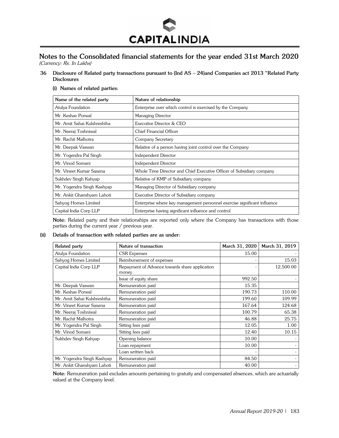

**36 Disclosure of Related party transactions pursuant to (Ind AS – 24)and Companies act 2013 "Related Party Disclosures**

#### **(i) Names of related parties:**

| Name of the related party   | Nature of relationship                                                   |
|-----------------------------|--------------------------------------------------------------------------|
| Atulya Foundation           | Enterprise over which control is exercised by the Company                |
| Mr. Keshav Porwal           | Managing Director                                                        |
| Mr. Amit Sahai Kulshreshtha | Executive Director & CEO                                                 |
| Mr. Neeraj Toshniwal        | Chief Financial Officer                                                  |
| Mr. Rachit Malhotra         | Company Secretary                                                        |
| Mr. Deepak Vaswan           | Relative of a person having joint control over the Company               |
| Mr. Yogendra Pal Singh      | Independent Director                                                     |
| Mr. Vinod Somani            | <b>Independent Director</b>                                              |
| Mr. Vineet Kumar Saxena     | Whole Time Director and Chief Executive Officer of Subsidiary company    |
| Sukhdev Singh Kahyap        | Relative of KMP of Subsidiary company                                    |
| Mr. Yogendra Singh Kashyap  | Managing Director of Subsidiary company                                  |
| Mr. Ankit Ghanshyam Lahoti  | Executive Director of Subsidiary company                                 |
| Sahyog Homes Limited        | Enterprise where key management personnel exercise significant influence |
| Capital India Corp LLP      | Enterprise having significant influence and control                      |

Note: Related party and their relationships are reported only where the Company has transactions with those parties during the current year / previous year.

#### **(ii) Details of transaction with related parties are as under:**

| Related party               | Nature of transaction                                   | March 31, 2020 | March 31, 2019 |
|-----------------------------|---------------------------------------------------------|----------------|----------------|
| Atulya Foundation           | <b>CSR</b> Expenses                                     | 15.00          |                |
| Sahyog Homes Limited        | Reimbursement of expenses                               |                | 15.03          |
| Capital India Corp LLP      | Repayment of Advance towards share application<br>money |                | 12,500.00      |
|                             | Issue of equity share                                   | 992.50         |                |
| Mr. Deepak Vaswan           | Remuneration paid                                       | 15.35          |                |
| Mr. Keshav Porwal           | Remuneration paid                                       | 190.73         | 110.00         |
| Mr. Amit Sahai Kulshreshtha | Remuneration paid                                       | 199.60         | 109.99         |
| Mr. Vineet Kumar Saxena     | Remuneration paid                                       | 167.64         | 124.68         |
| Mr. Neeraj Toshniwal        | Remuneration paid                                       | 100.79         | 65.38          |
| Mr. Rachit Malhotra         | Remuneration paid                                       | 46.88          | 25.75          |
| Mr. Yogendra Pal Singh      | Sitting fees paid                                       | 12.05          | 1.00           |
| Mr. Vinod Somani            | Sitting fees paid                                       | 12.40          | 10.15          |
| Sukhdev Singh Kahyap        | Opening balance                                         | 10.00          |                |
|                             | Loan repayment                                          | 10.00          |                |
|                             | Loan written back                                       |                |                |
| Mr. Yogendra Singh Kashyap  | Remuneration paid                                       | 84.50          |                |
| Mr. Ankit Ghanshyam Lahoti  | Remuneration paid                                       | 40.00          |                |

**Note:** Remuneration paid excludes amounts pertaining to gratuity and compensated absences, which are actuarially valued at the Company level.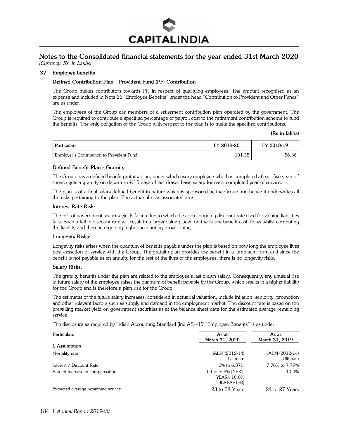

#### **37 Employee benefits**

#### **Defined Contribution Plan - Provident Fund (PF) Contribution**

The Group makes contributors towards PF, in respect of qualifying employees. The amount recognised as an expense and included in Note 26 "Employee Benefits" under the head "Contribution to Provident and Other Funds" are as under.

The employees of the Group are members of a retirement contribution plan operated by the government. The Group is required to contribute a specified percentage of payroll cost to the retirement contribution scheme to fund the benefits. The only obligation of the Group with respect to the plan is to make the specified contributions.

#### **(Rs in lakhs)**

| Particulars                               | FY 2019-20 | FY 2018-19 |
|-------------------------------------------|------------|------------|
| Employer's Contribution to Provident Fund | 101.35     | 56.36      |

#### **Defined Benefit Plan - Gratuity**

The Group has a defined benefit gratuity plan, under which every employee who has completed atleast five years of service gets a gratuity on departure @15 days of last drawn basic salary for each completed year of service.

The plan is of a final salary defined benefit in nature which is sponsored by the Group and hence it underwrites all the risks pertaining to the plan. The actuarial risks associated are:

#### **Interest Rate Risk**:

The risk of government security yields falling due to which the corresponding discount rate used for valuing liabilities falls. Such a fall in discount rate will result in a larger value placed on the future benefit cash flows whilst computing the liability and thereby requiring higher accounting provisioning.

#### **Longevity Risks**:

Longevity risks arises when the quantum of benefits payable under the plan is based on how long the employee lives post cessation of service with the Group. The gratuity plan provides the benefit in a lump sum form and since the benefit is not payable as an annuity for the rest of the lives of the employees, there is no longevity risks.

#### **Salary Risks:**

The gratuity benefits under the plan are related to the employee's last drawn salary. Consequently, any unusual rise in future salary of the employee raises the quantum of benefit payable by the Group, which results in a higher liability for the Group and is therefore a plan risk for the Group.

The estimates of the future salary increases, considered in actuarial valuation, include inflation, seniority, promotion and other relevant factors such as supply and demand in the employment market. The discount rate is based on the prevailing market yield on government securities as at the balance sheet date for the estimated average remaining service.

The disclosure as required by Indian Accounting Standard (Ind AS) -19 "Employee Benefits" is as under.

| <b>Particulars</b>                 | As at<br>March 31, 2020                          | As at<br>March 31, 2019           |
|------------------------------------|--------------------------------------------------|-----------------------------------|
| I. Assumption                      |                                                  |                                   |
| Mortality rate                     | IALM (2012-14)<br><b>Ultimate</b>                | IALM (2012-14)<br><b>Ultimate</b> |
| Interest / Discount Rate           | 6% to 6.87%                                      | 7.76% to 7.79%                    |
| Rate of increase in compensation   | 0.0% to 5% [NEXT<br>YEAR], 10.0%<br>[THEREAFTER] | 10.0%                             |
| Expected average remaining service | 23 to 28 Years                                   | 24 to 27 Years                    |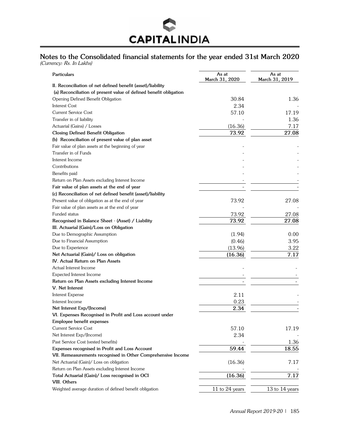

(Currency: Rs. In Lakhs)

| Particulars                                                       | As at<br>March 31, 2020 | As at<br>March 31, 2019 |
|-------------------------------------------------------------------|-------------------------|-------------------------|
| II. Reconciliation of net defined benefit (asset)/liability       |                         |                         |
| (a) Reconciliation of present value of defined benefit obligation |                         |                         |
| Opening Defined Benefit Obligation                                | 30.84                   | 1.36                    |
| <b>Interest Cost</b>                                              | 2.34                    |                         |
| <b>Current Service Cost</b>                                       | 57.10                   | 17.19                   |
| Transfer in of liability                                          |                         | 1.36                    |
| Actuarial (Gains) / Losses                                        | (16.36)                 | 7.17                    |
| Closing Defined Benefit Obligation                                | 73.92                   | 27.08                   |
| (b) Reconciliation of present value of plan asset                 |                         |                         |
| Fair value of plan assets at the beginning of year                |                         |                         |
| Transfer in of Funds                                              |                         |                         |
| Interest Income                                                   |                         |                         |
| Contributions                                                     |                         |                         |
| Benefits paid                                                     |                         |                         |
| Return on Plan Assets excluding Interest Income                   |                         |                         |
| Fair value of plan assets at the end of year                      |                         |                         |
|                                                                   |                         |                         |
| (c) Reconciliation of net defined benefit (asset)/liability       |                         |                         |
| Present value of obligation as at the end of year                 | 73.92                   | 27.08                   |
| Fair value of plan assets as at the end of year                   |                         |                         |
| Funded status                                                     | 73.92                   | 27.08                   |
| Recognised in Balance Sheet - (Asset) / Liability                 | 73.92                   | 27.08                   |
| III. Actuarial (Gain)/Loss on Obligation                          |                         |                         |
| Due to Demographic Assumption                                     | (1.94)                  | 0.00                    |
| Due to Financial Assumption                                       | (0.46)                  | 3.95                    |
| Due to Experience                                                 | (13.96)                 | 3.22                    |
| Net Actuarial (Gain)/ Loss on obligation                          | (16.36)                 | 7.17                    |
| IV. Actual Return on Plan Assets                                  |                         |                         |
| Actual Interest Income                                            |                         |                         |
| Expected Interest Income                                          |                         |                         |
| Return on Plan Assets excluding Interest Income                   |                         |                         |
| V. Net Interest                                                   |                         |                         |
| Interest Expense                                                  | 2.11                    |                         |
| Interest Income                                                   | 0.23                    |                         |
| Net Interest Exp/(Income)                                         | 2.34                    |                         |
| VI. Expenses Recognised in Profit and Loss account under          |                         |                         |
| Employee benefit expenses                                         |                         |                         |
| <b>Current Service Cost</b>                                       | 57.10                   | 17.19                   |
| Net Interest Exp/(Income)                                         | 2.34                    |                         |
| Past Service Cost (vested benefits)                               |                         | 1.36                    |
| Expenses recognised in Profit and Loss Account                    | 59.44                   | 18.55                   |
| VII. Remeasurements recognised in Other Comprehensive Income      |                         |                         |
| Net Actuarial (Gain)/ Loss on obligation                          | (16.36)                 | 7.17                    |
| Return on Plan Assets excluding Interest Income                   |                         |                         |
| Total Actuarial (Gain)/ Loss recognised in OCI                    | (16.36)                 | 7.17                    |
| VIII. Others                                                      |                         |                         |
| Weighted average duration of defined benefit obligation           | 11 to 24 years          | 13 to 14 years          |
|                                                                   |                         |                         |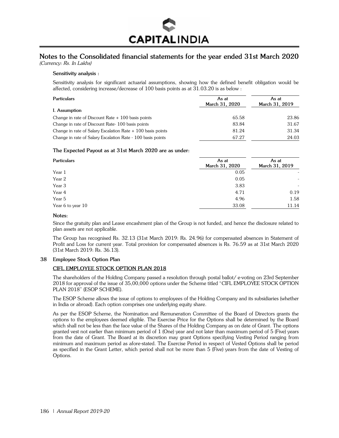

(Currency: Rs. In Lakhs)

#### **Sensitivity analysis :**

Sensitivity analysis for significant actuarial assumptions, showing how the defined benefit obligation would be affected, considering increase/decrease of 100 basis points as at 31.03.20 is as below :

| <b>Particulars</b>                                           | As at<br>March 31, 2020 | As at<br>March 31, 2019 |
|--------------------------------------------------------------|-------------------------|-------------------------|
| I. Assumption                                                |                         |                         |
| Change in rate of Discount Rate $+100$ basis points          | 65.58                   | 23.86                   |
| Change in rate of Discount Rate-100 basis points             | 83.84                   | 31.67                   |
| Change in rate of Salary Escalation Rate $+100$ basis points | 81.24                   | 31.34                   |
| Change in rate of Salary Escalation Rate - 100 basis points  | 67.27                   | 24.03                   |

#### **The Expected Payout as at 31st March 2020 are as under:**

| Particulars       | As at<br>March 31, 2020 | As at<br>March 31, 2019  |
|-------------------|-------------------------|--------------------------|
| Year 1            | 0.05                    |                          |
| Year 2            | 0.05                    | $\overline{\phantom{a}}$ |
| Year 3            | 3.83                    | $\overline{\phantom{a}}$ |
| Year 4            | 4.71                    | 0.19                     |
| Year 5            | 4.96                    | 1.58                     |
| Year 6 to year 10 | 33.08                   | 11.14                    |

#### **Notes:**

Since the gratuity plan and Leave encashment plan of the Group is not funded, and hence the disclosure related to plan assets are not applicable.

The Group has recognised Rs. 32.13 (31st March 2019: Rs. 24.96) for compensated absences in Statement of Profit and Loss for current year. Total provision for compensated absences is Rs. 76.59 as at 31st March 2020 (31st March 2019: Rs. 36.13).

#### **38 Employee Stock Option Plan**

#### **CIFL EMPLOYEE STOCK OPTION PLAN 2018**

The shareholders of the Holding Company passed a resolution through postal ballot/ e-voting on 23rd September 2018 for approval of the issue of 35,00,000 options under the Scheme titled "CIFL EMPLOYEE STOCK OPTION PLAN 2018" (ESOP SCHEME).

The ESOP Scheme allows the issue of options to employees of the Holding Company and its subsidiaries (whether in India or abroad). Each option comprises one underlying equity share.

As per the ESOP Scheme, the Nomination and Remuneration Committee of the Board of Directors grants the options to the employees deemed eligible. The Exercise Price for the Options shall be determined by the Board which shall not be less than the face value of the Shares of the Holding Company as on date of Grant. The options granted vest not earlier than minimum period of 1 (One) year and not later than maximum period of 5 (Five) years from the date of Grant. The Board at its discretion may grant Options specifying Vesting Period ranging from minimum and maximum period as afore-stated. The Exercise Period in respect of Vested Options shall be period as specified in the Grant Letter, which period shall not be more than 5 (Five) years from the date of Vesting of Options.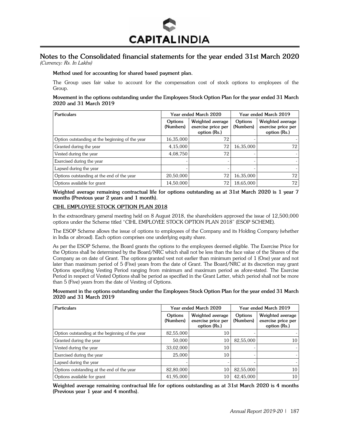

#### **Method used for accounting for shared based payment plan.**

The Group uses fair value to account for the compensation cost of stock options to employees of the Group.

#### **Movement in the options outstanding under the Employees Stock Option Plan for the year ended 31 March 2020 and 31 March 2019**

| <b>Particulars</b>                              |                      | Year ended March 2020                                  |                             | Year ended March 2019                                  |  |
|-------------------------------------------------|----------------------|--------------------------------------------------------|-----------------------------|--------------------------------------------------------|--|
|                                                 | Options<br>(Numbers) | Weighted average<br>exercise price per<br>option (Rs.) | <b>Options</b><br>(Numbers) | Weighted average<br>exercise price per<br>option (Rs.) |  |
| Option outstanding at the beginning of the year | 16,35,000            | 72                                                     |                             |                                                        |  |
| Granted during the year                         | 4,15,000             | 72                                                     | 16,35,000                   | 72 <sub>1</sub>                                        |  |
| Vested during the year                          | 4,08,750             | 72                                                     |                             |                                                        |  |
| Exercised during the year                       |                      |                                                        |                             |                                                        |  |
| Lapsed during the year                          |                      |                                                        |                             |                                                        |  |
| Options outstanding at the end of the year      | 20,50,000            | 72                                                     | 16,35,000                   | 72                                                     |  |
| Options available for grant                     | 14,50,000            | 72                                                     | 18,65,000                   | 721                                                    |  |

**Weighted average remaining contractual life for options outstanding as at 31st March 2020 is 1 year 7 months (Previous year 2 years and 1 month).**

#### **CIHL EMPLOYEE STOCK OPTION PLAN 2018**

In the extraordinary general meeting held on 8 August 2018, the shareholders approved the issue of 12,500,000 options under the Scheme titled "CIHL EMPLOYEE STOCK OPTION PLAN 2018" (ESOP SCHEME).

The ESOP Scheme allows the issue of options to employees of the Company and its Holding Company (whether in India or abroad). Each option comprises one underlying equity share.

As per the ESOP Scheme, the Board grants the options to the employees deemed eligible. The Exercise Price for the Options shall be determined by the Board/NRC which shall not be less than the face value of the Shares of the Company as on date of Grant. The options granted vest not earlier than minimum period of 1 (One) year and not later than maximum period of 5 (Five) years from the date of Grant. The Board/NRC at its discretion may grant Options specifying Vesting Period ranging from minimum and maximum period as afore-stated. The Exercise Period in respect of Vested Options shall be period as specified in the Grant Letter, which period shall not be more than 5 (Five) years from the date of Vesting of Options.

#### **Movement in the options outstanding under the Employees Stock Option Plan for the year ended 31 March 2020 and 31 March 2019**

| <b>Particulars</b>                              |                      | Year ended March 2020                                  |                      | Year ended March 2019                                  |  |
|-------------------------------------------------|----------------------|--------------------------------------------------------|----------------------|--------------------------------------------------------|--|
|                                                 | Options<br>(Numbers) | Weighted average<br>exercise price per<br>option (Rs.) | Options<br>(Numbers) | Weighted average<br>exercise price per<br>option (Rs.) |  |
| Option outstanding at the beginning of the year | 82,55,000            | 10                                                     |                      |                                                        |  |
| Granted during the year                         | 50,000               | 10                                                     | 82,55,000            | 10                                                     |  |
| Vested during the year                          | 33,02,000            | 10                                                     |                      |                                                        |  |
| Exercised during the year                       | 25,000               | 10                                                     |                      |                                                        |  |
| Lapsed during the year                          |                      |                                                        |                      |                                                        |  |
| Options outstanding at the end of the year      | 82,80,000            | 10                                                     | 82,55,000            | 10                                                     |  |
| Options available for grant                     | 41,95,000            | 10                                                     | 42,45,000            | 10                                                     |  |

**Weighted average remaining contractual life for options outstanding as at 31st March 2020 is 4 months (Previous year 1 year and 4 months).**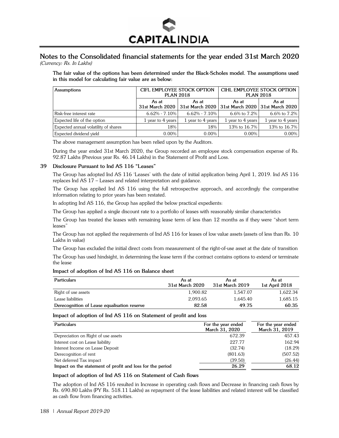

**The fair value of the options has been determined under the Black-Scholes model. The assumptions used in this model for calculating fair value are as below:** 

| Assumptions                          | CIFL EMPLOYEE STOCK OPTION<br><b>PLAN 2018</b> |                                                                                | CIHL EMPLOYEE STOCK OPTION<br><b>PLAN 2018</b> |                   |
|--------------------------------------|------------------------------------------------|--------------------------------------------------------------------------------|------------------------------------------------|-------------------|
|                                      | As at                                          | As at<br>31st March 2020   31st March 2020   31st March 2020   31st March 2020 | As at                                          | As at             |
| Risk-free interest rate              | $6.62\% - 7.10\%$                              | $6.62\% - 7.10\%$                                                              | 6.6% to $7.2%$                                 | 6.6% to $7.2%$    |
| Expected life of the option          | 1 year to 4 years                              | 1 year to 4 years                                                              | 1 year to 4 years                              | 1 year to 4 years |
| Expected annual volatility of shares | 18%                                            | 18%                                                                            | 13% to 16.7%                                   | 13% to 16.7%      |
| Expected dividend yield              | 0.00%                                          | 0.00%                                                                          | 0.00%                                          | $0.00\%$          |

The above management assumption has been relied upon by the Auditors.

During the year ended 31st March 2020, the Group recorded an employee stock compensation expense of Rs. 92.87 Lakhs (Previous year Rs. 46.14 Lakhs) in the Statement of Profit and Loss.

#### **39 Disclosure Pursuant to Ind AS 116 "Leases"**

The Group has adopted Ind AS 116 'Leases' with the date of initial application being April 1, 2019. Ind AS 116 replaces Ind AS 17 – Leases and related interpretation and guidance.

The Group has applied Ind AS 116 using the full retrospective approach, and accordingly the comparative information relating to prior years has been restated.

In adopting Ind AS 116, the Group has applied the below practical expedients:

The Group has applied a single discount rate to a portfolio of leases with reasonably similar characteristics

The Group has treated the leases with remaining lease term of less than 12 months as if they were "short term leases"

The Group has not applied the requirements of Ind AS 116 for leases of low value assets (assets of less than Rs. 10 Lakhs in value)

The Group has excluded the initial direct costs from measurement of the right-of-use asset at the date of transition

The Group has used hindsight, in determining the lease term if the contract contains options to extend or terminate the lease

#### **Impact of adoption of Ind AS 116 on Balance sheet**

| <b>Particulars</b>                          | As at<br>31st March 2020 | As at<br>31st March 2019 | As at<br>1st April 2018 |
|---------------------------------------------|--------------------------|--------------------------|-------------------------|
| Right of use assets                         | 1.900.82                 | 1.547.07                 | 1.622.34                |
| Lease liabilities                           | 2,093.65                 | 1.645.40                 | 1,685.15                |
| Derecognition of Lease equalisation reserve | 82.58                    | 49.75                    | 60.35                   |

#### **Impact of adoption of Ind AS 116 on Statement of profit and loss**

| <b>Particulars</b>                                        | For the year ended<br>March 31, 2020 | For the year ended<br>March 31, 2019 |
|-----------------------------------------------------------|--------------------------------------|--------------------------------------|
| Depreciation on Right of use assets                       | 672.39                               | 457.43                               |
| Interest cost on Lease liability                          | 227.77                               | 162.94                               |
| Interest Income on Lease Deposit                          | (32.74)                              | (18.29)                              |
| Derecognition of rent                                     | (801.63)                             | (507.52)                             |
| Net deferred Tax impact                                   | (39.50)                              | (26.44)                              |
| Impact on the statement of profit and loss for the period | 26.29                                | 68.12                                |

#### **Impact of adoption of Ind AS 116 on Statement of Cash flows**

The adoption of Ind AS 116 resulted in Increase in operating cash flows and Decrease in financing cash flows by Rs. 690.80 Lakhs (PY Rs. 518.11 Lakhs) as repayment of the lease liabilities and related interest will be classified as cash flow from financing activities.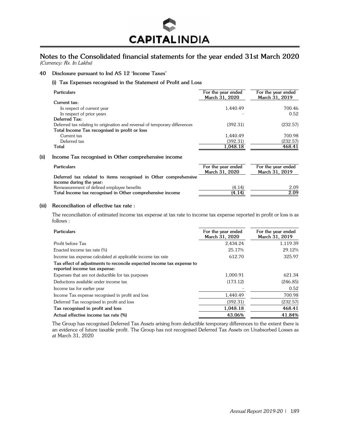

#### **40 Disclosure pursuant to Ind AS 12 'Income Taxes'**

#### **(i) Tax Expenses recognised in the Statement of Profit and Loss**

| <b>Particulars</b>                                                         | For the year ended<br>March 31, 2020 | For the year ended<br>March 31, 2019 |
|----------------------------------------------------------------------------|--------------------------------------|--------------------------------------|
| Current tax:                                                               |                                      |                                      |
| In respect of current year                                                 | 1,440.49                             | 700.46                               |
| In respect of prior years                                                  |                                      | 0.52                                 |
| Deferred Tax:                                                              |                                      |                                      |
| Deferred tax relating to origination and reversal of temporary differences | (392.31)                             | (232.57)                             |
| Total Income Tax recognised in profit or loss                              |                                      |                                      |
| Current tax                                                                | 1.440.49                             | 700.98                               |
| Deferred tax                                                               | (392.31)                             | (232.57)                             |
| Total                                                                      | 1,048.18                             | 468.41                               |
|                                                                            |                                      |                                      |

#### (ii) **(ii) Income Tax recognised in Other comprehensive income**

| <b>Particulars</b>                                              | For the year ended<br>March 31, 2020 | For the year ended<br>March 31, 2019 |
|-----------------------------------------------------------------|--------------------------------------|--------------------------------------|
| Deferred tax related to items recognised in Other comprehensive |                                      |                                      |
| income during the year:                                         |                                      |                                      |
| Remeasurement of defined employee benefits                      | (4.14)                               | 2.09                                 |
| Total Income tax recognised in Other comprehensive income       | (4.14)                               | 2.09                                 |

#### **(iii) Reconciliation of effective tax rate :**

The reconciliation of estimated income tax expense at tax rate to income tax expense reported in profit or loss is as follows :

| <b>Particulars</b>                                                                                    | For the year ended<br>March 31, 2020 | For the year ended<br>March 31, 2019 |
|-------------------------------------------------------------------------------------------------------|--------------------------------------|--------------------------------------|
| Profit before Tax                                                                                     | 2,434.24                             | 1,119.39                             |
| Enacted income tax rate (%)                                                                           | 25.17%                               | 29.12%                               |
| Income tax expense calculated at applicable income tax rate                                           | 612.70                               | 325.97                               |
| Tax effect of adjustments to reconcile expected income tax expense to<br>reported income tax expense: |                                      |                                      |
| Expenses that are not deductible for tax purposes                                                     | 1,000.91                             | 621.34                               |
| Deductions available under income tax                                                                 | (173.12)                             | (246.85)                             |
| Income tax for earlier year                                                                           |                                      | 0.52                                 |
| Income Tax expense recognised in profit and loss                                                      | 1.440.49                             | 700.98                               |
| Deferred Tax recognised in profit and loss                                                            | (392.31)                             | (232.57)                             |
| Tax recognised in profit and loss                                                                     | 1,048.18                             | 468.41                               |
| Actual effective income tax rate (%)                                                                  | 43.06%                               | 41.84%                               |

The Group has recognised Deferred Tax Assets arising from deductible temporary differences to the extent there is an evidence of future taxable profit. The Group has not recognised Deferred Tax Assets on Unabsorbed Losses as at March 31, 2020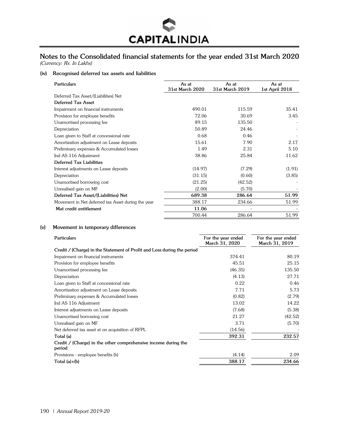

### **(iv) Recognised deferred tax assets and liabilities**

| <b>Particulars</b>                                 | As at<br>31st March 2020 | As at<br>31st March 2019 | As at<br>1st April 2018 |
|----------------------------------------------------|--------------------------|--------------------------|-------------------------|
| Deferred Tax Asset/(Liabilities) Net               |                          |                          |                         |
| Deferred Tax Asset                                 |                          |                          |                         |
| Impairment on financial instruments                | 490.01                   | 115.59                   | 35.41                   |
| Provision for employee benefits                    | 72.06                    | 30.69                    | 3.45                    |
| Unamortised processing fee                         | 89.15                    | 135.50                   |                         |
| Depreciation                                       | 50.89                    | 24.46                    |                         |
| Loan given to Staff at concessional rate           | 0.68                     | 0.46                     |                         |
| Amortization adjustment on Lease deposits          | 15.61                    | 7.90                     | 2.17                    |
| Preliminary expenses & Accumulated losses          | 1.49                     | 2.31                     | 5.10                    |
| Ind AS 116 Adjustment                              | 38.86                    | 25.84                    | 11.62                   |
| Deferred Tax Liabilities                           |                          |                          |                         |
| Interest adjustments on Lease deposits             | (14.97)                  | (7.29)                   | (1.91)                  |
| Depreciation                                       | (31.15)                  | (0.60)                   | (3.85)                  |
| Unamortised borrowing cost                         | (21.25)                  | (42.52)                  |                         |
| Unrealised gain on MF                              | (2.00)                   | (5.70)                   |                         |
| Deferred Tax Asset/(Liabilities) Net               | 689.38                   | 286.64                   | 51.99                   |
| Movement in Net deferred tax Asset during the year | 388.17                   | 234.66                   | 51.99                   |
| Mat credit entitlement                             | 11.06                    |                          |                         |
|                                                    | 700.44                   | 286.64                   | 51.99                   |

#### **(v) Movement in temporary differences**

| <b>Particulars</b>                                                       | For the year ended<br>March 31, 2020 | For the year ended<br>March 31, 2019 |
|--------------------------------------------------------------------------|--------------------------------------|--------------------------------------|
| Credit / (Charge) in the Statement of Profit and Loss during the period  |                                      |                                      |
| Impairment on financial instruments                                      | 374.41                               | 80.19                                |
| Provision for employee benefits                                          | 45.51                                | 25.15                                |
| Unamortised processing fee                                               | (46.35)                              | 135.50                               |
| Depreciation                                                             | (4.13)                               | 27.71                                |
| Loan given to Staff at concessional rate                                 | 0.22                                 | 0.46                                 |
| Amortization adjustment on Lease deposits                                | 7.71                                 | 5.73                                 |
| Preliminary expenses & Accumulated losses                                | (0.82)                               | (2.79)                               |
| Ind AS 116 Adjustment                                                    | 13.02                                | 14.22                                |
| Interest adjustments on Lease deposits                                   | (7.68)                               | (5.38)                               |
| Unamortised borrowing cost                                               | 21.27                                | (42.52)                              |
| Unrealised gain on MF                                                    | 3.71                                 | (5.70)                               |
| Net deferred tax asset at on acquisition of RFPL                         | (14.56)                              |                                      |
| Total (a)                                                                | 392.31                               | 232.57                               |
| Credit / (Charge) in the other comprehensive income during the<br>period |                                      |                                      |
| Provisions - employee benefits (b)                                       | (4.14)                               | 2.09                                 |
| Total $(a)+(b)$                                                          | 388.17                               | 234.66                               |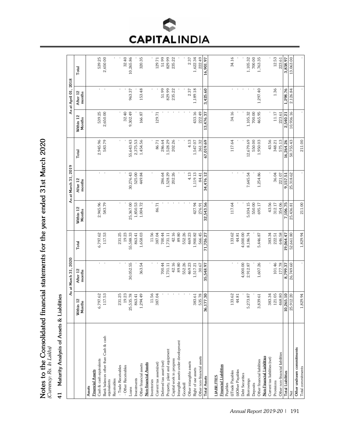|                                                     |                         | As at March 31, 2020 |           |                     | As at March 31, 2019 |           |                     | As at April 01, 2018 |                        |
|-----------------------------------------------------|-------------------------|----------------------|-----------|---------------------|----------------------|-----------|---------------------|----------------------|------------------------|
|                                                     | 2<br>Within 1<br>Months | After 12<br>months   | Total     | Within 12<br>Months | After 12<br>months   | Total     | Within 12<br>Months | After 12<br>months   | Total                  |
| Assets                                              |                         |                      |           |                     |                      |           |                     |                      |                        |
| Financial Assets                                    |                         |                      |           |                     |                      |           |                     |                      |                        |
| Cash & cash equivalents                             | 6,797.62                |                      | 6,797.62  | 2,945.96            |                      | 2,945.96  | 539.25              | t.                   | 539.25                 |
| Bank balances other than Cash & cash<br>equivalents | 117.53                  |                      | 117.53    | 583.79              |                      | 583.79    | 2,650.00            | $\mathbf{I}$         | 2,650.00               |
| Receivables                                         |                         |                      |           |                     |                      |           |                     |                      |                        |
| - Trade Receivables                                 | 231.25                  |                      | 231.25    |                     |                      |           |                     |                      |                        |
| - Other Receivables                                 | 19.23                   |                      | 19.23     |                     |                      |           | 32.40               |                      | 32.40                  |
| Loans                                               | 25,535.78               | 30,052.55            | 55,588.33 | 25,367.00           | 30,276.43            | 55,643.43 | 9,302.49            | 963.37               | 10,265.86              |
| Investments                                         | 863.41                  |                      | 863.41    | 1,850.53            | 525.00               | 2,375.53  |                     |                      |                        |
| Other financial assets                              | 1,294.49                | 363.54               | 1,658.03  | 1,004.72            | 449.84               | 1,454.56  | 166.87              | 153.48               | 320.35                 |
| Non-financial Assets                                |                         |                      |           |                     |                      |           |                     |                      |                        |
| Inventories                                         | 11.56                   |                      | 11.56     |                     |                      |           |                     |                      |                        |
| Current tax assets(net)                             | 387.04                  |                      | 387.04    | 86.71               |                      | 86.71     | 129.71              |                      | 129.71                 |
| Deferred tax asset (net)                            |                         | 700.44               | 700.44    |                     | 286.64               | 286.64    |                     | 51.99                | 51.99                  |
| Property, plant and equipment                       |                         | 1,731.11             | 1,731.11  |                     | 1,528.29             | 1,528.29  |                     | 829.99               | 829.99                 |
| Capital work in progress                            |                         | 42.16                | 42.16     |                     | 202.26               | 202.26    |                     | 235.22               | 235.22                 |
| Intangible assets under development                 |                         | 89.80                | 89.80     |                     |                      |           |                     |                      |                        |
| Goodwill                                            |                         | 552.26               | 552.26    |                     |                      |           |                     |                      |                        |
| Other intangible assets                             |                         | 469.23               | 469.23    |                     | 4.13                 | 4.13      |                     | 2.37                 | 2.37                   |
| Right of use assets                                 | 383.61                  | 1,517.21             | 1,900.82  | 427.94              | 1,119.13             | 1,547.07  | 433.16              | 1,189.18             | 1,622.34               |
| Other non-financial assets                          | 535.78                  | 30.67                | 566.45    | 276.91              | 84.41                | 361.32    | 222.49              |                      | 222.49                 |
| <b>Total Assets</b>                                 | 36,177.30               | 35,548.97            | 71,726.27 | 32,543.56           | 34,476.12            | 67,019.69 | 13,476.37           | 3,425.60             | 16,901.97              |
| <b>LIABILITIES</b>                                  |                         |                      |           |                     |                      |           |                     |                      |                        |
| <b>Financial Liabilities</b>                        |                         |                      |           |                     |                      |           |                     |                      |                        |
| Payables                                            |                         |                      |           |                     |                      |           |                     |                      |                        |
| (i)Trade Payables                                   | 133.62                  |                      | 133.62    | 117.64              |                      | 117.64    | 34.16               |                      | 34.16                  |
| (ii)Other Payables                                  | 44.81                   |                      | 44.81     |                     |                      |           |                     |                      |                        |
| Debt Securities                                     |                         | 4,000.00             | 4,000.00  |                     |                      |           |                     |                      |                        |
| Borrowings                                          | 3.87<br>5,27            | 2,912.87             | 8,186.74  | 5,034.15            | 7,645.54             | 12,679.69 | 1,105.32            |                      | 1,105.32               |
| Deposits                                            |                         |                      |           | 550.00              |                      | 550.00    | 700.00              |                      | 700.00                 |
| Other financial liabilities                         | 3,839.61                | 1,607.26             | 5,446.87  | 695.17              | 1,254.86             | 1,950.03  | 465.95              | 1,297.40             | 1,763.35               |
| Non-Financial Liabilities                           |                         |                      |           |                     |                      |           |                     |                      |                        |
| Current tax liabilities (net)                       | 383.34                  |                      | 383.34    | 43.56               |                      | 43.56     |                     |                      |                        |
| Provisions                                          | 121.05                  | 101.46               | 222.51    | 312.17              | 36.04                | 348.21    | 11.17               | 1.36                 | 12.53                  |
| Other non-financial liabilities                     | 468.80                  | 177.78               | 646.58    | 354.06              | 221.07               | 575.13    | 223.61              |                      | 223.61                 |
| <b>Total Liabilities</b>                            | 10,265.10               | 8,799.37             | 19,064.47 | 7,106.75            | 9,157.51             | 16,264.26 | 2,540.21            | 1,298.76             | 3,838.97               |
| Net                                                 | 25,912.20               | 26,749.60            | 52,661.80 | 25,436.81           | 25,318.62            | 50,755.43 | 10,936.16           | 2,126.84             | $13,063.\overline{00}$ |
| Other undrawn commitments                           |                         |                      |           |                     |                      |           |                     |                      |                        |
| Total commitments                                   | 1,829.94                |                      | 1,829.94  | 211.00              |                      | 211.00    |                     |                      |                        |

Notes to the Consolidated financial statements for the year ended 31st March 2020 (Currency: Rs. In Lakhs) **Notes to the Consolidated financial statements for the year ended 31st March 2020** (Currency: Rs. In Lakhs)

# Maturity Analysis of Assets & Liabilities **41 Maturity Analysis of Assets & Liabilities**  $41$

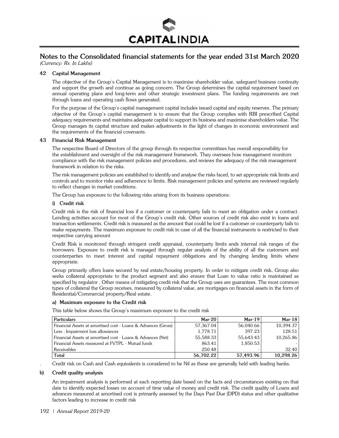

(Currency: Rs. In Lakhs)

#### **42 Capital Management**

The objective of the Group's Capital Management is to maximise shareholder value, safeguard business continuity and support the growth and continue as going concern. The Group determines the capital requirement based on annual operating plans and long-term and other strategic investment plans. The funding requirements are met through loans and operating cash flows generated.

For the purpose of the Group's capital management capital includes issued capital and equity reserves. The primary objective of the Group's capital management is to ensure that the Group complies with RBI prescribed Capital adequacy requirements and maintains adequate capital to support its business and maximise shareholders value. The Group manages its capital structure and makes adjustments in the light of changes in economic environment and the requirements of the financial covenants.

#### **43 Financial Risk Management**

The respective Board of Directors of the group through its respective committees has overall responsibility for the establishment and oversight of the risk management framework. They oversees how management monitors compliance with the risk management policies and procedures, and reviews the adequacy of the risk management framework in relation to the risks.

The risk management policies are established to identify and analyse the risks faced, to set appropriate risk limits and controls and to monitor risks and adherence to limits. Risk management policies and systems are reviewed regularly to reflect changes in market conditions.

The Group has exposure to the following risks arising from its business operations:

#### **i) Credit risk**

Credit risk is the risk of financial loss if a customer or counterparty fails to meet an obligation under a contract. Lending activities account for most of the Group's credit risk. Other sources of credit risk also exist in loans and transaction settlements. Credit risk is measured as the amount that could be lost if a customer or counterparty fails to make repayments. The maximum exposure to credit risk in case of all the financial instruments is restricted to their respective carrying amount

Credit Risk is monitored through stringent credit appraisal, counterparty limits ands internal risk ranges of the borrowers. Exposure to credit risk is managed through regular analysis of the ability of all the customers and counterparties to meet interest and capital repayment obligations and by changing lending limits where appropriate.

Group primarily offers loans secured by real estate/housing property. In order to mitigate credit risk, Group also seeks collateral appropriate to the product segment and also ensure that Loan to value ratio is maintained as specified by regulator . Other means of mitigating credit risk that the Group uses are guarantees. The most common types of collateral the Group receives, measured by collateral value, are mortgages on financial assets in the form of Residential/Commercial property/Real estate.

#### **a) Maximum exposure to the Credit risk**

This table below shows the Group's maximum exposure to the credit risk

| Particulars                                                   | $Mar-20$  | $Mar-19$  | $Mar-18$  |
|---------------------------------------------------------------|-----------|-----------|-----------|
| Financial Assets at amortised cost - Loans & Advances (Gross) | 57,367.04 | 56,040.66 | 10,394.37 |
| Less: Impairment loss allowances                              | 1.778.71  | 397.23    | 128.51    |
| Financial Assets at amortised cost - Loans & Advances (Net)   | 55,588.33 | 55,643.43 | 10,265.86 |
| Financial Assets measured at FVTPL - Mutual funds             | 863.41    | 1,850.53  |           |
| Receivables                                                   | 250.48    |           | 32.40     |
| Total                                                         | 56,702.22 | 57,493.96 | 10,298.26 |

. Credit risk on Cash and Cash equivalents is considered to be Nil as these are generally held with leading banks.

#### **b) Credit quality analysis**

An impairment analysis is performed at each reporting date based on the facts and circumstances existing on that date to identify expected losses on account of time value of money and credit risk. The credit quality of Loans and advances measured at amortised cost is primarily assessed by the Days Past Due (DPD) status and other qualitative factors leading to increase in credit risk

#### 192 | Annual Report 2019-20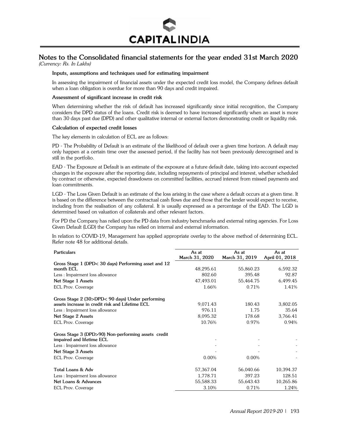

#### **Inputs, assumptions and techniques used for estimating impairment**

In assessing the impairment of financial assets under the expected credit loss model, the Company defines default when a loan obligation is overdue for more than 90 days and credit impaired.

#### **Assessment of significant increase in credit risk**

When determining whether the risk of default has increased significantly since initial recognition, the Company considers the DPD status of the loans. Credit risk is deemed to have increased significantly when an asset is more than 30 days past due (DPD) and other qualitative internal or external factors demonstrating credit or liquidity risk.

#### **Calculation of expected credit losses**

The key elements in calculation of ECL are as follows:

PD - The Probability of Default is an estimate of the likelihood of default over a given time horizon. A default may only happen at a certain time over the assessed period, if the facility has not been previously derecognised and is still in the portfolio.

EAD - The Exposure at Default is an estimate of the exposure at a future default date, taking into account expected changes in the exposure after the reporting date, including repayments of principal and interest, whether scheduled by contract or otherwise, expected drawdowns on committed facilities, accrued interest from missed payments and loan commitments.

LGD - The Loss Given Default is an estimate of the loss arising in the case where a default occurs at a given time. It is based on the difference between the contractual cash flows due and those that the lender would expect to receive, including from the realisation of any collateral. It is usually expressed as a percentage of the EAD. The LGD is determined based on valuation of collaterals and other relevant factors.

For PD the Company has relied upon the PD data from industry benchmarks and external rating agencies. For Loss Given Default (LGD) the Company has relied on internal and external information.

In relation to COVID-19, Management has applied appropriate overlay to the above method of determining ECL. Refer note 48 for additional details.

| <b>Particulars</b>                                   | As at          | As at          | As at          |
|------------------------------------------------------|----------------|----------------|----------------|
|                                                      | March 31, 2020 | March 31, 2019 | April 01, 2018 |
| Gross Stage 1 (DPD< 30 days) Performing asset and 12 |                |                |                |
| month ECL                                            | 48,295.61      | 55,860.23      | 6,592.32       |
| Less: Impairment loss allowance                      | 802.60         | 395.48         | 92.87          |
| Net Stage 1 Assets                                   | 47,493.01      | 55,464.75      | 6,499.45       |
| ECL Prov. Coverage                                   | 1.66%          | 0.71%          | 1.41%          |
| Gross Stage 2 (30>DPD< 90 days) Under performing     |                |                |                |
| assets increase in credit risk and Lifetime ECL      | 9,071.43       | 180.43         | 3,802.05       |
| Less: Impairment loss allowance                      | 976.11         | 1.75           | 35.64          |
| Net Stage 2 Assets                                   | 8,095.32       | 178.68         | 3,766.41       |
| ECL Prov. Coverage                                   | 10.76%         | 0.97%          | 0.94%          |
| Gross Stage 3 (DPD>90) Non-performing assets credit  |                |                |                |
| impaired and lifetime ECL                            |                |                |                |
| Less: Impairment loss allowance                      |                |                |                |
| Net Stage 3 Assets                                   |                |                |                |
| ECL Prov. Coverage                                   | 0.00%          | 0.00%          |                |
| Total Loans & Adv                                    | 57,367.04      | 56,040.66      | 10,394.37      |
| Less: Impairment loss allowance                      | 1,778.71       | 397.23         | 128.51         |
| Net Loans & Advances                                 | 55,588.33      | 55,643.43      | 10,265.86      |
| ECL Prov. Coverage                                   | 3.10%          | 0.71%          | 1.24%          |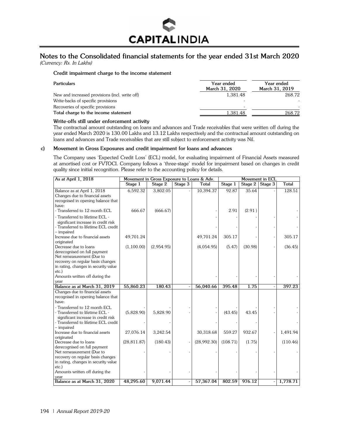

#### (Currency: Rs. In Lakhs)

#### **Credit impairment charge to the income statement**

| <b>Particulars</b>                             | Year ended<br>March 31, 2020 | Year ended<br>March 31, 2019 |
|------------------------------------------------|------------------------------|------------------------------|
| New and increased provisions (incl. write off) | 1.381.48                     | 268.72                       |
| Write-backs of specific provisions             |                              |                              |
| Recoveries of specific provisions              |                              |                              |
| Total charge to the income statement           | 1.381.48                     | 268.72                       |

#### **Write-offs still under enforcement activity**

The contractual amount outstanding on loans and advances and Trade receivables that were written off during the year ended March 2020 is 130.00 Lakhs and 13.12 Lakhs respectively and the contractual amount outstanding on loans and advances and Trade receivables that are still subject to enforcement activity was Nil.

#### **c) Movement in Gross Exposures and credit impairment for loans and advances**

The Company uses 'Expected Credit Loss' (ECL) model, for evaluating impairment of Financial Assets measured at amortised cost or FVTOCI. Company follows a 'three-stage' model for impairment based on changes in credit quality since initial recognition. Please refer to the accounting policy for details.

| As at April 1, 2018                                                                                                          | Movement in Gross Exposure to Loans & Adv. |            |         | Movement in ECL |          |         |         |          |
|------------------------------------------------------------------------------------------------------------------------------|--------------------------------------------|------------|---------|-----------------|----------|---------|---------|----------|
|                                                                                                                              | Stage 1                                    | Stage 2    | Stage 3 | Total           | Stage 1  | Stage 2 | Stage 3 | Total    |
| Balance as at April 1, 2018<br>Changes due to financial assets<br>recognised in opening balance that<br>have:                | 6,592.32                                   | 3,802.05   |         | 10,394.37       | 92.87    | 35.64   |         | 128.51   |
| - Transferred to 12 month ECL                                                                                                | 666.67                                     | (666.67)   |         |                 | 2.91     | (2.91)  |         |          |
| - Transferred to lifetime ECL -<br>significant increase in credit risk<br>- Transferred to lifetime ECL credit<br>- impaired |                                            |            |         |                 |          |         |         |          |
| Increase due to financial assets<br>originated                                                                               | 49,701.24                                  |            |         | 49,701.24       | 305.17   |         |         | 305.17   |
| Decrease due to loans<br>derecognised on full payment<br>Net remeasurement (Due to<br>recovery on regular basis changes      | (1,100.00)                                 | (2,954.95) |         | (4,054.95)      | (5.47)   | (30.98) |         | (36.45)  |
| in rating, changes in security value<br>etc.)                                                                                |                                            |            |         |                 |          |         |         |          |
| Amounts written off during the<br>year                                                                                       |                                            |            |         |                 |          |         |         |          |
| Balance as at March 31, 2019                                                                                                 | 55,860.23                                  | 180.43     |         | 56,040.66       | 395.48   | 1.75    |         | 397.23   |
| Changes due to financial assets<br>recognised in opening balance that<br>have:                                               |                                            |            |         |                 |          |         |         |          |
| - Transferred to 12 month ECL                                                                                                |                                            |            |         |                 |          |         |         |          |
| - Transferred to lifetime ECL -<br>significant increase in credit risk                                                       | (5,828.90)                                 | 5,828.90   |         |                 | (43.45)  | 43.45   |         |          |
| - Transferred to lifetime ECL credit<br>- impaired                                                                           |                                            |            |         |                 |          |         |         |          |
| Increase due to financial assets<br>originated                                                                               | 27,076.14                                  | 3,242.54   |         | 30,318.68       | 559.27   | 932.67  |         | 1,491.94 |
| Decrease due to loans<br>derecognised on full payment                                                                        | (28, 811.87)                               | (180.43)   |         | (28,992.30)     | (108.71) | (1.75)  |         | (110.46) |
| Net remeasurement (Due to<br>recovery on regular basis changes<br>in rating, changes in security value<br>etc.)              |                                            |            |         |                 |          |         |         |          |
| Amounts written off during the<br>year                                                                                       |                                            |            |         |                 |          |         |         |          |
| Balance as at March 31, 2020                                                                                                 | 48,295.60                                  | 9,071.44   |         | 57,367.04       | 802.59   | 976.12  |         | 1,778.71 |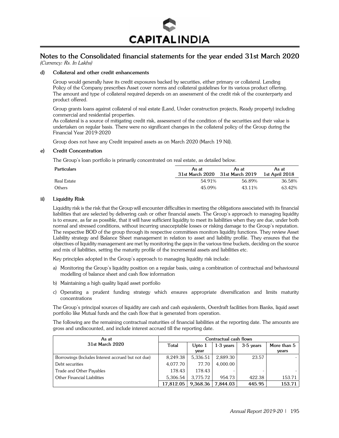

#### **d) Collateral and other credit enhancements**

Group would generally have its credit exposures backed by securities, either primary or collateral. Lending Policy of the Company prescribes Asset cover norms and collateral guidelines for its various product offering. The amount and type of collateral required depends on an assessment of the credit risk of the counterparty and product offered.

Group grants loans against collateral of real estate (Land, Under construction projects, Ready property) including commercial and residential properties.

As collateral is a source of mitigating credit risk, assessment of the condition of the securities and their value is undertaken on regular basis. There were no significant changes in the collateral policy of the Group during the Financial Year 2019-2020

Group does not have any Credit impaired assets as on March 2020 (March 19 Nil).

#### **e) Credit Concentration**

The Group's loan portfolio is primarily concentrated on real estate, as detailed below.

| <b>Particulars</b> | As at<br>31st March 2020 31st March 2019 | As at  | As at<br>1st April 2018 |
|--------------------|------------------------------------------|--------|-------------------------|
| Real Estate        | 54 91%                                   | 56.89% | 36.58%                  |
| Others             | 45 09%                                   | 43 11% | 63.42%                  |

#### **ii) Liquidity Risk**

Liquidity risk is the risk that the Group will encounter difficulties in meeting the obligations associated with its financial liabilities that are selected by delivering cash or other financial assets. The Group's approach to managing liquidity is to ensure, as far as possible, that it will have sufficient liquidity to meet its liabilities when they are due, under both normal and stressed conditions, without incurring unacceptable losses or risking damage to the Group's reputation. The respective BOD of the group through its respective committees monitors liquidity functions. They review Asset Liability strategy and Balance Sheet management in relation to asset and liability profile. They ensures that the objectives of liquidity management are met by monitoring the gaps in the various time buckets, deciding on the source and mix of liabilities, setting the maturity profile of the incremental assets and liabilities etc.

Key principles adopted in the Group's approach to managing liquidity risk include:

- a) Monitoring the Group's liquidity position on a regular basis, using a combination of contractual and behavioural modelling of balance sheet and cash flow information
- b) Maintaining a high quality liquid asset portfolio
- c) Operating a prudent funding strategy which ensures appropriate diversification and limits maturity concentrations

The Group's principal sources of liquidity are cash and cash equivalents, Overdraft facilities from Banks, liquid asset portfolio like Mutual funds and the cash flow that is generated from operation.

The following are the remaining contractual maturities of financial liabilities at the reporting date. The amounts are gross and undiscounted, and include interest accrued till the reporting date.

| As at                                              | Contractual cash flows |          |             |           |             |  |
|----------------------------------------------------|------------------------|----------|-------------|-----------|-------------|--|
| 31st March 2020                                    | Total                  | Upto $1$ | $1-3$ years | 3-5 years | More than 5 |  |
|                                                    |                        | year     |             |           | years       |  |
| Borrowings (Includes Interest accrued but not due) | 8,249.38               | 5,336.51 | 2.889.30    | 23.57     |             |  |
| Debt securities                                    | 4,077.70               | 77.70    | 4,000.00    |           |             |  |
| Trade and Other Payables                           | 178.43                 | 178.43   |             |           |             |  |
| Other Financial Liabilities                        | 5.306.54               | 3.775.72 | 954.73      | 422.38    | 153.71      |  |
|                                                    | 17,812.05              | 9,368.36 | 7.844.03    | 445.95    | 153.71      |  |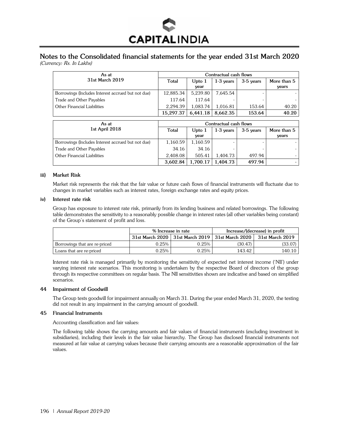

| As at                                              | Contractual cash flows |          |             |           |             |  |
|----------------------------------------------------|------------------------|----------|-------------|-----------|-------------|--|
| 31st March 2019                                    | Total                  | Upto 1   | $1-3$ years | 3-5 years | More than 5 |  |
|                                                    |                        | year     |             |           | years       |  |
| Borrowings (Includes Interest accrued but not due) | 12,885.34              | 5,239.80 | 7.645.54    |           |             |  |
| Trade and Other Payables                           | 117.64                 | 117.64   |             |           |             |  |
| Other Financial Liabilities                        | 2.294.39               | 1.083.74 | 1.016.81    | 153.64    | 40.20       |  |
|                                                    | 15,297.37              | 6,441.18 | 8,662.35    | 153.64    | 40.20       |  |

| As at                                              | Contractual cash flows |          |             |           |             |  |  |
|----------------------------------------------------|------------------------|----------|-------------|-----------|-------------|--|--|
| 1st April 2018                                     | Total                  | Upto $1$ | $1-3$ years | 3-5 years | More than 5 |  |  |
|                                                    |                        | year     |             |           | years       |  |  |
| Borrowings (Includes Interest accrued but not due) | 1,160.59               | 1,160.59 |             |           |             |  |  |
| Trade and Other Payables                           | 34.16                  | 34.16    |             |           |             |  |  |
| Other Financial Liabilities                        | 2.408.08               | 505.41   | 1.404.73    | 497.94    |             |  |  |
|                                                    | 3,602.84               | 1,700.17 | 1.404.73    | 497.94    |             |  |  |

#### **iii) Market Risk**

Market risk represents the risk that the fair value or future cash flows of financial instruments will fluctuate due to changes in market variables such as interest rates, foreign exchange rates and equity prices.

#### **iv) Interest rate risk**

Group has exposure to interest rate risk, primarily from its lending business and related borrowings. The following table demonstrates the sensitivity to a reasonably possible change in interest rates (all other variables being constant) of the Group's statement of profit and loss.

|                               |       | % Increase in rate                                  | Increase/(decrease) in profit |                 |  |
|-------------------------------|-------|-----------------------------------------------------|-------------------------------|-----------------|--|
|                               |       | 31st March 2020   31st March 2019   31st March 2020 |                               | 31st March 2019 |  |
| Borrowings that are re-priced | 0.25% | 0.25%                                               | (30.47)                       | (33.07)         |  |
| Loans that are re-priced      | 0.25% | 0.25%                                               | 143.42                        | 140.10          |  |
|                               |       |                                                     |                               |                 |  |

Interest rate risk is managed primarily by monitoring the sensitivity of expected net interest income ('NII') under varying interest rate scenarios. This monitoring is undertaken by the respective Board of directors of the group through its respective committees on regular basis. The NII sensitivities shown are indicative and based on simplified scenarios.

#### **44 Impairment of Goodwill**

The Group tests goodwill for impairment annually on March 31. During the year ended March 31, 2020, the testing did not result in any impairment in the carrying amount of goodwill.

#### **45 Financial Instruments**

Accounting classification and fair values:

The following table shows the carrying amounts and fair values of financial instruments (excluding investment in subsidiaries), including their levels in the fair value hierarchy. The Group has disclosed financial instruments not measured at fair value at carrying values because their carrying amounts are a reasonable approximation of the fair values.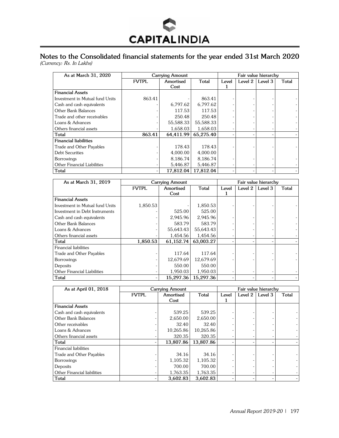

| As at March 31, 2020            | <b>Carrying Amount</b> |           |           |       |                | Fair value hierarchy |       |
|---------------------------------|------------------------|-----------|-----------|-------|----------------|----------------------|-------|
|                                 | <b>FVTPL</b>           | Amortised | Total     | Level | Level $2 \mid$ | Level 3              | Total |
|                                 |                        | Cost      |           |       |                |                      |       |
| <b>Financial Assets</b>         |                        |           |           |       |                |                      |       |
| Investment in Mutual fund Units | 863.41                 |           | 863.41    |       |                |                      |       |
| Cash and cash equivalents       |                        | 6.797.62  | 6,797.62  |       |                |                      |       |
| Other Bank Balances             |                        | 117.53    | 117.53    |       |                |                      |       |
| Trade and other receivables     |                        | 250.48    | 250.48    |       |                |                      |       |
| Loans & Advances                |                        | 55,588.33 | 55,588.33 |       |                |                      |       |
| Others financial assets         |                        | 1,658.03  | 1,658.03  |       |                |                      |       |
| Total                           | 863.41                 | 64,411.99 | 65,275.40 |       |                |                      |       |
| <b>Financial liabilities</b>    |                        |           |           |       |                |                      |       |
| Trade and Other Payables        |                        | 178.43    | 178.43    |       |                |                      |       |
| <b>Debt Securities</b>          |                        | 4.000.00  | 4.000.00  |       |                |                      |       |
| Borrowings                      |                        | 8,186.74  | 8,186.74  |       |                |                      |       |
| Other Financial Liabilities     |                        | 5,446.87  | 5,446.87  |       |                |                      |       |
| Total                           |                        | 17,812.04 | 17,812.04 |       |                |                      |       |

| As at March 31, 2019            | <b>Carrying Amount</b> |           |           |       |         | Fair value hierarchy |       |
|---------------------------------|------------------------|-----------|-----------|-------|---------|----------------------|-------|
|                                 | <b>FVTPL</b>           | Amortised | Total     | Level | Level 2 | Level 3              | Total |
|                                 |                        | Cost      |           |       |         |                      |       |
| <b>Financial Assets</b>         |                        |           |           |       |         |                      |       |
| Investment in Mutual fund Units | 1,850.53               |           | 1,850.53  |       |         |                      |       |
| Investment in Debt Instruments  |                        | 525.00    | 525.00    |       |         |                      |       |
| Cash and cash equivalents       |                        | 2,945.96  | 2,945.96  |       |         |                      |       |
| Other Bank Balances             |                        | 583.79    | 583.79    |       |         |                      |       |
| Loans & Advances                |                        | 55,643.43 | 55,643.43 |       |         |                      |       |
| Others financial assets         |                        | 1,454.56  | 1,454.56  |       |         |                      |       |
| Total                           | 1,850.53               | 61,152.74 | 63,003.27 |       |         |                      |       |
| Financial liabilities           |                        |           |           |       |         |                      |       |
| Trade and Other Payables        |                        | 117.64    | 117.64    |       |         |                      |       |
| Borrowings                      |                        | 12,679.69 | 12,679.69 |       |         |                      |       |
| Deposits                        |                        | 550.00    | 550.00    |       |         |                      |       |
| Other Financial Liabilities     |                        | 1,950.03  | 1,950.03  |       |         |                      |       |
| Total                           |                        | 15,297.36 | 15,297.36 |       |         |                      |       |

| As at April 01, 2018        | Carrying Amount |           |           |       |         | Fair value hierarchy |       |
|-----------------------------|-----------------|-----------|-----------|-------|---------|----------------------|-------|
|                             | <b>FVTPL</b>    | Amortised | Total     | Level | Level 2 | Level 3              | Total |
|                             |                 | Cost      |           |       |         |                      |       |
| <b>Financial Assets</b>     |                 |           |           |       |         |                      |       |
| Cash and cash equivalents   |                 | 539.25    | 539.25    |       |         |                      |       |
| Other Bank Balances         |                 | 2,650.00  | 2,650.00  |       |         |                      |       |
| Other receivables           |                 | 32.40     | 32.40     |       |         |                      |       |
| Loans & Advances            |                 | 10,265.86 | 10,265.86 |       |         |                      |       |
| Others financial assets     |                 | 320.35    | 320.35    |       |         |                      |       |
| Total                       |                 | 13,807.86 | 13,807.86 |       |         |                      |       |
| Financial liabilities       |                 |           |           |       |         |                      |       |
| Trade and Other Payables    |                 | 34.16     | 34.16     |       |         |                      |       |
| Borrowings                  |                 | 1.105.32  | 1,105.32  |       |         |                      |       |
| Deposits                    |                 | 700.00    | 700.00    |       |         |                      |       |
| Other Financial liabilities |                 | 1,763.35  | 1,763.35  |       |         |                      |       |
| Total                       |                 | 3,602.83  | 3,602.83  |       |         |                      |       |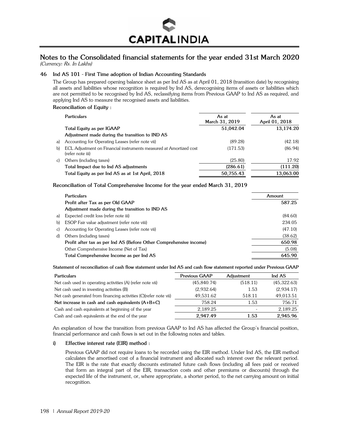

#### **46 Ind AS 101 - First Time adoption of Indian Accounting Standards**

The Group has prepared opening balance sheet as per Ind AS as at April 01, 2018 (transition date) by recognising all assets and liabilities whose recognition is required by Ind AS, derecognising items of assets or liabilities which are not permitted to be recognised by Ind AS, reclassifying items from Previous GAAP to Ind AS as required, and applying Ind AS to measure the recognised assets and liabilities.

#### **Reconciliation of Equity :**

|    | <b>Particulars</b>                                                                     | As at<br>March 31, 2019 | As at<br>April 01, 2018 |
|----|----------------------------------------------------------------------------------------|-------------------------|-------------------------|
|    | Total Equity as per IGAAP                                                              | 51,042.04               | 13,174.20               |
|    | Adjustment made during the transition to IND AS                                        |                         |                         |
| a) | Accounting for Operating Leases (refer note vii)                                       | (89.28)                 | (42.18)                 |
| b) | ECL Adjustment on Financial instruments measured at Amortized cost<br>(refer note iii) | (171.53)                | (86.94)                 |
| c) | Others (including taxes)                                                               | (25.80)                 | 17.92                   |
|    | Total Impact due to Ind AS adjustments                                                 | (286.61)                | (111.20)                |
|    | Total Equity as per Ind AS as at 1st April, 2018                                       | 50,755.43               | 13,063.00               |

#### **Reconciliation of Total Comprehensive Income for the year ended March 31, 2019**

|    | <b>Particulars</b>                                                 | Amount  |
|----|--------------------------------------------------------------------|---------|
|    | Profit after Tax as per Old GAAP                                   | 587.25  |
|    | Adjustment made during the transition to IND AS                    |         |
| a) | Expected credit loss (refer note iii)                              | (84.60) |
| b) | ESOP Fair value adjustment (refer note viii)                       | 234.05  |
| C) | Accounting for Operating Leases (refer note vii)                   | (47.10) |
| d) | Others (including taxes)                                           | (38.62) |
|    | Profit after tax as per Ind AS (Before Other Comprehensive income) | 650.98  |
|    | Other Comprehensive Income (Net of Tax)                            | (5.08)  |
|    | Total Comprehensive Income as per Ind AS                           | 645.90  |

#### **Statement of reconciliation of cash flow statement under Ind AS and cash flow statement reported under Previous GAAP**

| <b>Particulars</b>                                               | Previous GAAP | Adiustment | Ind AS      |
|------------------------------------------------------------------|---------------|------------|-------------|
| Net cash used in operating activities (A) (refer note vii)       | (45, 840.74)  | (518.11)   | (45,322,63) |
| Net cash used in investing activities (B)                        | (2,932.64)    | 1.53       | (2,934,17)  |
| Net cash generated from financing activities (C)(refer note vii) | 49,531.62     | 518.11     | 49,013.51   |
| Net increase in cash and cash equivalents $(A+B+C)$              | 758.24        | 1.53       | 756.71      |
| Cash and cash equivalents at beginning of the year               | 2.189.25      |            | 2,189.25    |
| Cash and cash equivalents at the end of the year                 | 2.947.49      | 1.53       | 2.945.96    |

An explanation of how the transition from previous GAAP to Ind AS has affected the Group's financial position, financial performance and cash flows is set out in the following notes and tables.

#### **i) Effective interest rate (EIR) method :**

 Previous GAAP did not require loans to be recorded using the EIR method. Under Ind AS, the EIR method calculates the amortised cost of a financial instrument and allocated such interest over the relevant period. The EIR is the rate that exactly discounts estimated future cash flows (including all fees paid or received that form an integral part of the EIR, transaction costs and other premiums or discounts) through the expected life of the instrument, or, where appropriate, a shorter period, to the net carrying amount on initial recognition.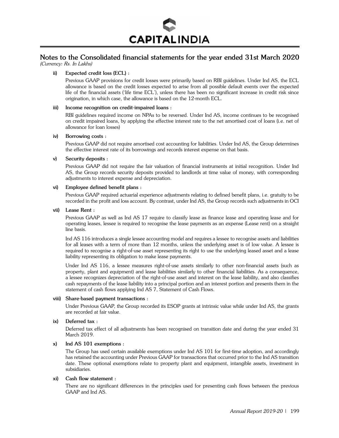

#### **ii) Expected credit loss (ECL) :**

 Previous GAAP provisions for credit losses were primarily based on RBI guidelines. Under Ind AS, the ECL allowance is based on the credit losses expected to arise from all possible default events over the expected life of the financial assets ('life time ECL'), unless there has been no significant increase in credit risk since origination, in which case, the allowance is based on the 12-month ECL.

#### **iii) Income recognition on credit-impaired loans :**

 RBI guidelines required income on NPAs to be reversed. Under Ind AS, income continues to be recognised on credit impaired loans, by applying the effective interest rate to the net amortised cost of loans (i.e. net of allowance for loan losses)

#### **iv) Borrowing costs :**

 Previous GAAP did not require amortised cost accounting for liabilities. Under Ind AS, the Group determines the effective interest rate of its borrowings and records interest expense on that basis.

#### **v) Security deposits :**

 Previous GAAP did not require the fair valuation of financial instruments at initial recognition. Under Ind AS, the Group records security deposits provided to landlords at time value of money, with corresponding adjustments to interest expense and depreciation.

#### **vi) Employee defined benefit plans :**

 Previous GAAP required actuarial experience adjustments relating to defined benefit plans, i.e. gratuity to be recorded in the profit and loss account. By contrast, under Ind AS, the Group records such adjustments in OCI

#### **vii) Lease Rent :**

 Previous GAAP as well as Ind AS 17 require to classify lease as finance lease and operating lease and for operating leases, lessee is required to recognise the lease payments as an expense (Lease rent) on a straight line basis.

 Ind AS 116 introduces a single lessee accounting model and requires a lessee to recognise assets and liabilities for all leases with a term of more than 12 months, unless the underlying asset is of low value. A lessee is required to recognise a right-of-use asset representing its right to use the underlying leased asset and a lease liability representing its obligation to make lease payments.

 Under Ind AS 116, a lessee measures right-of-use assets similarly to other non-financial assets (such as property, plant and equipment) and lease liabilities similarly to other financial liabilities. As a consequence, a lessee recognizes depreciation of the right-of-use asset and interest on the lease liability, and also classifies cash repayments of the lease liability into a principal portion and an interest portion and presents them in the statement of cash flows applying Ind AS 7, Statement of Cash Flows.

#### **viii) Share-based payment transactions :**

 Under Previous GAAP, the Group recorded its ESOP grants at intrinsic value while under Ind AS, the grants are recorded at fair value.

#### **ix) Deferred tax :**

 Deferred tax effect of all adjustments has been recognised on transition date and during the year ended 31 March 2019.

#### **x) Ind AS 101 exemptions :**

 The Group has used certain available exemptions under Ind AS 101 for first-time adoption, and accordingly has retained the accounting under Previous GAAP for transactions that occurred prior to the Ind AS transition date. These optional exemptions relate to property plant and equipment, intangible assets, investment in subsidiaries.

#### **xi) Cash flow statement :**

 There are no significant differences in the principles used for presenting cash flows between the previous GAAP and Ind AS.